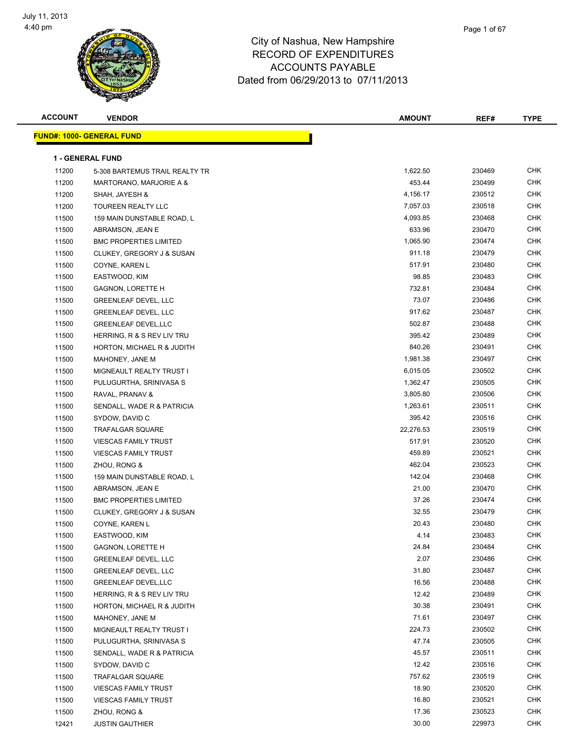

| <b>ACCOUNT</b> | <b>VENDOR</b>                     | <b>AMOUNT</b> | REF#   | <b>TYPE</b> |
|----------------|-----------------------------------|---------------|--------|-------------|
|                | <u> FUND#: 1000- GENERAL FUND</u> |               |        |             |
|                |                                   |               |        |             |
|                | <b>1 - GENERAL FUND</b>           |               |        |             |
| 11200          | 5-308 BARTEMUS TRAIL REALTY TR    | 1,622.50      | 230469 | <b>CHK</b>  |
| 11200          | MARTORANO, MARJORIE A &           | 453.44        | 230499 | <b>CHK</b>  |
| 11200          | SHAH, JAYESH &                    | 4,156.17      | 230512 | <b>CHK</b>  |
| 11200          | TOUREEN REALTY LLC                | 7,057.03      | 230518 | <b>CHK</b>  |
| 11500          | 159 MAIN DUNSTABLE ROAD, L        | 4,093.85      | 230468 | <b>CHK</b>  |
| 11500          | ABRAMSON, JEAN E                  | 633.96        | 230470 | <b>CHK</b>  |
| 11500          | <b>BMC PROPERTIES LIMITED</b>     | 1,065.90      | 230474 | <b>CHK</b>  |
| 11500          | CLUKEY, GREGORY J & SUSAN         | 911.18        | 230479 | <b>CHK</b>  |
| 11500          | COYNE, KAREN L                    | 517.91        | 230480 | <b>CHK</b>  |
| 11500          | EASTWOOD, KIM                     | 98.85         | 230483 | <b>CHK</b>  |
| 11500          | GAGNON, LORETTE H                 | 732.81        | 230484 | <b>CHK</b>  |
| 11500          | <b>GREENLEAF DEVEL, LLC</b>       | 73.07         | 230486 | <b>CHK</b>  |
| 11500          | <b>GREENLEAF DEVEL, LLC</b>       | 917.62        | 230487 | CHK         |
| 11500          | <b>GREENLEAF DEVEL,LLC</b>        | 502.87        | 230488 | <b>CHK</b>  |
| 11500          | HERRING, R & S REV LIV TRU        | 395.42        | 230489 | <b>CHK</b>  |
| 11500          | HORTON, MICHAEL R & JUDITH        | 840.26        | 230491 | <b>CHK</b>  |
| 11500          | MAHONEY, JANE M                   | 1,981.38      | 230497 | <b>CHK</b>  |
| 11500          | MIGNEAULT REALTY TRUST I          | 6,015.05      | 230502 | <b>CHK</b>  |
| 11500          | PULUGURTHA, SRINIVASA S           | 1,362.47      | 230505 | <b>CHK</b>  |
| 11500          | RAVAL, PRANAV &                   | 3,805.80      | 230506 | <b>CHK</b>  |
| 11500          | SENDALL, WADE R & PATRICIA        | 1,263.61      | 230511 | <b>CHK</b>  |
| 11500          | SYDOW, DAVID C                    | 395.42        | 230516 | <b>CHK</b>  |
| 11500          | <b>TRAFALGAR SQUARE</b>           | 22,276.53     | 230519 | <b>CHK</b>  |
| 11500          | <b>VIESCAS FAMILY TRUST</b>       | 517.91        | 230520 | <b>CHK</b>  |
| 11500          | <b>VIESCAS FAMILY TRUST</b>       | 459.89        | 230521 | <b>CHK</b>  |
| 11500          | ZHOU, RONG &                      | 462.04        | 230523 | <b>CHK</b>  |
| 11500          | 159 MAIN DUNSTABLE ROAD, L        | 142.04        | 230468 | <b>CHK</b>  |
| 11500          | ABRAMSON, JEAN E                  | 21.00         | 230470 | <b>CHK</b>  |
| 11500          | <b>BMC PROPERTIES LIMITED</b>     | 37.26         | 230474 | <b>CHK</b>  |
| 11500          | CLUKEY, GREGORY J & SUSAN         | 32.55         | 230479 | CHK         |
| 11500          | COYNE, KAREN L                    | 20.43         | 230480 | <b>CHK</b>  |
| 11500          | EASTWOOD, KIM                     | 4.14          | 230483 | <b>CHK</b>  |
| 11500          | <b>GAGNON, LORETTE H</b>          | 24.84         | 230484 | <b>CHK</b>  |
| 11500          | <b>GREENLEAF DEVEL, LLC</b>       | 2.07          | 230486 | <b>CHK</b>  |
| 11500          | <b>GREENLEAF DEVEL, LLC</b>       | 31.80         | 230487 | CHK         |
| 11500          | <b>GREENLEAF DEVEL, LLC</b>       | 16.56         | 230488 | <b>CHK</b>  |
| 11500          | HERRING, R & S REV LIV TRU        | 12.42         | 230489 | <b>CHK</b>  |
| 11500          | HORTON, MICHAEL R & JUDITH        | 30.38         | 230491 | <b>CHK</b>  |
| 11500          | MAHONEY, JANE M                   | 71.61         | 230497 | <b>CHK</b>  |
| 11500          | MIGNEAULT REALTY TRUST I          | 224.73        | 230502 | <b>CHK</b>  |
| 11500          | PULUGURTHA, SRINIVASA S           | 47.74         | 230505 | CHK         |
| 11500          | SENDALL, WADE R & PATRICIA        | 45.57         | 230511 | <b>CHK</b>  |
| 11500          | SYDOW, DAVID C                    | 12.42         | 230516 | <b>CHK</b>  |
| 11500          | <b>TRAFALGAR SQUARE</b>           | 757.62        | 230519 | <b>CHK</b>  |
| 11500          | <b>VIESCAS FAMILY TRUST</b>       | 18.90         | 230520 | <b>CHK</b>  |
| 11500          | <b>VIESCAS FAMILY TRUST</b>       | 16.80         | 230521 | CHK         |
| 11500          | ZHOU, RONG &                      | 17.36         | 230523 | CHK         |
| 12421          | <b>JUSTIN GAUTHIER</b>            | 30.00         | 229973 | <b>CHK</b>  |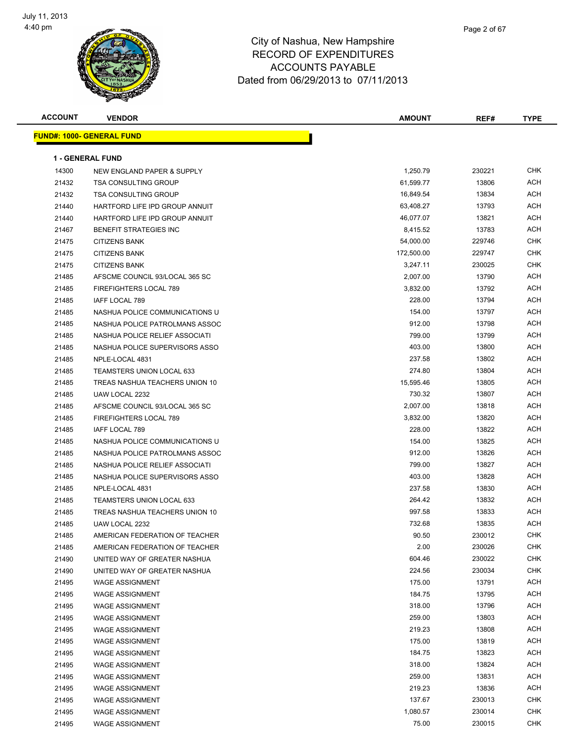

| <b>ACCOUNT</b> | <b>VENDOR</b>                     | <b>AMOUNT</b> | REF#   | <b>TYPE</b> |
|----------------|-----------------------------------|---------------|--------|-------------|
|                | <u> FUND#: 1000- GENERAL FUND</u> |               |        |             |
|                |                                   |               |        |             |
|                | <b>1 - GENERAL FUND</b>           |               |        |             |
| 14300          | NEW ENGLAND PAPER & SUPPLY        | 1,250.79      | 230221 | <b>CHK</b>  |
| 21432          | <b>TSA CONSULTING GROUP</b>       | 61,599.77     | 13806  | ACH         |
| 21432          | <b>TSA CONSULTING GROUP</b>       | 16,849.54     | 13834  | ACH         |
| 21440          | HARTFORD LIFE IPD GROUP ANNUIT    | 63,408.27     | 13793  | ACH         |
| 21440          | HARTFORD LIFE IPD GROUP ANNUIT    | 46,077.07     | 13821  | ACH         |
| 21467          | BENEFIT STRATEGIES INC            | 8,415.52      | 13783  | ACH         |
| 21475          | <b>CITIZENS BANK</b>              | 54,000.00     | 229746 | CHK         |
| 21475          | <b>CITIZENS BANK</b>              | 172,500.00    | 229747 | CHK         |
| 21475          | <b>CITIZENS BANK</b>              | 3,247.11      | 230025 | CHK         |
| 21485          | AFSCME COUNCIL 93/LOCAL 365 SC    | 2,007.00      | 13790  | ACH         |
| 21485          | FIREFIGHTERS LOCAL 789            | 3,832.00      | 13792  | ACH         |
| 21485          | IAFF LOCAL 789                    | 228.00        | 13794  | ACH         |
| 21485          | NASHUA POLICE COMMUNICATIONS U    | 154.00        | 13797  | ACH         |
| 21485          | NASHUA POLICE PATROLMANS ASSOC    | 912.00        | 13798  | ACH         |
| 21485          | NASHUA POLICE RELIEF ASSOCIATI    | 799.00        | 13799  | ACH         |
| 21485          | NASHUA POLICE SUPERVISORS ASSO    | 403.00        | 13800  | ACH         |
| 21485          | NPLE-LOCAL 4831                   | 237.58        | 13802  | ACH         |
| 21485          | <b>TEAMSTERS UNION LOCAL 633</b>  | 274.80        | 13804  | ACH         |
| 21485          | TREAS NASHUA TEACHERS UNION 10    | 15,595.46     | 13805  | ACH         |
| 21485          | UAW LOCAL 2232                    | 730.32        | 13807  | ACH         |
| 21485          | AFSCME COUNCIL 93/LOCAL 365 SC    | 2,007.00      | 13818  | ACH         |
| 21485          | FIREFIGHTERS LOCAL 789            | 3,832.00      | 13820  | ACH         |
| 21485          | IAFF LOCAL 789                    | 228.00        | 13822  | ACH         |
| 21485          | NASHUA POLICE COMMUNICATIONS U    | 154.00        | 13825  | ACH         |
| 21485          | NASHUA POLICE PATROLMANS ASSOC    | 912.00        | 13826  | ACH         |
| 21485          | NASHUA POLICE RELIEF ASSOCIATI    | 799.00        | 13827  | ACH         |
| 21485          | NASHUA POLICE SUPERVISORS ASSO    | 403.00        | 13828  | ACH         |
| 21485          | NPLE-LOCAL 4831                   | 237.58        | 13830  | ACH         |
| 21485          | <b>TEAMSTERS UNION LOCAL 633</b>  | 264.42        | 13832  | ACH         |
| 21485          | TREAS NASHUA TEACHERS UNION 10    | 997.58        | 13833  | ACH         |
| 21485          | UAW LOCAL 2232                    | 732.68        | 13835  | ACH         |
| 21485          | AMERICAN FEDERATION OF TEACHER    | 90.50         | 230012 | <b>CHK</b>  |
| 21485          | AMERICAN FEDERATION OF TEACHER    | 2.00          | 230026 | CHK         |
| 21490          | UNITED WAY OF GREATER NASHUA      | 604.46        | 230022 | <b>CHK</b>  |
| 21490          | UNITED WAY OF GREATER NASHUA      | 224.56        | 230034 | <b>CHK</b>  |
| 21495          | <b>WAGE ASSIGNMENT</b>            | 175.00        | 13791  | ACH         |
| 21495          | <b>WAGE ASSIGNMENT</b>            | 184.75        | 13795  | ACH         |
| 21495          | <b>WAGE ASSIGNMENT</b>            | 318.00        | 13796  | ACH         |
| 21495          | <b>WAGE ASSIGNMENT</b>            | 259.00        | 13803  | ACH         |
| 21495          | <b>WAGE ASSIGNMENT</b>            | 219.23        | 13808  | <b>ACH</b>  |
| 21495          | <b>WAGE ASSIGNMENT</b>            | 175.00        | 13819  | ACH         |
| 21495          | <b>WAGE ASSIGNMENT</b>            | 184.75        | 13823  | ACH         |
| 21495          | <b>WAGE ASSIGNMENT</b>            | 318.00        | 13824  | ACH         |
| 21495          | <b>WAGE ASSIGNMENT</b>            | 259.00        | 13831  | ACH         |
| 21495          | <b>WAGE ASSIGNMENT</b>            | 219.23        | 13836  | ACH         |
| 21495          | <b>WAGE ASSIGNMENT</b>            | 137.67        | 230013 | <b>CHK</b>  |
| 21495          | <b>WAGE ASSIGNMENT</b>            | 1,080.57      | 230014 | <b>CHK</b>  |
| 21495          | <b>WAGE ASSIGNMENT</b>            | 75.00         | 230015 | <b>CHK</b>  |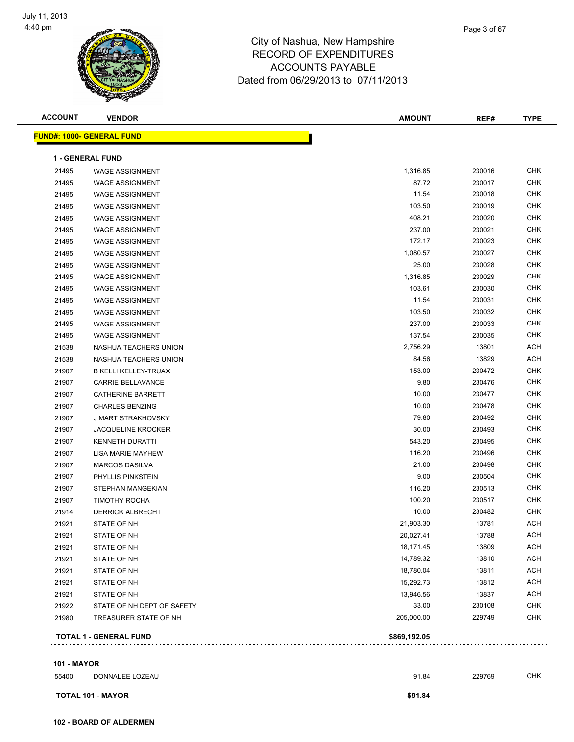

| <b>ACCOUNT</b> | <b>VENDOR</b>                    | <b>AMOUNT</b> | REF#   | <b>TYPE</b> |
|----------------|----------------------------------|---------------|--------|-------------|
|                | <b>FUND#: 1000- GENERAL FUND</b> |               |        |             |
|                | <b>1 - GENERAL FUND</b>          |               |        |             |
| 21495          | <b>WAGE ASSIGNMENT</b>           | 1,316.85      | 230016 | CHK         |
| 21495          | <b>WAGE ASSIGNMENT</b>           | 87.72         | 230017 | <b>CHK</b>  |
| 21495          | <b>WAGE ASSIGNMENT</b>           | 11.54         | 230018 | <b>CHK</b>  |
| 21495          | <b>WAGE ASSIGNMENT</b>           | 103.50        | 230019 | <b>CHK</b>  |
| 21495          | <b>WAGE ASSIGNMENT</b>           | 408.21        | 230020 | <b>CHK</b>  |
| 21495          | <b>WAGE ASSIGNMENT</b>           | 237.00        | 230021 | <b>CHK</b>  |
| 21495          | <b>WAGE ASSIGNMENT</b>           | 172.17        | 230023 | <b>CHK</b>  |
| 21495          | <b>WAGE ASSIGNMENT</b>           | 1,080.57      | 230027 | <b>CHK</b>  |
| 21495          | <b>WAGE ASSIGNMENT</b>           | 25.00         | 230028 | <b>CHK</b>  |
| 21495          | <b>WAGE ASSIGNMENT</b>           | 1,316.85      | 230029 | <b>CHK</b>  |
| 21495          | <b>WAGE ASSIGNMENT</b>           | 103.61        | 230030 | <b>CHK</b>  |
| 21495          | <b>WAGE ASSIGNMENT</b>           | 11.54         | 230031 | <b>CHK</b>  |
| 21495          | <b>WAGE ASSIGNMENT</b>           | 103.50        | 230032 | <b>CHK</b>  |
| 21495          | <b>WAGE ASSIGNMENT</b>           | 237.00        | 230033 | <b>CHK</b>  |
| 21495          | <b>WAGE ASSIGNMENT</b>           | 137.54        | 230035 | <b>CHK</b>  |
| 21538          | NASHUA TEACHERS UNION            | 2,756.29      | 13801  | <b>ACH</b>  |
| 21538          | NASHUA TEACHERS UNION            | 84.56         | 13829  | <b>ACH</b>  |
| 21907          | <b>B KELLI KELLEY-TRUAX</b>      | 153.00        | 230472 | <b>CHK</b>  |
| 21907          | CARRIE BELLAVANCE                | 9.80          | 230476 | <b>CHK</b>  |
| 21907          | CATHERINE BARRETT                | 10.00         | 230477 | <b>CHK</b>  |
| 21907          | <b>CHARLES BENZING</b>           | 10.00         | 230478 | <b>CHK</b>  |
| 21907          | J MART STRAKHOVSKY               | 79.80         | 230492 | CHK         |
| 21907          | <b>JACQUELINE KROCKER</b>        | 30.00         | 230493 | <b>CHK</b>  |
| 21907          | <b>KENNETH DURATTI</b>           | 543.20        | 230495 | <b>CHK</b>  |
| 21907          | LISA MARIE MAYHEW                | 116.20        | 230496 | <b>CHK</b>  |
| 21907          | <b>MARCOS DASILVA</b>            | 21.00         | 230498 | <b>CHK</b>  |
| 21907          | PHYLLIS PINKSTEIN                | 9.00          | 230504 | <b>CHK</b>  |
| 21907          | STEPHAN MANGEKIAN                | 116.20        | 230513 | <b>CHK</b>  |
| 21907          | <b>TIMOTHY ROCHA</b>             | 100.20        | 230517 | <b>CHK</b>  |
| 21914          | <b>DERRICK ALBRECHT</b>          | 10.00         | 230482 | <b>CHK</b>  |
| 21921          | STATE OF NH                      | 21,903.30     | 13781  | <b>ACH</b>  |
| 21921          | STATE OF NH                      | 20,027.41     | 13788  | <b>ACH</b>  |
| 21921          | STATE OF NH                      | 18,171.45     | 13809  | ACH         |
| 21921          | STATE OF NH                      | 14,789.32     | 13810  | <b>ACH</b>  |
| 21921          | STATE OF NH                      | 18,780.04     | 13811  | <b>ACH</b>  |
| 21921          | STATE OF NH                      | 15,292.73     | 13812  | <b>ACH</b>  |
| 21921          | STATE OF NH                      | 13,946.56     | 13837  | <b>ACH</b>  |
| 21922          | STATE OF NH DEPT OF SAFETY       | 33.00         | 230108 | <b>CHK</b>  |
| 21980          | TREASURER STATE OF NH            | 205,000.00    | 229749 | <b>CHK</b>  |
|                | <b>TOTAL 1 - GENERAL FUND</b>    | \$869,192.05  |        |             |
|                |                                  |               |        |             |

#### **101 - MAYOR**

| 55400 | DONNALEE LOZEAU          | 91.84   | 229769 | CHK |
|-------|--------------------------|---------|--------|-----|
|       | <b>TOTAL 101 - MAYOR</b> | \$91.84 |        |     |

**102 - BOARD OF ALDERMEN**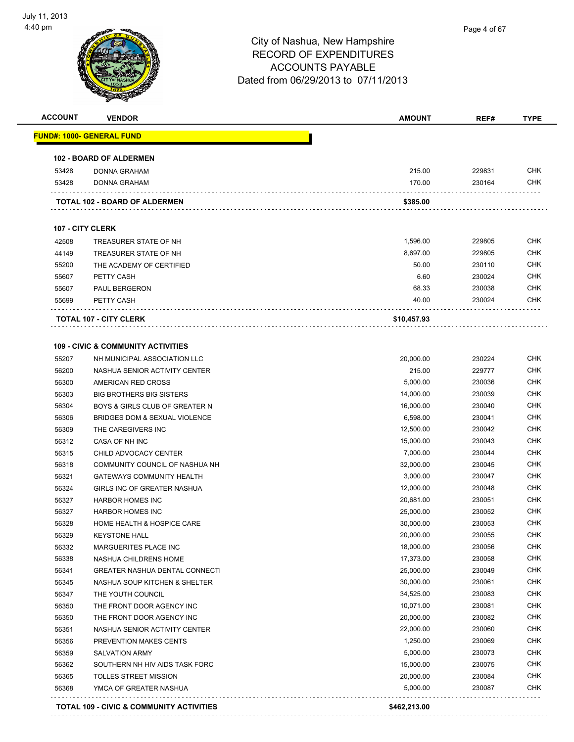

| <b>ACCOUNT</b>   | <b>VENDOR</b>                                           | <b>AMOUNT</b>          | REF#             | <b>TYPE</b>              |
|------------------|---------------------------------------------------------|------------------------|------------------|--------------------------|
|                  | <u> FUND#: 1000- GENERAL FUND</u>                       |                        |                  |                          |
|                  | <b>102 - BOARD OF ALDERMEN</b>                          |                        |                  |                          |
| 53428            | <b>DONNA GRAHAM</b>                                     | 215.00                 | 229831           | <b>CHK</b>               |
| 53428            | <b>DONNA GRAHAM</b>                                     | 170.00                 | 230164           | <b>CHK</b>               |
|                  | TOTAL 102 - BOARD OF ALDERMEN                           | \$385.00               |                  |                          |
| 107 - CITY CLERK |                                                         |                        |                  |                          |
| 42508            | TREASURER STATE OF NH                                   | 1,596.00               | 229805           | <b>CHK</b>               |
| 44149            | TREASURER STATE OF NH                                   | 8,697.00               | 229805           | <b>CHK</b>               |
| 55200            | THE ACADEMY OF CERTIFIED                                | 50.00                  | 230110           | <b>CHK</b>               |
| 55607            | PETTY CASH                                              | 6.60                   | 230024           | <b>CHK</b>               |
| 55607            | PAUL BERGERON                                           | 68.33                  | 230038           | <b>CHK</b>               |
| 55699            | PETTY CASH                                              | 40.00                  | 230024           | <b>CHK</b>               |
|                  | <b>TOTAL 107 - CITY CLERK</b>                           | \$10,457.93            |                  |                          |
|                  |                                                         |                        |                  |                          |
|                  | <b>109 - CIVIC &amp; COMMUNITY ACTIVITIES</b>           |                        |                  | <b>CHK</b>               |
| 55207            | NH MUNICIPAL ASSOCIATION LLC                            | 20,000.00              | 230224           |                          |
| 56200            | NASHUA SENIOR ACTIVITY CENTER                           | 215.00                 | 229777           | <b>CHK</b>               |
| 56300            | AMERICAN RED CROSS                                      | 5,000.00               | 230036           | <b>CHK</b>               |
| 56303            | <b>BIG BROTHERS BIG SISTERS</b>                         | 14,000.00              | 230039           | <b>CHK</b><br><b>CHK</b> |
| 56304            | BOYS & GIRLS CLUB OF GREATER N                          | 16,000.00              | 230040           | <b>CHK</b>               |
| 56306            | BRIDGES DOM & SEXUAL VIOLENCE                           | 6,598.00               | 230041           | <b>CHK</b>               |
| 56309<br>56312   | THE CAREGIVERS INC<br>CASA OF NH INC                    | 12,500.00              | 230042<br>230043 | <b>CHK</b>               |
|                  |                                                         | 15,000.00              | 230044           | <b>CHK</b>               |
| 56315<br>56318   | CHILD ADVOCACY CENTER<br>COMMUNITY COUNCIL OF NASHUA NH | 7,000.00<br>32,000.00  | 230045           | <b>CHK</b>               |
| 56321            |                                                         | 3,000.00               | 230047           | <b>CHK</b>               |
| 56324            | <b>GATEWAYS COMMUNITY HEALTH</b>                        | 12,000.00              | 230048           | <b>CHK</b>               |
|                  | GIRLS INC OF GREATER NASHUA<br><b>HARBOR HOMES INC</b>  | 20,681.00              | 230051           | <b>CHK</b>               |
| 56327            | <b>HARBOR HOMES INC</b>                                 | 25,000.00              | 230052           | <b>CHK</b>               |
| 56327            |                                                         |                        | 230053           | <b>CHK</b>               |
| 56328            | HOME HEALTH & HOSPICE CARE<br><b>KEYSTONE HALL</b>      | 30,000.00<br>20,000.00 | 230055           | CHK                      |
| 56329<br>56332   | MARGUERITES PLACE INC                                   | 18,000.00              | 230056           | <b>CHK</b>               |
| 56338            | NASHUA CHILDRENS HOME                                   | 17,373.00              | 230058           | <b>CHK</b>               |
| 56341            | <b>GREATER NASHUA DENTAL CONNECTI</b>                   | 25,000.00              | 230049           | <b>CHK</b>               |
| 56345            | NASHUA SOUP KITCHEN & SHELTER                           | 30,000.00              | 230061           | <b>CHK</b>               |
| 56347            | THE YOUTH COUNCIL                                       | 34,525.00              | 230083           | <b>CHK</b>               |
| 56350            | THE FRONT DOOR AGENCY INC                               | 10,071.00              | 230081           | <b>CHK</b>               |
| 56350            | THE FRONT DOOR AGENCY INC                               | 20,000.00              | 230082           | <b>CHK</b>               |
| 56351            | NASHUA SENIOR ACTIVITY CENTER                           | 22,000.00              | 230060           | <b>CHK</b>               |
| 56356            | PREVENTION MAKES CENTS                                  | 1,250.00               | 230069           | <b>CHK</b>               |
| 56359            | <b>SALVATION ARMY</b>                                   | 5,000.00               | 230073           | <b>CHK</b>               |
| 56362            | SOUTHERN NH HIV AIDS TASK FORC                          | 15,000.00              | 230075           | <b>CHK</b>               |
| 56365            | TOLLES STREET MISSION                                   | 20,000.00              | 230084           | <b>CHK</b>               |
| 56368            | YMCA OF GREATER NASHUA                                  | 5,000.00               | 230087           | <b>CHK</b>               |
|                  |                                                         |                        |                  |                          |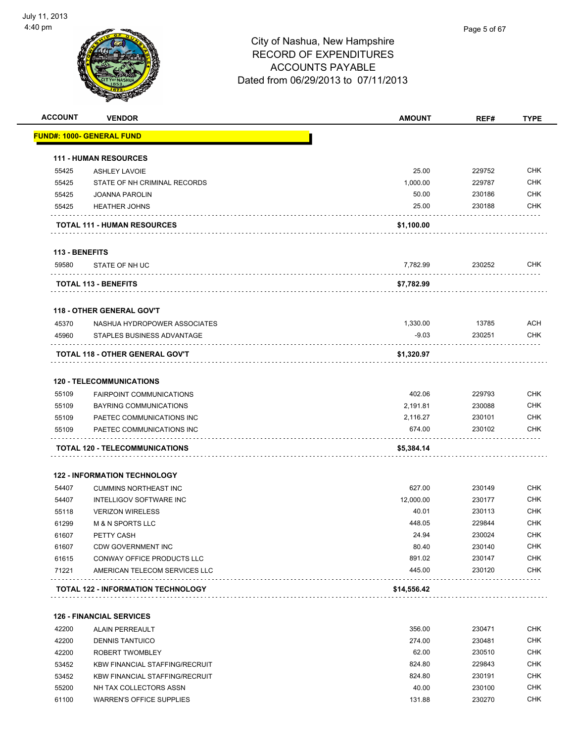

| <b>ACCOUNT</b> | <b>VENDOR</b>                         | <b>AMOUNT</b>      | REF#             | <b>TYPE</b>       |
|----------------|---------------------------------------|--------------------|------------------|-------------------|
|                | <u> FUND#: 1000- GENERAL FUND</u>     |                    |                  |                   |
|                | <b>111 - HUMAN RESOURCES</b>          |                    |                  |                   |
| 55425          | <b>ASHLEY LAVOIE</b>                  | 25.00              | 229752           | <b>CHK</b>        |
| 55425          | STATE OF NH CRIMINAL RECORDS          | 1,000.00           | 229787           | <b>CHK</b>        |
| 55425          | <b>JOANNA PAROLIN</b>                 | 50.00              | 230186           | CHK               |
| 55425          | <b>HEATHER JOHNS</b>                  | 25.00              | 230188           | <b>CHK</b>        |
|                | TOTAL 111 - HUMAN RESOURCES           | \$1,100.00         |                  |                   |
| 113 - BENEFITS |                                       |                    |                  |                   |
| 59580          | STATE OF NH UC                        | 7,782.99           | 230252           | <b>CHK</b>        |
|                | <b>TOTAL 113 - BENEFITS</b>           | \$7,782.99         |                  |                   |
|                | <b>118 - OTHER GENERAL GOV'T</b>      |                    |                  |                   |
| 45370          | NASHUA HYDROPOWER ASSOCIATES          | 1,330.00           | 13785            | <b>ACH</b>        |
| 45960          | STAPLES BUSINESS ADVANTAGE            | $-9.03$            | 230251           | CHK               |
|                | TOTAL 118 - OTHER GENERAL GOV'T       | \$1,320.97         |                  |                   |
|                |                                       |                    |                  |                   |
|                | <b>120 - TELECOMMUNICATIONS</b>       | 402.06             | 229793           | <b>CHK</b>        |
| 55109          | <b>FAIRPOINT COMMUNICATIONS</b>       |                    |                  | <b>CHK</b>        |
| 55109          | <b>BAYRING COMMUNICATIONS</b>         | 2,191.81           | 230088           |                   |
| 55109          | PAETEC COMMUNICATIONS INC             | 2,116.27<br>674.00 | 230101<br>230102 | CHK<br><b>CHK</b> |
| 55109          | PAETEC COMMUNICATIONS INC             |                    |                  |                   |
|                | <b>TOTAL 120 - TELECOMMUNICATIONS</b> | \$5,384.14         |                  |                   |
|                | <b>122 - INFORMATION TECHNOLOGY</b>   |                    |                  |                   |
| 54407          | <b>CUMMINS NORTHEAST INC</b>          | 627.00             | 230149           | <b>CHK</b>        |
| 54407          | <b>INTELLIGOV SOFTWARE INC</b>        | 12,000.00          | 230177           | <b>CHK</b>        |
| 55118          | <b>VERIZON WIRELESS</b>               | 40.01              | 230113           | <b>CHK</b>        |
| 61299          | <b>M &amp; N SPORTS LLC</b>           | 448.05             | 229844           | CHK               |
| 61607          | PETTY CASH                            | 24.94              | 230024           | <b>CHK</b>        |
| 61607          | <b>CDW GOVERNMENT INC</b>             | 80.40              | 230140           | <b>CHK</b>        |
| 61615          | CONWAY OFFICE PRODUCTS LLC            | 891.02             | 230147           | CHK               |
| 71221          | AMERICAN TELECOM SERVICES LLC         | 445.00             | 230120           | <b>CHK</b>        |
|                | TOTAL 122 - INFORMATION TECHNOLOGY    | \$14,556.42        |                  |                   |
|                | <b>126 - FINANCIAL SERVICES</b>       |                    |                  |                   |
| 42200          | <b>ALAIN PERREAULT</b>                | 356.00             | 230471           | <b>CHK</b>        |

| 42200 | ALAIN PERREAULT                       | 356.00 | 230471 | CHK.       |
|-------|---------------------------------------|--------|--------|------------|
| 42200 | <b>DENNIS TANTUICO</b>                | 274.00 | 230481 | <b>CHK</b> |
| 42200 | ROBERT TWOMBLEY                       | 62.00  | 230510 | CHK.       |
| 53452 | <b>KBW FINANCIAL STAFFING/RECRUIT</b> | 824.80 | 229843 | <b>CHK</b> |
| 53452 | <b>KBW FINANCIAL STAFFING/RECRUIT</b> | 824.80 | 230191 | <b>CHK</b> |
| 55200 | NH TAX COLLECTORS ASSN                | 40.00  | 230100 | <b>CHK</b> |
| 61100 | WARREN'S OFFICE SUPPLIES              | 131.88 | 230270 | <b>CHK</b> |
|       |                                       |        |        |            |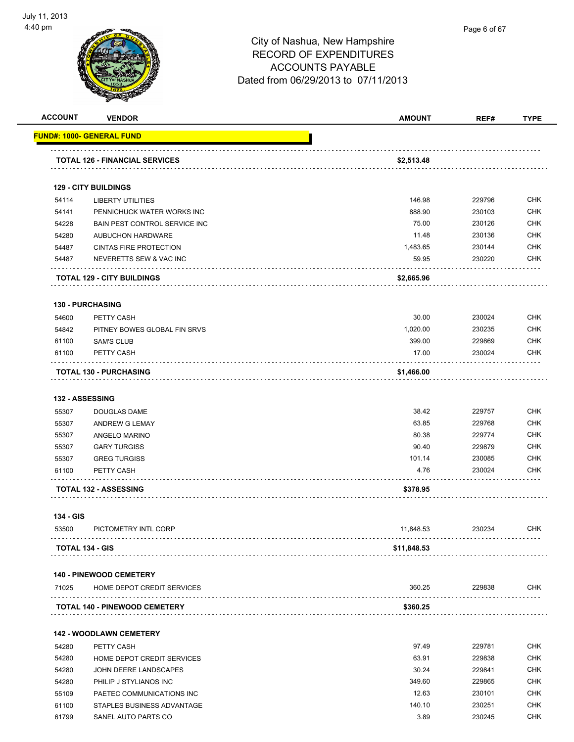

| <b>ACCOUNT</b> | <b>VENDOR</b>                         | <b>AMOUNT</b> | REF#   | <b>TYPE</b> |
|----------------|---------------------------------------|---------------|--------|-------------|
|                | <u> FUND#: 1000- GENERAL FUND</u>     |               |        |             |
|                | <b>TOTAL 126 - FINANCIAL SERVICES</b> | \$2,513.48    |        |             |
|                |                                       |               |        |             |
|                | <b>129 - CITY BUILDINGS</b>           |               |        |             |
| 54114          | <b>LIBERTY UTILITIES</b>              | 146.98        | 229796 | <b>CHK</b>  |
| 54141          | PENNICHUCK WATER WORKS INC            | 888.90        | 230103 | <b>CHK</b>  |
| 54228          | BAIN PEST CONTROL SERVICE INC         | 75.00         | 230126 | <b>CHK</b>  |
| 54280          | <b>AUBUCHON HARDWARE</b>              | 11.48         | 230136 | <b>CHK</b>  |
| 54487          | <b>CINTAS FIRE PROTECTION</b>         | 1,483.65      | 230144 | <b>CHK</b>  |
| 54487          | NEVERETTS SEW & VAC INC               | 59.95         | 230220 | <b>CHK</b>  |
|                | <b>TOTAL 129 - CITY BUILDINGS</b>     | \$2,665.96    |        |             |
|                | <b>130 - PURCHASING</b>               |               |        |             |
| 54600          | PETTY CASH                            | 30.00         | 230024 | <b>CHK</b>  |
| 54842          | PITNEY BOWES GLOBAL FIN SRVS          | 1,020.00      | 230235 | <b>CHK</b>  |
| 61100          | <b>SAM'S CLUB</b>                     | 399.00        | 229869 | <b>CHK</b>  |
| 61100          | PETTY CASH                            | 17.00         | 230024 | <b>CHK</b>  |
|                | <b>TOTAL 130 - PURCHASING</b>         | \$1,466.00    |        |             |
|                |                                       |               |        |             |
|                | 132 - ASSESSING                       |               |        |             |
| 55307          | DOUGLAS DAME                          | 38.42         | 229757 | <b>CHK</b>  |
| 55307          | ANDREW G LEMAY                        | 63.85         | 229768 | <b>CHK</b>  |
| 55307          | ANGELO MARINO                         | 80.38         | 229774 | <b>CHK</b>  |
| 55307          | <b>GARY TURGISS</b>                   | 90.40         | 229879 | <b>CHK</b>  |
| 55307          | <b>GREG TURGISS</b>                   | 101.14        | 230085 | <b>CHK</b>  |
| 61100          | PETTY CASH                            | 4.76          | 230024 | <b>CHK</b>  |
|                | <b>TOTAL 132 - ASSESSING</b>          | \$378.95      |        |             |
| 134 - GIS      |                                       |               |        |             |
| 53500          | PICTOMETRY INTL CORP                  | 11,848.53     | 230234 | CHK         |
|                | <b>TOTAL 134 - GIS</b>                | \$11,848.53   |        |             |
|                | <b>140 - PINEWOOD CEMETERY</b>        |               |        |             |
| 71025          | HOME DEPOT CREDIT SERVICES            | 360.25        | 229838 | CHK         |
|                | <b>TOTAL 140 - PINEWOOD CEMETERY</b>  | \$360.25      |        |             |
|                | <b>142 - WOODLAWN CEMETERY</b>        |               |        |             |
| 54280          | PETTY CASH                            | 97.49         | 229781 | <b>CHK</b>  |
| 54280          | HOME DEPOT CREDIT SERVICES            | 63.91         | 229838 | CHK         |
| 54280          | JOHN DEERE LANDSCAPES                 | 30.24         | 229841 | <b>CHK</b>  |
| 54280          | PHILIP J STYLIANOS INC                | 349.60        | 229865 | <b>CHK</b>  |
| 55109          | PAETEC COMMUNICATIONS INC             | 12.63         | 230101 | CHK         |
|                | STAPLES BUSINESS ADVANTAGE            | 140.10        | 230251 | <b>CHK</b>  |
| 61100          |                                       |               |        |             |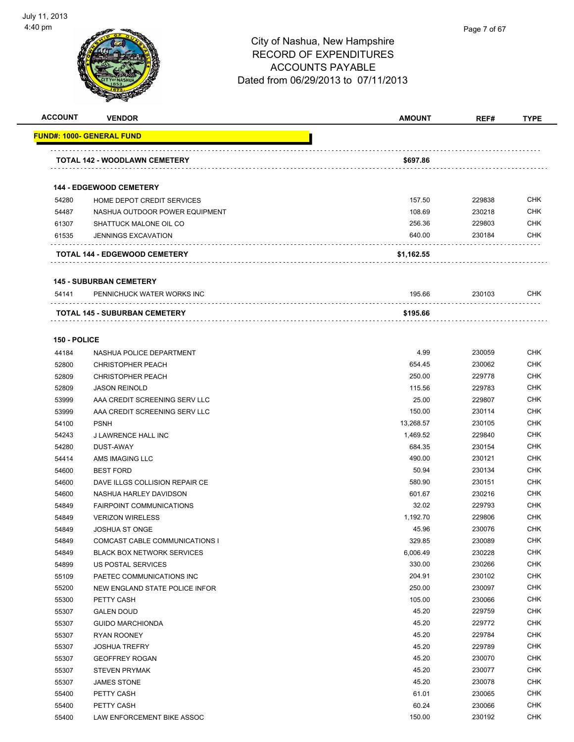

| <b>ACCOUNT</b> | <b>VENDOR</b>                     | <b>AMOUNT</b> | REF#   | <b>TYPE</b> |
|----------------|-----------------------------------|---------------|--------|-------------|
|                | <u> FUND#: 1000- GENERAL FUND</u> |               |        |             |
|                | TOTAL 142 - WOODLAWN CEMETERY     | \$697.86      |        |             |
|                |                                   |               |        |             |
|                | <b>144 - EDGEWOOD CEMETERY</b>    |               |        |             |
| 54280          | HOME DEPOT CREDIT SERVICES        | 157.50        | 229838 | <b>CHK</b>  |
| 54487          | NASHUA OUTDOOR POWER EQUIPMENT    | 108.69        | 230218 | <b>CHK</b>  |
| 61307          | SHATTUCK MALONE OIL CO            | 256.36        | 229803 | CHK         |
| 61535          | <b>JENNINGS EXCAVATION</b>        | 640.00        | 230184 | CHK         |
|                | TOTAL 144 - EDGEWOOD CEMETERY     | \$1,162.55    |        |             |
|                | <b>145 - SUBURBAN CEMETERY</b>    |               |        |             |
| 54141          | PENNICHUCK WATER WORKS INC        | 195.66        | 230103 | CHK         |
|                | TOTAL 145 - SUBURBAN CEMETERY     | \$195.66      |        |             |
| 150 - POLICE   |                                   |               |        |             |
| 44184          | NASHUA POLICE DEPARTMENT          | 4.99          | 230059 | <b>CHK</b>  |
| 52800          | <b>CHRISTOPHER PEACH</b>          | 654.45        | 230062 | <b>CHK</b>  |
| 52809          | <b>CHRISTOPHER PEACH</b>          | 250.00        | 229778 | <b>CHK</b>  |
| 52809          | <b>JASON REINOLD</b>              | 115.56        | 229783 | <b>CHK</b>  |
| 53999          | AAA CREDIT SCREENING SERV LLC     | 25.00         | 229807 | <b>CHK</b>  |
| 53999          | AAA CREDIT SCREENING SERV LLC     | 150.00        | 230114 | CHK         |
| 54100          | <b>PSNH</b>                       | 13,268.57     | 230105 | CHK         |
| 54243          | J LAWRENCE HALL INC               | 1,469.52      | 229840 | <b>CHK</b>  |
| 54280          | DUST-AWAY                         | 684.35        | 230154 | CHK         |
| 54414          | AMS IMAGING LLC                   | 490.00        | 230121 | CHK         |
| 54600          | <b>BEST FORD</b>                  | 50.94         | 230134 | <b>CHK</b>  |
| 54600          | DAVE ILLGS COLLISION REPAIR CE    | 580.90        | 230151 | <b>CHK</b>  |
| 54600          | NASHUA HARLEY DAVIDSON            | 601.67        | 230216 | CHK         |
| 54849          | <b>FAIRPOINT COMMUNICATIONS</b>   | 32.02         | 229793 | <b>CHK</b>  |
| 54849          | <b>VERIZON WIRELESS</b>           | 1,192.70      | 229806 | CHK         |
| 54849          | <b>JOSHUA ST ONGE</b>             | 45.96         | 230076 | <b>CHK</b>  |
| 54849          | COMCAST CABLE COMMUNICATIONS I    | 329.85        | 230089 | <b>CHK</b>  |
| 54849          | <b>BLACK BOX NETWORK SERVICES</b> | 6,006.49      | 230228 | <b>CHK</b>  |
| 54899          | US POSTAL SERVICES                | 330.00        | 230266 | <b>CHK</b>  |
| 55109          | PAETEC COMMUNICATIONS INC         | 204.91        | 230102 | <b>CHK</b>  |
| 55200          | NEW ENGLAND STATE POLICE INFOR    | 250.00        | 230097 | <b>CHK</b>  |
| 55300          | PETTY CASH                        | 105.00        | 230066 | <b>CHK</b>  |
| 55307          | <b>GALEN DOUD</b>                 | 45.20         | 229759 | <b>CHK</b>  |
| 55307          | <b>GUIDO MARCHIONDA</b>           | 45.20         | 229772 | <b>CHK</b>  |
| 55307          | <b>RYAN ROONEY</b>                | 45.20         | 229784 | <b>CHK</b>  |
| 55307          | <b>JOSHUA TREFRY</b>              | 45.20         | 229789 | CHK         |
| 55307          | <b>GEOFFREY ROGAN</b>             | 45.20         | 230070 | <b>CHK</b>  |
| 55307          | <b>STEVEN PRYMAK</b>              | 45.20         | 230077 | <b>CHK</b>  |
| 55307          | <b>JAMES STONE</b>                | 45.20         | 230078 | CHK         |
| 55400          | PETTY CASH                        | 61.01         | 230065 | <b>CHK</b>  |
| 55400          | PETTY CASH                        | 60.24         | 230066 | <b>CHK</b>  |
| 55400          | LAW ENFORCEMENT BIKE ASSOC        | 150.00        | 230192 | <b>CHK</b>  |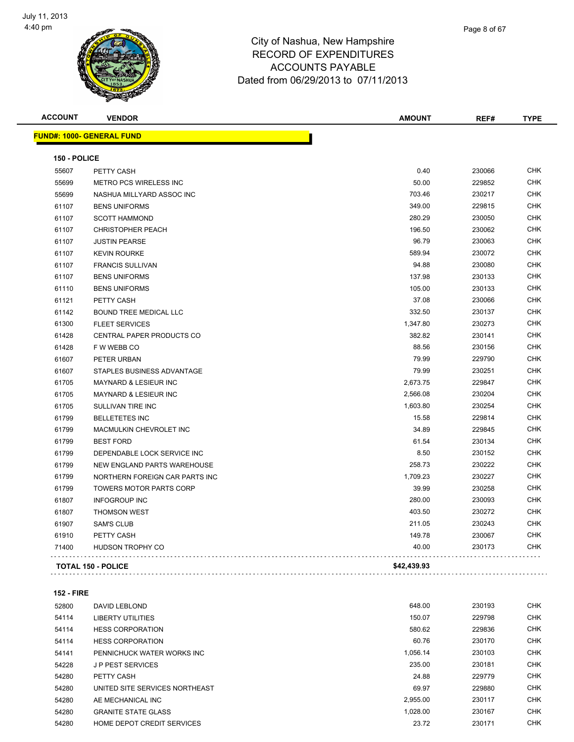

| Page 8 of 67 |
|--------------|
|              |

| <b>ACCOUNT</b> | <b>VENDOR</b>                    | <b>AMOUNT</b> | REF#   | <b>TYPE</b> |
|----------------|----------------------------------|---------------|--------|-------------|
|                | <b>FUND#: 1000- GENERAL FUND</b> |               |        |             |
| 150 - POLICE   |                                  |               |        |             |
| 55607          | PETTY CASH                       | 0.40          | 230066 | <b>CHK</b>  |
| 55699          | METRO PCS WIRELESS INC           | 50.00         | 229852 | <b>CHK</b>  |
| 55699          | NASHUA MILLYARD ASSOC INC        | 703.46        | 230217 | <b>CHK</b>  |
| 61107          | <b>BENS UNIFORMS</b>             | 349.00        | 229815 | <b>CHK</b>  |
| 61107          | <b>SCOTT HAMMOND</b>             | 280.29        | 230050 | <b>CHK</b>  |
| 61107          | <b>CHRISTOPHER PEACH</b>         | 196.50        | 230062 | <b>CHK</b>  |
| 61107          | <b>JUSTIN PEARSE</b>             | 96.79         | 230063 | <b>CHK</b>  |
| 61107          | <b>KEVIN ROURKE</b>              | 589.94        | 230072 | <b>CHK</b>  |
| 61107          | <b>FRANCIS SULLIVAN</b>          | 94.88         | 230080 | <b>CHK</b>  |
| 61107          | <b>BENS UNIFORMS</b>             | 137.98        | 230133 | <b>CHK</b>  |
| 61110          | <b>BENS UNIFORMS</b>             | 105.00        | 230133 | <b>CHK</b>  |
| 61121          | PETTY CASH                       | 37.08         | 230066 | <b>CHK</b>  |
| 61142          | <b>BOUND TREE MEDICAL LLC</b>    | 332.50        | 230137 | <b>CHK</b>  |
| 61300          | <b>FLEET SERVICES</b>            | 1,347.80      | 230273 | <b>CHK</b>  |
| 61428          | CENTRAL PAPER PRODUCTS CO        | 382.82        | 230141 | <b>CHK</b>  |
| 61428          | F W WEBB CO                      | 88.56         | 230156 | <b>CHK</b>  |
| 61607          | PETER URBAN                      | 79.99         | 229790 | <b>CHK</b>  |
| 61607          | STAPLES BUSINESS ADVANTAGE       | 79.99         | 230251 | <b>CHK</b>  |
| 61705          | <b>MAYNARD &amp; LESIEUR INC</b> | 2,673.75      | 229847 | <b>CHK</b>  |
| 61705          | MAYNARD & LESIEUR INC            | 2,566.08      | 230204 | <b>CHK</b>  |
| 61705          | SULLIVAN TIRE INC                | 1,603.80      | 230254 | <b>CHK</b>  |
| 61799          | <b>BELLETETES INC</b>            | 15.58         | 229814 | <b>CHK</b>  |
| 61799          | MACMULKIN CHEVROLET INC          | 34.89         | 229845 | <b>CHK</b>  |
| 61799          | <b>BEST FORD</b>                 | 61.54         | 230134 | <b>CHK</b>  |
| 61799          | DEPENDABLE LOCK SERVICE INC      | 8.50          | 230152 | <b>CHK</b>  |
| 61799          | NEW ENGLAND PARTS WAREHOUSE      | 258.73        | 230222 | <b>CHK</b>  |
| 61799          | NORTHERN FOREIGN CAR PARTS INC   | 1,709.23      | 230227 | <b>CHK</b>  |
| 61799          | <b>TOWERS MOTOR PARTS CORP</b>   | 39.99         | 230258 | <b>CHK</b>  |
| 61807          | <b>INFOGROUP INC</b>             | 280.00        | 230093 | <b>CHK</b>  |
| 61807          | <b>THOMSON WEST</b>              | 403.50        | 230272 | <b>CHK</b>  |
| 61907          | <b>SAM'S CLUB</b>                | 211.05        | 230243 | <b>CHK</b>  |
| 61910          | PETTY CASH                       | 149.78        | 230067 | <b>CHK</b>  |
| 71400          | HUDSON TROPHY CO                 | 40.00         | 230173 | <b>CHK</b>  |
|                | <b>TOTAL 150 - POLICE</b>        | \$42,439.93   |        |             |

#### **152 - FIRE**

| 52800 | DAVID LEBLOND                  | 648.00   | 230193 | <b>CHK</b> |
|-------|--------------------------------|----------|--------|------------|
| 54114 | <b>LIBERTY UTILITIES</b>       | 150.07   | 229798 | <b>CHK</b> |
| 54114 | <b>HESS CORPORATION</b>        | 580.62   | 229836 | <b>CHK</b> |
| 54114 | <b>HESS CORPORATION</b>        | 60.76    | 230170 | <b>CHK</b> |
| 54141 | PENNICHUCK WATER WORKS INC     | 1.056.14 | 230103 | <b>CHK</b> |
| 54228 | <b>JP PEST SERVICES</b>        | 235.00   | 230181 | <b>CHK</b> |
| 54280 | PETTY CASH                     | 24.88    | 229779 | <b>CHK</b> |
| 54280 | UNITED SITE SERVICES NORTHEAST | 69.97    | 229880 | <b>CHK</b> |
| 54280 | AE MECHANICAL INC              | 2,955.00 | 230117 | <b>CHK</b> |
| 54280 | <b>GRANITE STATE GLASS</b>     | 1.028.00 | 230167 | <b>CHK</b> |
| 54280 | HOME DEPOT CREDIT SERVICES     | 23.72    | 230171 | <b>CHK</b> |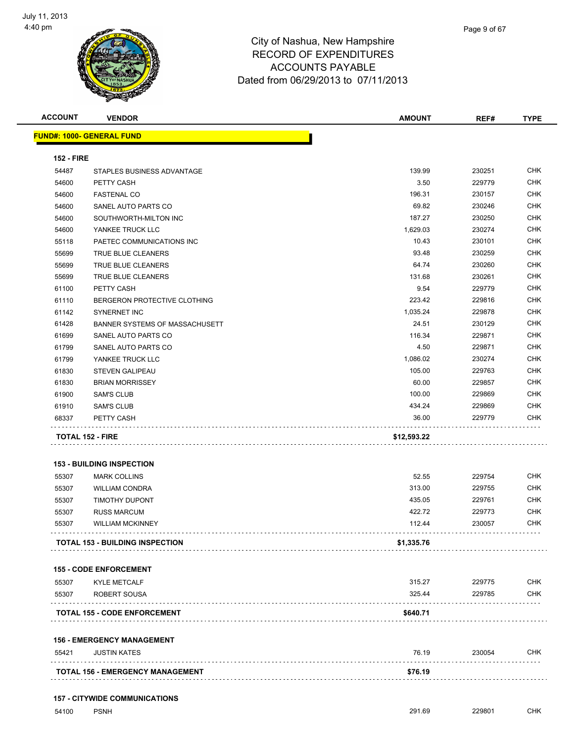

| <b>ACCOUNT</b>    | <b>VENDOR</b>                           | <b>AMOUNT</b> | REF#   | <b>TYPE</b> |
|-------------------|-----------------------------------------|---------------|--------|-------------|
|                   | <u> FUND#: 1000- GENERAL FUND</u>       |               |        |             |
| <b>152 - FIRE</b> |                                         |               |        |             |
| 54487             | STAPLES BUSINESS ADVANTAGE              | 139.99        | 230251 | <b>CHK</b>  |
| 54600             | PETTY CASH                              | 3.50          | 229779 | <b>CHK</b>  |
| 54600             | <b>FASTENAL CO</b>                      | 196.31        | 230157 | <b>CHK</b>  |
| 54600             | SANEL AUTO PARTS CO                     | 69.82         | 230246 | <b>CHK</b>  |
| 54600             | SOUTHWORTH-MILTON INC                   | 187.27        | 230250 | <b>CHK</b>  |
| 54600             | YANKEE TRUCK LLC                        | 1,629.03      | 230274 | <b>CHK</b>  |
| 55118             | PAETEC COMMUNICATIONS INC               | 10.43         | 230101 | CHK         |
| 55699             | TRUE BLUE CLEANERS                      | 93.48         | 230259 | <b>CHK</b>  |
| 55699             | TRUE BLUE CLEANERS                      | 64.74         | 230260 | <b>CHK</b>  |
| 55699             | TRUE BLUE CLEANERS                      | 131.68        | 230261 | <b>CHK</b>  |
| 61100             | PETTY CASH                              | 9.54          | 229779 | <b>CHK</b>  |
| 61110             | BERGERON PROTECTIVE CLOTHING            | 223.42        | 229816 | <b>CHK</b>  |
| 61142             | <b>SYNERNET INC</b>                     | 1,035.24      | 229878 | <b>CHK</b>  |
| 61428             | BANNER SYSTEMS OF MASSACHUSETT          | 24.51         | 230129 | <b>CHK</b>  |
| 61699             | SANEL AUTO PARTS CO                     | 116.34        | 229871 | <b>CHK</b>  |
| 61799             | SANEL AUTO PARTS CO                     | 4.50          | 229871 | <b>CHK</b>  |
| 61799             | YANKEE TRUCK LLC                        | 1,086.02      | 230274 | <b>CHK</b>  |
| 61830             | <b>STEVEN GALIPEAU</b>                  | 105.00        | 229763 | <b>CHK</b>  |
| 61830             | <b>BRIAN MORRISSEY</b>                  | 60.00         | 229857 | <b>CHK</b>  |
| 61900             | <b>SAM'S CLUB</b>                       | 100.00        | 229869 | <b>CHK</b>  |
| 61910             | <b>SAM'S CLUB</b>                       | 434.24        | 229869 | <b>CHK</b>  |
| 68337             | PETTY CASH                              | 36.00         | 229779 | <b>CHK</b>  |
|                   | <b>TOTAL 152 - FIRE</b>                 | \$12,593.22   |        |             |
|                   | <b>153 - BUILDING INSPECTION</b>        |               |        |             |
| 55307             | <b>MARK COLLINS</b>                     | 52.55         | 229754 | <b>CHK</b>  |
| 55307             | <b>WILLIAM CONDRA</b>                   | 313.00        | 229755 | <b>CHK</b>  |
| 55307             | <b>TIMOTHY DUPONT</b>                   | 435.05        | 229761 | CHK         |
| 55307             | <b>RUSS MARCUM</b>                      | 422.72        | 229773 | CHK         |
| 55307             | <b>WILLIAM MCKINNEY</b>                 | 112.44        | 230057 | <b>CHK</b>  |
|                   | <b>TOTAL 153 - BUILDING INSPECTION</b>  | \$1,335.76    |        |             |
|                   | <b>155 - CODE ENFORCEMENT</b>           |               |        |             |
| 55307             | <b>KYLE METCALF</b>                     | 315.27        | 229775 | <b>CHK</b>  |
| 55307             | ROBERT SOUSA                            | 325.44        | 229785 | <b>CHK</b>  |
|                   | <b>TOTAL 155 - CODE ENFORCEMENT</b>     | \$640.71      |        |             |
|                   | <b>156 - EMERGENCY MANAGEMENT</b>       |               |        |             |
| 55421             | <b>JUSTIN KATES</b>                     | 76.19         | 230054 | <b>CHK</b>  |
|                   | <b>TOTAL 156 - EMERGENCY MANAGEMENT</b> | \$76.19       |        |             |
|                   |                                         |               |        |             |

#### **157 - CITYWIDE COMMUNICATIONS**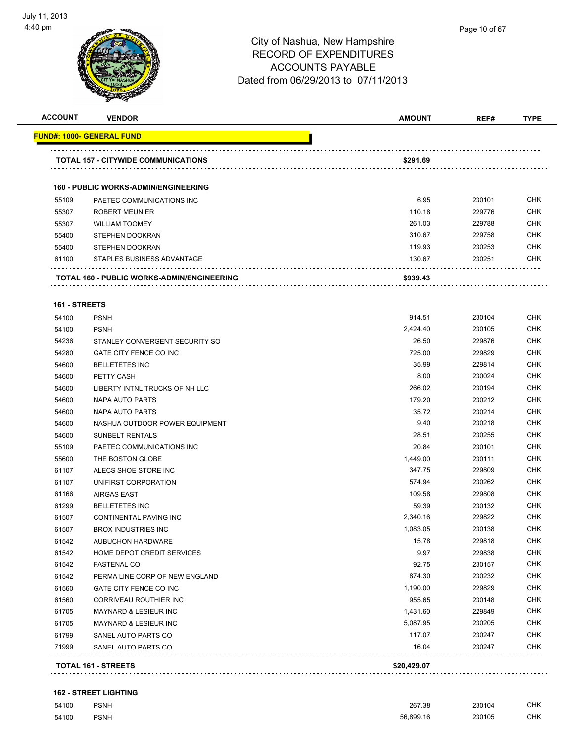

| <b>ACCOUNT</b> | <b>VENDOR</b>                                     | <b>AMOUNT</b> | REF#   | <b>TYPE</b> |
|----------------|---------------------------------------------------|---------------|--------|-------------|
|                | FUND#: 1000- GENERAL FUND                         |               |        |             |
|                | <b>TOTAL 157 - CITYWIDE COMMUNICATIONS</b>        | \$291.69      |        |             |
|                |                                                   |               |        |             |
|                | <b>160 - PUBLIC WORKS-ADMIN/ENGINEERING</b>       |               |        |             |
| 55109          | PAETEC COMMUNICATIONS INC                         | 6.95          | 230101 | <b>CHK</b>  |
| 55307          | <b>ROBERT MEUNIER</b>                             | 110.18        | 229776 | <b>CHK</b>  |
| 55307          | <b>WILLIAM TOOMEY</b>                             | 261.03        | 229788 | <b>CHK</b>  |
| 55400          | <b>STEPHEN DOOKRAN</b>                            | 310.67        | 229758 | CHK         |
| 55400          | STEPHEN DOOKRAN                                   | 119.93        | 230253 | <b>CHK</b>  |
| 61100          | STAPLES BUSINESS ADVANTAGE                        | 130.67        | 230251 | <b>CHK</b>  |
|                | <b>TOTAL 160 - PUBLIC WORKS-ADMIN/ENGINEERING</b> | \$939.43      |        |             |
| 161 - STREETS  |                                                   |               |        |             |
| 54100          | <b>PSNH</b>                                       | 914.51        | 230104 | <b>CHK</b>  |
| 54100          | <b>PSNH</b>                                       | 2,424.40      | 230105 | <b>CHK</b>  |
| 54236          | STANLEY CONVERGENT SECURITY SO                    | 26.50         | 229876 | <b>CHK</b>  |
| 54280          | GATE CITY FENCE CO INC                            | 725.00        | 229829 | <b>CHK</b>  |
| 54600          | <b>BELLETETES INC</b>                             | 35.99         | 229814 | <b>CHK</b>  |
| 54600          | PETTY CASH                                        | 8.00          | 230024 | <b>CHK</b>  |
| 54600          | LIBERTY INTNL TRUCKS OF NH LLC                    | 266.02        | 230194 | <b>CHK</b>  |
| 54600          | NAPA AUTO PARTS                                   | 179.20        | 230212 | <b>CHK</b>  |
| 54600          | NAPA AUTO PARTS                                   | 35.72         | 230214 | <b>CHK</b>  |
| 54600          | NASHUA OUTDOOR POWER EQUIPMENT                    | 9.40          | 230218 | <b>CHK</b>  |
| 54600          | <b>SUNBELT RENTALS</b>                            | 28.51         | 230255 | <b>CHK</b>  |
| 55109          | PAETEC COMMUNICATIONS INC                         | 20.84         | 230101 | <b>CHK</b>  |
| 55600          | THE BOSTON GLOBE                                  | 1,449.00      | 230111 | <b>CHK</b>  |
| 61107          | ALECS SHOE STORE INC                              | 347.75        | 229809 | <b>CHK</b>  |
| 61107          | UNIFIRST CORPORATION                              | 574.94        | 230262 | <b>CHK</b>  |
| 61166          | <b>AIRGAS EAST</b>                                | 109.58        | 229808 | <b>CHK</b>  |
| 61299          | <b>BELLETETES INC</b>                             | 59.39         | 230132 | <b>CHK</b>  |
| 61507          | CONTINENTAL PAVING INC                            | 2,340.16      | 229822 | CHK         |
| 61507          | <b>BROX INDUSTRIES INC</b>                        | 1,083.05      | 230138 | <b>CHK</b>  |
| 61542          | <b>AUBUCHON HARDWARE</b>                          | 15.78         | 229818 | <b>CHK</b>  |
| 61542          | HOME DEPOT CREDIT SERVICES                        | 9.97          | 229838 | <b>CHK</b>  |
| 61542          | <b>FASTENAL CO</b>                                | 92.75         | 230157 | <b>CHK</b>  |
| 61542          | PERMA LINE CORP OF NEW ENGLAND                    | 874.30        | 230232 | <b>CHK</b>  |
| 61560          | GATE CITY FENCE CO INC                            | 1,190.00      | 229829 | <b>CHK</b>  |
| 61560          | CORRIVEAU ROUTHIER INC                            | 955.65        | 230148 | <b>CHK</b>  |
| 61705          | <b>MAYNARD &amp; LESIEUR INC</b>                  | 1,431.60      | 229849 | <b>CHK</b>  |
| 61705          | MAYNARD & LESIEUR INC                             | 5,087.95      | 230205 | <b>CHK</b>  |
| 61799          | SANEL AUTO PARTS CO                               | 117.07        | 230247 | <b>CHK</b>  |
| 71999          | SANEL AUTO PARTS CO                               | 16.04         | 230247 | CHK         |
|                | <b>TOTAL 161 - STREETS</b>                        | \$20,429.07   |        |             |

#### **162 - STREET LIGHTING**

| 54100 | <b>PSNH</b> | 267.38    | 230104      | CHK  |
|-------|-------------|-----------|-------------|------|
| 54100 | <b>PSNH</b> | 56.899.16 | 230105<br>. | CHK. |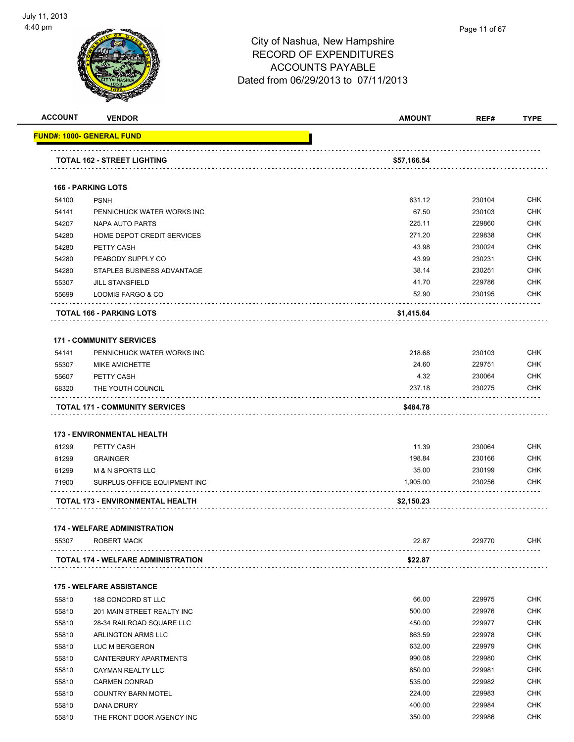

| <b>ACCOUNT</b> | <b>VENDOR</b>                                 | <b>AMOUNT</b> | REF#   | <b>TYPE</b> |
|----------------|-----------------------------------------------|---------------|--------|-------------|
|                | FUND#: 1000- GENERAL FUND                     |               |        |             |
|                | TOTAL 162 - STREET LIGHTING                   | \$57,166.54   |        |             |
|                | <b>166 - PARKING LOTS</b>                     |               |        |             |
| 54100          | <b>PSNH</b>                                   | 631.12        | 230104 | <b>CHK</b>  |
|                |                                               | 67.50         | 230103 | <b>CHK</b>  |
| 54141          | PENNICHUCK WATER WORKS INC<br>NAPA AUTO PARTS | 225.11        | 229860 | <b>CHK</b>  |
| 54207          |                                               | 271.20        | 229838 | <b>CHK</b>  |
| 54280          | HOME DEPOT CREDIT SERVICES<br>PETTY CASH      | 43.98         | 230024 | CHK         |
| 54280<br>54280 | PEABODY SUPPLY CO                             | 43.99         | 230231 | <b>CHK</b>  |
|                |                                               | 38.14         | 230251 | <b>CHK</b>  |
| 54280          | STAPLES BUSINESS ADVANTAGE                    |               |        |             |
| 55307          | <b>JILL STANSFIELD</b>                        | 41.70         | 229786 | CHK         |
| 55699          | LOOMIS FARGO & CO                             | 52.90         | 230195 | <b>CHK</b>  |
|                | TOTAL 166 - PARKING LOTS                      | \$1,415.64    |        |             |
|                | <b>171 - COMMUNITY SERVICES</b>               |               |        |             |
| 54141          | PENNICHUCK WATER WORKS INC                    | 218.68        | 230103 | <b>CHK</b>  |
| 55307          | <b>MIKE AMICHETTE</b>                         | 24.60         | 229751 | <b>CHK</b>  |
| 55607          | PETTY CASH                                    | 4.32          | 230064 | <b>CHK</b>  |
| 68320          | THE YOUTH COUNCIL                             | 237.18        | 230275 | CHK         |
|                | <b>TOTAL 171 - COMMUNITY SERVICES</b>         | \$484.78      |        |             |
|                |                                               |               |        |             |
|                | <b>173 - ENVIRONMENTAL HEALTH</b>             |               |        |             |
| 61299          | PETTY CASH                                    | 11.39         | 230064 | <b>CHK</b>  |
| 61299          | <b>GRAINGER</b>                               | 198.84        | 230166 | <b>CHK</b>  |
| 61299          | <b>M &amp; N SPORTS LLC</b>                   | 35.00         | 230199 | <b>CHK</b>  |
| 71900          | SURPLUS OFFICE EQUIPMENT INC                  | 1,905.00      | 230256 | <b>CHK</b>  |
|                | TOTAL 173 - ENVIRONMENTAL HEALTH              | \$2,150.23    |        |             |
|                | <b>174 - WELFARE ADMINISTRATION</b>           |               |        |             |
| 55307          | <b>ROBERT MACK</b>                            | 22.87         | 229770 | CHK         |
|                | <b>TOTAL 174 - WELFARE ADMINISTRATION</b>     | \$22.87       |        |             |
|                |                                               |               |        |             |
|                | <b>175 - WELFARE ASSISTANCE</b>               |               |        |             |
| 55810          | 188 CONCORD ST LLC                            | 66.00         | 229975 | <b>CHK</b>  |
| 55810          | 201 MAIN STREET REALTY INC                    | 500.00        | 229976 | CHK         |
| 55810          | 28-34 RAILROAD SQUARE LLC                     | 450.00        | 229977 | CHK         |
| 55810          | <b>ARLINGTON ARMS LLC</b>                     | 863.59        | 229978 | CHK         |
| 55810          | LUC M BERGERON                                | 632.00        | 229979 | CHK         |
| 55810          | CANTERBURY APARTMENTS                         | 990.08        | 229980 | CHK         |
| 55810          | CAYMAN REALTY LLC                             | 850.00        | 229981 | CHK         |
| 55810          | <b>CARMEN CONRAD</b>                          | 535.00        | 229982 | <b>CHK</b>  |
| 55810          | <b>COUNTRY BARN MOTEL</b>                     | 224.00        | 229983 | CHK         |
| 55810          | DANA DRURY                                    | 400.00        | 229984 | CHK         |
| 55810          | THE FRONT DOOR AGENCY INC                     | 350.00        | 229986 | CHK         |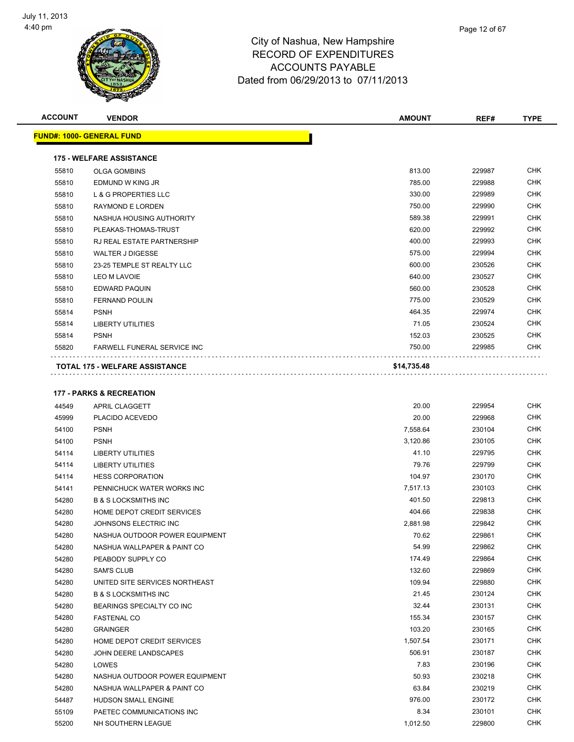

| Page 12 of 67 |  |
|---------------|--|
|               |  |

| <b>ACCOUNT</b> | <b>VENDOR</b>                         | <b>AMOUNT</b> | REF#   | <b>TYPE</b> |
|----------------|---------------------------------------|---------------|--------|-------------|
|                | <b>FUND#: 1000- GENERAL FUND</b>      |               |        |             |
|                | <b>175 - WELFARE ASSISTANCE</b>       |               |        |             |
| 55810          | <b>OLGA GOMBINS</b>                   | 813.00        | 229987 | <b>CHK</b>  |
| 55810          | EDMUND W KING JR                      | 785.00        | 229988 | <b>CHK</b>  |
| 55810          | L & G PROPERTIES LLC                  | 330.00        | 229989 | <b>CHK</b>  |
| 55810          | <b>RAYMOND E LORDEN</b>               | 750.00        | 229990 | <b>CHK</b>  |
| 55810          | NASHUA HOUSING AUTHORITY              | 589.38        | 229991 | <b>CHK</b>  |
| 55810          | PLEAKAS-THOMAS-TRUST                  | 620.00        | 229992 | <b>CHK</b>  |
| 55810          | RJ REAL ESTATE PARTNERSHIP            | 400.00        | 229993 | <b>CHK</b>  |
| 55810          | <b>WALTER J DIGESSE</b>               | 575.00        | 229994 | <b>CHK</b>  |
| 55810          | 23-25 TEMPLE ST REALTY LLC            | 600.00        | 230526 | <b>CHK</b>  |
| 55810          | LEO M LAVOIE                          | 640.00        | 230527 | <b>CHK</b>  |
| 55810          | <b>EDWARD PAQUIN</b>                  | 560.00        | 230528 | <b>CHK</b>  |
| 55810          | <b>FERNAND POULIN</b>                 | 775.00        | 230529 | <b>CHK</b>  |
| 55814          | <b>PSNH</b>                           | 464.35        | 229974 | <b>CHK</b>  |
| 55814          | <b>LIBERTY UTILITIES</b>              | 71.05         | 230524 | <b>CHK</b>  |
| 55814          | <b>PSNH</b>                           | 152.03        | 230525 | <b>CHK</b>  |
| 55820          | <b>FARWELL FUNERAL SERVICE INC</b>    | 750.00        | 229985 | <b>CHK</b>  |
|                | <b>TOTAL 175 - WELFARE ASSISTANCE</b> | \$14,735.48   |        |             |
|                | <b>177 - PARKS &amp; RECREATION</b>   |               |        |             |
| 44549          | APRIL CLAGGETT                        | 20.00         | 229954 | <b>CHK</b>  |
| 45999          | PLACIDO ACEVEDO                       | 20.00         | 229968 | <b>CHK</b>  |
| 54100          | <b>PSNH</b>                           | 7,558.64      | 230104 | <b>CHK</b>  |
| 54100          | <b>PSNH</b>                           | 3,120.86      | 230105 | <b>CHK</b>  |
| 54114          | <b>LIBERTY UTILITIES</b>              | 41.10         | 229795 | <b>CHK</b>  |
| 54114          | <b>LIBERTY UTILITIES</b>              | 79.76         | 229799 | <b>CHK</b>  |
| EAAAA          | LIECC CODDODATION                     | 104.07        | 230170 | <b>CHK</b>  |

| 54114 | <b>LIBERTY UTILITIES</b>        | 79.76    | 229799 | CHK        |
|-------|---------------------------------|----------|--------|------------|
| 54114 | <b>HESS CORPORATION</b>         | 104.97   | 230170 | <b>CHK</b> |
| 54141 | PENNICHUCK WATER WORKS INC      | 7,517.13 | 230103 | <b>CHK</b> |
| 54280 | <b>B &amp; S LOCKSMITHS INC</b> | 401.50   | 229813 | <b>CHK</b> |
| 54280 | HOME DEPOT CREDIT SERVICES      | 404.66   | 229838 | <b>CHK</b> |
| 54280 | JOHNSONS ELECTRIC INC           | 2,881.98 | 229842 | <b>CHK</b> |
| 54280 | NASHUA OUTDOOR POWER EQUIPMENT  | 70.62    | 229861 | <b>CHK</b> |
| 54280 | NASHUA WALLPAPER & PAINT CO     | 54.99    | 229862 | <b>CHK</b> |
| 54280 | PEABODY SUPPLY CO               | 174.49   | 229864 | <b>CHK</b> |
| 54280 | <b>SAM'S CLUB</b>               | 132.60   | 229869 | CHK        |
| 54280 | UNITED SITE SERVICES NORTHEAST  | 109.94   | 229880 | <b>CHK</b> |
| 54280 | <b>B &amp; S LOCKSMITHS INC</b> | 21.45    | 230124 | <b>CHK</b> |
| 54280 | BEARINGS SPECIALTY CO INC       | 32.44    | 230131 | <b>CHK</b> |
| 54280 | <b>FASTENAL CO</b>              | 155.34   | 230157 | CHK        |
| 54280 | <b>GRAINGER</b>                 | 103.20   | 230165 | <b>CHK</b> |
| 54280 | HOME DEPOT CREDIT SERVICES      | 1,507.54 | 230171 | CHK        |
| 54280 | JOHN DEERE LANDSCAPES           | 506.91   | 230187 | CHK        |
| 54280 | LOWES                           | 7.83     | 230196 | <b>CHK</b> |
| 54280 | NASHUA OUTDOOR POWER EQUIPMENT  | 50.93    | 230218 | CHK        |
| 54280 | NASHUA WALLPAPER & PAINT CO     | 63.84    | 230219 | <b>CHK</b> |
| 54487 | <b>HUDSON SMALL ENGINE</b>      | 976.00   | 230172 | <b>CHK</b> |
| 55109 | PAETEC COMMUNICATIONS INC       | 8.34     | 230101 | <b>CHK</b> |
| 55200 | NH SOUTHERN LEAGUE              | 1,012.50 | 229800 | CHK        |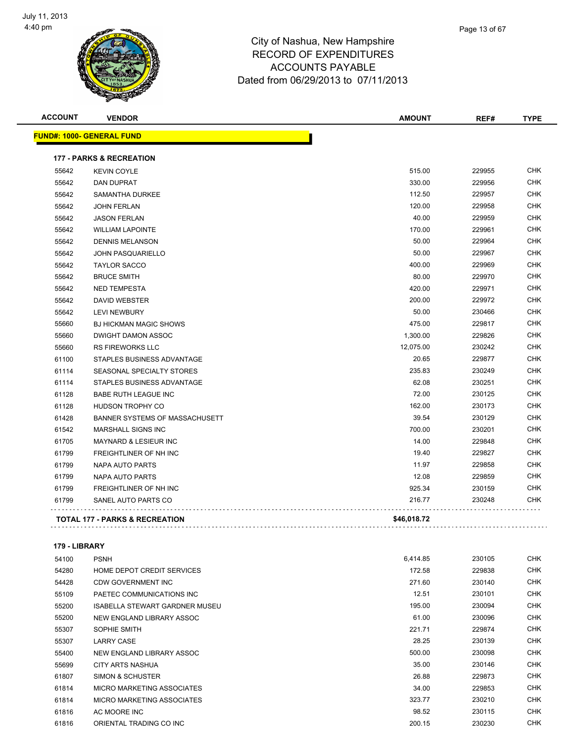

|  | $1$ agu 1001 01 |
|--|-----------------|
|  |                 |
|  |                 |

Page 13 of 67

. . . . . . . . . . . . . . . . . . . .

**ACCOUNT VENDOR AMOUNT REF# TYPE FUND#: 1000- GENERAL FUND 177 - PARKS & RECREATION** KEVIN COYLE 515.00 229955 CHK DAN DUPRAT 330.00 229956 CHK SAMANTHA DURKEE 112.50 229957 CHK JOHN FERLAN 120.00 229958 CHK JASON FERLAN 40.00 229959 CHK WILLIAM LAPOINTE 170.00 229961 CHK DENNIS MELANSON 50.00 229964 CHK JOHN PASQUARIELLO 50.00 229967 CHK TAYLOR SACCO 400.00 229969 CHK BRUCE SMITH 80.00 229970 CHK NED TEMPESTA 420.00 229971 CHK DAVID WEBSTER 200.00 229972 CHK LEVI NEWBURY 50.00 230466 CHK BJ HICKMAN MAGIC SHOWS 475.00 229817 CHK 55660 DWIGHT DAMON ASSOC **1,300.00** 229826 CHK RS FIREWORKS LLC 12,075.00 230242 CHK STAPLES BUSINESS ADVANTAGE 20.65 229877 CHK SEASONAL SPECIALTY STORES 235.83 230249 CHK STAPLES BUSINESS ADVANTAGE 62.08 230251 CHK BABE RUTH LEAGUE INC 72.00 230125 CHK er and the state of the state of the state of the state of the state of the state of the state of the state of the state of the state of the state of the state of the state of the state of the state of the state of the sta BANNER SYSTEMS OF MASSACHUSETT 39.54 230129 CHK MARSHALL SIGNS INC 700.00 230201 CHK MAYNARD & LESIEUR INC 14.00 229848 CHK FREIGHTLINER OF NH INC 19.40 229827 CHK

#### **179 - LIBRARY**

. . . . . . . . . . . . . . . .

| 54100 | <b>PSNH</b>                           | 6,414.85 | 230105 | <b>CHK</b> |
|-------|---------------------------------------|----------|--------|------------|
| 54280 | <b>HOME DEPOT CREDIT SERVICES</b>     | 172.58   | 229838 | <b>CHK</b> |
| 54428 | CDW GOVERNMENT INC                    | 271.60   | 230140 | <b>CHK</b> |
| 55109 | PAETEC COMMUNICATIONS INC             | 12.51    | 230101 | <b>CHK</b> |
| 55200 | <b>ISABELLA STEWART GARDNER MUSEU</b> | 195.00   | 230094 | <b>CHK</b> |
| 55200 | NEW ENGLAND LIBRARY ASSOC             | 61.00    | 230096 | <b>CHK</b> |
| 55307 | SOPHIE SMITH                          | 221.71   | 229874 | CHK        |
| 55307 | <b>LARRY CASE</b>                     | 28.25    | 230139 | CHK        |
| 55400 | NEW ENGLAND LIBRARY ASSOC             | 500.00   | 230098 | <b>CHK</b> |
| 55699 | CITY ARTS NASHUA                      | 35.00    | 230146 | <b>CHK</b> |
| 61807 | SIMON & SCHUSTER                      | 26.88    | 229873 | <b>CHK</b> |
| 61814 | <b>MICRO MARKETING ASSOCIATES</b>     | 34.00    | 229853 | <b>CHK</b> |
| 61814 | MICRO MARKETING ASSOCIATES            | 323.77   | 230210 | <b>CHK</b> |
| 61816 | AC MOORE INC                          | 98.52    | 230115 | <b>CHK</b> |
| 61816 | ORIENTAL TRADING CO INC               | 200.15   | 230230 | <b>CHK</b> |

 NAPA AUTO PARTS 11.97 229858 CHK NAPA AUTO PARTS 12.08 229859 CHK FREIGHTLINER OF NH INC 925.34 230159 CHK SANEL AUTO PARTS CO 216.77 230248 CHK

**TOTAL 177 - PARKS & RECREATION \$46,018.72**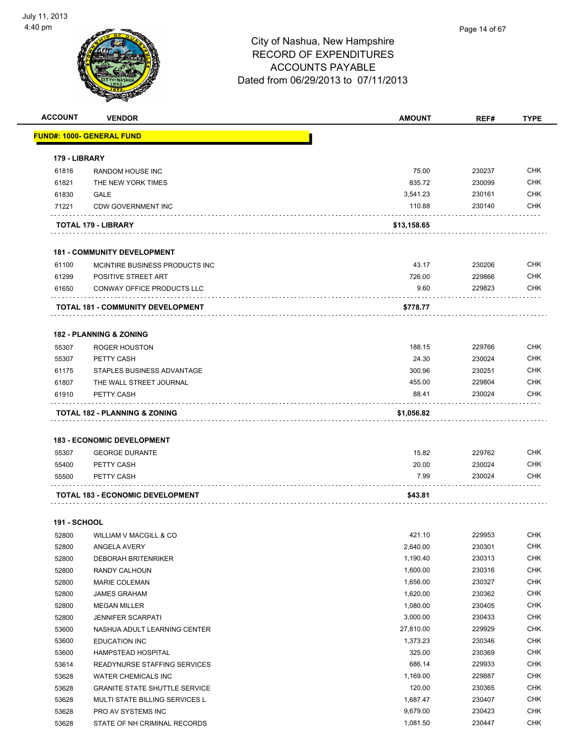

| <b>ACCOUNT</b>      | <b>VENDOR</b>                        | <b>AMOUNT</b> | REF#   | <b>TYPE</b> |
|---------------------|--------------------------------------|---------------|--------|-------------|
|                     | <u> FUND#: 1000- GENERAL FUND</u>    |               |        |             |
|                     |                                      |               |        |             |
| 179 - LIBRARY       |                                      |               |        |             |
| 61816               | RANDOM HOUSE INC                     | 75.00         | 230237 | <b>CHK</b>  |
| 61821               | THE NEW YORK TIMES                   | 835.72        | 230099 | <b>CHK</b>  |
| 61830               | <b>GALE</b>                          | 3,541.23      | 230161 | <b>CHK</b>  |
| 71221               | <b>CDW GOVERNMENT INC</b>            | 110.88        | 230140 | CHK         |
|                     |                                      |               |        |             |
|                     | TOTAL 179 - LIBRARY                  | \$13,158.65   |        |             |
|                     | <b>181 - COMMUNITY DEVELOPMENT</b>   |               |        |             |
| 61100               | MCINTIRE BUSINESS PRODUCTS INC       | 43.17         | 230206 | <b>CHK</b>  |
| 61299               | POSITIVE STREET ART                  | 726.00        | 229866 | <b>CHK</b>  |
| 61650               | CONWAY OFFICE PRODUCTS LLC           | 9.60          | 229823 | CHK         |
|                     |                                      |               |        |             |
|                     | TOTAL 181 - COMMUNITY DEVELOPMENT    | \$778.77      |        |             |
|                     | <b>182 - PLANNING &amp; ZONING</b>   |               |        |             |
| 55307               | <b>ROGER HOUSTON</b>                 | 188.15        | 229766 | <b>CHK</b>  |
| 55307               | PETTY CASH                           | 24.30         | 230024 | <b>CHK</b>  |
| 61175               | STAPLES BUSINESS ADVANTAGE           | 300.96        | 230251 | CHK         |
| 61807               | THE WALL STREET JOURNAL              | 455.00        | 229804 | <b>CHK</b>  |
| 61910               | PETTY CASH                           | 88.41         | 230024 | CHK         |
|                     |                                      |               |        |             |
|                     | TOTAL 182 - PLANNING & ZONING        | \$1,056.82    |        |             |
|                     | <b>183 - ECONOMIC DEVELOPMENT</b>    |               |        |             |
| 55307               | <b>GEORGE DURANTE</b>                | 15.82         | 229762 | <b>CHK</b>  |
| 55400               | PETTY CASH                           | 20.00         | 230024 | <b>CHK</b>  |
| 55500               | PETTY CASH                           | 7.99          | 230024 | CHK         |
|                     |                                      |               |        |             |
|                     | TOTAL 183 - ECONOMIC DEVELOPMENT     | \$43.81       |        |             |
| <b>191 - SCHOOL</b> |                                      |               |        |             |
| 52800               | WILLIAM V MACGILL & CO               | 421.10        | 229953 | <b>CHK</b>  |
| 52800               | ANGELA AVERY                         | 2,640.00      | 230301 | <b>CHK</b>  |
| 52800               | <b>DEBORAH BRITENRIKER</b>           | 1,190.40      | 230313 | <b>CHK</b>  |
| 52800               | RANDY CALHOUN                        | 1,600.00      | 230316 | <b>CHK</b>  |
| 52800               | <b>MARIE COLEMAN</b>                 | 1,656.00      | 230327 | <b>CHK</b>  |
| 52800               | <b>JAMES GRAHAM</b>                  | 1,620.00      | 230362 | <b>CHK</b>  |
| 52800               | <b>MEGAN MILLER</b>                  | 1,080.00      | 230405 | <b>CHK</b>  |
| 52800               | <b>JENNIFER SCARPATI</b>             | 3,000.00      | 230433 | <b>CHK</b>  |
| 53600               | NASHUA ADULT LEARNING CENTER         | 27,810.00     | 229929 | <b>CHK</b>  |
| 53600               | <b>EDUCATION INC</b>                 | 1,373.23      | 230346 | CHK         |
| 53600               | <b>HAMPSTEAD HOSPITAL</b>            | 325.00        | 230369 | <b>CHK</b>  |
| 53614               | READYNURSE STAFFING SERVICES         | 686.14        | 229933 | <b>CHK</b>  |
| 53628               | <b>WATER CHEMICALS INC</b>           | 1,169.00      | 229887 | <b>CHK</b>  |
| 53628               | <b>GRANITE STATE SHUTTLE SERVICE</b> | 120.00        | 230365 | <b>CHK</b>  |
| 53628               | MULTI STATE BILLING SERVICES L       | 1,687.47      | 230407 | <b>CHK</b>  |
| 53628               | PRO AV SYSTEMS INC                   | 9,679.00      | 230423 | <b>CHK</b>  |
| 53628               | STATE OF NH CRIMINAL RECORDS         | 1,081.50      | 230447 | <b>CHK</b>  |
|                     |                                      |               |        |             |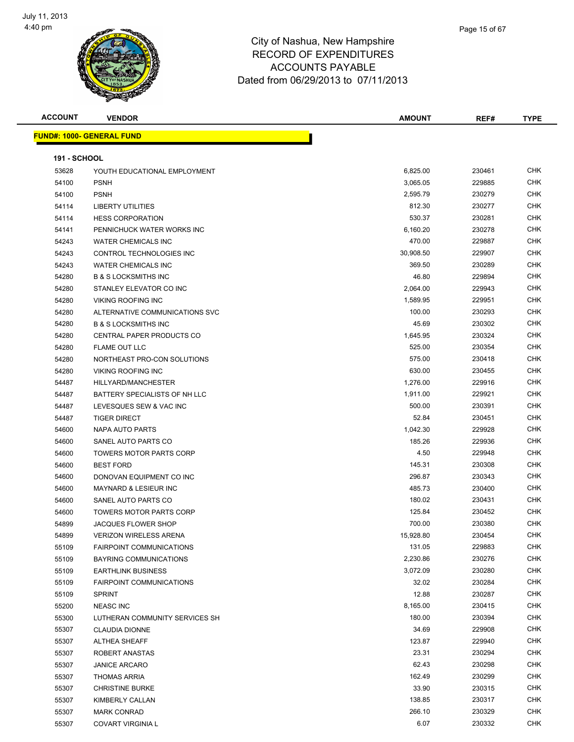

**ACCOUNT VENDOR AMOUNT REF# TYPE FUND#: 1000- GENERAL FUND 191 - SCHOOL** YOUTH EDUCATIONAL EMPLOYMENT 6,825.00 230461 CHK PSNH 3,065.05 229885 CHK PSNH 2,595.79 230279 CHK 54114 LIBERTY UTILITIES CHK CHARGE CHARGE AND STRUCK AND STRUCK AND STRUCK AND STRUCK AND STRUCK CHARGE CHARGE HESS CORPORATION 530.37 230281 CHK 54141 PENNICHUCK WATER WORKS INC **EXAMPLE 2008 PENT AND A SET A SET A SET A** GASS OF A SALE AND THE STATE A SALE WATER CHEMICALS INC 470.00 229887 CHK CONTROL TECHNOLOGIES INC 30,908.50 229907 CHK 54243 WATER CHEMICALS INC 200289 CHK B & S LOCKSMITHS INC 46.80 229894 CHK STANLEY ELEVATOR CO INC 2,064.00 229943 CHK VIKING ROOFING INC 1,589.95 229951 CHK ALTERNATIVE COMMUNICATIONS SVC 100.00 230293 CHK B & S LOCKSMITHS INC 45.69 230302 CHK CENTRAL PAPER PRODUCTS CO 1,645.95 230324 CHK FLAME OUT LLC 525.00 230354 CHK NORTHEAST PRO-CON SOLUTIONS 575.00 230418 CHK VIKING ROOFING INC 630.00 230455 CHK HILLYARD/MANCHESTER 1,276.00 229916 CHK 54487 BATTERY SPECIALISTS OF NH LLC **1.911.00** 1.911.00 229921 CHK 54487 LEVESQUES SEW & VAC INC CHANGE AND SOLUTION CONTROL CONTROL AND SOLUTION CONTROL CONTROL CONTROL CONTROL CONTROL CONTROL CONTROL CONTROL CONTROL CONTROL CONTROL CONTROL CONTROL CONTROL CONTROL CONTROL CONTROL CONTROL TIGER DIRECT 52.84 230451 CHK NAPA AUTO PARTS 1,042.30 229928 CHK SANEL AUTO PARTS CO 185.26 229936 CHK TOWERS MOTOR PARTS CORP 4.50 229948 CHK BEST FORD 145.31 230308 CHK DONOVAN EQUIPMENT CO INC 296.87 230343 CHK MAYNARD & LESIEUR INC 485.73 230400 CHK 54600 SANEL AUTO PARTS CO 2004 180.02 230431 CHK TOWERS MOTOR PARTS CORP 125.84 230452 CHK JACQUES FLOWER SHOP 700.00 230380 CHK VERIZON WIRELESS ARENA 15,928.80 230454 CHK FAIRPOINT COMMUNICATIONS 131.05 229883 CHK BAYRING COMMUNICATIONS 2,230.86 230276 CHK EARTHLINK BUSINESS 3,072.09 230280 CHK FAIRPOINT COMMUNICATIONS 32.02 230284 CHK SPRINT 12.88 230287 CHK NEASC INC 8,165.00 230415 CHK 55300 LUTHERAN COMMUNITY SERVICES SH 180.00 230394 CHK CLAUDIA DIONNE 34.69 229908 CHK ALTHEA SHEAFF 123.87 229940 CHK ROBERT ANASTAS 23.31 230294 CHK

 JANICE ARCARO 62.43 230298 CHK 55307 THOMAS ARRIA 230299 CHK 230299 CHK CHRISTINE BURKE 33.90 230315 CHK KIMBERLY CALLAN 138.85 230317 CHK MARK CONRAD 266.10 230329 CHK COVART VIRGINIA L 6.07 230332 CHK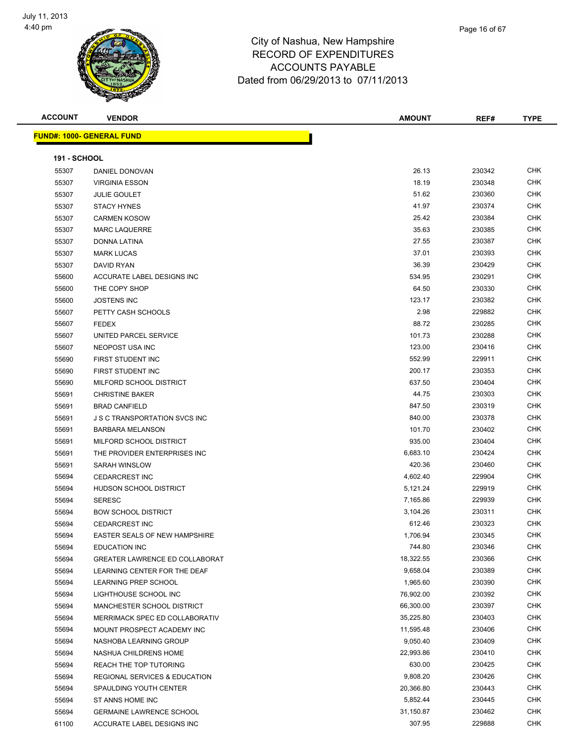

Page 16 of 67

| <b>ACCOUNT</b>      | <b>VENDOR</b>                    | <b>AMOUNT</b> | REF#   | <b>TYPE</b> |
|---------------------|----------------------------------|---------------|--------|-------------|
|                     | <b>FUND#: 1000- GENERAL FUND</b> |               |        |             |
| <b>191 - SCHOOL</b> |                                  |               |        |             |
| 55307               | DANIEL DONOVAN                   | 26.13         | 230342 | <b>CHK</b>  |
| 55307               | <b>VIRGINIA ESSON</b>            | 18.19         | 230348 | <b>CHK</b>  |
| 55307               | <b>JULIE GOULET</b>              | 51.62         | 230360 | <b>CHK</b>  |
| 55307               | <b>STACY HYNES</b>               | 41.97         | 230374 | <b>CHK</b>  |
| 55307               | <b>CARMEN KOSOW</b>              | 25.42         | 230384 | <b>CHK</b>  |
| 55307               | <b>MARC LAQUERRE</b>             | 35.63         | 230385 | <b>CHK</b>  |
| 55307               | <b>DONNA LATINA</b>              | 27.55         | 230387 | <b>CHK</b>  |
| 55307               | <b>MARK LUCAS</b>                | 37.01         | 230393 | <b>CHK</b>  |
| 55307               | <b>DAVID RYAN</b>                | 36.39         | 230429 | <b>CHK</b>  |
| 55600               | ACCURATE LABEL DESIGNS INC       | 534.95        | 230291 | <b>CHK</b>  |
| 55600               | THE COPY SHOP                    | 64.50         | 230330 | <b>CHK</b>  |
| 55600               | <b>JOSTENS INC</b>               | 123.17        | 230382 | <b>CHK</b>  |
| 55607               | PETTY CASH SCHOOLS               | 2.98          | 229882 | <b>CHK</b>  |
| 55607               | <b>FEDEX</b>                     | 88.72         | 230285 | <b>CHK</b>  |
| 55607               | UNITED PARCEL SERVICE            | 101.73        | 230288 | <b>CHK</b>  |
| 55607               | NEOPOST USA INC                  | 123.00        | 230416 | <b>CHK</b>  |
| 55690               | FIRST STUDENT INC                | 552.99        | 229911 | <b>CHK</b>  |
|                     |                                  |               |        |             |

| 55600 | ACCURATE LABEL DESIGNS INC               | 534.95    | 230291 | <b>CHK</b> |
|-------|------------------------------------------|-----------|--------|------------|
| 55600 | THE COPY SHOP                            | 64.50     | 230330 | <b>CHK</b> |
| 55600 | <b>JOSTENS INC</b>                       | 123.17    | 230382 | <b>CHK</b> |
| 55607 | PETTY CASH SCHOOLS                       | 2.98      | 229882 | <b>CHK</b> |
| 55607 | <b>FEDEX</b>                             | 88.72     | 230285 | <b>CHK</b> |
| 55607 | UNITED PARCEL SERVICE                    | 101.73    | 230288 | <b>CHK</b> |
| 55607 | <b>NEOPOST USA INC</b>                   | 123.00    | 230416 | <b>CHK</b> |
| 55690 | FIRST STUDENT INC                        | 552.99    | 229911 | <b>CHK</b> |
| 55690 | FIRST STUDENT INC                        | 200.17    | 230353 | <b>CHK</b> |
| 55690 | MILFORD SCHOOL DISTRICT                  | 637.50    | 230404 | <b>CHK</b> |
| 55691 | <b>CHRISTINE BAKER</b>                   | 44.75     | 230303 | <b>CHK</b> |
| 55691 | <b>BRAD CANFIELD</b>                     | 847.50    | 230319 | <b>CHK</b> |
| 55691 | <b>J S C TRANSPORTATION SVCS INC</b>     | 840.00    | 230378 | <b>CHK</b> |
| 55691 | <b>BARBARA MELANSON</b>                  | 101.70    | 230402 | <b>CHK</b> |
| 55691 | MILFORD SCHOOL DISTRICT                  | 935.00    | 230404 | <b>CHK</b> |
| 55691 | THE PROVIDER ENTERPRISES INC             | 6,683.10  | 230424 | <b>CHK</b> |
| 55691 | <b>SARAH WINSLOW</b>                     | 420.36    | 230460 | <b>CHK</b> |
| 55694 | <b>CEDARCREST INC</b>                    | 4,602.40  | 229904 | <b>CHK</b> |
| 55694 | HUDSON SCHOOL DISTRICT                   | 5,121.24  | 229919 | <b>CHK</b> |
| 55694 | <b>SERESC</b>                            | 7,165.86  | 229939 | <b>CHK</b> |
| 55694 | <b>BOW SCHOOL DISTRICT</b>               | 3,104.26  | 230311 | <b>CHK</b> |
| 55694 | <b>CEDARCREST INC</b>                    | 612.46    | 230323 | <b>CHK</b> |
| 55694 | EASTER SEALS OF NEW HAMPSHIRE            | 1,706.94  | 230345 | <b>CHK</b> |
| 55694 | <b>EDUCATION INC</b>                     | 744.80    | 230346 | <b>CHK</b> |
| 55694 | <b>GREATER LAWRENCE ED COLLABORAT</b>    | 18,322.55 | 230366 | <b>CHK</b> |
| 55694 | LEARNING CENTER FOR THE DEAF             | 9,658.04  | 230389 | <b>CHK</b> |
| 55694 | <b>LEARNING PREP SCHOOL</b>              | 1,965.60  | 230390 | <b>CHK</b> |
| 55694 | LIGHTHOUSE SCHOOL INC                    | 76,902.00 | 230392 | <b>CHK</b> |
| 55694 | MANCHESTER SCHOOL DISTRICT               | 66,300.00 | 230397 | <b>CHK</b> |
| 55694 | MERRIMACK SPEC ED COLLABORATIV           | 35,225.80 | 230403 | <b>CHK</b> |
| 55694 | MOUNT PROSPECT ACADEMY INC               | 11,595.48 | 230406 | <b>CHK</b> |
| 55694 | NASHOBA LEARNING GROUP                   | 9,050.40  | 230409 | <b>CHK</b> |
| 55694 | NASHUA CHILDRENS HOME                    | 22,993.86 | 230410 | <b>CHK</b> |
| 55694 | <b>REACH THE TOP TUTORING</b>            | 630.00    | 230425 | <b>CHK</b> |
| 55694 | <b>REGIONAL SERVICES &amp; EDUCATION</b> | 9,808.20  | 230426 | <b>CHK</b> |
| 55694 | SPAULDING YOUTH CENTER                   | 20,366.80 | 230443 | <b>CHK</b> |
| 55694 | ST ANNS HOME INC                         | 5,852.44  | 230445 | <b>CHK</b> |
| 55694 | <b>GERMAINE LAWRENCE SCHOOL</b>          | 31,150.87 | 230462 | <b>CHK</b> |
| 61100 | ACCURATE LABEL DESIGNS INC               | 307.95    | 229888 | <b>CHK</b> |
|       |                                          |           |        |            |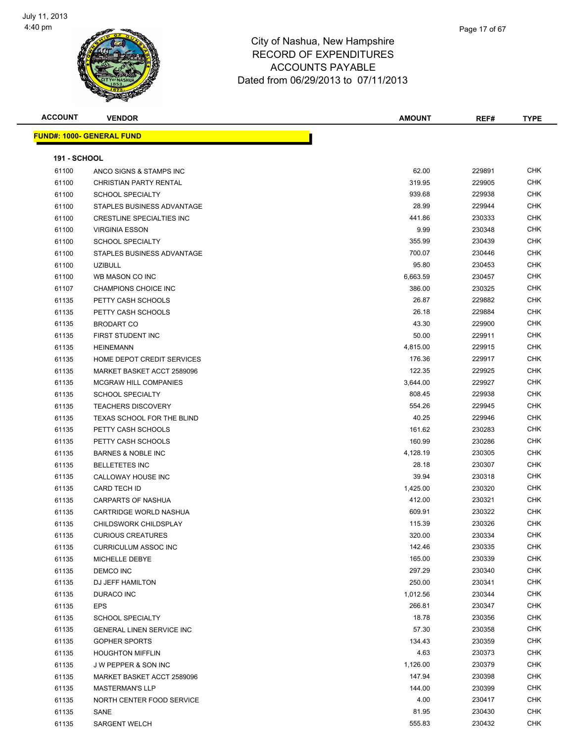

| <b>ACCOUNT</b>      | <b>VENDOR</b>                    | AMOUNT          | REF#             | <b>TYPE</b>       |
|---------------------|----------------------------------|-----------------|------------------|-------------------|
|                     | <b>FUND#: 1000- GENERAL FUND</b> |                 |                  |                   |
| <b>191 - SCHOOL</b> |                                  |                 |                  |                   |
| 61100               | ANCO SIGNS & STAMPS INC          | 62.00           | 229891           | <b>CHK</b>        |
| 61100               | CHRISTIAN PARTY RENTAL           | 319.95          | 229905           | <b>CHK</b>        |
| 61100               | <b>SCHOOL SPECIALTY</b>          | 939.68          | 229938           | <b>CHK</b>        |
| 61100               | STAPLES BUSINESS ADVANTAGE       | 28.99           | 229944           | <b>CHK</b>        |
| 61100               | <b>CRESTLINE SPECIALTIES INC</b> | 441.86          | 230333           | <b>CHK</b>        |
| 61100               | <b>VIRGINIA ESSON</b>            | 9.99            | 230348           | <b>CHK</b>        |
| 61100               | <b>SCHOOL SPECIALTY</b>          | 355.99          | 230439           | <b>CHK</b>        |
| 61100               | STAPLES BUSINESS ADVANTAGE       | 700.07          | 230446           | <b>CHK</b>        |
| 61100               | <b>UZIBULL</b>                   | 95.80           | 230453           | CHK               |
| 61100               | WB MASON CO INC                  | 6,663.59        | 230457           | CHK               |
| 61107               | CHAMPIONS CHOICE INC             | 386.00          | 230325           | <b>CHK</b>        |
| 61135               | PETTY CASH SCHOOLS               | 26.87           | 229882           | CHK               |
| 61135               | PETTY CASH SCHOOLS               | 26.18           | 229884           | CHK               |
| 61135               | <b>BRODART CO</b>                | 43.30           | 229900           | <b>CHK</b>        |
| 61135               | FIRST STUDENT INC                | 50.00           | 229911           | <b>CHK</b>        |
| 61135               | <b>HEINEMANN</b>                 | 4,815.00        | 229915           | <b>CHK</b>        |
| 61135               | HOME DEPOT CREDIT SERVICES       | 176.36          | 229917           | <b>CHK</b>        |
| 61135               | MARKET BASKET ACCT 2589096       | 122.35          | 229925           | <b>CHK</b>        |
| 61135               | <b>MCGRAW HILL COMPANIES</b>     | 3,644.00        | 229927           | <b>CHK</b>        |
| 61135               | <b>SCHOOL SPECIALTY</b>          | 808.45          | 229938           | <b>CHK</b>        |
| 61135               | <b>TEACHERS DISCOVERY</b>        | 554.26          | 229945           | CHK               |
| 61135               | TEXAS SCHOOL FOR THE BLIND       | 40.25           | 229946           | CHK               |
| 61135               | PETTY CASH SCHOOLS               | 161.62          | 230283           | CHK               |
| 61135               | PETTY CASH SCHOOLS               | 160.99          | 230286           | <b>CHK</b>        |
| 61135               | <b>BARNES &amp; NOBLE INC</b>    | 4,128.19        | 230305           | <b>CHK</b>        |
| 61135               | <b>BELLETETES INC</b>            | 28.18           | 230307           | <b>CHK</b>        |
| 61135               | CALLOWAY HOUSE INC               | 39.94           | 230318           | <b>CHK</b>        |
| 61135               | <b>CARD TECH ID</b>              | 1,425.00        | 230320           | <b>CHK</b>        |
| 61135               | CARPARTS OF NASHUA               | 412.00          | 230321           | CHK               |
| 61135               | CARTRIDGE WORLD NASHUA           | 609.91          | 230322           | CHK               |
| 61135               | CHILDSWORK CHILDSPLAY            | 115.39          | 230326           | CHK               |
| 61135               | <b>CURIOUS CREATURES</b>         | 320.00          | 230334           | CHK               |
| 61135               | <b>CURRICULUM ASSOC INC</b>      | 142.46          | 230335           | <b>CHK</b>        |
| 61135               | MICHELLE DEBYE                   | 165.00          | 230339           | <b>CHK</b>        |
| 61135               | DEMCO INC                        | 297.29          | 230340           | CHK               |
| 61135               | DJ JEFF HAMILTON                 | 250.00          | 230341           | <b>CHK</b>        |
| 61135               | DURACO INC                       | 1,012.56        | 230344           | <b>CHK</b>        |
| 61135               | <b>EPS</b>                       | 266.81          | 230347           | <b>CHK</b>        |
| 61135               | <b>SCHOOL SPECIALTY</b>          | 18.78           | 230356           | <b>CHK</b>        |
| 61135               | GENERAL LINEN SERVICE INC        | 57.30           | 230358           | <b>CHK</b>        |
| 61135               | <b>GOPHER SPORTS</b>             | 134.43          | 230359           | CHK               |
| 61135               | <b>HOUGHTON MIFFLIN</b>          | 4.63            | 230373           | <b>CHK</b>        |
| 61135               | J W PEPPER & SON INC             | 1,126.00        | 230379           | <b>CHK</b>        |
| 61135               | MARKET BASKET ACCT 2589096       | 147.94          | 230398           | CHK               |
| 61135               | <b>MASTERMAN'S LLP</b>           | 144.00          | 230399           | <b>CHK</b>        |
| 61135               | NORTH CENTER FOOD SERVICE        | 4.00            | 230417           | CHK               |
| 61135               | SANE                             | 81.95<br>555.83 | 230430<br>230432 | CHK<br><b>CHK</b> |
| 61135               | SARGENT WELCH                    |                 |                  |                   |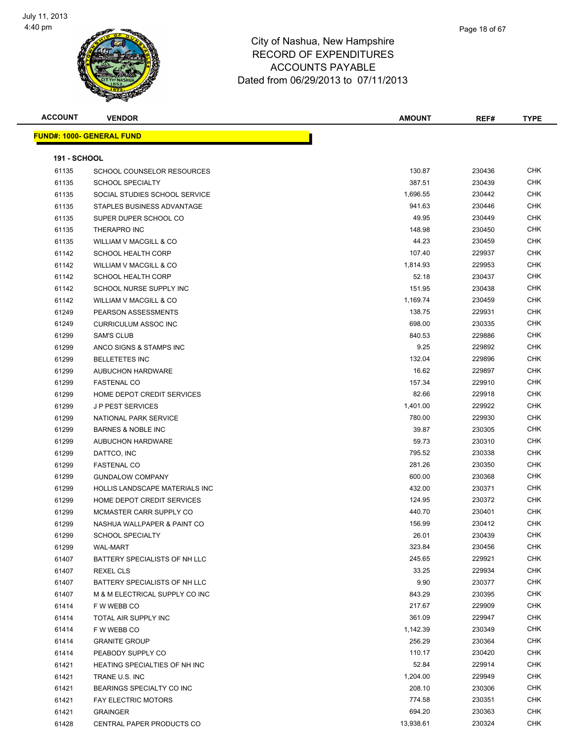

| Page 18 of 67 |
|---------------|
|               |

| <b>ACCOUNT</b>      | <b>VENDOR</b>                         | <b>AMOUNT</b> | REF#   | <b>TYPE</b> |
|---------------------|---------------------------------------|---------------|--------|-------------|
|                     | <b>FUND#: 1000- GENERAL FUND</b>      |               |        |             |
|                     |                                       |               |        |             |
| <b>191 - SCHOOL</b> |                                       |               |        |             |
| 61135               | SCHOOL COUNSELOR RESOURCES            | 130.87        | 230436 | CHK         |
| 61135               | <b>SCHOOL SPECIALTY</b>               | 387.51        | 230439 | <b>CHK</b>  |
| 61135               | SOCIAL STUDIES SCHOOL SERVICE         | 1,696.55      | 230442 | CHK         |
| 61135               | STAPLES BUSINESS ADVANTAGE            | 941.63        | 230446 | CHK         |
| 61135               | SUPER DUPER SCHOOL CO                 | 49.95         | 230449 | <b>CHK</b>  |
| 61135               | THERAPRO INC                          | 148.98        | 230450 | <b>CHK</b>  |
| 61135               | <b>WILLIAM V MACGILL &amp; CO</b>     | 44.23         | 230459 | CHK         |
| 61142               | <b>SCHOOL HEALTH CORP</b>             | 107.40        | 229937 | CHK         |
| 61142               | WILLIAM V MACGILL & CO                | 1,814.93      | 229953 | CHK         |
| 61142               | <b>SCHOOL HEALTH CORP</b>             | 52.18         | 230437 | CHK         |
| 61142               | SCHOOL NURSE SUPPLY INC               | 151.95        | 230438 | CHK         |
| 61142               | WILLIAM V MACGILL & CO                | 1,169.74      | 230459 | <b>CHK</b>  |
| 61249               | PEARSON ASSESSMENTS                   | 138.75        | 229931 | <b>CHK</b>  |
| 61249               | <b>CURRICULUM ASSOC INC</b>           | 698.00        | 230335 | CHK         |
| 61299               | <b>SAM'S CLUB</b>                     | 840.53        | 229886 | CHK         |
| 61299               | ANCO SIGNS & STAMPS INC               | 9.25          | 229892 | CHK         |
| 61299               | <b>BELLETETES INC</b>                 | 132.04        | 229896 | <b>CHK</b>  |
| 61299               | <b>AUBUCHON HARDWARE</b>              | 16.62         | 229897 | CHK         |
| 61299               | <b>FASTENAL CO</b>                    | 157.34        | 229910 | CHK         |
| 61299               | HOME DEPOT CREDIT SERVICES            | 82.66         | 229918 | CHK         |
| 61299               | <b>JP PEST SERVICES</b>               | 1,401.00      | 229922 | CHK         |
| 61299               | NATIONAL PARK SERVICE                 | 780.00        | 229930 | CHK         |
| 61299               | <b>BARNES &amp; NOBLE INC</b>         | 39.87         | 230305 | <b>CHK</b>  |
| 61299               | AUBUCHON HARDWARE                     | 59.73         | 230310 | <b>CHK</b>  |
| 61299               | DATTCO, INC                           | 795.52        | 230338 | CHK         |
| 61299               | <b>FASTENAL CO</b>                    | 281.26        | 230350 | CHK         |
| 61299               | <b>GUNDALOW COMPANY</b>               | 600.00        | 230368 | <b>CHK</b>  |
| 61299               | <b>HOLLIS LANDSCAPE MATERIALS INC</b> | 432.00        | 230371 | <b>CHK</b>  |
| 61299               | HOME DEPOT CREDIT SERVICES            | 124.95        | 230372 | CHK         |
| 61299               | MCMASTER CARR SUPPLY CO               | 440.70        | 230401 | CHK         |
| 61299               | NASHUA WALLPAPER & PAINT CO           | 156.99        | 230412 | CHK         |
| 61299               | SCHOOL SPECIALTY                      | 26.01         | 230439 | <b>CHK</b>  |
| 61299               | <b>WAL-MART</b>                       | 323.84        | 230456 | CHK         |
| 61407               | BATTERY SPECIALISTS OF NH LLC         | 245.65        | 229921 | CHK         |
| 61407               | REXEL CLS                             | 33.25         | 229934 | <b>CHK</b>  |
| 61407               | BATTERY SPECIALISTS OF NH LLC         | 9.90          | 230377 | CHK         |
| 61407               | M & M ELECTRICAL SUPPLY CO INC        | 843.29        | 230395 | <b>CHK</b>  |
| 61414               | F W WEBB CO                           | 217.67        | 229909 | CHK         |
| 61414               | TOTAL AIR SUPPLY INC                  | 361.09        | 229947 | <b>CHK</b>  |
| 61414               | F W WEBB CO                           | 1,142.39      | 230349 | <b>CHK</b>  |
| 61414               | <b>GRANITE GROUP</b>                  | 256.29        | 230364 | CHK         |
| 61414               | PEABODY SUPPLY CO                     | 110.17        | 230420 | CHK         |
| 61421               | HEATING SPECIALTIES OF NH INC         | 52.84         | 229914 | CHK         |
| 61421               | TRANE U.S. INC                        | 1,204.00      | 229949 | CHK         |
| 61421               | BEARINGS SPECIALTY CO INC             | 208.10        | 230306 | CHK         |
| 61421               | <b>FAY ELECTRIC MOTORS</b>            | 774.58        | 230351 | CHK         |
| 61421               | <b>GRAINGER</b>                       | 694.20        | 230363 | CHK         |
| 61428               | CENTRAL PAPER PRODUCTS CO             | 13,938.61     | 230324 | <b>CHK</b>  |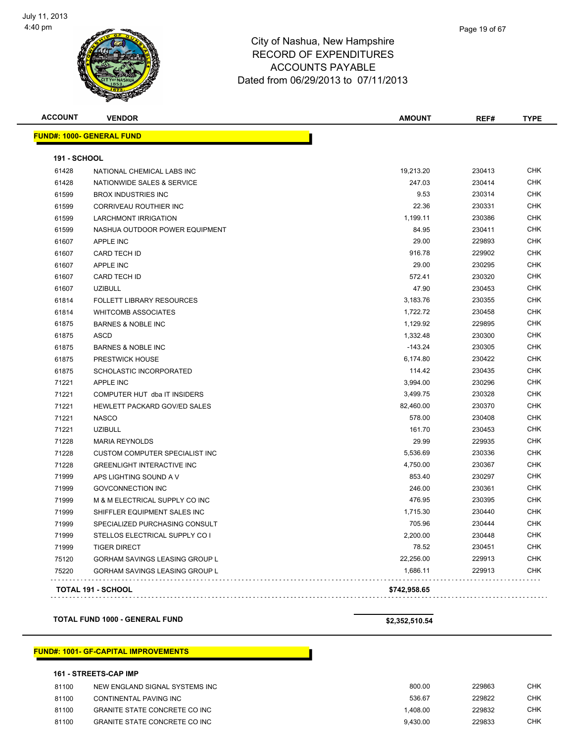

**ACCOUNT VENDOR AMOUNT REF# TYPE FUND#: 1000- GENERAL FUND 191 - SCHOOL** NATIONAL CHEMICAL LABS INC 19,213.20 230413 CHK NATIONWIDE SALES & SERVICE 247.03 230414 CHK BROX INDUSTRIES INC 9.53 230314 CHK CORRIVEAU ROUTHIER INC 22.36 230331 CHK LARCHMONT IRRIGATION 1,199.11 230386 CHK NASHUA OUTDOOR POWER EQUIPMENT 84.95 230411 CHK APPLE INC 29.00 229893 CHK CARD TECH ID 916.78 229902 CHK APPLE INC 29.00 230295 CHK 61607 CARD TECH ID 672.41 230320 CHK UZIBULL 47.90 230453 CHK FOLLETT LIBRARY RESOURCES 3,183.76 230355 CHK 61814 WHITCOMB ASSOCIATES **1,722.72** 230458 CHK BARNES & NOBLE INC 1,129.92 229895 CHK ASCD 1,332.48 230300 CHK 61875 BARNES & NOBLE INC -143.24 230305 CHK PRESTWICK HOUSE 6,174.80 230422 CHK SCHOLASTIC INCORPORATED 114.42 230435 CHK APPLE INC 3,994.00 230296 CHK The State of the COMPUTER HUT dba IT INSIDERS And the State of the State of the State of the State of the State of the State of the State of the State of the State of the State of the State of the State of the State of the HEWLETT PACKARD GOV/ED SALES 82,460.00 230370 CHK NASCO 578.00 230408 CHK UZIBULL 161.70 230453 CHK MARIA REYNOLDS 29.99 229935 CHK The Superintent COMPUTER SPECIALIST INC CONTROL CONTROL CONTROL CONTROL STATES AND THE STATES OF STATES AND THE STATES OF STATES AND THE STATES OF STATES AND THE STATES OF STATES AND THE STATES AND THE STATES OF STATES AND GREENLIGHT INTERACTIVE INC 4,750.00 230367 CHK The Second APS LIGHTING SOUND A V and the Second Second Material Control of the Second Second APS LIGHTING SOUND A V GOVCONNECTION INC 246.00 230361 CHK The State of the Manuscript of the Manuscript of the Manuscript of the Manuscript of the Manuscript of the Manuscript of the Manuscript of the Manuscript of the Manuscript of the Manuscript of the Manuscript of the Manuscr The SHIFFLER EQUIPMENT SALES INC 1,71999 SHIFFLER EQUIPMENT SALES INC The Second Specialized Purchasing Consult Christian Consults and Christian Christian Christian Christian Christian Christian Christian Christian Christian Christian Christian Christian Christian Christian Christian Christi STELLOS ELECTRICAL SUPPLY CO I 2,200.00 230448 CHK TIGER DIRECT 78.52 230451 CHK GORHAM SAVINGS LEASING GROUP L 22,256.00 229913 CHK GORHAM SAVINGS LEASING GROUP L 1,686.11 229913 CHK

**TOTAL 191 - SCHOOL \$742,958.65**

**TOTAL FUND 1000 - GENERAL FUND \$2,352,510.54**

. . . . .

#### **FUND#: 1001- GF-CAPITAL IMPROVEMENTS**

#### **161 - STREETS-CAP IMP**

| 81100 | NEW ENGLAND SIGNAL SYSTEMS INC        | 800.00   | 229863 | снк        |
|-------|---------------------------------------|----------|--------|------------|
| 81100 | CONTINENTAL PAVING INC                | 536.67   | 229822 | CHK        |
| 81100 | <b>GRANITE STATE CONCRETE CO INC</b>  | 1.408.00 | 229832 | <b>CHK</b> |
| 81100 | <b>GRANITE STATE CONCRETE CO INC.</b> | 9.430.00 | 229833 | CHK        |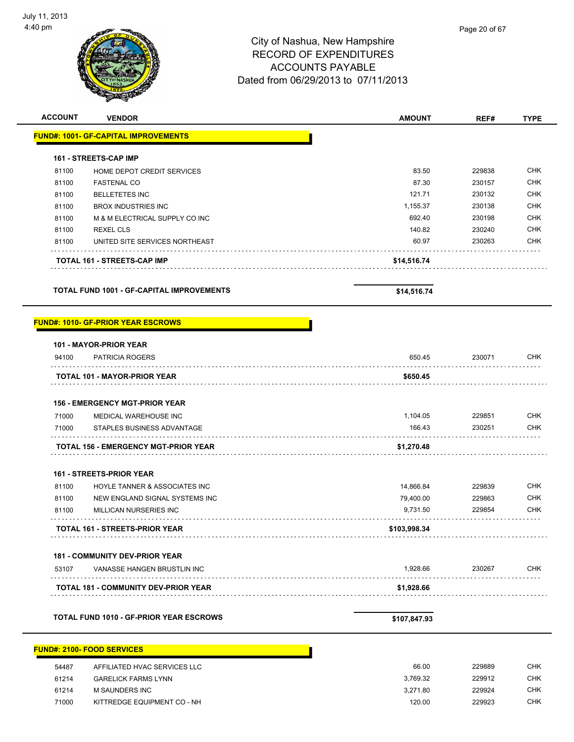| <b>ACCOUNT</b> | <b>VENDOR</b>                                  | <b>AMOUNT</b> | REF#   | <b>TYPE</b> |
|----------------|------------------------------------------------|---------------|--------|-------------|
|                | <b>FUND#: 1001- GF-CAPITAL IMPROVEMENTS</b>    |               |        |             |
|                | <b>161 - STREETS-CAP IMP</b>                   |               |        |             |
| 81100          | HOME DEPOT CREDIT SERVICES                     | 83.50         | 229838 | <b>CHK</b>  |
| 81100          | <b>FASTENAL CO</b>                             | 87.30         | 230157 | <b>CHK</b>  |
| 81100          | <b>BELLETETES INC</b>                          | 121.71        | 230132 | <b>CHK</b>  |
| 81100          | <b>BROX INDUSTRIES INC</b>                     | 1,155.37      | 230138 | <b>CHK</b>  |
| 81100          | M & M ELECTRICAL SUPPLY CO INC                 | 692.40        | 230198 | <b>CHK</b>  |
| 81100          | <b>REXEL CLS</b>                               | 140.82        | 230240 | <b>CHK</b>  |
| 81100          | UNITED SITE SERVICES NORTHEAST                 | 60.97         | 230263 | <b>CHK</b>  |
|                | TOTAL 161 - STREETS-CAP IMP                    | \$14,516.74   |        |             |
|                | TOTAL FUND 1001 - GF-CAPITAL IMPROVEMENTS      | \$14,516.74   |        |             |
|                | <b>FUND#: 1010- GF-PRIOR YEAR ESCROWS</b>      |               |        |             |
|                | 101 - MAYOR-PRIOR YEAR                         |               |        |             |
| 94100          | <b>PATRICIA ROGERS</b>                         | 650.45        | 230071 | <b>CHK</b>  |
|                | <b>TOTAL 101 - MAYOR-PRIOR YEAR</b>            | \$650.45      |        |             |
|                | <b>156 - EMERGENCY MGT-PRIOR YEAR</b>          |               |        |             |
| 71000          | MEDICAL WAREHOUSE INC                          | 1,104.05      | 229851 | <b>CHK</b>  |
| 71000          | STAPLES BUSINESS ADVANTAGE                     | 166.43        | 230251 | <b>CHK</b>  |
|                | .<br>TOTAL 156 - EMERGENCY MGT-PRIOR YEAR      | \$1,270.48    |        |             |
|                | 161 - STREETS-PRIOR YEAR                       |               |        |             |
| 81100          | HOYLE TANNER & ASSOCIATES INC                  | 14,866.84     | 229839 | <b>CHK</b>  |
| 81100          | NEW ENGLAND SIGNAL SYSTEMS INC                 | 79,400.00     | 229863 | <b>CHK</b>  |
| 81100          | MILLICAN NURSERIES INC                         | 9,731.50      | 229854 | <b>CHK</b>  |
|                | <b>TOTAL 161 - STREETS-PRIOR YEAR</b>          | \$103,998.34  |        |             |
|                | <b>181 - COMMUNITY DEV-PRIOR YEAR</b>          |               |        |             |
| 53107          | VANASSE HANGEN BRUSTLIN INC                    | 1,928.66      | 230267 | CHK         |
|                | <b>TOTAL 181 - COMMUNITY DEV-PRIOR YEAR</b>    | \$1,928.66    |        |             |
|                |                                                |               |        |             |
|                | <b>TOTAL FUND 1010 - GF-PRIOR YEAR ESCROWS</b> | \$107,847.93  |        |             |
|                | <b>FUND#: 2100- FOOD SERVICES</b>              |               |        |             |
| 54487          | AFFILIATED HVAC SERVICES LLC                   | 66.00         | 229889 | <b>CHK</b>  |
| 61214          | <b>GARELICK FARMS LYNN</b>                     | 3,769.32      | 229912 | <b>CHK</b>  |
| 61214          | M SAUNDERS INC                                 | 3,271.80      | 229924 | <b>CHK</b>  |

71000 KITTREDGE EQUIPMENT CO - NH 120.00 229923 CHK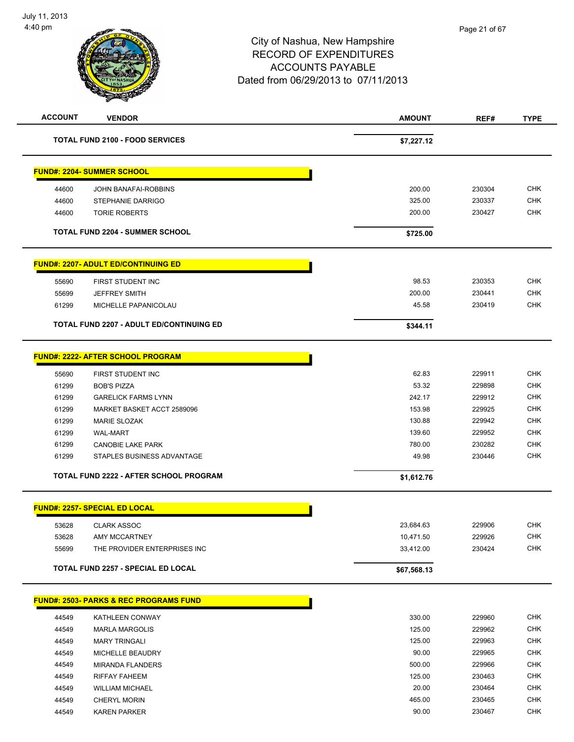| <b>ACCOUNT</b> | <b>VENDOR</b>                                     | <b>AMOUNT</b> | REF#   | <b>TYPE</b> |
|----------------|---------------------------------------------------|---------------|--------|-------------|
|                | <b>TOTAL FUND 2100 - FOOD SERVICES</b>            |               |        |             |
|                |                                                   | \$7,227.12    |        |             |
|                |                                                   |               |        |             |
|                | <b>FUND#: 2204- SUMMER SCHOOL</b>                 |               |        |             |
| 44600          | JOHN BANAFAI-ROBBINS                              | 200.00        | 230304 | CHK         |
| 44600          | <b>STEPHANIE DARRIGO</b>                          | 325.00        | 230337 | <b>CHK</b>  |
| 44600          | <b>TORIE ROBERTS</b>                              | 200.00        | 230427 | <b>CHK</b>  |
|                | <b>TOTAL FUND 2204 - SUMMER SCHOOL</b>            | \$725.00      |        |             |
|                | <b>FUND#: 2207- ADULT ED/CONTINUING ED</b>        |               |        |             |
| 55690          | FIRST STUDENT INC                                 | 98.53         | 230353 | <b>CHK</b>  |
| 55699          | <b>JEFFREY SMITH</b>                              | 200.00        | 230441 | <b>CHK</b>  |
| 61299          | MICHELLE PAPANICOLAU                              | 45.58         | 230419 | <b>CHK</b>  |
|                |                                                   |               |        |             |
|                | <b>TOTAL FUND 2207 - ADULT ED/CONTINUING ED</b>   | \$344.11      |        |             |
|                | <b>FUND#: 2222- AFTER SCHOOL PROGRAM</b>          |               |        |             |
| 55690          | FIRST STUDENT INC                                 | 62.83         | 229911 | <b>CHK</b>  |
| 61299          | <b>BOB'S PIZZA</b>                                | 53.32         | 229898 | <b>CHK</b>  |
| 61299          | <b>GARELICK FARMS LYNN</b>                        | 242.17        | 229912 | <b>CHK</b>  |
| 61299          | MARKET BASKET ACCT 2589096                        | 153.98        | 229925 | <b>CHK</b>  |
| 61299          | <b>MARIE SLOZAK</b>                               | 130.88        | 229942 | <b>CHK</b>  |
| 61299          | <b>WAL-MART</b>                                   | 139.60        | 229952 | <b>CHK</b>  |
| 61299          | <b>CANOBIE LAKE PARK</b>                          | 780.00        | 230282 | <b>CHK</b>  |
| 61299          | STAPLES BUSINESS ADVANTAGE                        | 49.98         | 230446 | <b>CHK</b>  |
|                | <b>TOTAL FUND 2222 - AFTER SCHOOL PROGRAM</b>     | \$1,612.76    |        |             |
|                |                                                   |               |        |             |
|                | <b>FUND#: 2257- SPECIAL ED LOCAL</b>              |               |        |             |
| 53628          | <b>CLARK ASSOC</b>                                | 23,684.63     | 229906 | <b>CHK</b>  |
| 53628          | AMY MCCARTNEY                                     | 10,471.50     | 229926 | <b>CHK</b>  |
| 55699          | THE PROVIDER ENTERPRISES INC                      | 33,412.00     | 230424 | CHK         |
|                | TOTAL FUND 2257 - SPECIAL ED LOCAL                | \$67,568.13   |        |             |
|                |                                                   |               |        |             |
|                | <b>FUND#: 2503- PARKS &amp; REC PROGRAMS FUND</b> |               |        |             |
| 44549          | KATHLEEN CONWAY                                   | 330.00        | 229960 | <b>CHK</b>  |
| 44549          | <b>MARLA MARGOLIS</b>                             | 125.00        | 229962 | <b>CHK</b>  |
| 44549          | <b>MARY TRINGALI</b>                              | 125.00        | 229963 | <b>CHK</b>  |
| 44549          | MICHELLE BEAUDRY                                  | 90.00         | 229965 | <b>CHK</b>  |
| 44549          | <b>MIRANDA FLANDERS</b>                           | 500.00        | 229966 | <b>CHK</b>  |
| 44549          | RIFFAY FAHEEM                                     | 125.00        | 230463 | <b>CHK</b>  |
| 44549          | <b>WILLIAM MICHAEL</b>                            | 20.00         | 230464 | <b>CHK</b>  |
| 44549          | <b>CHERYL MORIN</b>                               | 465.00        | 230465 | <b>CHK</b>  |
| 44549          | <b>KAREN PARKER</b>                               | 90.00         | 230467 | CHK         |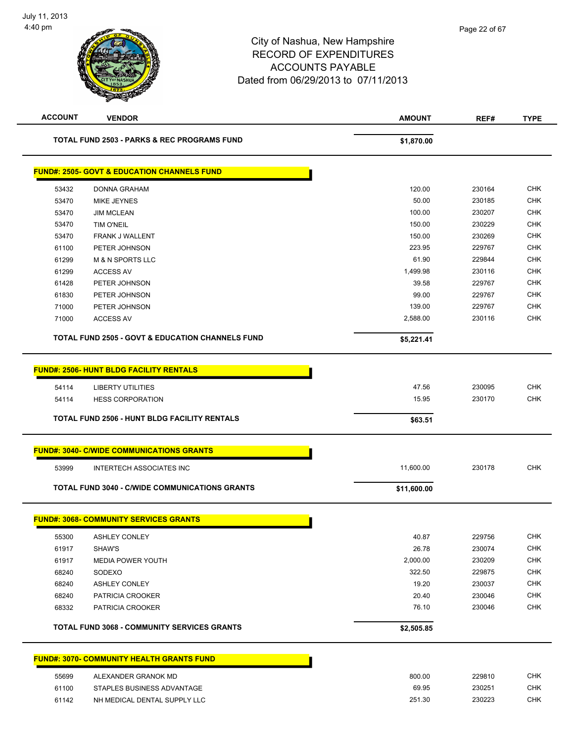| <b>ACCOUNT</b> | <b>VENDOR</b>                                               | <b>AMOUNT</b> | REF#   | <b>TYPE</b> |
|----------------|-------------------------------------------------------------|---------------|--------|-------------|
|                | <b>TOTAL FUND 2503 - PARKS &amp; REC PROGRAMS FUND</b>      | \$1,870.00    |        |             |
|                | <b>FUND#: 2505- GOVT &amp; EDUCATION CHANNELS FUND</b>      |               |        |             |
| 53432          | <b>DONNA GRAHAM</b>                                         | 120.00        | 230164 | <b>CHK</b>  |
| 53470          | <b>MIKE JEYNES</b>                                          | 50.00         | 230185 | <b>CHK</b>  |
| 53470          | <b>JIM MCLEAN</b>                                           | 100.00        | 230207 | <b>CHK</b>  |
| 53470          | <b>TIM O'NEIL</b>                                           | 150.00        | 230229 | <b>CHK</b>  |
| 53470          | FRANK J WALLENT                                             | 150.00        | 230269 | <b>CHK</b>  |
| 61100          | PETER JOHNSON                                               | 223.95        | 229767 | <b>CHK</b>  |
| 61299          | <b>M &amp; N SPORTS LLC</b>                                 | 61.90         | 229844 | <b>CHK</b>  |
| 61299          | <b>ACCESS AV</b>                                            | 1,499.98      | 230116 | <b>CHK</b>  |
| 61428          | PETER JOHNSON                                               | 39.58         | 229767 | <b>CHK</b>  |
| 61830          | PETER JOHNSON                                               | 99.00         | 229767 | <b>CHK</b>  |
| 71000          | PETER JOHNSON                                               | 139.00        | 229767 | <b>CHK</b>  |
| 71000          | <b>ACCESS AV</b>                                            | 2,588.00      | 230116 | <b>CHK</b>  |
|                | <b>TOTAL FUND 2505 - GOVT &amp; EDUCATION CHANNELS FUND</b> | \$5,221.41    |        |             |
|                | <b>FUND#: 2506- HUNT BLDG FACILITY RENTALS</b>              |               |        |             |
| 54114          | <b>LIBERTY UTILITIES</b>                                    | 47.56         | 230095 | <b>CHK</b>  |
| 54114          | <b>HESS CORPORATION</b>                                     | 15.95         | 230170 | <b>CHK</b>  |
|                |                                                             |               |        |             |
|                | <b>TOTAL FUND 2506 - HUNT BLDG FACILITY RENTALS</b>         | \$63.51       |        |             |
|                | <b>FUND#: 3040- C/WIDE COMMUNICATIONS GRANTS</b>            |               |        |             |
| 53999          | <b>INTERTECH ASSOCIATES INC</b>                             | 11,600.00     | 230178 | <b>CHK</b>  |
|                | <b>TOTAL FUND 3040 - C/WIDE COMMUNICATIONS GRANTS</b>       | \$11,600.00   |        |             |
|                | <b>FUND#: 3068- COMMUNITY SERVICES GRANTS</b>               |               |        |             |
| 55300          | <b>ASHLEY CONLEY</b>                                        | 40.87         | 229756 | <b>CHK</b>  |
| 61917          | SHAW'S                                                      | 26.78         | 230074 | CHK         |
| 61917          | <b>MEDIA POWER YOUTH</b>                                    | 2,000.00      | 230209 | <b>CHK</b>  |
| 68240          | SODEXO                                                      | 322.50        | 229875 | <b>CHK</b>  |
| 68240          | <b>ASHLEY CONLEY</b>                                        | 19.20         | 230037 | <b>CHK</b>  |
| 68240          | PATRICIA CROOKER                                            | 20.40         | 230046 | <b>CHK</b>  |
| 68332          | PATRICIA CROOKER                                            | 76.10         | 230046 | <b>CHK</b>  |
|                | <b>TOTAL FUND 3068 - COMMUNITY SERVICES GRANTS</b>          | \$2,505.85    |        |             |
|                | <b>FUND#: 3070- COMMUNITY HEALTH GRANTS FUND</b>            |               |        |             |
| 55699          | ALEXANDER GRANOK MD                                         | 800.00        | 229810 | <b>CHK</b>  |
| 61100          | STAPLES BUSINESS ADVANTAGE                                  | 69.95         | 230251 | <b>CHK</b>  |
| 61142          | NH MEDICAL DENTAL SUPPLY LLC                                | 251.30        | 230223 | <b>CHK</b>  |
|                |                                                             |               |        |             |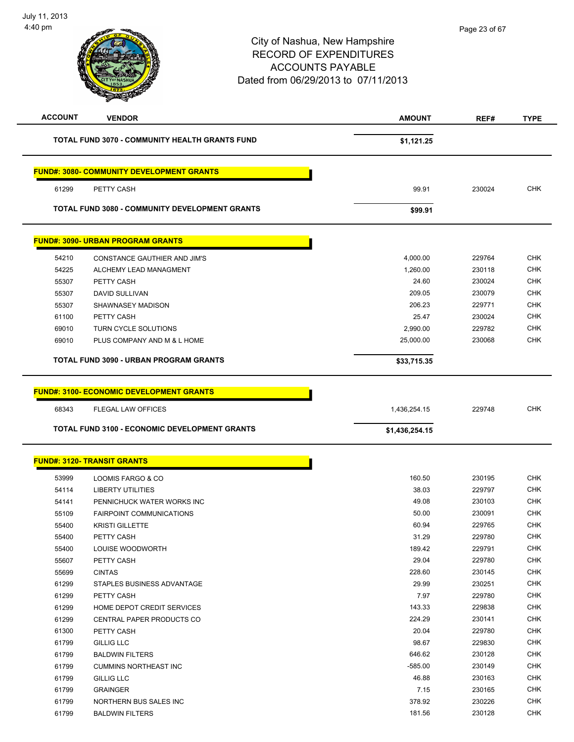| <b>ACCOUNT</b> | <b>VENDOR</b>                                                                | <b>AMOUNT</b>  | REF#   | <b>TYPE</b> |
|----------------|------------------------------------------------------------------------------|----------------|--------|-------------|
|                | <b>TOTAL FUND 3070 - COMMUNITY HEALTH GRANTS FUND</b>                        | \$1,121.25     |        |             |
|                | <b>FUND#: 3080- COMMUNITY DEVELOPMENT GRANTS</b>                             |                |        |             |
| 61299          | PETTY CASH                                                                   | 99.91          | 230024 | <b>CHK</b>  |
|                | TOTAL FUND 3080 - COMMUNITY DEVELOPMENT GRANTS                               | \$99.91        |        |             |
|                | <b>FUND#: 3090- URBAN PROGRAM GRANTS</b>                                     |                |        |             |
| 54210          | CONSTANCE GAUTHIER AND JIM'S                                                 | 4,000.00       | 229764 | <b>CHK</b>  |
| 54225          | ALCHEMY LEAD MANAGMENT                                                       | 1,260.00       | 230118 | <b>CHK</b>  |
| 55307          | PETTY CASH                                                                   | 24.60          | 230024 | <b>CHK</b>  |
| 55307          | <b>DAVID SULLIVAN</b>                                                        | 209.05         | 230079 | <b>CHK</b>  |
| 55307          | <b>SHAWNASEY MADISON</b>                                                     | 206.23         | 229771 | <b>CHK</b>  |
| 61100          | PETTY CASH                                                                   | 25.47          | 230024 | <b>CHK</b>  |
| 69010          | TURN CYCLE SOLUTIONS                                                         | 2,990.00       | 229782 | <b>CHK</b>  |
| 69010          | PLUS COMPANY AND M & L HOME                                                  | 25,000.00      | 230068 | <b>CHK</b>  |
|                | TOTAL FUND 3090 - URBAN PROGRAM GRANTS                                       | \$33,715.35    |        |             |
| 68343          | <b>FUND#: 3100- ECONOMIC DEVELOPMENT GRANTS</b><br><b>FLEGAL LAW OFFICES</b> | 1,436,254.15   | 229748 | <b>CHK</b>  |
|                | TOTAL FUND 3100 - ECONOMIC DEVELOPMENT GRANTS                                | \$1,436,254.15 |        |             |
|                | <b>FUND#: 3120- TRANSIT GRANTS</b>                                           |                |        |             |
| 53999          | LOOMIS FARGO & CO                                                            | 160.50         | 230195 | <b>CHK</b>  |
| 54114          | <b>LIBERTY UTILITIES</b>                                                     | 38.03          | 229797 | <b>CHK</b>  |
| 54141          | PENNICHUCK WATER WORKS INC                                                   | 49.08          | 230103 | <b>CHK</b>  |
| 55109          | <b>FAIRPOINT COMMUNICATIONS</b>                                              | 50.00          | 230091 | <b>CHK</b>  |
| 55400          | <b>KRISTI GILLETTE</b>                                                       | 60.94          | 229765 | <b>CHK</b>  |
| 55400          | PETTY CASH                                                                   | 31.29          | 229780 | <b>CHK</b>  |
| 55400          | LOUISE WOODWORTH                                                             | 189.42         | 229791 | <b>CHK</b>  |
| 55607          | PETTY CASH                                                                   | 29.04          | 229780 | CHK         |
| 55699          | <b>CINTAS</b>                                                                | 228.60         | 230145 | <b>CHK</b>  |
| 61299          | STAPLES BUSINESS ADVANTAGE                                                   | 29.99          | 230251 | <b>CHK</b>  |
| 61299          | PETTY CASH                                                                   | 7.97           | 229780 | <b>CHK</b>  |
| 61299          | HOME DEPOT CREDIT SERVICES                                                   | 143.33         | 229838 | <b>CHK</b>  |
| 61299          | CENTRAL PAPER PRODUCTS CO                                                    | 224.29         | 230141 | <b>CHK</b>  |
| 61300          | PETTY CASH                                                                   | 20.04          | 229780 | <b>CHK</b>  |
| 61799          | <b>GILLIG LLC</b>                                                            | 98.67          | 229830 | <b>CHK</b>  |
| 61799          | <b>BALDWIN FILTERS</b>                                                       | 646.62         | 230128 | <b>CHK</b>  |
| 61799          | <b>CUMMINS NORTHEAST INC</b>                                                 | $-585.00$      | 230149 | <b>CHK</b>  |
| 61799          | GILLIG LLC                                                                   | 46.88          | 230163 | <b>CHK</b>  |
| 61799          | <b>GRAINGER</b>                                                              | 7.15           | 230165 | <b>CHK</b>  |
| 61799          | NORTHERN BUS SALES INC                                                       | 378.92         | 230226 | <b>CHK</b>  |
| 61799          | <b>BALDWIN FILTERS</b>                                                       | 181.56         | 230128 | <b>CHK</b>  |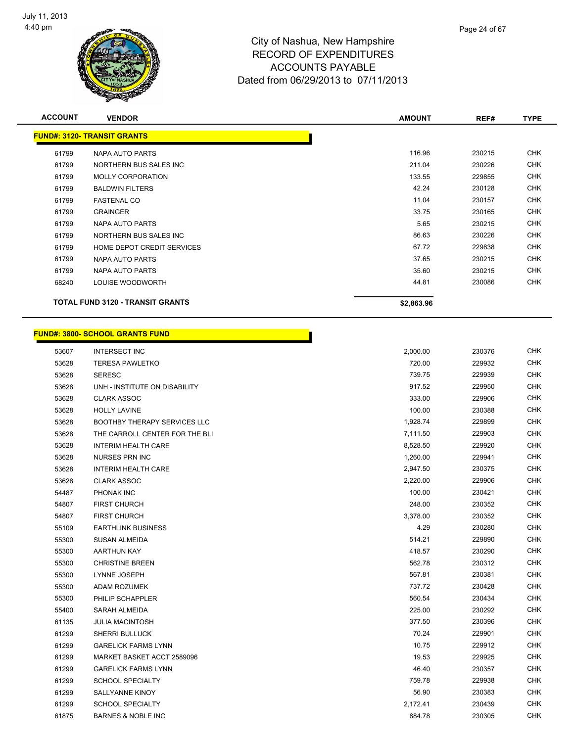

| Page 24 of 67 |  |
|---------------|--|
|               |  |

| <b>ACCOUNT</b> | <b>VENDOR</b>                           | <b>AMOUNT</b> | REF#   | <b>TYPE</b> |
|----------------|-----------------------------------------|---------------|--------|-------------|
|                | <b>FUND#: 3120- TRANSIT GRANTS</b>      |               |        |             |
| 61799          | NAPA AUTO PARTS                         | 116.96        | 230215 | <b>CHK</b>  |
| 61799          | NORTHERN BUS SALES INC                  | 211.04        | 230226 | <b>CHK</b>  |
| 61799          | <b>MOLLY CORPORATION</b>                | 133.55        | 229855 | <b>CHK</b>  |
| 61799          | <b>BALDWIN FILTERS</b>                  | 42.24         | 230128 | <b>CHK</b>  |
| 61799          | <b>FASTENAL CO</b>                      | 11.04         | 230157 | <b>CHK</b>  |
| 61799          | <b>GRAINGER</b>                         | 33.75         | 230165 | <b>CHK</b>  |
| 61799          | NAPA AUTO PARTS                         | 5.65          | 230215 | <b>CHK</b>  |
| 61799          | NORTHERN BUS SALES INC                  | 86.63         | 230226 | <b>CHK</b>  |
| 61799          | HOME DEPOT CREDIT SERVICES              | 67.72         | 229838 | <b>CHK</b>  |
| 61799          | NAPA AUTO PARTS                         | 37.65         | 230215 | <b>CHK</b>  |
| 61799          | NAPA AUTO PARTS                         | 35.60         | 230215 | <b>CHK</b>  |
| 68240          | LOUISE WOODWORTH                        | 44.81         | 230086 | CHK         |
|                | <b>TOTAL FUND 3120 - TRANSIT GRANTS</b> | \$2,863.96    |        |             |

#### **FUND#: 3800- SCHOOL GRANTS FUND**

| 53607 | <b>INTERSECT INC</b>           | 2,000.00 | 230376 | <b>CHK</b> |
|-------|--------------------------------|----------|--------|------------|
| 53628 | <b>TERESA PAWLETKO</b>         | 720.00   | 229932 | <b>CHK</b> |
| 53628 | <b>SERESC</b>                  | 739.75   | 229939 | <b>CHK</b> |
| 53628 | UNH - INSTITUTE ON DISABILITY  | 917.52   | 229950 | <b>CHK</b> |
| 53628 | <b>CLARK ASSOC</b>             | 333.00   | 229906 | <b>CHK</b> |
| 53628 | <b>HOLLY LAVINE</b>            | 100.00   | 230388 | <b>CHK</b> |
| 53628 | BOOTHBY THERAPY SERVICES LLC   | 1,928.74 | 229899 | <b>CHK</b> |
| 53628 | THE CARROLL CENTER FOR THE BLI | 7,111.50 | 229903 | <b>CHK</b> |
| 53628 | <b>INTERIM HEALTH CARE</b>     | 8,528.50 | 229920 | <b>CHK</b> |
| 53628 | <b>NURSES PRN INC</b>          | 1,260.00 | 229941 | <b>CHK</b> |
| 53628 | <b>INTERIM HEALTH CARE</b>     | 2,947.50 | 230375 | <b>CHK</b> |
| 53628 | <b>CLARK ASSOC</b>             | 2,220.00 | 229906 | <b>CHK</b> |
| 54487 | PHONAK INC                     | 100.00   | 230421 | <b>CHK</b> |
| 54807 | <b>FIRST CHURCH</b>            | 248.00   | 230352 | <b>CHK</b> |
| 54807 | <b>FIRST CHURCH</b>            | 3,378.00 | 230352 | <b>CHK</b> |
| 55109 | <b>EARTHLINK BUSINESS</b>      | 4.29     | 230280 | <b>CHK</b> |
| 55300 | <b>SUSAN ALMEIDA</b>           | 514.21   | 229890 | <b>CHK</b> |
| 55300 | AARTHUN KAY                    | 418.57   | 230290 | <b>CHK</b> |
| 55300 | <b>CHRISTINE BREEN</b>         | 562.78   | 230312 | <b>CHK</b> |
| 55300 | LYNNE JOSEPH                   | 567.81   | 230381 | <b>CHK</b> |
| 55300 | ADAM ROZUMEK                   | 737.72   | 230428 | <b>CHK</b> |
| 55300 | PHILIP SCHAPPLER               | 560.54   | 230434 | <b>CHK</b> |
| 55400 | SARAH ALMEIDA                  | 225.00   | 230292 | <b>CHK</b> |
| 61135 | <b>JULIA MACINTOSH</b>         | 377.50   | 230396 | <b>CHK</b> |
| 61299 | SHERRI BULLUCK                 | 70.24    | 229901 | <b>CHK</b> |
| 61299 | <b>GARELICK FARMS LYNN</b>     | 10.75    | 229912 | <b>CHK</b> |
| 61299 | MARKET BASKET ACCT 2589096     | 19.53    | 229925 | <b>CHK</b> |
| 61299 | <b>GARELICK FARMS LYNN</b>     | 46.40    | 230357 | <b>CHK</b> |
| 61299 | <b>SCHOOL SPECIALTY</b>        | 759.78   | 229938 | <b>CHK</b> |
| 61299 | SALLYANNE KINOY                | 56.90    | 230383 | <b>CHK</b> |
| 61299 | <b>SCHOOL SPECIALTY</b>        | 2,172.41 | 230439 | <b>CHK</b> |
| 61875 | <b>BARNES &amp; NOBLE INC</b>  | 884.78   | 230305 | CHK        |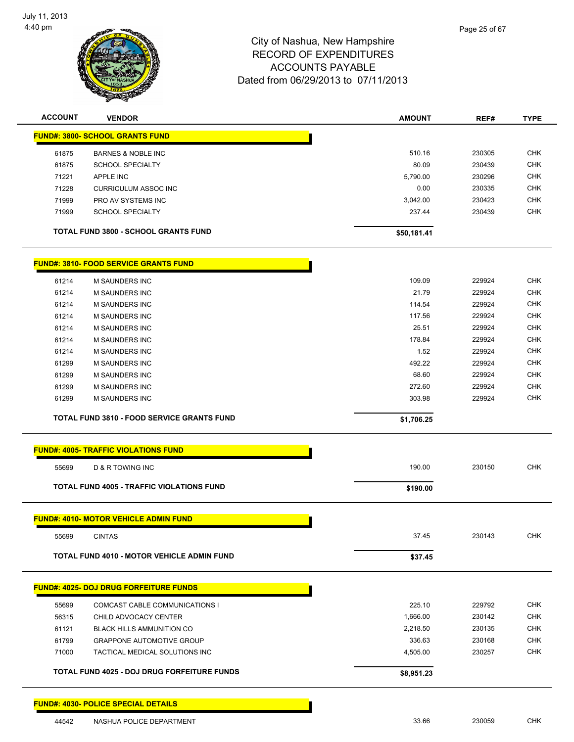

| <b>ACCOUNT</b> | <b>VENDOR</b>                                      | <b>AMOUNT</b> | REF#   | <b>TYPE</b> |
|----------------|----------------------------------------------------|---------------|--------|-------------|
|                | <b>FUND#: 3800- SCHOOL GRANTS FUND</b>             |               |        |             |
| 61875          | <b>BARNES &amp; NOBLE INC</b>                      | 510.16        | 230305 | CHK         |
| 61875          | <b>SCHOOL SPECIALTY</b>                            | 80.09         | 230439 | <b>CHK</b>  |
| 71221          | <b>APPLE INC</b>                                   | 5,790.00      | 230296 | <b>CHK</b>  |
| 71228          | <b>CURRICULUM ASSOC INC</b>                        | 0.00          | 230335 | CHK         |
| 71999          | PRO AV SYSTEMS INC                                 | 3,042.00      | 230423 | <b>CHK</b>  |
| 71999          | <b>SCHOOL SPECIALTY</b>                            | 237.44        | 230439 | <b>CHK</b>  |
|                | <b>TOTAL FUND 3800 - SCHOOL GRANTS FUND</b>        | \$50,181.41   |        |             |
|                | <u> FUND#: 3810- FOOD SERVICE GRANTS FUND</u>      |               |        |             |
| 61214          | M SAUNDERS INC                                     | 109.09        | 229924 | <b>CHK</b>  |
| 61214          | <b>M SAUNDERS INC</b>                              | 21.79         | 229924 | <b>CHK</b>  |
| 61214          | M SAUNDERS INC                                     | 114.54        | 229924 | <b>CHK</b>  |
| 61214          | <b>M SAUNDERS INC</b>                              | 117.56        | 229924 | <b>CHK</b>  |
| 61214          | <b>M SAUNDERS INC</b>                              | 25.51         | 229924 | <b>CHK</b>  |
| 61214          | M SAUNDERS INC                                     | 178.84        | 229924 | <b>CHK</b>  |
| 61214          | M SAUNDERS INC                                     | 1.52          | 229924 | <b>CHK</b>  |
| 61299          | M SAUNDERS INC                                     | 492.22        | 229924 | CHK         |
| 61299          | M SAUNDERS INC                                     | 68.60         | 229924 | <b>CHK</b>  |
| 61299          | <b>M SAUNDERS INC</b>                              | 272.60        | 229924 | CHK         |
| 61299          | M SAUNDERS INC                                     | 303.98        | 229924 | <b>CHK</b>  |
|                | <b>TOTAL FUND 3810 - FOOD SERVICE GRANTS FUND</b>  | \$1,706.25    |        |             |
|                | <b>FUND#: 4005- TRAFFIC VIOLATIONS FUND</b>        |               |        |             |
| 55699          | D & R TOWING INC                                   | 190.00        | 230150 | <b>CHK</b>  |
|                | TOTAL FUND 4005 - TRAFFIC VIOLATIONS FUND          | \$190.00      |        |             |
|                | <b>FUND#: 4010- MOTOR VEHICLE ADMIN FUND</b>       |               |        |             |
| 55699          | <b>CINTAS</b>                                      | 37.45         | 230143 | <b>CHK</b>  |
|                | <b>TOTAL FUND 4010 - MOTOR VEHICLE ADMIN FUND</b>  | \$37.45       |        |             |
|                | <b>FUND#: 4025- DOJ DRUG FORFEITURE FUNDS</b>      |               |        |             |
|                |                                                    |               |        |             |
| 55699          | COMCAST CABLE COMMUNICATIONS I                     | 225.10        | 229792 | <b>CHK</b>  |
| 56315          | CHILD ADVOCACY CENTER                              | 1,666.00      | 230142 | <b>CHK</b>  |
| 61121          | <b>BLACK HILLS AMMUNITION CO</b>                   | 2,218.50      | 230135 | CHK         |
| 61799          | <b>GRAPPONE AUTOMOTIVE GROUP</b>                   | 336.63        | 230168 | <b>CHK</b>  |
| 71000          | TACTICAL MEDICAL SOLUTIONS INC                     | 4,505.00      | 230257 | <b>CHK</b>  |
|                | <b>TOTAL FUND 4025 - DOJ DRUG FORFEITURE FUNDS</b> | \$8,951.23    |        |             |
|                | <b>FUND#: 4030- POLICE SPECIAL DETAILS</b>         |               |        |             |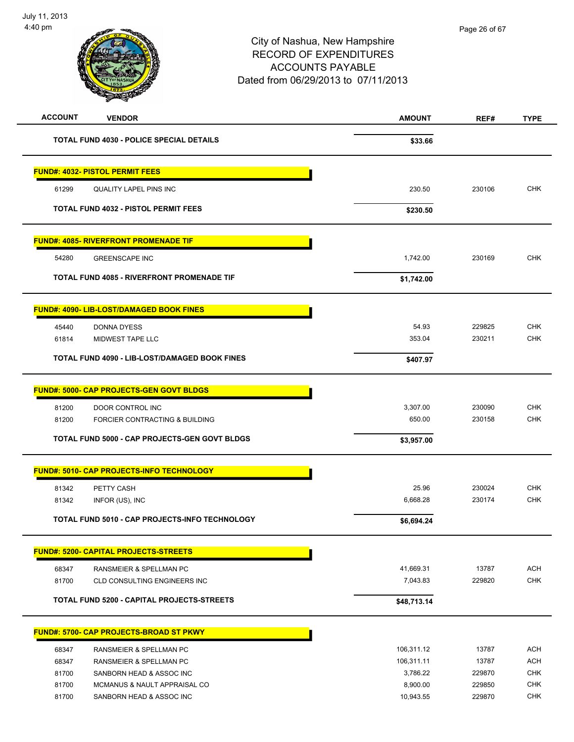| <b>ACCOUNT</b> | <b>VENDOR</b>                                            | AMOUNT                | REF#             | <b>TYPE</b>              |
|----------------|----------------------------------------------------------|-----------------------|------------------|--------------------------|
|                | <b>TOTAL FUND 4030 - POLICE SPECIAL DETAILS</b>          | \$33.66               |                  |                          |
|                | <b>FUND#: 4032- PISTOL PERMIT FEES</b>                   |                       |                  |                          |
| 61299          | <b>QUALITY LAPEL PINS INC</b>                            | 230.50                | 230106           | <b>CHK</b>               |
|                | <b>TOTAL FUND 4032 - PISTOL PERMIT FEES</b>              | \$230.50              |                  |                          |
|                | <b>FUND#: 4085- RIVERFRONT PROMENADE TIF</b>             |                       |                  |                          |
| 54280          | <b>GREENSCAPE INC</b>                                    | 1,742.00              | 230169           | <b>CHK</b>               |
|                | <b>TOTAL FUND 4085 - RIVERFRONT PROMENADE TIF</b>        | \$1,742.00            |                  |                          |
|                | <b>FUND#: 4090- LIB-LOST/DAMAGED BOOK FINES</b>          |                       |                  |                          |
| 45440          | DONNA DYESS                                              | 54.93                 | 229825           | <b>CHK</b>               |
| 61814          | MIDWEST TAPE LLC                                         | 353.04                | 230211           | <b>CHK</b>               |
|                | <b>TOTAL FUND 4090 - LIB-LOST/DAMAGED BOOK FINES</b>     | \$407.97              |                  |                          |
|                | <b>FUND#: 5000- CAP PROJECTS-GEN GOVT BLDGS</b>          |                       |                  |                          |
| 81200          | DOOR CONTROL INC                                         | 3,307.00              | 230090           | <b>CHK</b>               |
| 81200          | FORCIER CONTRACTING & BUILDING                           | 650.00                | 230158           | <b>CHK</b>               |
|                | TOTAL FUND 5000 - CAP PROJECTS-GEN GOVT BLDGS            | \$3,957.00            |                  |                          |
|                | <b>FUND#: 5010- CAP PROJECTS-INFO TECHNOLOGY</b>         |                       |                  |                          |
| 81342          | PETTY CASH                                               | 25.96                 | 230024           | <b>CHK</b>               |
| 81342          | INFOR (US), INC                                          | 6,668.28              | 230174           | <b>CHK</b>               |
|                | TOTAL FUND 5010 - CAP PROJECTS-INFO TECHNOLOGY           | \$6,694.24            |                  |                          |
|                | <b>FUND#: 5200- CAPITAL PROJECTS-STREETS</b>             |                       |                  |                          |
| 68347          | RANSMEIER & SPELLMAN PC                                  | 41,669.31             | 13787            | <b>ACH</b>               |
| 81700          | CLD CONSULTING ENGINEERS INC                             | 7,043.83              | 229820           | <b>CHK</b>               |
|                | <b>TOTAL FUND 5200 - CAPITAL PROJECTS-STREETS</b>        | \$48,713.14           |                  |                          |
|                | <b>FUND#: 5700- CAP PROJECTS-BROAD ST PKWY</b>           |                       |                  |                          |
| 68347          | RANSMEIER & SPELLMAN PC                                  | 106,311.12            | 13787            | <b>ACH</b>               |
| 68347          | RANSMEIER & SPELLMAN PC                                  | 106,311.11            | 13787            | <b>ACH</b>               |
| 81700          | SANBORN HEAD & ASSOC INC                                 | 3,786.22              | 229870           | <b>CHK</b>               |
| 81700<br>81700 | MCMANUS & NAULT APPRAISAL CO<br>SANBORN HEAD & ASSOC INC | 8,900.00<br>10,943.55 | 229850<br>229870 | <b>CHK</b><br><b>CHK</b> |
|                |                                                          |                       |                  |                          |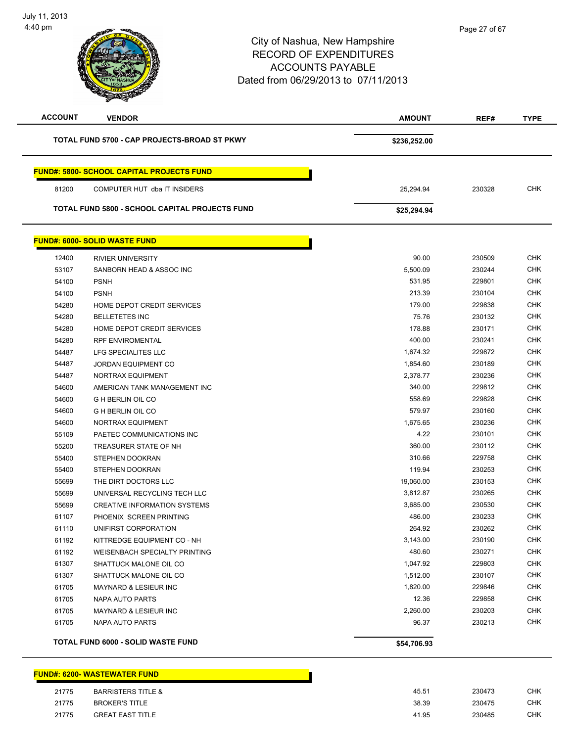| <b>ACCOUNT</b> | <b>VENDOR</b>                                    | <b>AMOUNT</b> | REF#   | <b>TYPE</b> |
|----------------|--------------------------------------------------|---------------|--------|-------------|
|                | TOTAL FUND 5700 - CAP PROJECTS-BROAD ST PKWY     | \$236,252.00  |        |             |
|                | <b>FUND#: 5800- SCHOOL CAPITAL PROJECTS FUND</b> |               |        |             |
| 81200          | COMPUTER HUT dba IT INSIDERS                     | 25,294.94     | 230328 | <b>CHK</b>  |
|                | TOTAL FUND 5800 - SCHOOL CAPITAL PROJECTS FUND   | \$25,294.94   |        |             |
|                | <b>FUND#: 6000- SOLID WASTE FUND</b>             |               |        |             |
| 12400          | <b>RIVIER UNIVERSITY</b>                         | 90.00         | 230509 | <b>CHK</b>  |
| 53107          | SANBORN HEAD & ASSOC INC                         | 5,500.09      | 230244 | <b>CHK</b>  |
| 54100          | <b>PSNH</b>                                      | 531.95        | 229801 | <b>CHK</b>  |
| 54100          | <b>PSNH</b>                                      | 213.39        | 230104 | <b>CHK</b>  |
| 54280          | HOME DEPOT CREDIT SERVICES                       | 179.00        | 229838 | <b>CHK</b>  |
| 54280          | <b>BELLETETES INC</b>                            | 75.76         | 230132 | <b>CHK</b>  |
| 54280          | HOME DEPOT CREDIT SERVICES                       | 178.88        | 230171 | <b>CHK</b>  |
| 54280          | <b>RPF ENVIROMENTAL</b>                          | 400.00        | 230241 | <b>CHK</b>  |
| 54487          | LFG SPECIALITES LLC                              | 1,674.32      | 229872 | <b>CHK</b>  |
| 54487          | <b>JORDAN EQUIPMENT CO</b>                       | 1,854.60      | 230189 | <b>CHK</b>  |
| 54487          | NORTRAX EQUIPMENT                                | 2,378.77      | 230236 | <b>CHK</b>  |
| 54600          | AMERICAN TANK MANAGEMENT INC                     | 340.00        | 229812 | <b>CHK</b>  |
| 54600          | <b>G H BERLIN OIL CO</b>                         | 558.69        | 229828 | <b>CHK</b>  |
| 54600          | <b>G H BERLIN OIL CO</b>                         | 579.97        | 230160 | <b>CHK</b>  |
| 54600          | NORTRAX EQUIPMENT                                | 1,675.65      | 230236 | CHK         |
| 55109          | PAETEC COMMUNICATIONS INC                        | 4.22          | 230101 | <b>CHK</b>  |
| 55200          | TREASURER STATE OF NH                            | 360.00        | 230112 | <b>CHK</b>  |
| 55400          | STEPHEN DOOKRAN                                  | 310.66        | 229758 | <b>CHK</b>  |
| 55400          | <b>STEPHEN DOOKRAN</b>                           | 119.94        | 230253 | <b>CHK</b>  |
| 55699          | THE DIRT DOCTORS LLC                             | 19,060.00     | 230153 | <b>CHK</b>  |
| 55699          | UNIVERSAL RECYCLING TECH LLC                     | 3,812.87      | 230265 | <b>CHK</b>  |
| 55699          | <b>CREATIVE INFORMATION SYSTEMS</b>              | 3,685.00      | 230530 | <b>CHK</b>  |
| 61107          | PHOENIX SCREEN PRINTING                          | 486.00        | 230233 | <b>CHK</b>  |
| 61110          | UNIFIRST CORPORATION                             | 264.92        | 230262 | <b>CHK</b>  |
| 61192          | KITTREDGE EQUIPMENT CO - NH                      | 3,143.00      | 230190 | CHK         |
| 61192          | <b>WEISENBACH SPECIALTY PRINTING</b>             | 480.60        | 230271 | <b>CHK</b>  |
| 61307          | SHATTUCK MALONE OIL CO                           | 1,047.92      | 229803 | <b>CHK</b>  |
| 61307          | SHATTUCK MALONE OIL CO                           | 1,512.00      | 230107 | <b>CHK</b>  |
| 61705          | MAYNARD & LESIEUR INC                            | 1,820.00      | 229846 | <b>CHK</b>  |
| 61705          | NAPA AUTO PARTS                                  | 12.36         | 229858 | <b>CHK</b>  |
| 61705          | <b>MAYNARD &amp; LESIEUR INC</b>                 | 2,260.00      | 230203 | <b>CHK</b>  |
| 61705          | <b>NAPA AUTO PARTS</b>                           | 96.37         | 230213 | <b>CHK</b>  |
|                | TOTAL FUND 6000 - SOLID WASTE FUND               | \$54,706.93   |        |             |

#### **FUND#: 6200- WASTEWATER FUND**

| 21775 | <b>BARRISTERS TITLE &amp;</b> | 45.51 | 230473 | <b>CHK</b> |
|-------|-------------------------------|-------|--------|------------|
| 21775 | <b>BROKER'S TITLE</b>         | 38.39 | 230475 | CHK        |
| 21775 | GREAT EAST TITLE              | 41.95 | 230485 | <b>CHK</b> |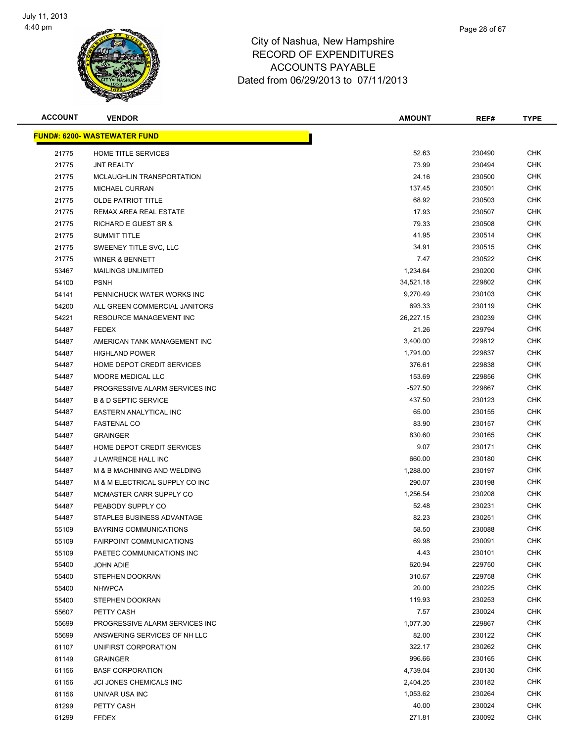

| Page 28 of 67 |  |
|---------------|--|
|               |  |
|               |  |

| <b>ACCOUNT</b> | <b>VENDOR</b>                       | <b>AMOUNT</b> | REF#   | <b>TYPE</b> |
|----------------|-------------------------------------|---------------|--------|-------------|
|                | <b>FUND#: 6200- WASTEWATER FUND</b> |               |        |             |
| 21775          | HOME TITLE SERVICES                 | 52.63         | 230490 | <b>CHK</b>  |
| 21775          | <b>JNT REALTY</b>                   | 73.99         | 230494 | <b>CHK</b>  |
| 21775          | MCLAUGHLIN TRANSPORTATION           | 24.16         | 230500 | <b>CHK</b>  |
| 21775          | MICHAEL CURRAN                      | 137.45        | 230501 | <b>CHK</b>  |
| 21775          | <b>OLDE PATRIOT TITLE</b>           | 68.92         | 230503 | <b>CHK</b>  |
| 21775          | REMAX AREA REAL ESTATE              | 17.93         | 230507 | <b>CHK</b>  |
| 21775          | <b>RICHARD E GUEST SR &amp;</b>     | 79.33         | 230508 | <b>CHK</b>  |
| 21775          | <b>SUMMIT TITLE</b>                 | 41.95         | 230514 | <b>CHK</b>  |
| 21775          | SWEENEY TITLE SVC, LLC              | 34.91         | 230515 | <b>CHK</b>  |
| 21775          | <b>WINER &amp; BENNETT</b>          | 7.47          | 230522 | CHK         |
| 53467          | <b>MAILINGS UNLIMITED</b>           | 1,234.64      | 230200 | <b>CHK</b>  |
| 54100          | <b>PSNH</b>                         | 34,521.18     | 229802 | <b>CHK</b>  |
| 54141          | PENNICHUCK WATER WORKS INC          | 9,270.49      | 230103 | CHK         |
| 54200          | ALL GREEN COMMERCIAL JANITORS       | 693.33        | 230119 | <b>CHK</b>  |
| 54221          | <b>RESOURCE MANAGEMENT INC</b>      | 26,227.15     | 230239 | <b>CHK</b>  |
| 54487          | <b>FEDEX</b>                        | 21.26         | 229794 | CHK         |
| 54487          | AMERICAN TANK MANAGEMENT INC        | 3,400.00      | 229812 | <b>CHK</b>  |
| 54487          | <b>HIGHLAND POWER</b>               | 1,791.00      | 229837 | <b>CHK</b>  |
| 54487          | HOME DEPOT CREDIT SERVICES          | 376.61        | 229838 | <b>CHK</b>  |
| 54487          | <b>MOORE MEDICAL LLC</b>            | 153.69        | 229856 | <b>CHK</b>  |
| 54487          | PROGRESSIVE ALARM SERVICES INC      | $-527.50$     | 229867 | <b>CHK</b>  |
| 54487          | <b>B &amp; D SEPTIC SERVICE</b>     | 437.50        | 230123 | <b>CHK</b>  |
| 54487          | EASTERN ANALYTICAL INC              | 65.00         | 230155 | <b>CHK</b>  |
| 54487          | <b>FASTENAL CO</b>                  | 83.90         | 230157 | CHK         |
| 54487          | <b>GRAINGER</b>                     | 830.60        | 230165 | <b>CHK</b>  |
| 54487          | HOME DEPOT CREDIT SERVICES          | 9.07          | 230171 | <b>CHK</b>  |
| 54487          | J LAWRENCE HALL INC                 | 660.00        | 230180 | <b>CHK</b>  |
| 54487          | M & B MACHINING AND WELDING         | 1,288.00      | 230197 | <b>CHK</b>  |
| 54487          | M & M ELECTRICAL SUPPLY CO INC      | 290.07        | 230198 | <b>CHK</b>  |
| 54487          | MCMASTER CARR SUPPLY CO             | 1,256.54      | 230208 | <b>CHK</b>  |
| 54487          | PEABODY SUPPLY CO                   | 52.48         | 230231 | CHK         |
| 54487          | STAPLES BUSINESS ADVANTAGE          | 82.23         | 230251 | CHK         |
| 55109          | BAYRING COMMUNICATIONS              | 58.50         | 230088 | <b>CHK</b>  |
| 55109          | <b>FAIRPOINT COMMUNICATIONS</b>     | 69.98         | 230091 | <b>CHK</b>  |
| 55109          | PAETEC COMMUNICATIONS INC           | 4.43          | 230101 | <b>CHK</b>  |
| 55400          | <b>JOHN ADIE</b>                    | 620.94        | 229750 | <b>CHK</b>  |
| 55400          | STEPHEN DOOKRAN                     | 310.67        | 229758 | <b>CHK</b>  |
| 55400          | <b>NHWPCA</b>                       | 20.00         | 230225 | <b>CHK</b>  |
| 55400          | STEPHEN DOOKRAN                     | 119.93        | 230253 | <b>CHK</b>  |
| 55607          | PETTY CASH                          | 7.57          | 230024 | <b>CHK</b>  |
| 55699          | PROGRESSIVE ALARM SERVICES INC      | 1,077.30      | 229867 | <b>CHK</b>  |
| 55699          | ANSWERING SERVICES OF NH LLC        | 82.00         | 230122 | <b>CHK</b>  |
| 61107          | UNIFIRST CORPORATION                | 322.17        | 230262 | CHK         |
| 61149          | <b>GRAINGER</b>                     | 996.66        | 230165 | <b>CHK</b>  |
| 61156          | <b>BASF CORPORATION</b>             | 4,739.04      | 230130 | <b>CHK</b>  |
| 61156          | JCI JONES CHEMICALS INC             | 2,404.25      | 230182 | CHK         |
| 61156          | UNIVAR USA INC                      | 1,053.62      | 230264 | <b>CHK</b>  |
| 61299          | PETTY CASH                          | 40.00         | 230024 | <b>CHK</b>  |
| 61299          | <b>FEDEX</b>                        | 271.81        | 230092 | <b>CHK</b>  |
|                |                                     |               |        |             |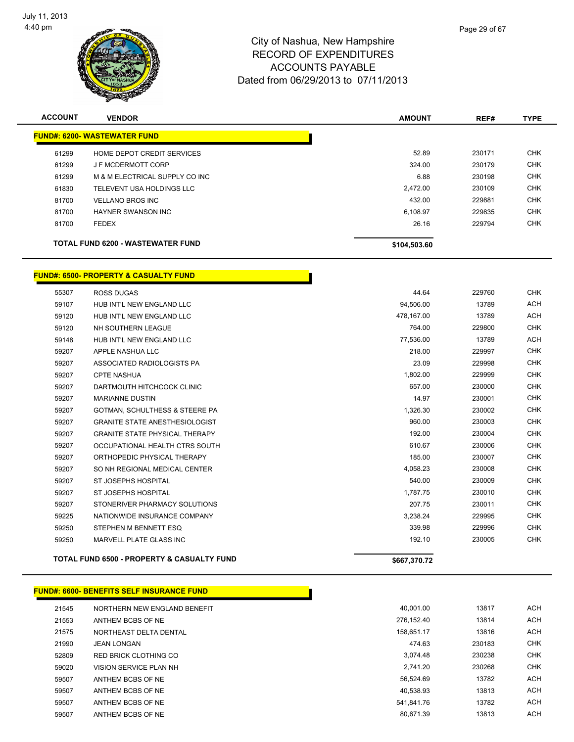

| <b>ACCOUNT</b> | <b>VENDOR</b>                            | <b>AMOUNT</b> | REF#   | <b>TYPE</b> |
|----------------|------------------------------------------|---------------|--------|-------------|
|                | <b>FUND#: 6200- WASTEWATER FUND</b>      |               |        |             |
| 61299          | HOME DEPOT CREDIT SERVICES               | 52.89         | 230171 | <b>CHK</b>  |
| 61299          | J F MCDERMOTT CORP                       | 324.00        | 230179 | <b>CHK</b>  |
| 61299          | M & M ELECTRICAL SUPPLY CO INC           | 6.88          | 230198 | <b>CHK</b>  |
| 61830          | TELEVENT USA HOLDINGS LLC                | 2,472.00      | 230109 | <b>CHK</b>  |
| 81700          | <b>VELLANO BROS INC</b>                  | 432.00        | 229881 | <b>CHK</b>  |
| 81700          | HAYNER SWANSON INC                       | 6.108.97      | 229835 | <b>CHK</b>  |
| 81700          | <b>FEDEX</b>                             | 26.16         | 229794 | <b>CHK</b>  |
|                | <b>TOTAL FUND 6200 - WASTEWATER FUND</b> | \$104,503.60  |        |             |

#### **FUND#: 6500- PROPERTY & CASUALTY FUND**

| 55307 | <b>ROSS DUGAS</b>                         | 44.64      | 229760 | <b>CHK</b> |
|-------|-------------------------------------------|------------|--------|------------|
| 59107 | HUB INT'L NEW ENGLAND LLC                 | 94,506.00  | 13789  | <b>ACH</b> |
| 59120 | HUB INT'L NEW ENGLAND LLC                 | 478,167.00 | 13789  | <b>ACH</b> |
| 59120 | NH SOUTHERN LEAGUE                        | 764.00     | 229800 | <b>CHK</b> |
| 59148 | HUB INT'L NEW ENGLAND LLC                 | 77,536.00  | 13789  | <b>ACH</b> |
| 59207 | APPLE NASHUA LLC                          | 218.00     | 229997 | <b>CHK</b> |
| 59207 | ASSOCIATED RADIOLOGISTS PA                | 23.09      | 229998 | <b>CHK</b> |
| 59207 | <b>CPTE NASHUA</b>                        | 1,802.00   | 229999 | <b>CHK</b> |
| 59207 | DARTMOUTH HITCHCOCK CLINIC                | 657.00     | 230000 | <b>CHK</b> |
| 59207 | <b>MARIANNE DUSTIN</b>                    | 14.97      | 230001 | <b>CHK</b> |
| 59207 | <b>GOTMAN, SCHULTHESS &amp; STEERE PA</b> | 1,326.30   | 230002 | <b>CHK</b> |
| 59207 | <b>GRANITE STATE ANESTHESIOLOGIST</b>     | 960.00     | 230003 | <b>CHK</b> |
| 59207 | <b>GRANITE STATE PHYSICAL THERAPY</b>     | 192.00     | 230004 | <b>CHK</b> |
| 59207 | OCCUPATIONAL HEALTH CTRS SOUTH            | 610.67     | 230006 | <b>CHK</b> |
| 59207 | ORTHOPEDIC PHYSICAL THERAPY               | 185.00     | 230007 | <b>CHK</b> |
| 59207 | SO NH REGIONAL MEDICAL CENTER             | 4,058.23   | 230008 | <b>CHK</b> |
| 59207 | <b>ST JOSEPHS HOSPITAL</b>                | 540.00     | 230009 | <b>CHK</b> |
| 59207 | ST JOSEPHS HOSPITAL                       | 1.787.75   | 230010 | <b>CHK</b> |
| 59207 | STONERIVER PHARMACY SOLUTIONS             | 207.75     | 230011 | <b>CHK</b> |
| 59225 | NATIONWIDE INSURANCE COMPANY              | 3.238.24   | 229995 | <b>CHK</b> |
| 59250 | STEPHEN M BENNETT ESQ                     | 339.98     | 229996 | <b>CHK</b> |
| 59250 | MARVELL PLATE GLASS INC                   | 192.10     | 230005 | <b>CHK</b> |
|       | TATIL FUND AFAS. BRABERTY & AIAUILTY FUND |            |        |            |
|       |                                           |            |        |            |

**TOTAL FUND 6500 - PROPERTY & CASUALTY FUND \$667,370.72**

|       | <u> JND#: 6600- BENEFITS SELF INSURANCE FUND</u> |
|-------|--------------------------------------------------|
| 21545 | NORTHERN NEW ENGLAND BENEFIT                     |
| 21553 | ANTHEM BCBS OF NE                                |
| 21575 | NORTHEAST DELTA DENTAL                           |
| 21990 | <b>JEAN LONGAN</b>                               |
| 52809 | RED BRICK CLOTHING CO                            |
| 59020 | VISION SERVICE PLAN NH                           |
| 59507 | ANTHEM BCBS OF NE                                |
| 59507 | ANTHEM BCBS OF NE                                |
| 59507 | ANTHEM BCBS OF NE                                |
| 59507 | ANTHEM BCBS OF NE                                |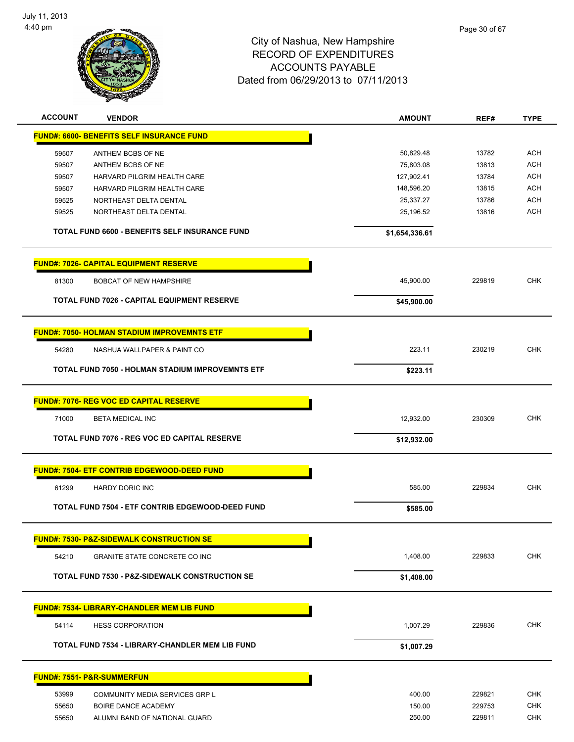

| <b>ACCOUNT</b> | <b>VENDOR</b>                                             | <b>AMOUNT</b>  | REF#   | <b>TYPE</b> |
|----------------|-----------------------------------------------------------|----------------|--------|-------------|
|                | <b>FUND#: 6600- BENEFITS SELF INSURANCE FUND</b>          |                |        |             |
| 59507          | ANTHEM BCBS OF NE                                         | 50,829.48      | 13782  | <b>ACH</b>  |
| 59507          | ANTHEM BCBS OF NE                                         | 75,803.08      | 13813  | <b>ACH</b>  |
| 59507          | HARVARD PILGRIM HEALTH CARE                               | 127,902.41     | 13784  | <b>ACH</b>  |
| 59507          | HARVARD PILGRIM HEALTH CARE                               | 148,596.20     | 13815  | <b>ACH</b>  |
| 59525          | NORTHEAST DELTA DENTAL                                    | 25,337.27      | 13786  | <b>ACH</b>  |
| 59525          | NORTHEAST DELTA DENTAL                                    | 25,196.52      | 13816  | ACH         |
|                | TOTAL FUND 6600 - BENEFITS SELF INSURANCE FUND            | \$1,654,336.61 |        |             |
|                | <b>FUND#: 7026- CAPITAL EQUIPMENT RESERVE</b>             |                |        |             |
| 81300          | <b>BOBCAT OF NEW HAMPSHIRE</b>                            | 45,900.00      | 229819 | <b>CHK</b>  |
|                | <b>TOTAL FUND 7026 - CAPITAL EQUIPMENT RESERVE</b>        | \$45,900.00    |        |             |
|                |                                                           |                |        |             |
|                | <b>FUND#: 7050- HOLMAN STADIUM IMPROVEMNTS ETF</b>        |                |        |             |
| 54280          | NASHUA WALLPAPER & PAINT CO                               | 223.11         | 230219 | <b>CHK</b>  |
|                | TOTAL FUND 7050 - HOLMAN STADIUM IMPROVEMNTS ETF          | \$223.11       |        |             |
|                | <b>FUND#: 7076- REG VOC ED CAPITAL RESERVE</b>            |                |        |             |
| 71000          | BETA MEDICAL INC                                          | 12,932.00      | 230309 | <b>CHK</b>  |
|                | TOTAL FUND 7076 - REG VOC ED CAPITAL RESERVE              | \$12,932.00    |        |             |
|                |                                                           |                |        |             |
|                | <b>FUND#: 7504- ETF CONTRIB EDGEWOOD-DEED FUND</b>        |                |        |             |
| 61299          | <b>HARDY DORIC INC</b>                                    | 585.00         | 229834 | <b>CHK</b>  |
|                | TOTAL FUND 7504 - ETF CONTRIB EDGEWOOD-DEED FUND          | \$585.00       |        |             |
|                | <b>FUND#: 7530- P&amp;Z-SIDEWALK CONSTRUCTION SE</b>      |                |        |             |
| 54210          | <b>GRANITE STATE CONCRETE CO INC</b>                      | 1,408.00       | 229833 | <b>CHK</b>  |
|                | <b>TOTAL FUND 7530 - P&amp;Z-SIDEWALK CONSTRUCTION SE</b> | \$1,408.00     |        |             |
|                |                                                           |                |        |             |
|                | <b>FUND#: 7534- LIBRARY-CHANDLER MEM LIB FUND</b>         |                |        |             |
| 54114          | <b>HESS CORPORATION</b>                                   | 1,007.29       | 229836 | <b>CHK</b>  |
|                | TOTAL FUND 7534 - LIBRARY-CHANDLER MEM LIB FUND           | \$1,007.29     |        |             |
|                | <b>FUND#: 7551- P&amp;R-SUMMERFUN</b>                     |                |        |             |
| 53999          | COMMUNITY MEDIA SERVICES GRP L                            | 400.00         | 229821 | <b>CHK</b>  |
| 55650          | BOIRE DANCE ACADEMY                                       | 150.00         | 229753 | <b>CHK</b>  |
| 55650          | ALUMNI BAND OF NATIONAL GUARD                             | 250.00         | 229811 | <b>CHK</b>  |
|                |                                                           |                |        |             |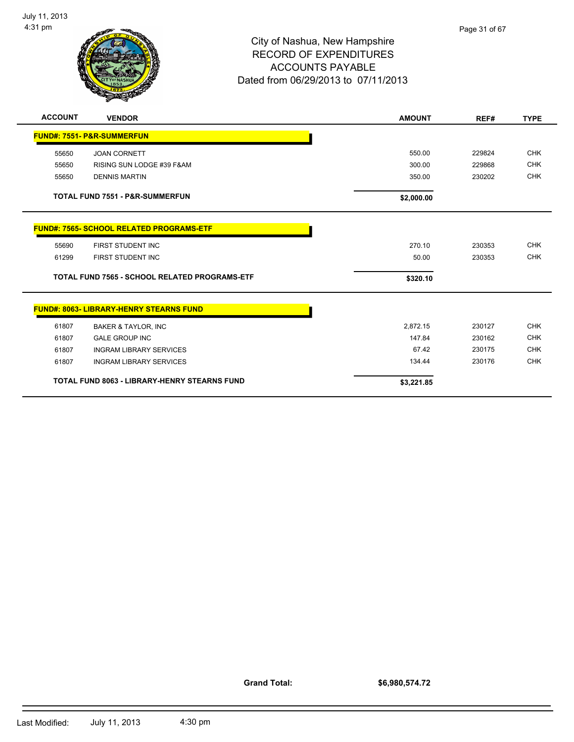

| <b>ACCOUNT</b>                                       | <b>VENDOR</b>                                   | <b>AMOUNT</b> | REF#   | <b>TYPE</b> |
|------------------------------------------------------|-------------------------------------------------|---------------|--------|-------------|
|                                                      | <b>FUND#: 7551- P&amp;R-SUMMERFUN</b>           |               |        |             |
| 55650                                                | <b>JOAN CORNETT</b>                             | 550.00        | 229824 | <b>CHK</b>  |
| 55650                                                | RISING SUN LODGE #39 F&AM                       | 300.00        | 229868 | <b>CHK</b>  |
| 55650                                                | <b>DENNIS MARTIN</b>                            | 350.00        | 230202 | <b>CHK</b>  |
|                                                      | <b>TOTAL FUND 7551 - P&amp;R-SUMMERFUN</b>      | \$2,000.00    |        |             |
|                                                      | <b>FUND#: 7565- SCHOOL RELATED PROGRAMS-ETF</b> |               |        |             |
| 55690                                                | FIRST STUDENT INC                               | 270.10        | 230353 | <b>CHK</b>  |
| 61299                                                | FIRST STUDENT INC                               | 50.00         | 230353 | <b>CHK</b>  |
| <b>TOTAL FUND 7565 - SCHOOL RELATED PROGRAMS-ETF</b> |                                                 | \$320.10      |        |             |
|                                                      | <b>FUND#: 8063- LIBRARY-HENRY STEARNS FUND</b>  |               |        |             |
| 61807                                                | <b>BAKER &amp; TAYLOR, INC</b>                  | 2,872.15      | 230127 | <b>CHK</b>  |
| 61807                                                | <b>GALE GROUP INC</b>                           | 147.84        | 230162 | <b>CHK</b>  |
| 61807                                                | <b>INGRAM LIBRARY SERVICES</b>                  | 67.42         | 230175 | <b>CHK</b>  |
| 61807                                                | <b>INGRAM LIBRARY SERVICES</b>                  | 134.44        | 230176 | <b>CHK</b>  |
| <b>TOTAL FUND 8063 - LIBRARY-HENRY STEARNS FUND</b>  |                                                 | \$3,221.85    |        |             |

**Grand Total:**

**\$6,980,574.72**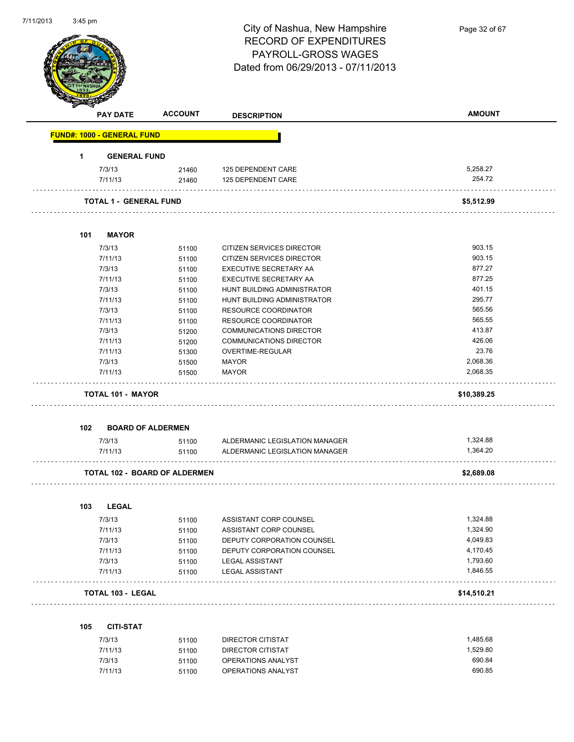| 7/11/2013 | 3:45 pm |                                   |                                      |                                          |               |
|-----------|---------|-----------------------------------|--------------------------------------|------------------------------------------|---------------|
|           |         |                                   |                                      | City of Nashua, New Hampshire            | Page 32 of 67 |
|           |         |                                   |                                      | <b>RECORD OF EXPENDITURES</b>            |               |
|           |         |                                   |                                      | PAYROLL-GROSS WAGES                      |               |
|           |         |                                   |                                      |                                          |               |
|           |         |                                   |                                      | Dated from 06/29/2013 - 07/11/2013       |               |
|           |         |                                   |                                      |                                          |               |
|           |         |                                   |                                      |                                          |               |
|           |         |                                   |                                      |                                          |               |
|           |         | <b>PAY DATE</b>                   | <b>ACCOUNT</b>                       | <b>DESCRIPTION</b>                       | <b>AMOUNT</b> |
|           |         | <b>FUND#: 1000 - GENERAL FUND</b> |                                      |                                          |               |
|           | 1       | <b>GENERAL FUND</b>               |                                      |                                          |               |
|           |         |                                   |                                      |                                          | 5,258.27      |
|           |         | 7/3/13<br>7/11/13                 | 21460                                | 125 DEPENDENT CARE<br>125 DEPENDENT CARE | 254.72        |
|           |         |                                   | 21460                                |                                          |               |
|           |         | <b>TOTAL 1 - GENERAL FUND</b>     |                                      |                                          | \$5,512.99    |
|           |         |                                   |                                      |                                          |               |
|           | 101     | <b>MAYOR</b>                      |                                      |                                          |               |
|           |         | 7/3/13                            | 51100                                | CITIZEN SERVICES DIRECTOR                | 903.15        |
|           |         | 7/11/13                           | 51100                                | CITIZEN SERVICES DIRECTOR                | 903.15        |
|           |         | 7/3/13                            | 51100                                | EXECUTIVE SECRETARY AA                   | 877.27        |
|           |         | 7/11/13                           | 51100                                | EXECUTIVE SECRETARY AA                   | 877.25        |
|           |         | 7/3/13                            | 51100                                | HUNT BUILDING ADMINISTRATOR              | 401.15        |
|           |         | 7/11/13                           | 51100                                | HUNT BUILDING ADMINISTRATOR              | 295.77        |
|           |         | 7/3/13                            | 51100                                | RESOURCE COORDINATOR                     | 565.56        |
|           |         | 7/11/13                           | 51100                                | RESOURCE COORDINATOR                     | 565.55        |
|           |         | 7/3/13                            | 51200                                | COMMUNICATIONS DIRECTOR                  | 413.87        |
|           |         | 7/11/13                           | 51200                                | <b>COMMUNICATIONS DIRECTOR</b>           | 426.06        |
|           |         | 7/11/13                           | 51300                                | OVERTIME-REGULAR                         | 23.76         |
|           |         | 7/3/13                            | 51500                                | <b>MAYOR</b>                             | 2,068.36      |
|           |         | 7/11/13                           | 51500                                | <b>MAYOR</b>                             | 2,068.35      |
|           |         | <b>TOTAL 101 - MAYOR</b>          |                                      |                                          | \$10,389.25   |
|           |         |                                   |                                      |                                          |               |
|           | 102     | <b>BOARD OF ALDERMEN</b>          |                                      |                                          |               |
|           |         | 7/3/13                            | 51100                                | ALDERMANIC LEGISLATION MANAGER           | 1,324.88      |
|           |         | 7/11/13                           | 51100                                | ALDERMANIC LEGISLATION MANAGER           | 1,364.20      |
|           |         |                                   | <b>TOTAL 102 - BOARD OF ALDERMEN</b> |                                          | \$2,689.08    |
|           |         |                                   |                                      |                                          |               |
|           | 103     | <b>LEGAL</b>                      |                                      |                                          |               |
|           |         | 7/3/13                            | 51100                                | ASSISTANT CORP COUNSEL                   | 1,324.88      |
|           |         | 7/11/13                           | 51100                                | ASSISTANT CORP COUNSEL                   | 1,324.90      |
|           |         | 7/3/13                            | 51100                                | DEPUTY CORPORATION COUNSEL               | 4,049.83      |
|           |         | 7/11/13                           | 51100                                | DEPUTY CORPORATION COUNSEL               | 4,170.45      |
|           |         | 7/3/13                            | 51100                                | <b>LEGAL ASSISTANT</b>                   | 1,793.60      |
|           |         | 7/11/13                           | 51100                                | <b>LEGAL ASSISTANT</b>                   | 1,846.55      |
|           |         | <b>TOTAL 103 - LEGAL</b>          |                                      |                                          | \$14,510.21   |
|           |         |                                   |                                      |                                          |               |
|           | 105     | <b>CITI-STAT</b>                  |                                      |                                          |               |
|           |         | 7/3/13                            | 51100                                | DIRECTOR CITISTAT                        | 1,485.68      |
|           |         | 7/11/13                           | 51100                                | DIRECTOR CITISTAT                        | 1,529.80      |
|           |         | 7/3/13                            | 51100                                | OPERATIONS ANALYST                       | 690.84        |
|           |         | 7/11/13                           | 51100                                | OPERATIONS ANALYST                       | 690.85        |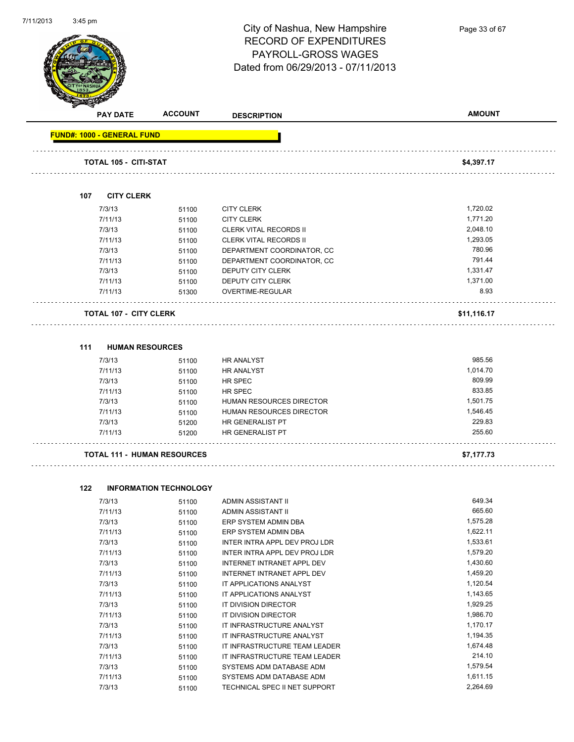

Page 33 of 67

| <b>PAY DATE</b>                   | <b>ACCOUNT</b>                     | <b>DESCRIPTION</b>            | <b>AMOUNT</b> |
|-----------------------------------|------------------------------------|-------------------------------|---------------|
| <b>FUND#: 1000 - GENERAL FUND</b> |                                    |                               |               |
|                                   |                                    |                               |               |
| <b>TOTAL 105 - CITI-STAT</b>      |                                    |                               | \$4,397.17    |
|                                   |                                    |                               |               |
| <b>CITY CLERK</b><br>107          |                                    |                               |               |
| 7/3/13                            | 51100                              | <b>CITY CLERK</b>             | 1,720.02      |
| 7/11/13                           | 51100                              | <b>CITY CLERK</b>             | 1,771.20      |
| 7/3/13                            | 51100                              | <b>CLERK VITAL RECORDS II</b> | 2,048.10      |
| 7/11/13                           | 51100                              | <b>CLERK VITAL RECORDS II</b> | 1,293.05      |
| 7/3/13                            | 51100                              | DEPARTMENT COORDINATOR, CC    | 780.96        |
| 7/11/13                           | 51100                              | DEPARTMENT COORDINATOR, CC    | 791.44        |
| 7/3/13                            | 51100                              | DEPUTY CITY CLERK             | 1,331.47      |
| 7/11/13                           | 51100                              | DEPUTY CITY CLERK             | 1,371.00      |
| 7/11/13                           | 51300                              | OVERTIME-REGULAR              | 8.93          |
| <b>TOTAL 107 - CITY CLERK</b>     |                                    |                               | \$11,116.17   |
|                                   |                                    |                               |               |
| 111                               | <b>HUMAN RESOURCES</b>             |                               |               |
| 7/3/13                            | 51100                              | <b>HR ANALYST</b>             | 985.56        |
| 7/11/13                           | 51100                              | <b>HR ANALYST</b>             | 1,014.70      |
| 7/3/13                            | 51100                              | HR SPEC                       | 809.99        |
| 7/11/13                           | 51100                              | HR SPEC                       | 833.85        |
| 7/3/13                            | 51100                              | HUMAN RESOURCES DIRECTOR      | 1,501.75      |
| 7/11/13                           | 51100                              | HUMAN RESOURCES DIRECTOR      | 1,546.45      |
| 7/3/13                            | 51200                              | HR GENERALIST PT              | 229.83        |
| 7/11/13                           | 51200                              | HR GENERALIST PT              | 255.60        |
|                                   | <b>TOTAL 111 - HUMAN RESOURCES</b> |                               | \$7,177.73    |
|                                   |                                    |                               |               |
| 122                               | <b>INFORMATION TECHNOLOGY</b>      |                               |               |
| 7/3/13                            | 51100                              | ADMIN ASSISTANT II            | 649.34        |
| 7/11/13                           | 51100                              | ADMIN ASSISTANT II            | 665.60        |
| 7/3/13                            | 51100                              | ERP SYSTEM ADMIN DBA          | 1,575.28      |
| 7/11/13                           | 51100                              | ERP SYSTEM ADMIN DBA          | 1,622.11      |
| 7/3/13                            | 51100                              | INTER INTRA APPL DEV PROJ LDR | 1,533.61      |
| 7/11/13                           | 51100                              | INTER INTRA APPL DEV PROJ LDR | 1,579.20      |
| 7/3/13                            | 51100                              | INTERNET INTRANET APPL DEV    | 1,430.60      |
| 7/11/13                           | 51100                              | INTERNET INTRANET APPL DEV    | 1,459.20      |
| 7/3/13                            | 51100                              | IT APPLICATIONS ANALYST       | 1,120.54      |
| 7/11/13                           | 51100                              | IT APPLICATIONS ANALYST       | 1,143.65      |
| 7/3/13                            | 51100                              | IT DIVISION DIRECTOR          | 1,929.25      |
| 7/11/13                           | 51100                              | IT DIVISION DIRECTOR          | 1,986.70      |
| 7/3/13                            | 51100                              | IT INFRASTRUCTURE ANALYST     | 1,170.17      |
| 7/11/13                           | 51100                              | IT INFRASTRUCTURE ANALYST     | 1,194.35      |
| 7/3/13                            | 51100                              | IT INFRASTRUCTURE TEAM LEADER | 1,674.48      |
| 7/11/13                           | 51100                              | IT INFRASTRUCTURE TEAM LEADER | 214.10        |

7/3/13 51100 SYSTEMS ADM DATABASE ADM 1,579.54

7/3/13 51100 TECHNICAL SPEC II NET SUPPORT 2,264.69

7/11/13 51100 SYSTEMS ADM DATABASE ADM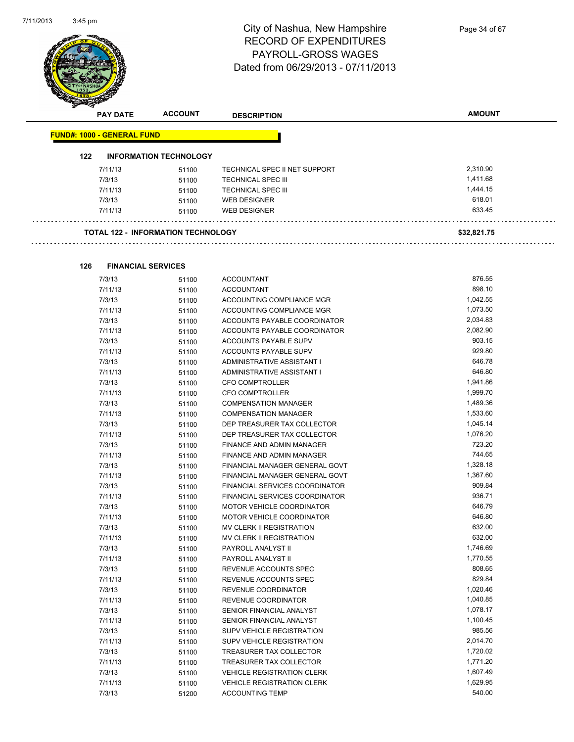l,



| <b>PAY DATE</b>                   | <b>ACCOUNT</b>                            | <b>DESCRIPTION</b>            | <b>AMOUNT</b> |
|-----------------------------------|-------------------------------------------|-------------------------------|---------------|
| <b>FUND#: 1000 - GENERAL FUND</b> |                                           |                               |               |
| 122                               | <b>INFORMATION TECHNOLOGY</b>             |                               |               |
| 7/11/13                           | 51100                                     | TECHNICAL SPEC II NET SUPPORT | 2,310.90      |
| 7/3/13                            | 51100                                     | <b>TECHNICAL SPEC III</b>     | 1,411.68      |
| 7/11/13                           | 51100                                     | <b>TECHNICAL SPEC III</b>     | 1,444.15      |
| 7/3/13                            | 51100                                     | <b>WEB DESIGNER</b>           | 618.01        |
| 7/11/13                           | 51100                                     | <b>WEB DESIGNER</b>           | 633.45        |
|                                   | <b>TOTAL 122 - INFORMATION TECHNOLOGY</b> |                               | \$32,821.75   |
| 126                               | <b>FINANCIAL SERVICES</b>                 |                               |               |
| 7/3/13                            | 51100                                     | <b>ACCOUNTANT</b>             | 876.55        |
| 7/11/13                           | 51100                                     | <b>ACCOUNTANT</b>             | 898.10        |
| 7/3/13                            | 51100                                     | ACCOUNTING COMPLIANCE MGR     | 1,042.55      |
| 7/11/13                           | 51100                                     | ACCOUNTING COMPLIANCE MGR     | 1,073.50      |
| 7/3/13                            | 51100                                     | ACCOUNTS PAYABLE COORDINATOR  | 2,034.83      |
| 7/11/13                           | 51100                                     | ACCOUNTS PAYABLE COORDINATOR  | 2,082.90      |

| 7/11/13 | 51100 | ACCOUNTS PAYABLE COORDINATOR          | 2,082.90 |
|---------|-------|---------------------------------------|----------|
| 7/3/13  | 51100 | <b>ACCOUNTS PAYABLE SUPV</b>          | 903.15   |
| 7/11/13 | 51100 | ACCOUNTS PAYABLE SUPV                 | 929.80   |
| 7/3/13  | 51100 | ADMINISTRATIVE ASSISTANT I            | 646.78   |
| 7/11/13 | 51100 | ADMINISTRATIVE ASSISTANT I            | 646.80   |
| 7/3/13  | 51100 | <b>CFO COMPTROLLER</b>                | 1,941.86 |
| 7/11/13 | 51100 | CFO COMPTROLLER                       | 1,999.70 |
| 7/3/13  | 51100 | <b>COMPENSATION MANAGER</b>           | 1,489.36 |
| 7/11/13 | 51100 | <b>COMPENSATION MANAGER</b>           | 1,533.60 |
| 7/3/13  | 51100 | DEP TREASURER TAX COLLECTOR           | 1,045.14 |
| 7/11/13 | 51100 | DEP TREASURER TAX COLLECTOR           | 1,076.20 |
| 7/3/13  | 51100 | FINANCE AND ADMIN MANAGER             | 723.20   |
| 7/11/13 | 51100 | <b>FINANCE AND ADMIN MANAGER</b>      | 744.65   |
| 7/3/13  | 51100 | FINANCIAL MANAGER GENERAL GOVT        | 1,328.18 |
| 7/11/13 | 51100 | FINANCIAL MANAGER GENERAL GOVT        | 1,367.60 |
| 7/3/13  | 51100 | <b>FINANCIAL SERVICES COORDINATOR</b> | 909.84   |
| 7/11/13 | 51100 | FINANCIAL SERVICES COORDINATOR        | 936.71   |
| 7/3/13  | 51100 | <b>MOTOR VEHICLE COORDINATOR</b>      | 646.79   |
| 7/11/13 | 51100 | <b>MOTOR VEHICLE COORDINATOR</b>      | 646.80   |
| 7/3/13  | 51100 | <b>MV CLERK II REGISTRATION</b>       | 632.00   |
| 7/11/13 | 51100 | MV CLERK II REGISTRATION              | 632.00   |
| 7/3/13  | 51100 | PAYROLL ANALYST II                    | 1,746.69 |
| 7/11/13 | 51100 | PAYROLL ANALYST II                    | 1,770.55 |
| 7/3/13  | 51100 | REVENUE ACCOUNTS SPEC                 | 808.65   |
| 7/11/13 | 51100 | REVENUE ACCOUNTS SPEC                 | 829.84   |
| 7/3/13  | 51100 | REVENUE COORDINATOR                   | 1,020.46 |
| 7/11/13 | 51100 | <b>REVENUE COORDINATOR</b>            | 1,040.85 |
| 7/3/13  | 51100 | SENIOR FINANCIAL ANALYST              | 1,078.17 |
| 7/11/13 | 51100 | SENIOR FINANCIAL ANALYST              | 1,100.45 |
| 7/3/13  | 51100 | <b>SUPV VEHICLE REGISTRATION</b>      | 985.56   |
| 7/11/13 | 51100 | <b>SUPV VEHICLE REGISTRATION</b>      | 2,014.70 |
| 7/3/13  | 51100 | <b>TREASURER TAX COLLECTOR</b>        | 1,720.02 |
| 7/11/13 | 51100 | TREASURER TAX COLLECTOR               | 1,771.20 |
| 7/3/13  | 51100 | <b>VEHICLE REGISTRATION CLERK</b>     | 1,607.49 |
| 7/11/13 | 51100 | <b>VEHICLE REGISTRATION CLERK</b>     | 1,629.95 |
| 7/3/13  | 51200 | <b>ACCOUNTING TEMP</b>                | 540.00   |
|         |       |                                       |          |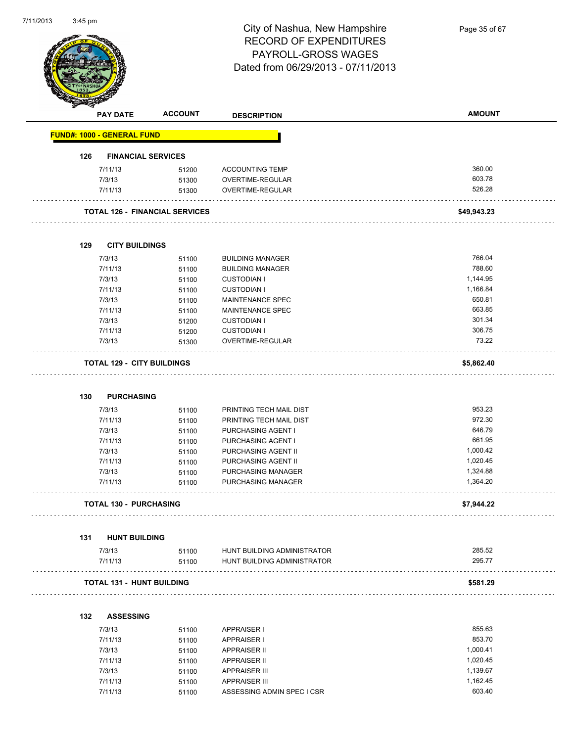

Page 35 of 67

|     | <b>PAY DATE</b>                   | <b>ACCOUNT</b>                        | <b>DESCRIPTION</b>                                         | <b>AMOUNT</b>        |
|-----|-----------------------------------|---------------------------------------|------------------------------------------------------------|----------------------|
|     | <b>FUND#: 1000 - GENERAL FUND</b> |                                       |                                                            |                      |
| 126 |                                   | <b>FINANCIAL SERVICES</b>             |                                                            |                      |
|     | 7/11/13                           | 51200                                 | <b>ACCOUNTING TEMP</b>                                     | 360.00               |
|     | 7/3/13                            | 51300                                 | OVERTIME-REGULAR                                           | 603.78               |
|     | 7/11/13                           | 51300                                 | OVERTIME-REGULAR                                           | 526.28               |
|     |                                   | <b>TOTAL 126 - FINANCIAL SERVICES</b> |                                                            | \$49,943.23          |
| 129 | <b>CITY BUILDINGS</b>             |                                       |                                                            |                      |
|     | 7/3/13                            | 51100                                 | <b>BUILDING MANAGER</b>                                    | 766.04               |
|     | 7/11/13                           | 51100                                 | <b>BUILDING MANAGER</b>                                    | 788.60               |
|     | 7/3/13                            | 51100                                 | <b>CUSTODIAN I</b>                                         | 1,144.95             |
|     | 7/11/13                           | 51100                                 | <b>CUSTODIAN I</b>                                         | 1,166.84             |
|     | 7/3/13                            | 51100                                 | MAINTENANCE SPEC                                           | 650.81               |
|     | 7/11/13                           | 51100                                 | MAINTENANCE SPEC                                           | 663.85               |
|     | 7/3/13                            | 51200                                 | <b>CUSTODIAN I</b>                                         | 301.34               |
|     | 7/11/13                           | 51200                                 | <b>CUSTODIAN I</b>                                         | 306.75               |
|     | 7/3/13                            | 51300                                 | <b>OVERTIME-REGULAR</b>                                    | 73.22                |
|     | <b>TOTAL 129 - CITY BUILDINGS</b> |                                       |                                                            | \$5,862.40           |
|     |                                   |                                       |                                                            |                      |
| 130 | <b>PURCHASING</b>                 |                                       |                                                            |                      |
|     | 7/3/13                            | 51100                                 | PRINTING TECH MAIL DIST                                    | 953.23               |
|     | 7/11/13                           | 51100                                 | PRINTING TECH MAIL DIST                                    | 972.30               |
|     | 7/3/13                            | 51100                                 | PURCHASING AGENT I                                         | 646.79               |
|     | 7/11/13                           | 51100                                 | PURCHASING AGENT I                                         | 661.95               |
|     | 7/3/13                            | 51100                                 | PURCHASING AGENT II                                        | 1,000.42             |
|     | 7/11/13                           | 51100                                 | PURCHASING AGENT II                                        | 1,020.45             |
|     | 7/3/13<br>7/11/13                 | 51100<br>51100                        | PURCHASING MANAGER<br>PURCHASING MANAGER                   | 1,324.88<br>1,364.20 |
|     | <b>TOTAL 130 - PURCHASING</b>     |                                       |                                                            | \$7,944.22           |
|     |                                   |                                       |                                                            |                      |
| 131 | <b>HUNT BUILDING</b>              |                                       |                                                            |                      |
|     | 7/3/13<br>7/11/13                 | 51100<br>51100                        | HUNT BUILDING ADMINISTRATOR<br>HUNT BUILDING ADMINISTRATOR | 285.52<br>295.77     |
|     | <b>TOTAL 131 - HUNT BUILDING</b>  |                                       |                                                            | \$581.29             |
|     |                                   |                                       |                                                            |                      |
| 132 | <b>ASSESSING</b>                  |                                       |                                                            |                      |
|     | 7/3/13                            | 51100                                 | <b>APPRAISER I</b>                                         | 855.63               |
|     | 7/11/13                           | 51100                                 | APPRAISER I                                                | 853.70               |
|     | 7/3/13                            | 51100                                 | <b>APPRAISER II</b>                                        | 1,000.41             |
|     | 7/11/13                           | 51100                                 | <b>APPRAISER II</b>                                        | 1,020.45             |
|     | 7/3/13                            | 51100                                 | <b>APPRAISER III</b>                                       | 1,139.67             |
|     | 7/11/13                           | 51100                                 | <b>APPRAISER III</b>                                       | 1,162.45             |
|     | 7/11/13                           | 51100                                 | ASSESSING ADMIN SPEC I CSR                                 | 603.40               |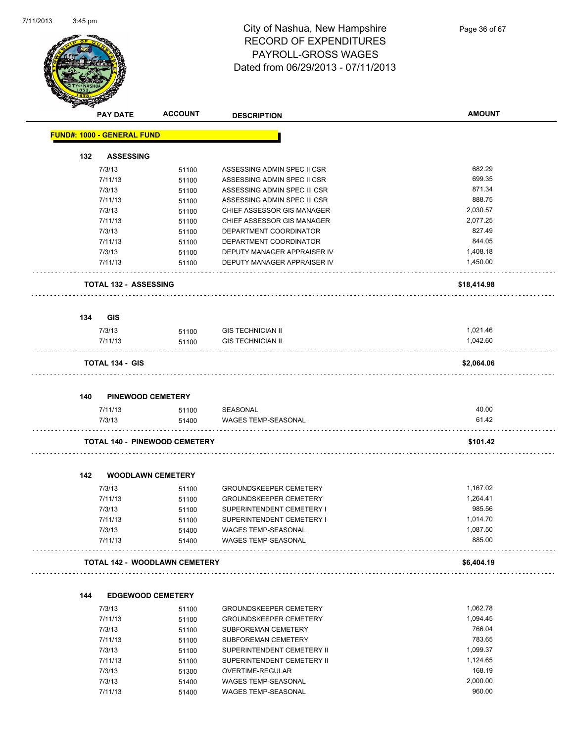

|     | <b>PAY DATE</b>                      | <b>ACCOUNT</b> | <b>DESCRIPTION</b>            | <b>AMOUNT</b> |
|-----|--------------------------------------|----------------|-------------------------------|---------------|
|     | <b>FUND#: 1000 - GENERAL FUND</b>    |                |                               |               |
| 132 | <b>ASSESSING</b>                     |                |                               |               |
|     | 7/3/13                               | 51100          | ASSESSING ADMIN SPEC II CSR   | 682.29        |
|     | 7/11/13                              | 51100          | ASSESSING ADMIN SPEC II CSR   | 699.35        |
|     | 7/3/13                               | 51100          | ASSESSING ADMIN SPEC III CSR  | 871.34        |
|     | 7/11/13                              | 51100          | ASSESSING ADMIN SPEC III CSR  | 888.75        |
|     | 7/3/13                               | 51100          | CHIEF ASSESSOR GIS MANAGER    | 2,030.57      |
|     | 7/11/13                              | 51100          | CHIEF ASSESSOR GIS MANAGER    | 2,077.25      |
|     | 7/3/13                               | 51100          | DEPARTMENT COORDINATOR        | 827.49        |
|     | 7/11/13                              | 51100          | DEPARTMENT COORDINATOR        | 844.05        |
|     | 7/3/13                               | 51100          | DEPUTY MANAGER APPRAISER IV   | 1,408.18      |
|     | 7/11/13                              | 51100          | DEPUTY MANAGER APPRAISER IV   | 1,450.00      |
|     | <b>TOTAL 132 - ASSESSING</b>         |                |                               | \$18,414.98   |
| 134 | <b>GIS</b>                           |                |                               |               |
|     | 7/3/13                               | 51100          | <b>GIS TECHNICIAN II</b>      | 1,021.46      |
|     | 7/11/13                              | 51100          | <b>GIS TECHNICIAN II</b>      | 1,042.60      |
|     |                                      |                |                               |               |
|     | <b>TOTAL 134 - GIS</b>               |                |                               | \$2,064.06    |
| 140 | <b>PINEWOOD CEMETERY</b>             |                |                               |               |
|     | 7/11/13                              | 51100          | SEASONAL                      | 40.00         |
|     | 7/3/13                               | 51400          | <b>WAGES TEMP-SEASONAL</b>    | 61.42         |
|     | <b>TOTAL 140 - PINEWOOD CEMETERY</b> |                |                               | \$101.42      |
| 142 | <b>WOODLAWN CEMETERY</b>             |                |                               |               |
|     | 7/3/13                               | 51100          | <b>GROUNDSKEEPER CEMETERY</b> | 1,167.02      |
|     | 7/11/13                              | 51100          | <b>GROUNDSKEEPER CEMETERY</b> | 1,264.41      |
|     | 7/3/13                               | 51100          | SUPERINTENDENT CEMETERY I     | 985.56        |
|     | 7/11/13                              | 51100          | SUPERINTENDENT CEMETERY I     | 1,014.70      |
|     | 7/3/13                               | 51400          | WAGES TEMP-SEASONAL           | 1,087.50      |
|     | 7/11/13                              | 51400          | <b>WAGES TEMP-SEASONAL</b>    | 885.00        |
|     | <b>TOTAL 142 - WOODLAWN CEMETERY</b> |                |                               | \$6,404.19    |
|     |                                      |                |                               |               |
| 144 | <b>EDGEWOOD CEMETERY</b>             |                |                               |               |
|     | 7/3/13                               | 51100          | <b>GROUNDSKEEPER CEMETERY</b> | 1,062.78      |
|     | 7/11/13                              | 51100          | <b>GROUNDSKEEPER CEMETERY</b> | 1,094.45      |
|     | 7/3/13                               | 51100          | SUBFOREMAN CEMETERY           | 766.04        |
|     | 7/11/13                              | 51100          | SUBFOREMAN CEMETERY           | 783.65        |
|     | 7/3/13                               | 51100          | SUPERINTENDENT CEMETERY II    | 1,099.37      |

7/11/13 51100 SUPERINTENDENT CEMETERY II 31/11/13 51100 7/3/13 51300 OVERTIME-REGULAR 168.19 7/3/13 51400 WAGES TEMP-SEASONAL 2,000.00

7/11/13 51400 WAGES TEMP-SEASONAL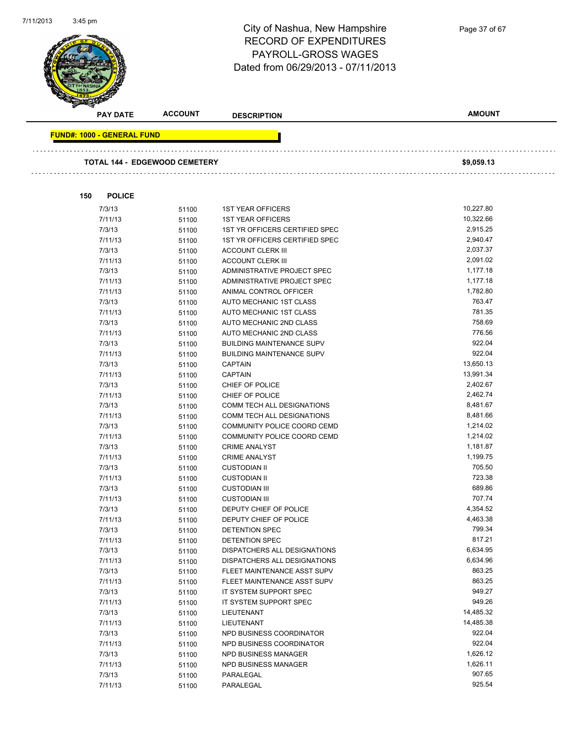

**FUND#: 1000 - GENERAL FUND TOTAL 144 - EDGEWOOD CEMETERY \$9,059.13 150 POLICE** 7/3/13 51100 1ST YEAR OFFICERS 10,227.80 7/11/13 51100 1ST YEAR OFFICERS 10,322.66 7/3/13 51100 1ST YR OFFICERS CERTIFIED SPEC 2,915.25 7/11/13 51100 1ST YR OFFICERS CERTIFIED SPEC 2,940.47 7/3/13 51100 ACCOUNT CLERK III 2,037.37 7/11/13 51100 ACCOUNT CLERK III 2,091.02 7/3/13 51100 ADMINISTRATIVE PROJECT SPEC 1,177.18 7/11/13 51100 ADMINISTRATIVE PROJECT SPEC 511/177.18 7/11/13 51100 ANIMAL CONTROL OFFICER 1,782.80 7/3/13 51100 AUTO MECHANIC 1ST CLASS 763.47 7/11/13 51100 AUTO MECHANIC 1ST CLASS 781.35 7/3/13 51100 AUTO MECHANIC 2ND CLASS 758.69 7/11/13 51100 AUTO MECHANIC 2ND CLASS 776.56 7/3/13 51100 BUILDING MAINTENANCE SUPV 922.04 7/11/13 51100 BUILDING MAINTENANCE SUPV 922.04 7/3/13 51100 CAPTAIN 13,650.13 7/11/13 51100 CAPTAIN 13,991.34 7/3/13 51100 CHIEF OF POLICE 2,402.67 7/11/13 51100 CHIEF OF POLICE 2,462.74 7/3/13 51100 COMM TECH ALL DESIGNATIONS 8,481.67 7/11/13 51100 COMM TECH ALL DESIGNATIONS 8,481.66 7/3/13 51100 COMMUNITY POLICE COORD CEMD 1,214.02 7/11/13 51100 COMMUNITY POLICE COORD CEMD 1,214.02 7/3/13 51100 CRIME ANALYST 1,181.87 7/11/13 51100 CRIME ANALYST 1,199.75 7/3/13 51100 CUSTODIAN II 705.50 7/11/13 51100 CUSTODIAN II 723.38 7/3/13 51100 CUSTODIAN III 689.86 7/11/13 51100 CUSTODIAN III 707.74 7/3/13 51100 DEPUTY CHIEF OF POLICE 6 1991 120 120 13 4,354.52 7/11/13 51100 DEPUTY CHIEF OF POLICE 6 A463.38 7/3/13 51100 DETENTION SPEC 799.34 7/11/13 51100 DETENTION SPEC 817.21 7/3/13 51100 DISPATCHERS ALL DESIGNATIONS 6,634.95 7/11/13 51100 DISPATCHERS ALL DESIGNATIONS 6,634.96 7/3/13 51100 FLEET MAINTENANCE ASST SUPV 863.25 7/11/13 51100 FLEET MAINTENANCE ASST SUPV 863.25 7/3/13 51100 IT SYSTEM SUPPORT SPEC 949.27 7/11/13 51100 IT SYSTEM SUPPORT SPEC 949.26 7/3/13 51100 LIEUTENANT 14,485.32 7/11/13 51100 LIEUTENANT 14,485.38 7/3/13 51100 NPD BUSINESS COORDINATOR 922.04 7/11/13 51100 NPD BUSINESS COORDINATOR 922.04 7/3/13 51100 NPD BUSINESS MANAGER 1,626.12 7/11/13 51100 NPD BUSINESS MANAGER 1,626.11 7/3/13 51100 PARALEGAL 907.65 7/11/13 51100 PARALEGAL 925.54

**AMOUNT**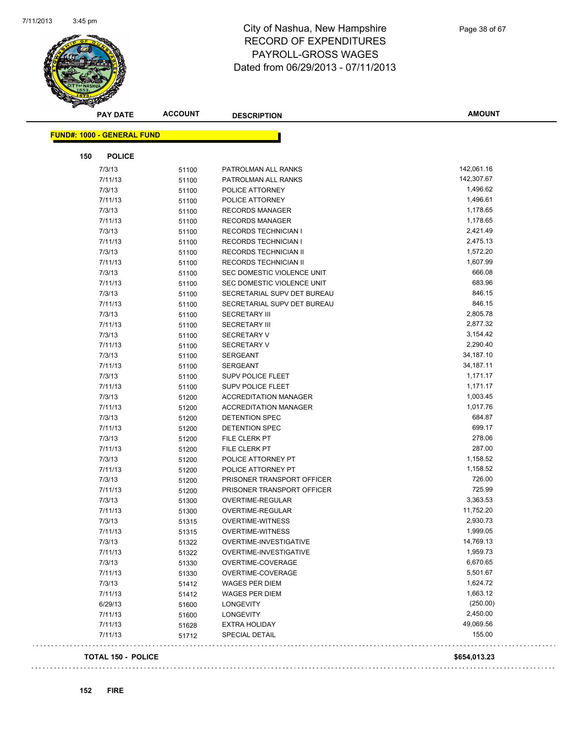

| <b>PAY DATE</b>                   | <b>ACCOUNT</b> | <b>DESCRIPTION</b>           | <b>AMOUNT</b> |
|-----------------------------------|----------------|------------------------------|---------------|
|                                   |                |                              |               |
| <b>FUND#: 1000 - GENERAL FUND</b> |                |                              |               |
| <b>POLICE</b><br>150              |                |                              |               |
| 7/3/13                            | 51100          | PATROLMAN ALL RANKS          | 142,061.16    |
| 7/11/13                           | 51100          | PATROLMAN ALL RANKS          | 142,307.67    |
| 7/3/13                            | 51100          | POLICE ATTORNEY              | 1,496.62      |
| 7/11/13                           | 51100          | POLICE ATTORNEY              | 1,496.61      |
| 7/3/13                            | 51100          | <b>RECORDS MANAGER</b>       | 1,178.65      |
| 7/11/13                           | 51100          | <b>RECORDS MANAGER</b>       | 1,178.65      |
| 7/3/13                            | 51100          | <b>RECORDS TECHNICIAN I</b>  | 2,421.49      |
| 7/11/13                           | 51100          | <b>RECORDS TECHNICIAN I</b>  | 2,475.13      |
| 7/3/13                            | 51100          | RECORDS TECHNICIAN II        | 1,572.20      |
| 7/11/13                           | 51100          | RECORDS TECHNICIAN II        | 1,607.99      |
| 7/3/13                            | 51100          | SEC DOMESTIC VIOLENCE UNIT   | 666.08        |
| 7/11/13                           | 51100          | SEC DOMESTIC VIOLENCE UNIT   | 683.96        |
| 7/3/13                            | 51100          | SECRETARIAL SUPV DET BUREAU  | 846.15        |
| 7/11/13                           | 51100          | SECRETARIAL SUPV DET BUREAU  | 846.15        |
| 7/3/13                            | 51100          | <b>SECRETARY III</b>         | 2,805.78      |
| 7/11/13                           | 51100          | <b>SECRETARY III</b>         | 2,877.32      |
| 7/3/13                            | 51100          | <b>SECRETARY V</b>           | 3,154.42      |
| 7/11/13                           | 51100          | <b>SECRETARY V</b>           | 2,290.40      |
| 7/3/13                            | 51100          | <b>SERGEANT</b>              | 34,187.10     |
| 7/11/13                           | 51100          | <b>SERGEANT</b>              | 34,187.11     |
| 7/3/13                            | 51100          | <b>SUPV POLICE FLEET</b>     | 1,171.17      |
| 7/11/13                           | 51100          | <b>SUPV POLICE FLEET</b>     | 1,171.17      |
| 7/3/13                            | 51200          | <b>ACCREDITATION MANAGER</b> | 1,003.45      |
| 7/11/13                           | 51200          | <b>ACCREDITATION MANAGER</b> | 1,017.76      |
| 7/3/13                            | 51200          | DETENTION SPEC               | 684.87        |
| 7/11/13                           | 51200          | DETENTION SPEC               | 699.17        |
| 7/3/13                            | 51200          | FILE CLERK PT                | 278.06        |
| 7/11/13                           | 51200          | FILE CLERK PT                | 287.00        |
| 7/3/13                            | 51200          | POLICE ATTORNEY PT           | 1,158.52      |
| 7/11/13                           | 51200          | POLICE ATTORNEY PT           | 1,158.52      |
| 7/3/13                            | 51200          | PRISONER TRANSPORT OFFICER   | 726.00        |
| 7/11/13                           | 51200          | PRISONER TRANSPORT OFFICER   | 725.99        |
| 7/3/13                            | 51300          | OVERTIME-REGULAR             | 3,363.53      |
| 7/11/13                           | 51300          | OVERTIME-REGULAR             | 11,752.20     |
| 7/3/13                            | 51315          | <b>OVERTIME-WITNESS</b>      | 2,930.73      |
| 7/11/13                           | 51315          | <b>OVERTIME-WITNESS</b>      | 1,999.05      |
| 7/3/13                            | 51322          | OVERTIME-INVESTIGATIVE       | 14,769.13     |
| 7/11/13                           | 51322          | OVERTIME-INVESTIGATIVE       | 1,959.73      |
| 7/3/13                            | 51330          | OVERTIME-COVERAGE            | 6,670.65      |
| 7/11/13                           | 51330          | OVERTIME-COVERAGE            | 5,501.67      |
| 7/3/13                            | 51412          | <b>WAGES PER DIEM</b>        | 1,624.72      |
| 7/11/13                           | 51412          | <b>WAGES PER DIEM</b>        | 1,663.12      |
| 6/29/13                           | 51600          | <b>LONGEVITY</b>             | (250.00)      |
| 7/11/13                           | 51600          | <b>LONGEVITY</b>             | 2,450.00      |
| 7/11/13                           | 51628          | <b>EXTRA HOLIDAY</b>         | 49,069.56     |
| 7/11/13                           | 51712          | <b>SPECIAL DETAIL</b>        | 155.00        |
|                                   |                |                              |               |

**TOTAL 150 - POLICE \$654,013.23**

 $\bar{\mathcal{L}}$  .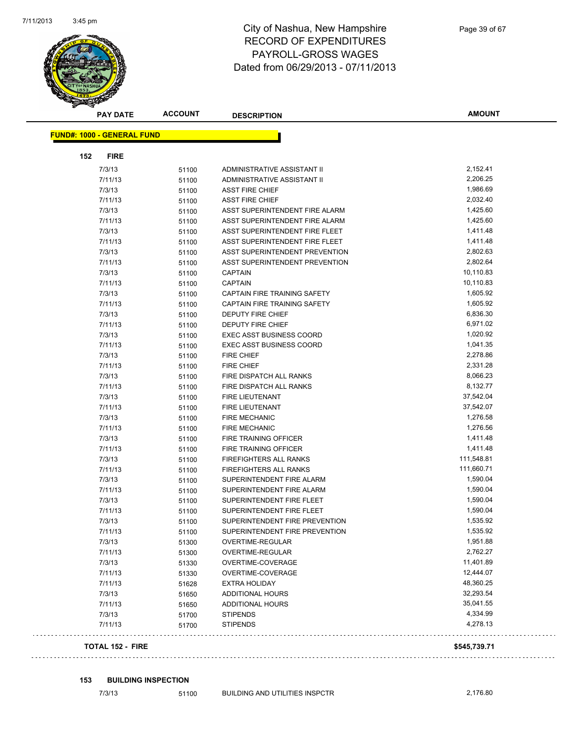

|     | <b>PAY DATE</b>                   | <b>ACCOUNT</b> | <b>DESCRIPTION</b>                  | <b>AMOUNT</b>          |
|-----|-----------------------------------|----------------|-------------------------------------|------------------------|
|     | <b>FUND#: 1000 - GENERAL FUND</b> |                |                                     |                        |
|     |                                   |                |                                     |                        |
| 152 | <b>FIRE</b>                       |                |                                     |                        |
|     | 7/3/13                            | 51100          | ADMINISTRATIVE ASSISTANT II         | 2,152.41               |
|     | 7/11/13                           | 51100          | ADMINISTRATIVE ASSISTANT II         | 2,206.25               |
|     | 7/3/13                            | 51100          | <b>ASST FIRE CHIEF</b>              | 1,986.69               |
|     | 7/11/13                           | 51100          | <b>ASST FIRE CHIEF</b>              | 2,032.40               |
|     | 7/3/13                            | 51100          | ASST SUPERINTENDENT FIRE ALARM      | 1,425.60               |
|     | 7/11/13                           | 51100          | ASST SUPERINTENDENT FIRE ALARM      | 1,425.60               |
|     | 7/3/13                            | 51100          | ASST SUPERINTENDENT FIRE FLEET      | 1,411.48               |
|     | 7/11/13                           | 51100          | ASST SUPERINTENDENT FIRE FLEET      | 1,411.48               |
|     | 7/3/13                            | 51100          | ASST SUPERINTENDENT PREVENTION      | 2,802.63               |
|     | 7/11/13                           | 51100          | ASST SUPERINTENDENT PREVENTION      | 2,802.64               |
|     | 7/3/13                            | 51100          | CAPTAIN                             | 10,110.83              |
|     | 7/11/13                           | 51100          | <b>CAPTAIN</b>                      | 10,110.83              |
|     | 7/3/13                            | 51100          | CAPTAIN FIRE TRAINING SAFETY        | 1,605.92               |
|     | 7/11/13                           | 51100          | <b>CAPTAIN FIRE TRAINING SAFETY</b> | 1,605.92               |
|     | 7/3/13                            | 51100          | <b>DEPUTY FIRE CHIEF</b>            | 6,836.30               |
|     | 7/11/13                           | 51100          | DEPUTY FIRE CHIEF                   | 6,971.02               |
|     | 7/3/13                            | 51100          | <b>EXEC ASST BUSINESS COORD</b>     | 1,020.92               |
|     | 7/11/13                           | 51100          | <b>EXEC ASST BUSINESS COORD</b>     | 1,041.35               |
|     | 7/3/13                            | 51100          | <b>FIRE CHIEF</b>                   | 2,278.86               |
|     | 7/11/13                           | 51100          | <b>FIRE CHIEF</b>                   | 2,331.28               |
|     | 7/3/13                            | 51100          | FIRE DISPATCH ALL RANKS             | 8,066.23               |
|     | 7/11/13                           | 51100          | FIRE DISPATCH ALL RANKS             | 8,132.77               |
|     | 7/3/13                            | 51100          | FIRE LIEUTENANT                     | 37,542.04              |
|     | 7/11/13                           | 51100          | FIRE LIEUTENANT                     | 37,542.07              |
|     | 7/3/13                            | 51100          | <b>FIRE MECHANIC</b>                | 1,276.58               |
|     | 7/11/13                           | 51100          | <b>FIRE MECHANIC</b>                | 1,276.56               |
|     | 7/3/13                            | 51100          | FIRE TRAINING OFFICER               | 1,411.48               |
|     | 7/11/13                           | 51100          | FIRE TRAINING OFFICER               | 1,411.48               |
|     | 7/3/13                            | 51100          | <b>FIREFIGHTERS ALL RANKS</b>       | 111,548.81             |
|     | 7/11/13                           | 51100          | <b>FIREFIGHTERS ALL RANKS</b>       | 111,660.71             |
|     | 7/3/13                            | 51100          | SUPERINTENDENT FIRE ALARM           | 1,590.04               |
|     | 7/11/13                           | 51100          | SUPERINTENDENT FIRE ALARM           | 1,590.04               |
|     | 7/3/13                            | 51100          | SUPERINTENDENT FIRE FLEET           | 1,590.04               |
|     | 7/11/13                           | 51100          | SUPERINTENDENT FIRE FLEET           | 1,590.04               |
|     | 7/3/13                            | 51100          | SUPERINTENDENT FIRE PREVENTION      | 1,535.92               |
|     | 7/11/13                           | 51100          | SUPERINTENDENT FIRE PREVENTION      | 1,535.92               |
|     | 7/3/13                            | 51300          | OVERTIME-REGULAR                    | 1,951.88               |
|     | 7/11/13                           | 51300          | OVERTIME-REGULAR                    | 2,762.27               |
|     | 7/3/13                            | 51330          | OVERTIME-COVERAGE                   | 11,401.89              |
|     | 7/11/13                           | 51330          | OVERTIME-COVERAGE                   | 12,444.07<br>48,360.25 |
|     | 7/11/13                           | 51628          | <b>EXTRA HOLIDAY</b>                |                        |
|     | 7/3/13                            | 51650          | ADDITIONAL HOURS                    | 32,293.54              |
|     | 7/11/13                           | 51650          | <b>ADDITIONAL HOURS</b>             | 35,041.55<br>4,334.99  |
|     | 7/3/13<br>7/11/13                 | 51700<br>51700 | <b>STIPENDS</b><br><b>STIPENDS</b>  | 4,278.13               |
|     |                                   |                |                                     |                        |
|     | <b>TOTAL 152 - FIRE</b>           |                |                                     | \$545,739.71           |

#### **153 BUILDING INSPECTION**

 $\bar{z}$  .  $\bar{z}$ 

7/3/13 51100 BUILDING AND UTILITIES INSPCTR 2,176.80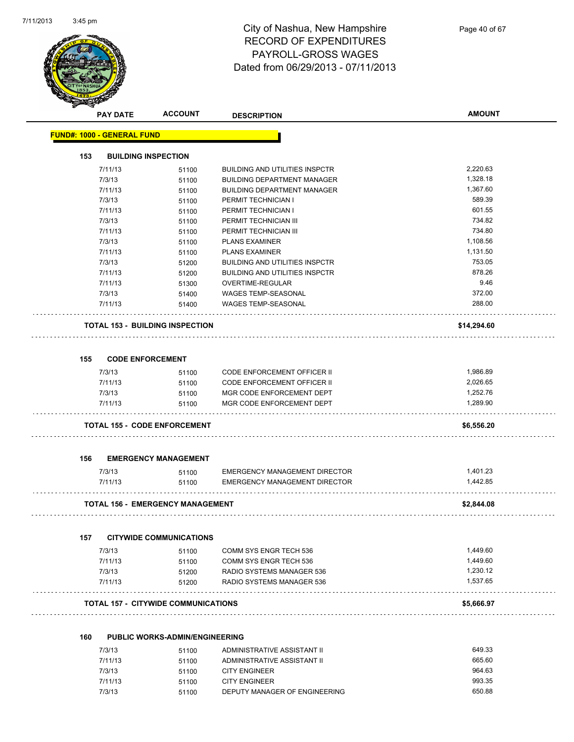

|     | <b>PAY DATE</b>                   | <b>ACCOUNT</b>                             | <b>DESCRIPTION</b>                    | <b>AMOUNT</b> |
|-----|-----------------------------------|--------------------------------------------|---------------------------------------|---------------|
|     | <b>FUND#: 1000 - GENERAL FUND</b> |                                            |                                       |               |
| 153 |                                   | <b>BUILDING INSPECTION</b>                 |                                       |               |
|     | 7/11/13                           | 51100                                      | <b>BUILDING AND UTILITIES INSPCTR</b> | 2,220.63      |
|     | 7/3/13                            | 51100                                      | <b>BUILDING DEPARTMENT MANAGER</b>    | 1,328.18      |
|     | 7/11/13                           | 51100                                      | <b>BUILDING DEPARTMENT MANAGER</b>    | 1,367.60      |
|     | 7/3/13                            | 51100                                      | PERMIT TECHNICIAN I                   | 589.39        |
|     | 7/11/13                           | 51100                                      | PERMIT TECHNICIAN I                   | 601.55        |
|     | 7/3/13                            | 51100                                      | PERMIT TECHNICIAN III                 | 734.82        |
|     | 7/11/13                           | 51100                                      | PERMIT TECHNICIAN III                 | 734.80        |
|     | 7/3/13                            | 51100                                      | <b>PLANS EXAMINER</b>                 | 1,108.56      |
|     | 7/11/13                           | 51100                                      | <b>PLANS EXAMINER</b>                 | 1,131.50      |
|     | 7/3/13                            | 51200                                      | <b>BUILDING AND UTILITIES INSPCTR</b> | 753.05        |
|     | 7/11/13                           | 51200                                      | <b>BUILDING AND UTILITIES INSPCTR</b> | 878.26        |
|     | 7/11/13                           | 51300                                      | OVERTIME-REGULAR                      | 9.46          |
|     | 7/3/13                            | 51400                                      | WAGES TEMP-SEASONAL                   | 372.00        |
|     | 7/11/13                           | 51400                                      | <b>WAGES TEMP-SEASONAL</b>            | 288.00        |
|     |                                   | <b>TOTAL 153 - BUILDING INSPECTION</b>     |                                       | \$14,294.60   |
|     |                                   |                                            |                                       |               |
| 155 | <b>CODE ENFORCEMENT</b>           |                                            |                                       |               |
|     | 7/3/13                            | 51100                                      | <b>CODE ENFORCEMENT OFFICER II</b>    | 1,986.89      |
|     | 7/11/13                           | 51100                                      | CODE ENFORCEMENT OFFICER II           | 2,026.65      |
|     | 7/3/13                            | 51100                                      | MGR CODE ENFORCEMENT DEPT             | 1,252.76      |
|     | 7/11/13                           | 51100                                      | MGR CODE ENFORCEMENT DEPT             | 1,289.90      |
|     |                                   | <b>TOTAL 155 - CODE ENFORCEMENT</b>        |                                       | \$6,556.20    |
| 156 |                                   | <b>EMERGENCY MANAGEMENT</b>                |                                       |               |
|     | 7/3/13                            | 51100                                      | <b>EMERGENCY MANAGEMENT DIRECTOR</b>  | 1,401.23      |
|     | 7/11/13                           | 51100                                      | <b>EMERGENCY MANAGEMENT DIRECTOR</b>  | 1.442.85      |
|     |                                   | <b>TOTAL 156 - EMERGENCY MANAGEMENT</b>    |                                       | \$2,844.08    |
| 157 |                                   | <b>CITYWIDE COMMUNICATIONS</b>             |                                       |               |
|     | 7/3/13                            | 51100                                      | COMM SYS ENGR TECH 536                | 1,449.60      |
|     | 7/11/13                           |                                            | COMM SYS ENGR TECH 536                | 1,449.60      |
|     | 7/3/13                            | 51100<br>51200                             | RADIO SYSTEMS MANAGER 536             | 1,230.12      |
|     | 7/11/13                           | 51200                                      | RADIO SYSTEMS MANAGER 536             | 1,537.65      |
|     |                                   | <b>TOTAL 157 - CITYWIDE COMMUNICATIONS</b> |                                       | \$5,666.97    |
| 160 |                                   | <b>PUBLIC WORKS-ADMIN/ENGINEERING</b>      |                                       |               |
|     | 7/3/13                            | 51100                                      | ADMINISTRATIVE ASSISTANT II           | 649.33        |
|     |                                   |                                            |                                       |               |

| 7/3/13  | 51100 | ADMINISTRATIVE ASSISTANT II   | 649.33 |
|---------|-------|-------------------------------|--------|
| 7/11/13 | 51100 | ADMINISTRATIVE ASSISTANT II   | 665.60 |
| 7/3/13  | 51100 | CITY ENGINEER                 | 964.63 |
| 7/11/13 | 51100 | <b>CITY ENGINEER</b>          | 993.35 |
| 7/3/13  | 51100 | DEPUTY MANAGER OF ENGINEERING | 650.88 |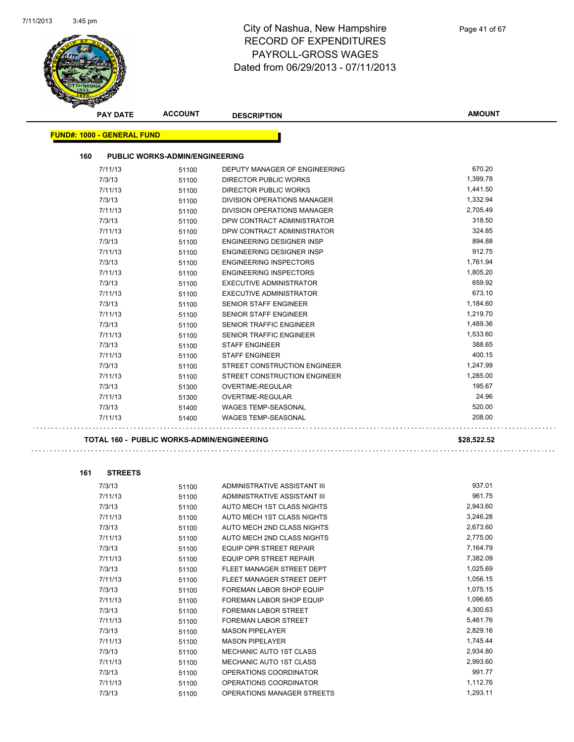

| <b>PAY DATE</b>                                   | <b>ACCOUNT</b>                        | <b>DESCRIPTION</b>               | <b>AMOUNT</b>        |
|---------------------------------------------------|---------------------------------------|----------------------------------|----------------------|
| <b>FUND#: 1000 - GENERAL FUND</b>                 |                                       |                                  |                      |
|                                                   |                                       |                                  |                      |
| 160                                               | <b>PUBLIC WORKS-ADMIN/ENGINEERING</b> |                                  |                      |
| 7/11/13                                           | 51100                                 | DEPUTY MANAGER OF ENGINEERING    | 670.20               |
| 7/3/13                                            | 51100                                 | DIRECTOR PUBLIC WORKS            | 1,399.78             |
| 7/11/13                                           | 51100                                 | DIRECTOR PUBLIC WORKS            | 1,441.50             |
| 7/3/13                                            | 51100                                 | DIVISION OPERATIONS MANAGER      | 1,332.94             |
| 7/11/13                                           | 51100                                 | DIVISION OPERATIONS MANAGER      | 2,705.49             |
| 7/3/13                                            | 51100                                 | DPW CONTRACT ADMINISTRATOR       | 318.50               |
| 7/11/13                                           | 51100                                 | DPW CONTRACT ADMINISTRATOR       | 324.85               |
| 7/3/13                                            | 51100                                 | <b>ENGINEERING DESIGNER INSP</b> | 894.88               |
| 7/11/13                                           | 51100                                 | ENGINEERING DESIGNER INSP        | 912.75               |
| 7/3/13                                            | 51100                                 | <b>ENGINEERING INSPECTORS</b>    | 1,761.94             |
| 7/11/13                                           | 51100                                 | <b>ENGINEERING INSPECTORS</b>    | 1,805.20             |
| 7/3/13                                            | 51100                                 | <b>EXECUTIVE ADMINISTRATOR</b>   | 659.92               |
| 7/11/13                                           | 51100                                 | <b>EXECUTIVE ADMINISTRATOR</b>   | 673.10               |
| 7/3/13                                            | 51100                                 | SENIOR STAFF ENGINEER            | 1,184.60             |
| 7/11/13                                           | 51100                                 | <b>SENIOR STAFF ENGINEER</b>     | 1,219.70             |
| 7/3/13                                            | 51100                                 | <b>SENIOR TRAFFIC ENGINEER</b>   | 1,489.36             |
| 7/11/13                                           | 51100                                 | <b>SENIOR TRAFFIC ENGINEER</b>   | 1.533.60             |
| 7/3/13                                            | 51100                                 | <b>STAFF ENGINEER</b>            | 388.65               |
| 7/11/13                                           | 51100                                 | <b>STAFF ENGINEER</b>            | 400.15               |
| 7/3/13                                            | 51100                                 | STREET CONSTRUCTION ENGINEER     | 1,247.99             |
| 7/11/13                                           | 51100                                 | STREET CONSTRUCTION ENGINEER     | 1.285.00             |
| 7/3/13                                            | 51300                                 | OVERTIME-REGULAR                 | 195.67               |
| 7/11/13                                           | 51300                                 | OVERTIME-REGULAR                 | 24.96                |
| 7/3/13                                            | 51400                                 | <b>WAGES TEMP-SEASONAL</b>       | 520.00               |
| 7/11/13                                           | 51400                                 | <b>WAGES TEMP-SEASONAL</b>       | 208.00               |
| <b>TOTAL 160 - PUBLIC WORKS-ADMIN/ENGINEERING</b> |                                       |                                  | \$28,522.52          |
|                                                   |                                       |                                  |                      |
|                                                   |                                       |                                  |                      |
| 161<br><b>STREETS</b>                             |                                       |                                  |                      |
| 7/3/13                                            | 51100                                 | ADMINISTRATIVE ASSISTANT III     | 937.01               |
| 7/11/13                                           | 51100                                 | ADMINISTRATIVE ASSISTANT III     | 961.75               |
| 7/3/13                                            | 51100                                 | AUTO MECH 1ST CLASS NIGHTS       | 2,943.60             |
| 7/11/13                                           | 51100                                 | AUTO MECH 1ST CLASS NIGHTS       | 3,246.28<br>2,673.60 |
| 7/3/13                                            | 51100                                 | AUTO MECH 2ND CLASS NIGHTS       |                      |
| 7/11/13                                           | 51100                                 | AUTO MECH 2ND CLASS NIGHTS       | 2,775.00<br>7,164.79 |
| 7/3/13                                            | 51100                                 | EQUIP OPR STREET REPAIR          | 7,382.09             |
| 7/11/13                                           | 51100                                 | <b>EQUIP OPR STREET REPAIR</b>   | 1,025.69             |
| 7/3/13                                            | 51100                                 | FLEET MANAGER STREET DEPT        |                      |
| 7/11/13                                           | 51100                                 | FLEET MANAGER STREET DEPT        | 1,056.15             |
| 7/3/13                                            | 51100                                 | FOREMAN LABOR SHOP EQUIP         | 1,075.15             |
| 7/11/13                                           | 51100                                 | FOREMAN LABOR SHOP EQUIP         | 1,096.65             |
| 7/3/13                                            | 51100                                 | FOREMAN LABOR STREET             | 4,300.63             |
| 7/11/13                                           | 51100                                 | FOREMAN LABOR STREET             | 5,461.76             |
| 7/3/13                                            | 51100                                 | <b>MASON PIPELAYER</b>           | 2,829.16             |
| 7/11/13                                           | 51100                                 | <b>MASON PIPELAYER</b>           | 1,745.44             |
| 7/3/13                                            | 51100                                 | MECHANIC AUTO 1ST CLASS          | 2,934.80             |
| 7/11/13                                           | 51100                                 | MECHANIC AUTO 1ST CLASS          | 2,993.60             |
| 7/3/13                                            | 51100                                 | OPERATIONS COORDINATOR           | 991.77               |
| 7/11/13                                           | 51100                                 | OPERATIONS COORDINATOR           | 1,112.76             |
| 7/3/13                                            | 51100                                 | OPERATIONS MANAGER STREETS       | 1,293.11             |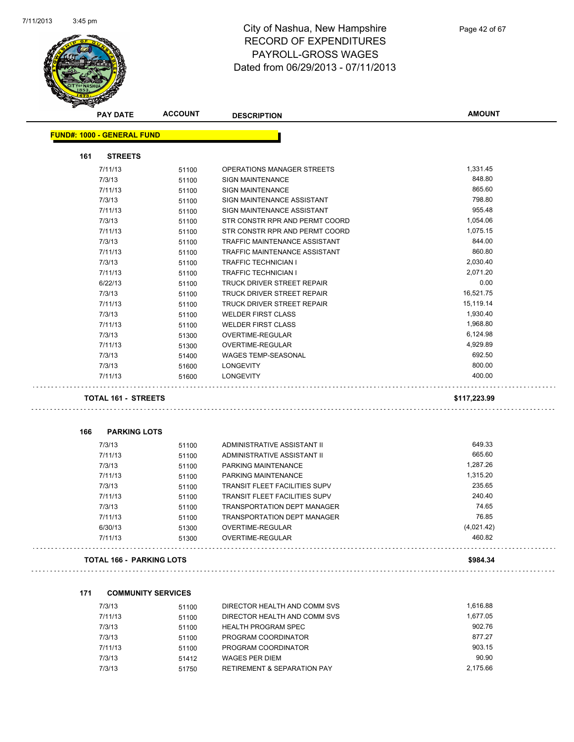

|     | <b>PAY DATE</b>                   | <b>ACCOUNT</b> | <b>DESCRIPTION</b>                   | <b>AMOUNT</b> |
|-----|-----------------------------------|----------------|--------------------------------------|---------------|
|     | <b>FUND#: 1000 - GENERAL FUND</b> |                |                                      |               |
| 161 | <b>STREETS</b>                    |                |                                      |               |
|     | 7/11/13                           | 51100          | OPERATIONS MANAGER STREETS           | 1,331.45      |
|     | 7/3/13                            | 51100          | <b>SIGN MAINTENANCE</b>              | 848.80        |
|     | 7/11/13                           | 51100          | <b>SIGN MAINTENANCE</b>              | 865.60        |
|     | 7/3/13                            | 51100          | SIGN MAINTENANCE ASSISTANT           | 798.80        |
|     | 7/11/13                           | 51100          | SIGN MAINTENANCE ASSISTANT           | 955.48        |
|     | 7/3/13                            | 51100          | STR CONSTR RPR AND PERMT COORD       | 1,054.06      |
|     | 7/11/13                           | 51100          | STR CONSTR RPR AND PERMT COORD       | 1,075.15      |
|     | 7/3/13                            | 51100          | TRAFFIC MAINTENANCE ASSISTANT        | 844.00        |
|     | 7/11/13                           | 51100          | TRAFFIC MAINTENANCE ASSISTANT        | 860.80        |
|     | 7/3/13                            | 51100          | <b>TRAFFIC TECHNICIAN I</b>          | 2,030.40      |
|     | 7/11/13                           | 51100          | <b>TRAFFIC TECHNICIAN I</b>          | 2,071.20      |
|     | 6/22/13                           | 51100          | TRUCK DRIVER STREET REPAIR           | 0.00          |
|     | 7/3/13                            | 51100          | TRUCK DRIVER STREET REPAIR           | 16,521.75     |
|     | 7/11/13                           | 51100          | TRUCK DRIVER STREET REPAIR           | 15,119.14     |
|     | 7/3/13                            | 51100          | <b>WELDER FIRST CLASS</b>            | 1,930.40      |
|     | 7/11/13                           | 51100          | <b>WELDER FIRST CLASS</b>            | 1,968.80      |
|     | 7/3/13                            | 51300          | OVERTIME-REGULAR                     | 6,124.98      |
|     | 7/11/13                           | 51300          | OVERTIME-REGULAR                     | 4,929.89      |
|     | 7/3/13                            | 51400          | <b>WAGES TEMP-SEASONAL</b>           | 692.50        |
|     | 7/3/13                            | 51600          | <b>LONGEVITY</b>                     | 800.00        |
|     | 7/11/13                           | 51600          | <b>LONGEVITY</b>                     | 400.00        |
|     | <b>TOTAL 161 - STREETS</b>        |                |                                      | \$117,223.99  |
|     |                                   |                |                                      |               |
| 166 | <b>PARKING LOTS</b>               |                |                                      |               |
|     | 7/3/13                            | 51100          | ADMINISTRATIVE ASSISTANT II          | 649.33        |
|     | 7/11/13                           | 51100          | ADMINISTRATIVE ASSISTANT II          | 665.60        |
|     | 7/3/13                            | 51100          | PARKING MAINTENANCE                  | 1,287.26      |
|     | 7/11/13                           | 51100          | PARKING MAINTENANCE                  | 1,315.20      |
|     | 7/3/13                            | 51100          | <b>TRANSIT FLEET FACILITIES SUPV</b> | 235.65        |
|     | 7/11/13                           | 51100          | <b>TRANSIT FLEET FACILITIES SUPV</b> | 240.40        |
|     | 7/3/13                            | 51100          | TRANSPORTATION DEPT MANAGER          | 74.65         |
|     | 7/11/13                           | 51100          | TRANSPORTATION DEPT MANAGER          | 76.85         |
|     | 6/30/13                           | 51300          | OVERTIME-REGULAR                     | (4,021.42)    |
|     | 7/11/13                           | 51300          | OVERTIME-REGULAR                     | 460.82        |
|     | <b>TOTAL 166 - PARKING LOTS</b>   |                |                                      | \$984.34      |
|     |                                   |                |                                      |               |
| 171 | <b>COMMUNITY SERVICES</b>         |                |                                      |               |
|     | 7/3/13                            | 51100          | DIRECTOR HEALTH AND COMM SVS         | 1,616.88      |
|     | 7/11/13                           | 51100          | DIRECTOR HEALTH AND COMM SVS         | 1,677.05      |
|     | 7/3/13                            | 51100          | HEALTH PROGRAM SPEC                  | 902.76        |
|     | 7/3/13                            | 51100          | PROGRAM COORDINATOR                  | 877.27        |
|     | 7/11/13                           | 51100          | PROGRAM COORDINATOR                  | 903.15        |

7/3/13 51412 WAGES PER DIEM 90.90 7/3/13 51750 RETIREMENT & SEPARATION PAY 2,175.66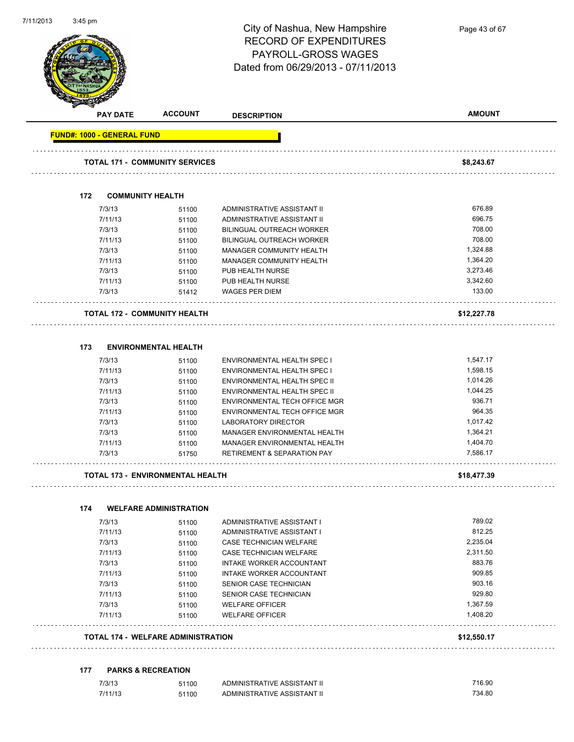

| <b>PAY DATE</b>                   | <b>ACCOUNT</b>                        | <b>DESCRIPTION</b>                                    | <b>AMOUNT</b> |
|-----------------------------------|---------------------------------------|-------------------------------------------------------|---------------|
| <b>FUND#: 1000 - GENERAL FUND</b> |                                       |                                                       |               |
|                                   | <b>TOTAL 171 - COMMUNITY SERVICES</b> |                                                       | \$8,243.67    |
|                                   |                                       |                                                       |               |
| 172                               | <b>COMMUNITY HEALTH</b>               |                                                       |               |
| 7/3/13                            | 51100                                 | ADMINISTRATIVE ASSISTANT II                           | 676.89        |
| 7/11/13                           | 51100                                 | ADMINISTRATIVE ASSISTANT II                           | 696.75        |
| 7/3/13                            | 51100                                 | BILINGUAL OUTREACH WORKER                             | 708.00        |
| 7/11/13                           | 51100                                 | BILINGUAL OUTREACH WORKER                             | 708.00        |
| 7/3/13                            | 51100                                 | MANAGER COMMUNITY HEALTH                              | 1,324.88      |
| 7/11/13                           | 51100                                 | MANAGER COMMUNITY HEALTH                              | 1,364.20      |
| 7/3/13                            | 51100                                 | PUB HEALTH NURSE                                      | 3,273.46      |
| 7/11/13                           | 51100                                 | PUB HEALTH NURSE                                      | 3,342.60      |
| 7/3/13                            | 51412                                 | <b>WAGES PER DIEM</b>                                 | 133.00        |
|                                   | <b>TOTAL 172 - COMMUNITY HEALTH</b>   |                                                       | \$12,227.78   |
| 173                               | <b>ENVIRONMENTAL HEALTH</b>           |                                                       |               |
| 7/3/13                            | 51100                                 | <b>ENVIRONMENTAL HEALTH SPEC I</b>                    | 1,547.17      |
| 7/11/13                           | 51100                                 | <b>ENVIRONMENTAL HEALTH SPEC I</b>                    | 1,598.15      |
| 7/3/13                            | 51100                                 | ENVIRONMENTAL HEALTH SPEC II                          | 1,014.26      |
| 7/11/13                           | 51100                                 | ENVIRONMENTAL HEALTH SPEC II                          | 1,044.25      |
| 7/3/13                            | 51100                                 | ENVIRONMENTAL TECH OFFICE MGR                         | 936.71        |
| 7/11/13                           | 51100                                 | ENVIRONMENTAL TECH OFFICE MGR                         | 964.35        |
| 7/3/13                            | 51100                                 | LABORATORY DIRECTOR                                   | 1,017.42      |
| 7/3/13                            | 51100                                 | MANAGER ENVIRONMENTAL HEALTH                          | 1,364.21      |
| 7/11/13                           | 51100                                 | MANAGER ENVIRONMENTAL HEALTH                          | 1,404.70      |
| 7/3/13                            | 51750                                 | <b>RETIREMENT &amp; SEPARATION PAY</b>                | 7,586.17      |
|                                   | TOTAL 173 - ENVIRONMENTAL HEALTH      |                                                       | \$18,477.39   |
|                                   |                                       |                                                       |               |
| 174                               | <b>WELFARE ADMINISTRATION</b>         |                                                       | 789.02        |
| 7/3/13<br>7/11/13                 | 51100                                 | ADMINISTRATIVE ASSISTANT I                            | 812.25        |
| 7/3/13                            | 51100                                 | ADMINISTRATIVE ASSISTANT I<br>CASE TECHNICIAN WELFARE | 2,235.04      |
|                                   | 51100                                 | CASE TECHNICIAN WELFARE                               | 2,311.50      |
| 7/11/13<br>7/3/13                 | 51100                                 | INTAKE WORKER ACCOUNTANT                              | 883.76        |
|                                   | 51100                                 |                                                       | 909.85        |
| 7/11/13                           | 51100                                 | INTAKE WORKER ACCOUNTANT<br>SENIOR CASE TECHNICIAN    | 903.16        |
| 7/3/13                            | 51100                                 |                                                       | 929.80        |
| 7/11/13<br>7/3/13                 | 51100                                 | SENIOR CASE TECHNICIAN                                | 1,367.59      |
|                                   | 51100                                 | <b>WELFARE OFFICER</b>                                | 1,408.20      |
| 7/11/13                           | 51100                                 | <b>WELFARE OFFICER</b>                                |               |
|                                   |                                       |                                                       |               |

#### **177 PARKS & RECREATION**

| 7/3/13  | 51100 | ADMINISTRATIVE ASSISTANT II | 716.90 |
|---------|-------|-----------------------------|--------|
| 7/11/13 | 51100 | ADMINISTRATIVE ASSISTANT II | 734.80 |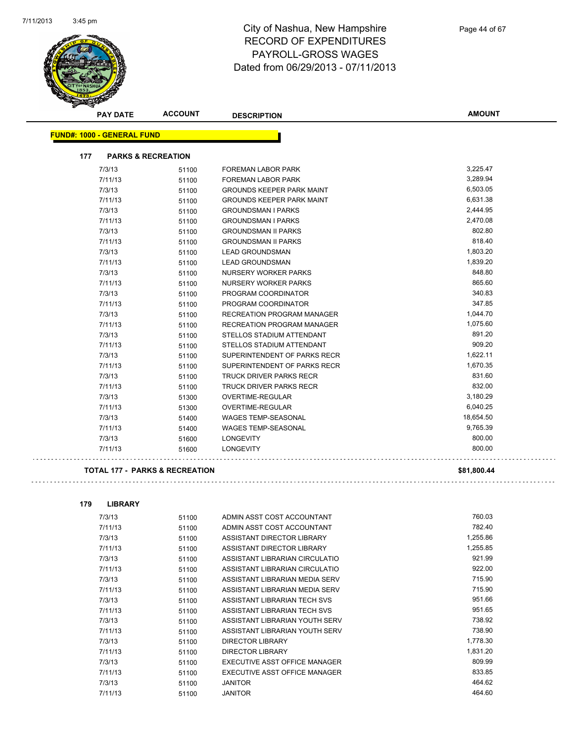

|     | <b>PAY DATE</b>                   | <b>ACCOUNT</b>                | <b>DESCRIPTION</b>                | <b>AMOUNT</b> |
|-----|-----------------------------------|-------------------------------|-----------------------------------|---------------|
|     | <b>FUND#: 1000 - GENERAL FUND</b> |                               |                                   |               |
|     |                                   |                               |                                   |               |
| 177 |                                   | <b>PARKS &amp; RECREATION</b> |                                   |               |
|     | 7/3/13                            | 51100                         | <b>FOREMAN LABOR PARK</b>         | 3,225.47      |
|     | 7/11/13                           | 51100                         | <b>FOREMAN LABOR PARK</b>         | 3,289.94      |
|     | 7/3/13                            | 51100                         | <b>GROUNDS KEEPER PARK MAINT</b>  | 6,503.05      |
|     | 7/11/13                           | 51100                         | <b>GROUNDS KEEPER PARK MAINT</b>  | 6,631.38      |
|     | 7/3/13                            | 51100                         | <b>GROUNDSMAN I PARKS</b>         | 2,444.95      |
|     | 7/11/13                           | 51100                         | <b>GROUNDSMAN I PARKS</b>         | 2,470.08      |
|     | 7/3/13                            | 51100                         | <b>GROUNDSMAN II PARKS</b>        | 802.80        |
|     | 7/11/13                           | 51100                         | <b>GROUNDSMAN II PARKS</b>        | 818.40        |
|     | 7/3/13                            | 51100                         | <b>LEAD GROUNDSMAN</b>            | 1,803.20      |
|     | 7/11/13                           | 51100                         | <b>LEAD GROUNDSMAN</b>            | 1,839.20      |
|     | 7/3/13                            | 51100                         | NURSERY WORKER PARKS              | 848.80        |
|     | 7/11/13                           | 51100                         | NURSERY WORKER PARKS              | 865.60        |
|     | 7/3/13                            | 51100                         | PROGRAM COORDINATOR               | 340.83        |
|     | 7/11/13                           | 51100                         | PROGRAM COORDINATOR               | 347.85        |
|     | 7/3/13                            | 51100                         | <b>RECREATION PROGRAM MANAGER</b> | 1,044.70      |
|     | 7/11/13                           | 51100                         | <b>RECREATION PROGRAM MANAGER</b> | 1,075.60      |
|     | 7/3/13                            | 51100                         | STELLOS STADIUM ATTENDANT         | 891.20        |
|     | 7/11/13                           | 51100                         | STELLOS STADIUM ATTENDANT         | 909.20        |
|     | 7/3/13                            | 51100                         | SUPERINTENDENT OF PARKS RECR      | 1,622.11      |
|     | 7/11/13                           | 51100                         | SUPERINTENDENT OF PARKS RECR      | 1,670.35      |
|     | 7/3/13                            | 51100                         | <b>TRUCK DRIVER PARKS RECR</b>    | 831.60        |
|     | 7/11/13                           | 51100                         | <b>TRUCK DRIVER PARKS RECR</b>    | 832.00        |
|     | 7/3/13                            | 51300                         | OVERTIME-REGULAR                  | 3,180.29      |
|     | 7/11/13                           | 51300                         | OVERTIME-REGULAR                  | 6,040.25      |
|     | 7/3/13                            | 51400                         | <b>WAGES TEMP-SEASONAL</b>        | 18,654.50     |
|     | 7/11/13                           | 51400                         | <b>WAGES TEMP-SEASONAL</b>        | 9,765.39      |
|     | 7/3/13                            | 51600                         | <b>LONGEVITY</b>                  | 800.00        |
|     | 7/11/13                           | 51600                         | <b>LONGEVITY</b>                  | 800.00        |

#### **TOTAL 177 - PARKS & RECREATION \$81,800.44**

| 179 | <b>LIBRARY</b> |       |                                |          |
|-----|----------------|-------|--------------------------------|----------|
|     | 7/3/13         | 51100 | ADMIN ASST COST ACCOUNTANT     | 760.03   |
|     | 7/11/13        | 51100 | ADMIN ASST COST ACCOUNTANT     | 782.40   |
|     | 7/3/13         | 51100 | ASSISTANT DIRECTOR LIBRARY     | 1,255.86 |
|     | 7/11/13        | 51100 | ASSISTANT DIRECTOR LIBRARY     | 1,255.85 |
|     | 7/3/13         | 51100 | ASSISTANT LIBRARIAN CIRCULATIO | 921.99   |
|     | 7/11/13        | 51100 | ASSISTANT LIBRARIAN CIRCULATIO | 922.00   |
|     | 7/3/13         | 51100 | ASSISTANT LIBRARIAN MEDIA SERV | 715.90   |
|     | 7/11/13        | 51100 | ASSISTANT LIBRARIAN MEDIA SERV | 715.90   |
|     | 7/3/13         | 51100 | ASSISTANT LIBRARIAN TECH SVS   | 951.66   |
|     | 7/11/13        | 51100 | ASSISTANT LIBRARIAN TECH SVS   | 951.65   |
|     | 7/3/13         | 51100 | ASSISTANT LIBRARIAN YOUTH SERV | 738.92   |
|     | 7/11/13        | 51100 | ASSISTANT LIBRARIAN YOUTH SERV | 738.90   |
|     | 7/3/13         | 51100 | DIRECTOR LIBRARY               | 1,778.30 |
|     | 7/11/13        | 51100 | <b>DIRECTOR LIBRARY</b>        | 1,831.20 |
|     | 7/3/13         | 51100 | EXECUTIVE ASST OFFICE MANAGER  | 809.99   |
|     | 7/11/13        | 51100 | EXECUTIVE ASST OFFICE MANAGER  | 833.85   |
|     | 7/3/13         | 51100 | <b>JANITOR</b>                 | 464.62   |
|     | 7/11/13        | 51100 | <b>JANITOR</b>                 | 464.60   |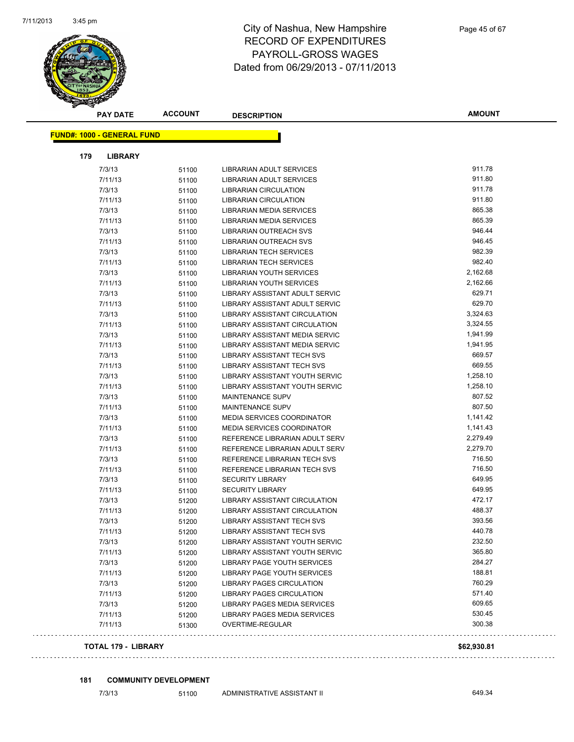

|     | <b>PAY DATE</b>                   | <b>ACCOUNT</b> | <b>DESCRIPTION</b>                   | <b>AMOUNT</b> |
|-----|-----------------------------------|----------------|--------------------------------------|---------------|
|     | <b>FUND#: 1000 - GENERAL FUND</b> |                |                                      |               |
|     |                                   |                |                                      |               |
| 179 | <b>LIBRARY</b>                    |                |                                      |               |
|     | 7/3/13                            | 51100          | LIBRARIAN ADULT SERVICES             | 911.78        |
|     | 7/11/13                           | 51100          | LIBRARIAN ADULT SERVICES             | 911.80        |
|     | 7/3/13                            | 51100          | <b>LIBRARIAN CIRCULATION</b>         | 911.78        |
|     | 7/11/13                           | 51100          | <b>LIBRARIAN CIRCULATION</b>         | 911.80        |
|     | 7/3/13                            | 51100          | LIBRARIAN MEDIA SERVICES             | 865.38        |
|     | 7/11/13                           | 51100          | LIBRARIAN MEDIA SERVICES             | 865.39        |
|     | 7/3/13                            | 51100          | <b>LIBRARIAN OUTREACH SVS</b>        | 946.44        |
|     | 7/11/13                           | 51100          | LIBRARIAN OUTREACH SVS               | 946.45        |
|     | 7/3/13                            | 51100          | <b>LIBRARIAN TECH SERVICES</b>       | 982.39        |
|     | 7/11/13                           | 51100          | <b>LIBRARIAN TECH SERVICES</b>       | 982.40        |
|     | 7/3/13                            | 51100          | LIBRARIAN YOUTH SERVICES             | 2,162.68      |
|     | 7/11/13                           | 51100          | <b>LIBRARIAN YOUTH SERVICES</b>      | 2,162.66      |
|     | 7/3/13                            | 51100          | LIBRARY ASSISTANT ADULT SERVIC       | 629.71        |
|     | 7/11/13                           | 51100          | LIBRARY ASSISTANT ADULT SERVIC       | 629.70        |
|     | 7/3/13                            | 51100          | <b>LIBRARY ASSISTANT CIRCULATION</b> | 3,324.63      |
|     | 7/11/13                           | 51100          | LIBRARY ASSISTANT CIRCULATION        | 3,324.55      |
|     | 7/3/13                            | 51100          | LIBRARY ASSISTANT MEDIA SERVIC       | 1,941.99      |
|     | 7/11/13                           | 51100          | LIBRARY ASSISTANT MEDIA SERVIC       | 1,941.95      |
|     | 7/3/13                            | 51100          | LIBRARY ASSISTANT TECH SVS           | 669.57        |
|     | 7/11/13                           | 51100          | LIBRARY ASSISTANT TECH SVS           | 669.55        |
|     | 7/3/13                            | 51100          | LIBRARY ASSISTANT YOUTH SERVIC       | 1,258.10      |
|     | 7/11/13                           | 51100          | LIBRARY ASSISTANT YOUTH SERVIC       | 1,258.10      |
|     | 7/3/13                            | 51100          | <b>MAINTENANCE SUPV</b>              | 807.52        |
|     | 7/11/13                           | 51100          | <b>MAINTENANCE SUPV</b>              | 807.50        |
|     | 7/3/13                            | 51100          | <b>MEDIA SERVICES COORDINATOR</b>    | 1,141.42      |
|     | 7/11/13                           | 51100          | <b>MEDIA SERVICES COORDINATOR</b>    | 1,141.43      |
|     | 7/3/13                            | 51100          | REFERENCE LIBRARIAN ADULT SERV       | 2,279.49      |
|     | 7/11/13                           | 51100          | REFERENCE LIBRARIAN ADULT SERV       | 2,279.70      |
|     | 7/3/13                            | 51100          | REFERENCE LIBRARIAN TECH SVS         | 716.50        |
|     | 7/11/13                           | 51100          | REFERENCE LIBRARIAN TECH SVS         | 716.50        |
|     | 7/3/13                            | 51100          | <b>SECURITY LIBRARY</b>              | 649.95        |
|     | 7/11/13                           | 51100          | <b>SECURITY LIBRARY</b>              | 649.95        |
|     | 7/3/13                            | 51200          | <b>LIBRARY ASSISTANT CIRCULATION</b> | 472.17        |
|     | 7/11/13                           | 51200          | LIBRARY ASSISTANT CIRCULATION        | 488.37        |
|     | 7/3/13                            | 51200          | <b>LIBRARY ASSISTANT TECH SVS</b>    | 393.56        |
|     | 7/11/13                           | 51200          | LIBRARY ASSISTANT TECH SVS           | 440.78        |
|     | 7/3/13                            | 51200          | LIBRARY ASSISTANT YOUTH SERVIC       | 232.50        |
|     | 7/11/13                           | 51200          | LIBRARY ASSISTANT YOUTH SERVIC       | 365.80        |
|     | 7/3/13                            | 51200          | LIBRARY PAGE YOUTH SERVICES          | 284.27        |
|     | 7/11/13                           | 51200          | LIBRARY PAGE YOUTH SERVICES          | 188.81        |
|     | 7/3/13                            | 51200          | <b>LIBRARY PAGES CIRCULATION</b>     | 760.29        |
|     | 7/11/13                           | 51200          | <b>LIBRARY PAGES CIRCULATION</b>     | 571.40        |
|     | 7/3/13                            | 51200          | <b>LIBRARY PAGES MEDIA SERVICES</b>  | 609.65        |
|     | 7/11/13                           | 51200          | <b>LIBRARY PAGES MEDIA SERVICES</b>  | 530.45        |
|     | 7/11/13                           | 51300          | OVERTIME-REGULAR                     | 300.38        |
|     | <b>TOTAL 179 - LIBRARY</b>        |                |                                      | \$62,930.81   |

#### **181 COMMUNITY DEVELOPMENT**

7/3/13 51100 ADMINISTRATIVE ASSISTANT II 649.34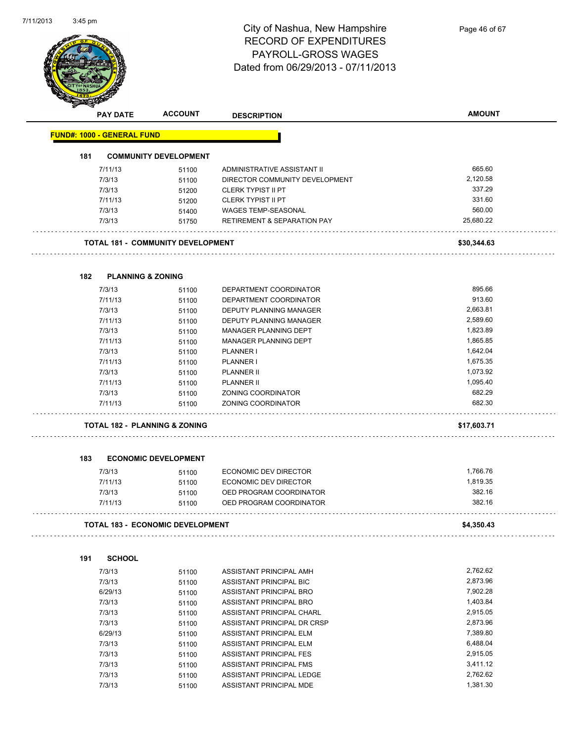

| ⊿   | <b>PAY DATE</b>                   | <b>ACCOUNT</b>                           | <b>DESCRIPTION</b>                     | <b>AMOUNT</b> |
|-----|-----------------------------------|------------------------------------------|----------------------------------------|---------------|
|     | <b>FUND#: 1000 - GENERAL FUND</b> |                                          |                                        |               |
| 181 |                                   | <b>COMMUNITY DEVELOPMENT</b>             |                                        |               |
|     | 7/11/13                           | 51100                                    | ADMINISTRATIVE ASSISTANT II            | 665.60        |
|     | 7/3/13                            | 51100                                    | DIRECTOR COMMUNITY DEVELOPMENT         | 2,120.58      |
|     | 7/3/13                            | 51200                                    | <b>CLERK TYPIST II PT</b>              | 337.29        |
|     | 7/11/13                           | 51200                                    | <b>CLERK TYPIST II PT</b>              | 331.60        |
|     | 7/3/13                            | 51400                                    | WAGES TEMP-SEASONAL                    | 560.00        |
|     | 7/3/13                            | 51750                                    | <b>RETIREMENT &amp; SEPARATION PAY</b> | 25,680.22     |
|     |                                   | <b>TOTAL 181 - COMMUNITY DEVELOPMENT</b> |                                        | \$30,344.63   |
|     |                                   |                                          |                                        |               |
| 182 | <b>PLANNING &amp; ZONING</b>      |                                          |                                        |               |
|     | 7/3/13                            | 51100                                    | DEPARTMENT COORDINATOR                 | 895.66        |
|     | 7/11/13                           | 51100                                    | DEPARTMENT COORDINATOR                 | 913.60        |
|     | 7/3/13                            | 51100                                    | DEPUTY PLANNING MANAGER                | 2,663.81      |
|     | 7/11/13                           | 51100                                    | <b>DEPUTY PLANNING MANAGER</b>         | 2,589.60      |
|     | 7/3/13                            | 51100                                    | MANAGER PLANNING DEPT                  | 1,823.89      |
|     | 7/11/13                           | 51100                                    | MANAGER PLANNING DEPT                  | 1,865.85      |
|     | 7/3/13                            | 51100                                    | <b>PLANNER I</b>                       | 1,642.04      |
|     | 7/11/13                           | 51100                                    | <b>PLANNER I</b>                       | 1,675.35      |
|     | 7/3/13                            | 51100                                    | <b>PLANNER II</b>                      | 1,073.92      |
|     | 7/11/13                           | 51100                                    | <b>PLANNER II</b>                      | 1,095.40      |
|     | 7/3/13                            |                                          | ZONING COORDINATOR                     | 682.29        |
|     | 7/11/13                           | 51100<br>51100                           | ZONING COORDINATOR                     | 682.30        |
|     |                                   |                                          |                                        |               |
|     |                                   | <b>TOTAL 182 - PLANNING &amp; ZONING</b> |                                        | \$17,603.71   |
| 183 |                                   | <b>ECONOMIC DEVELOPMENT</b>              |                                        |               |
|     | 7/3/13                            | 51100                                    | ECONOMIC DEV DIRECTOR                  | 1.766.76      |
|     | 7/11/13                           | 51100                                    | ECONOMIC DEV DIRECTOR                  | 1,819.35      |
|     | 7/3/13                            | 51100                                    | OED PROGRAM COORDINATOR                | 382.16        |
|     | 7/11/13                           | 51100                                    | OED PROGRAM COORDINATOR                | 382.16        |
|     |                                   | TOTAL 183 - ECONOMIC DEVELOPMENT         |                                        | \$4,350.43    |
|     |                                   |                                          |                                        |               |
| 191 | <b>SCHOOL</b>                     |                                          |                                        |               |
|     | 7/3/13                            | 51100                                    | ASSISTANT PRINCIPAL AMH                | 2,762.62      |
|     | 7/3/13                            | 51100                                    | ASSISTANT PRINCIPAL BIC                | 2,873.96      |
|     | 6/29/13                           | 51100                                    | ASSISTANT PRINCIPAL BRO                | 7,902.28      |
|     | 7/3/13                            | 51100                                    | ASSISTANT PRINCIPAL BRO                | 1,403.84      |
|     | 7/3/13                            | 51100                                    | ASSISTANT PRINCIPAL CHARL              | 2,915.05      |
|     | 7/3/13                            | 51100                                    | ASSISTANT PRINCIPAL DR CRSP            | 2,873.96      |
|     | 6/29/13                           |                                          | ASSISTANT PRINCIPAL ELM                | 7,389.80      |
|     |                                   | 51100                                    |                                        | 6,488.04      |
|     | 7/3/13                            | 51100                                    | ASSISTANT PRINCIPAL ELM                |               |
|     | 7/3/13                            | 51100                                    | ASSISTANT PRINCIPAL FES                | 2,915.05      |
|     | 7/3/13                            | 51100                                    | ASSISTANT PRINCIPAL FMS                | 3,411.12      |
|     | 7/3/13                            | 51100                                    | ASSISTANT PRINCIPAL LEDGE              | 2,762.62      |
|     | 7/3/13                            | 51100                                    | ASSISTANT PRINCIPAL MDE                | 1,381.30      |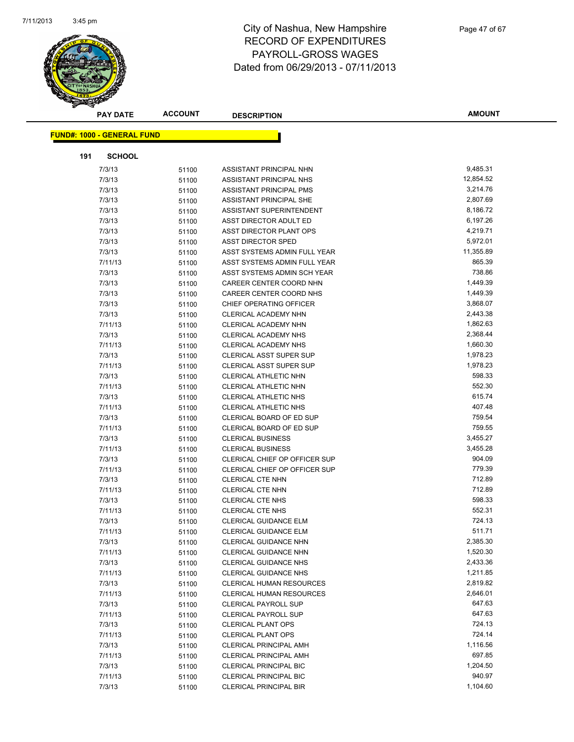

|     | <b>PAY DATE</b>                   | <b>ACCOUNT</b> | <b>DESCRIPTION</b>              | <b>AMOUNT</b> |
|-----|-----------------------------------|----------------|---------------------------------|---------------|
|     | <b>FUND#: 1000 - GENERAL FUND</b> |                |                                 |               |
|     |                                   |                |                                 |               |
| 191 | <b>SCHOOL</b>                     |                |                                 |               |
|     | 7/3/13                            | 51100          | ASSISTANT PRINCIPAL NHN         | 9,485.31      |
|     | 7/3/13                            | 51100          | ASSISTANT PRINCIPAL NHS         | 12,854.52     |
|     | 7/3/13                            | 51100          | ASSISTANT PRINCIPAL PMS         | 3,214.76      |
|     | 7/3/13                            | 51100          | ASSISTANT PRINCIPAL SHE         | 2,807.69      |
|     | 7/3/13                            | 51100          | ASSISTANT SUPERINTENDENT        | 8,186.72      |
|     | 7/3/13                            | 51100          | ASST DIRECTOR ADULT ED          | 6,197.26      |
|     | 7/3/13                            | 51100          | ASST DIRECTOR PLANT OPS         | 4,219.71      |
|     | 7/3/13                            | 51100          | <b>ASST DIRECTOR SPED</b>       | 5,972.01      |
|     | 7/3/13                            | 51100          | ASST SYSTEMS ADMIN FULL YEAR    | 11,355.89     |
|     | 7/11/13                           | 51100          | ASST SYSTEMS ADMIN FULL YEAR    | 865.39        |
|     | 7/3/13                            | 51100          | ASST SYSTEMS ADMIN SCH YEAR     | 738.86        |
|     | 7/3/13                            | 51100          | CAREER CENTER COORD NHN         | 1,449.39      |
|     | 7/3/13                            | 51100          | CAREER CENTER COORD NHS         | 1,449.39      |
|     | 7/3/13                            | 51100          | CHIEF OPERATING OFFICER         | 3,868.07      |
|     | 7/3/13                            | 51100          | CLERICAL ACADEMY NHN            | 2,443.38      |
|     | 7/11/13                           | 51100          | CLERICAL ACADEMY NHN            | 1,862.63      |
|     | 7/3/13                            | 51100          | CLERICAL ACADEMY NHS            | 2,368.44      |
|     | 7/11/13                           | 51100          | <b>CLERICAL ACADEMY NHS</b>     | 1,660.30      |
|     | 7/3/13                            | 51100          | <b>CLERICAL ASST SUPER SUP</b>  | 1,978.23      |
|     | 7/11/13                           | 51100          | <b>CLERICAL ASST SUPER SUP</b>  | 1,978.23      |
|     | 7/3/13                            | 51100          | CLERICAL ATHLETIC NHN           | 598.33        |
|     | 7/11/13                           | 51100          | CLERICAL ATHLETIC NHN           | 552.30        |
|     | 7/3/13                            | 51100          | CLERICAL ATHLETIC NHS           | 615.74        |
|     | 7/11/13                           | 51100          | CLERICAL ATHLETIC NHS           | 407.48        |
|     | 7/3/13                            | 51100          | CLERICAL BOARD OF ED SUP        | 759.54        |
|     | 7/11/13                           | 51100          | CLERICAL BOARD OF ED SUP        | 759.55        |
|     | 7/3/13                            | 51100          | <b>CLERICAL BUSINESS</b>        | 3,455.27      |
|     | 7/11/13                           | 51100          | <b>CLERICAL BUSINESS</b>        | 3,455.28      |
|     | 7/3/13                            | 51100          | CLERICAL CHIEF OP OFFICER SUP   | 904.09        |
|     | 7/11/13                           | 51100          | CLERICAL CHIEF OP OFFICER SUP   | 779.39        |
|     | 7/3/13                            | 51100          | <b>CLERICAL CTE NHN</b>         | 712.89        |
|     | 7/11/13                           | 51100          | CLERICAL CTE NHN                | 712.89        |
|     | 7/3/13                            | 51100          | <b>CLERICAL CTE NHS</b>         | 598.33        |
|     | 7/11/13                           | 51100          | <b>CLERICAL CTE NHS</b>         | 552.31        |
|     | 7/3/13                            | 51100          | CLERICAL GUIDANCE ELM           | 724.13        |
|     | 7/11/13                           | 51100          | <b>CLERICAL GUIDANCE ELM</b>    | 511.71        |
|     | 7/3/13                            | 51100          | <b>CLERICAL GUIDANCE NHN</b>    | 2,385.30      |
|     | 7/11/13                           | 51100          | <b>CLERICAL GUIDANCE NHN</b>    | 1,520.30      |
|     | 7/3/13                            | 51100          | <b>CLERICAL GUIDANCE NHS</b>    | 2,433.36      |
|     | 7/11/13                           | 51100          | <b>CLERICAL GUIDANCE NHS</b>    | 1,211.85      |
|     | 7/3/13                            | 51100          | <b>CLERICAL HUMAN RESOURCES</b> | 2,819.82      |
|     | 7/11/13                           | 51100          | CLERICAL HUMAN RESOURCES        | 2,646.01      |
|     | 7/3/13                            | 51100          | <b>CLERICAL PAYROLL SUP</b>     | 647.63        |
|     | 7/11/13                           | 51100          | <b>CLERICAL PAYROLL SUP</b>     | 647.63        |
|     | 7/3/13                            | 51100          | <b>CLERICAL PLANT OPS</b>       | 724.13        |
|     | 7/11/13                           | 51100          | <b>CLERICAL PLANT OPS</b>       | 724.14        |
|     | 7/3/13                            | 51100          | <b>CLERICAL PRINCIPAL AMH</b>   | 1,116.56      |
|     | 7/11/13                           | 51100          | <b>CLERICAL PRINCIPAL AMH</b>   | 697.85        |
|     | 7/3/13                            | 51100          | <b>CLERICAL PRINCIPAL BIC</b>   | 1,204.50      |
|     | 7/11/13                           | 51100          | CLERICAL PRINCIPAL BIC          | 940.97        |
|     | 7/3/13                            |                | CLERICAL PRINCIPAL BIR          | 1,104.60      |
|     |                                   | 51100          |                                 |               |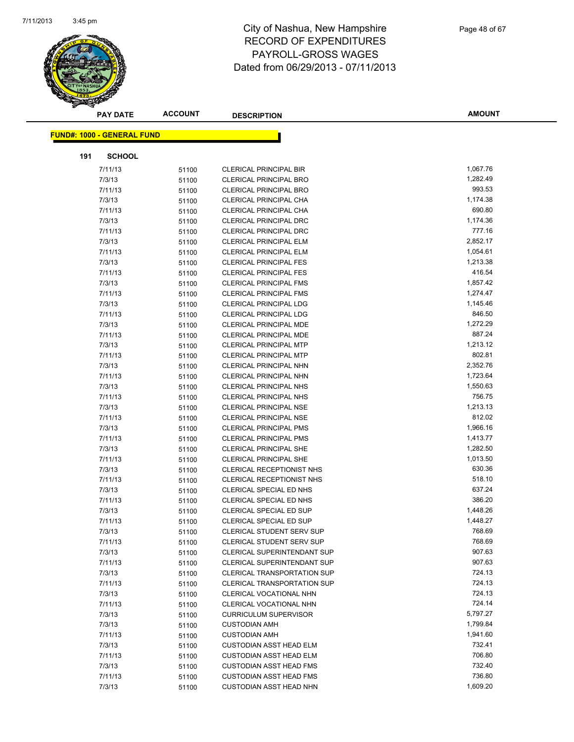

|     | <b>PAY DATE</b>                   | <b>ACCOUNT</b> | <b>DESCRIPTION</b>                 | <b>AMOUNT</b>    |
|-----|-----------------------------------|----------------|------------------------------------|------------------|
|     |                                   |                |                                    |                  |
|     | <b>FUND#: 1000 - GENERAL FUND</b> |                |                                    |                  |
| 191 | <b>SCHOOL</b>                     |                |                                    |                  |
|     | 7/11/13                           | 51100          | <b>CLERICAL PRINCIPAL BIR</b>      | 1,067.76         |
|     | 7/3/13                            | 51100          | <b>CLERICAL PRINCIPAL BRO</b>      | 1,282.49         |
|     | 7/11/13                           | 51100          | <b>CLERICAL PRINCIPAL BRO</b>      | 993.53           |
|     | 7/3/13                            | 51100          | CLERICAL PRINCIPAL CHA             | 1,174.38         |
|     | 7/11/13                           | 51100          | CLERICAL PRINCIPAL CHA             | 690.80           |
|     | 7/3/13                            | 51100          | <b>CLERICAL PRINCIPAL DRC</b>      | 1,174.36         |
|     | 7/11/13                           | 51100          | <b>CLERICAL PRINCIPAL DRC</b>      | 777.16           |
|     | 7/3/13                            | 51100          | <b>CLERICAL PRINCIPAL ELM</b>      | 2,852.17         |
|     | 7/11/13                           | 51100          | <b>CLERICAL PRINCIPAL ELM</b>      | 1,054.61         |
|     | 7/3/13                            | 51100          | <b>CLERICAL PRINCIPAL FES</b>      | 1,213.38         |
|     | 7/11/13                           | 51100          | <b>CLERICAL PRINCIPAL FES</b>      | 416.54           |
|     | 7/3/13                            | 51100          | <b>CLERICAL PRINCIPAL FMS</b>      | 1,857.42         |
|     | 7/11/13                           | 51100          | <b>CLERICAL PRINCIPAL FMS</b>      | 1,274.47         |
|     | 7/3/13                            | 51100          | <b>CLERICAL PRINCIPAL LDG</b>      | 1,145.46         |
|     | 7/11/13                           | 51100          | <b>CLERICAL PRINCIPAL LDG</b>      | 846.50           |
|     | 7/3/13                            | 51100          | <b>CLERICAL PRINCIPAL MDE</b>      | 1,272.29         |
|     | 7/11/13                           | 51100          | CLERICAL PRINCIPAL MDE             | 887.24           |
|     | 7/3/13                            | 51100          | <b>CLERICAL PRINCIPAL MTP</b>      | 1,213.12         |
|     | 7/11/13                           | 51100          | <b>CLERICAL PRINCIPAL MTP</b>      | 802.81           |
|     | 7/3/13                            | 51100          | <b>CLERICAL PRINCIPAL NHN</b>      | 2,352.76         |
|     | 7/11/13                           | 51100          | <b>CLERICAL PRINCIPAL NHN</b>      | 1,723.64         |
|     | 7/3/13                            | 51100          | <b>CLERICAL PRINCIPAL NHS</b>      | 1,550.63         |
|     | 7/11/13                           | 51100          | CLERICAL PRINCIPAL NHS             | 756.75           |
|     | 7/3/13                            | 51100          | <b>CLERICAL PRINCIPAL NSE</b>      | 1,213.13         |
|     | 7/11/13                           | 51100          | <b>CLERICAL PRINCIPAL NSE</b>      | 812.02           |
|     | 7/3/13                            | 51100          | <b>CLERICAL PRINCIPAL PMS</b>      | 1,966.16         |
|     | 7/11/13                           | 51100          | <b>CLERICAL PRINCIPAL PMS</b>      | 1,413.77         |
|     | 7/3/13                            | 51100          | <b>CLERICAL PRINCIPAL SHE</b>      | 1,282.50         |
|     | 7/11/13                           | 51100          | <b>CLERICAL PRINCIPAL SHE</b>      | 1,013.50         |
|     | 7/3/13                            | 51100          | CLERICAL RECEPTIONIST NHS          | 630.36           |
|     | 7/11/13                           | 51100          | CLERICAL RECEPTIONIST NHS          | 518.10           |
|     | 7/3/13                            | 51100          | CLERICAL SPECIAL ED NHS            | 637.24           |
|     | 7/11/13                           | 51100          | CLERICAL SPECIAL ED NHS            | 386.20           |
|     | 7/3/13                            | 51100          | CLERICAL SPECIAL ED SUP            | 1,448.26         |
|     | 7/11/13                           | 51100          | CLERICAL SPECIAL ED SUP            | 1,448.27         |
|     | 7/3/13                            | 51100          | CLERICAL STUDENT SERV SUP          | 768.69           |
|     | 7/11/13                           | 51100          | <b>CLERICAL STUDENT SERV SUP</b>   | 768.69           |
|     | 7/3/13                            | 51100          | CLERICAL SUPERINTENDANT SUP        | 907.63           |
|     | 7/11/13                           | 51100          | <b>CLERICAL SUPERINTENDANT SUP</b> | 907.63           |
|     | 7/3/13                            | 51100          | <b>CLERICAL TRANSPORTATION SUP</b> | 724.13           |
|     | 7/11/13                           | 51100          | <b>CLERICAL TRANSPORTATION SUP</b> | 724.13           |
|     | 7/3/13                            | 51100          | CLERICAL VOCATIONAL NHN            | 724.13           |
|     | 7/11/13                           | 51100          | CLERICAL VOCATIONAL NHN            | 724.14           |
|     | 7/3/13                            | 51100          | <b>CURRICULUM SUPERVISOR</b>       | 5,797.27         |
|     | 7/3/13                            | 51100          | <b>CUSTODIAN AMH</b>               | 1,799.84         |
|     | 7/11/13                           | 51100          | <b>CUSTODIAN AMH</b>               | 1,941.60         |
|     | 7/3/13                            | 51100          | <b>CUSTODIAN ASST HEAD ELM</b>     | 732.41<br>706.80 |
|     | 7/11/13                           | 51100          | <b>CUSTODIAN ASST HEAD ELM</b>     |                  |
|     | 7/3/13                            | 51100          | <b>CUSTODIAN ASST HEAD FMS</b>     | 732.40<br>736.80 |
|     | 7/11/13                           | 51100          | <b>CUSTODIAN ASST HEAD FMS</b>     | 1,609.20         |
|     | 7/3/13                            | 51100          | <b>CUSTODIAN ASST HEAD NHN</b>     |                  |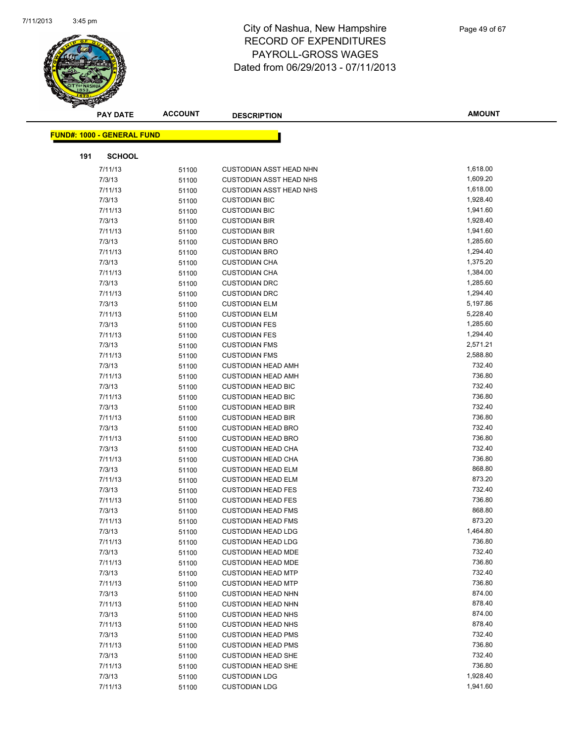

|     | <b>PAY DATE</b>                   | <b>ACCOUNT</b> | <b>DESCRIPTION</b>             | <b>AMOUNT</b> |
|-----|-----------------------------------|----------------|--------------------------------|---------------|
|     | <b>FUND#: 1000 - GENERAL FUND</b> |                |                                |               |
|     |                                   |                |                                |               |
| 191 | <b>SCHOOL</b>                     |                |                                |               |
|     | 7/11/13                           | 51100          | <b>CUSTODIAN ASST HEAD NHN</b> | 1,618.00      |
|     | 7/3/13                            | 51100          | <b>CUSTODIAN ASST HEAD NHS</b> | 1,609.20      |
|     | 7/11/13                           | 51100          | <b>CUSTODIAN ASST HEAD NHS</b> | 1,618.00      |
|     | 7/3/13                            | 51100          | <b>CUSTODIAN BIC</b>           | 1,928.40      |
|     | 7/11/13                           | 51100          | <b>CUSTODIAN BIC</b>           | 1,941.60      |
|     | 7/3/13                            | 51100          | <b>CUSTODIAN BIR</b>           | 1,928.40      |
|     | 7/11/13                           | 51100          | <b>CUSTODIAN BIR</b>           | 1,941.60      |
|     | 7/3/13                            | 51100          | <b>CUSTODIAN BRO</b>           | 1,285.60      |
|     | 7/11/13                           | 51100          | <b>CUSTODIAN BRO</b>           | 1,294.40      |
|     | 7/3/13                            | 51100          | <b>CUSTODIAN CHA</b>           | 1,375.20      |
|     | 7/11/13                           | 51100          | <b>CUSTODIAN CHA</b>           | 1,384.00      |
|     | 7/3/13                            | 51100          | <b>CUSTODIAN DRC</b>           | 1,285.60      |
|     | 7/11/13                           | 51100          | <b>CUSTODIAN DRC</b>           | 1,294.40      |
|     | 7/3/13                            | 51100          | <b>CUSTODIAN ELM</b>           | 5,197.86      |
|     | 7/11/13                           | 51100          | <b>CUSTODIAN ELM</b>           | 5,228.40      |
|     | 7/3/13                            | 51100          | <b>CUSTODIAN FES</b>           | 1,285.60      |
|     | 7/11/13                           | 51100          | <b>CUSTODIAN FES</b>           | 1,294.40      |
|     | 7/3/13                            | 51100          | <b>CUSTODIAN FMS</b>           | 2,571.21      |
|     | 7/11/13                           | 51100          | <b>CUSTODIAN FMS</b>           | 2,588.80      |
|     | 7/3/13                            | 51100          | <b>CUSTODIAN HEAD AMH</b>      | 732.40        |
|     | 7/11/13                           | 51100          | <b>CUSTODIAN HEAD AMH</b>      | 736.80        |
|     | 7/3/13                            | 51100          | <b>CUSTODIAN HEAD BIC</b>      | 732.40        |
|     | 7/11/13                           | 51100          | <b>CUSTODIAN HEAD BIC</b>      | 736.80        |
|     | 7/3/13                            | 51100          | <b>CUSTODIAN HEAD BIR</b>      | 732.40        |
|     | 7/11/13                           | 51100          | <b>CUSTODIAN HEAD BIR</b>      | 736.80        |
|     | 7/3/13                            | 51100          | <b>CUSTODIAN HEAD BRO</b>      | 732.40        |
|     | 7/11/13                           | 51100          | <b>CUSTODIAN HEAD BRO</b>      | 736.80        |
|     | 7/3/13                            | 51100          | <b>CUSTODIAN HEAD CHA</b>      | 732.40        |
|     | 7/11/13                           | 51100          | <b>CUSTODIAN HEAD CHA</b>      | 736.80        |
|     | 7/3/13                            | 51100          | <b>CUSTODIAN HEAD ELM</b>      | 868.80        |
|     | 7/11/13                           | 51100          | <b>CUSTODIAN HEAD ELM</b>      | 873.20        |
|     | 7/3/13                            | 51100          | <b>CUSTODIAN HEAD FES</b>      | 732.40        |
|     | 7/11/13                           | 51100          | <b>CUSTODIAN HEAD FES</b>      | 736.80        |
|     | 7/3/13                            | 51100          | <b>CUSTODIAN HEAD FMS</b>      | 868.80        |
|     | 7/11/13                           | 51100          | <b>CUSTODIAN HEAD FMS</b>      | 873.20        |
|     | 7/3/13                            | 51100          | <b>CUSTODIAN HEAD LDG</b>      | 1,464.80      |
|     | 7/11/13                           | 51100          | <b>CUSTODIAN HEAD LDG</b>      | 736.80        |
|     | 7/3/13                            | 51100          | <b>CUSTODIAN HEAD MDE</b>      | 732.40        |
|     | 7/11/13                           | 51100          | <b>CUSTODIAN HEAD MDE</b>      | 736.80        |
|     | 7/3/13                            | 51100          | <b>CUSTODIAN HEAD MTP</b>      | 732.40        |
|     | 7/11/13                           | 51100          | <b>CUSTODIAN HEAD MTP</b>      | 736.80        |
|     | 7/3/13                            | 51100          | <b>CUSTODIAN HEAD NHN</b>      | 874.00        |
|     | 7/11/13                           | 51100          | <b>CUSTODIAN HEAD NHN</b>      | 878.40        |
|     | 7/3/13                            | 51100          | <b>CUSTODIAN HEAD NHS</b>      | 874.00        |
|     | 7/11/13                           | 51100          | <b>CUSTODIAN HEAD NHS</b>      | 878.40        |
|     | 7/3/13                            | 51100          | <b>CUSTODIAN HEAD PMS</b>      | 732.40        |
|     | 7/11/13                           | 51100          | <b>CUSTODIAN HEAD PMS</b>      | 736.80        |
|     | 7/3/13                            | 51100          | <b>CUSTODIAN HEAD SHE</b>      | 732.40        |
|     | 7/11/13                           | 51100          | <b>CUSTODIAN HEAD SHE</b>      | 736.80        |
|     | 7/3/13                            | 51100          | <b>CUSTODIAN LDG</b>           | 1,928.40      |
|     | 7/11/13                           | 51100          | <b>CUSTODIAN LDG</b>           | 1,941.60      |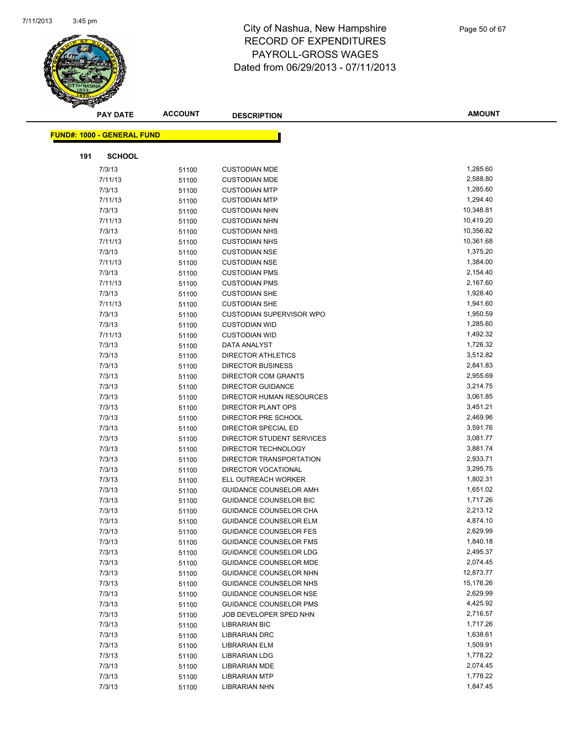

|     | <b>PAY DATE</b>                   | <b>ACCOUNT</b> | <b>DESCRIPTION</b>                                     | <b>AMOUNT</b>        |
|-----|-----------------------------------|----------------|--------------------------------------------------------|----------------------|
|     | <b>FUND#: 1000 - GENERAL FUND</b> |                |                                                        |                      |
|     |                                   |                |                                                        |                      |
| 191 | <b>SCHOOL</b>                     |                |                                                        |                      |
|     | 7/3/13                            | 51100          | <b>CUSTODIAN MDE</b>                                   | 1,285.60             |
|     | 7/11/13                           | 51100          | <b>CUSTODIAN MDE</b>                                   | 2,588.80             |
|     | 7/3/13                            | 51100          | <b>CUSTODIAN MTP</b>                                   | 1,285.60             |
|     | 7/11/13                           | 51100          | <b>CUSTODIAN MTP</b>                                   | 1,294.40             |
|     | 7/3/13                            | 51100          | <b>CUSTODIAN NHN</b>                                   | 10,348.81            |
|     | 7/11/13                           | 51100          | <b>CUSTODIAN NHN</b>                                   | 10,419.20            |
|     | 7/3/13                            | 51100          | <b>CUSTODIAN NHS</b>                                   | 10,356.82            |
|     | 7/11/13                           | 51100          | <b>CUSTODIAN NHS</b>                                   | 10,361.68            |
|     | 7/3/13                            | 51100          | <b>CUSTODIAN NSE</b>                                   | 1,375.20             |
|     | 7/11/13                           | 51100          | <b>CUSTODIAN NSE</b>                                   | 1,384.00             |
|     | 7/3/13                            | 51100          | <b>CUSTODIAN PMS</b>                                   | 2,154.40             |
|     | 7/11/13                           | 51100          | <b>CUSTODIAN PMS</b>                                   | 2,167.60             |
|     | 7/3/13                            | 51100          | <b>CUSTODIAN SHE</b>                                   | 1,928.40             |
|     | 7/11/13                           | 51100          | <b>CUSTODIAN SHE</b>                                   | 1,941.60             |
|     | 7/3/13                            | 51100          | <b>CUSTODIAN SUPERVISOR WPO</b>                        | 1,950.59             |
|     | 7/3/13                            | 51100          | <b>CUSTODIAN WID</b>                                   | 1,285.60             |
|     | 7/11/13                           | 51100          | <b>CUSTODIAN WID</b>                                   | 1,492.32             |
|     | 7/3/13                            | 51100          | DATA ANALYST                                           | 1,726.32             |
|     | 7/3/13                            | 51100          | <b>DIRECTOR ATHLETICS</b>                              | 3,512.82<br>2,841.83 |
|     | 7/3/13<br>7/3/13                  | 51100          | <b>DIRECTOR BUSINESS</b><br><b>DIRECTOR COM GRANTS</b> | 2,955.69             |
|     |                                   | 51100          |                                                        | 3,214.75             |
|     | 7/3/13<br>7/3/13                  | 51100          | <b>DIRECTOR GUIDANCE</b><br>DIRECTOR HUMAN RESOURCES   | 3,061.85             |
|     | 7/3/13                            | 51100          | <b>DIRECTOR PLANT OPS</b>                              | 3,451.21             |
|     | 7/3/13                            | 51100<br>51100 | DIRECTOR PRE SCHOOL                                    | 2,469.96             |
|     | 7/3/13                            | 51100          | DIRECTOR SPECIAL ED                                    | 3,591.76             |
|     | 7/3/13                            | 51100          | DIRECTOR STUDENT SERVICES                              | 3,081.77             |
|     | 7/3/13                            | 51100          | DIRECTOR TECHNOLOGY                                    | 3,881.74             |
|     | 7/3/13                            | 51100          | DIRECTOR TRANSPORTATION                                | 2,933.71             |
|     | 7/3/13                            | 51100          | DIRECTOR VOCATIONAL                                    | 3,295.75             |
|     | 7/3/13                            | 51100          | ELL OUTREACH WORKER                                    | 1,802.31             |
|     | 7/3/13                            | 51100          | GUIDANCE COUNSELOR AMH                                 | 1,651.02             |
|     | 7/3/13                            | 51100          | <b>GUIDANCE COUNSELOR BIC</b>                          | 1,717.26             |
|     | 7/3/13                            | 51100          | GUIDANCE COUNSELOR CHA                                 | 2,213.12             |
|     | 7/3/13                            | 51100          | <b>GUIDANCE COUNSELOR ELM</b>                          | 4,874.10             |
|     | 7/3/13                            | 51100          | <b>GUIDANCE COUNSELOR FES</b>                          | 2,629.99             |
|     | 7/3/13                            | 51100          | <b>GUIDANCE COUNSELOR FMS</b>                          | 1,840.18             |
|     | 7/3/13                            | 51100          | GUIDANCE COUNSELOR LDG                                 | 2,495.37             |
|     | 7/3/13                            | 51100          | <b>GUIDANCE COUNSELOR MDE</b>                          | 2,074.45             |
|     | 7/3/13                            | 51100          | GUIDANCE COUNSELOR NHN                                 | 12,873.77            |
|     | 7/3/13                            | 51100          | GUIDANCE COUNSELOR NHS                                 | 15,176.26            |
|     | 7/3/13                            | 51100          | <b>GUIDANCE COUNSELOR NSE</b>                          | 2,629.99             |
|     | 7/3/13                            | 51100          | <b>GUIDANCE COUNSELOR PMS</b>                          | 4,425.92             |
|     | 7/3/13                            | 51100          | JOB DEVELOPER SPED NHN                                 | 2,716.57             |
|     | 7/3/13                            | 51100          | <b>LIBRARIAN BIC</b>                                   | 1,717.26             |
|     | 7/3/13                            | 51100          | <b>LIBRARIAN DRC</b>                                   | 1,638.61             |
|     | 7/3/13                            | 51100          | <b>LIBRARIAN ELM</b>                                   | 1,509.91             |
|     | 7/3/13                            | 51100          | <b>LIBRARIAN LDG</b>                                   | 1,778.22             |
|     | 7/3/13                            | 51100          | <b>LIBRARIAN MDE</b>                                   | 2,074.45             |
|     | 7/3/13                            | 51100          | <b>LIBRARIAN MTP</b>                                   | 1,778.22             |
|     | 7/3/13                            | 51100          | <b>LIBRARIAN NHN</b>                                   | 1,847.45             |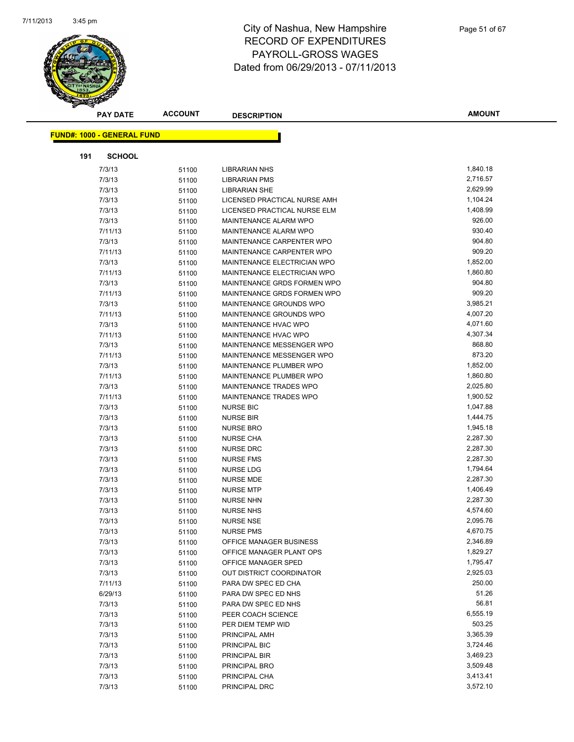

| <b>PAY DATE</b>                   | <b>ACCOUNT</b> | <b>DESCRIPTION</b>           | <b>AMOUNT</b> |
|-----------------------------------|----------------|------------------------------|---------------|
|                                   |                |                              |               |
| <b>FUND#: 1000 - GENERAL FUND</b> |                |                              |               |
| 191<br><b>SCHOOL</b>              |                |                              |               |
| 7/3/13                            | 51100          | <b>LIBRARIAN NHS</b>         | 1,840.18      |
| 7/3/13                            | 51100          | <b>LIBRARIAN PMS</b>         | 2,716.57      |
| 7/3/13                            | 51100          | <b>LIBRARIAN SHE</b>         | 2,629.99      |
| 7/3/13                            | 51100          | LICENSED PRACTICAL NURSE AMH | 1,104.24      |
| 7/3/13                            | 51100          | LICENSED PRACTICAL NURSE ELM | 1,408.99      |
| 7/3/13                            | 51100          | MAINTENANCE ALARM WPO        | 926.00        |
| 7/11/13                           | 51100          | <b>MAINTENANCE ALARM WPO</b> | 930.40        |
| 7/3/13                            | 51100          | MAINTENANCE CARPENTER WPO    | 904.80        |
| 7/11/13                           | 51100          | MAINTENANCE CARPENTER WPO    | 909.20        |
| 7/3/13                            | 51100          | MAINTENANCE ELECTRICIAN WPO  | 1,852.00      |
| 7/11/13                           | 51100          | MAINTENANCE ELECTRICIAN WPO  | 1,860.80      |
| 7/3/13                            | 51100          | MAINTENANCE GRDS FORMEN WPO  | 904.80        |
| 7/11/13                           | 51100          | MAINTENANCE GRDS FORMEN WPO  | 909.20        |
| 7/3/13                            | 51100          | MAINTENANCE GROUNDS WPO      | 3,985.21      |
| 7/11/13                           | 51100          | MAINTENANCE GROUNDS WPO      | 4,007.20      |
| 7/3/13                            | 51100          | MAINTENANCE HVAC WPO         | 4,071.60      |
| 7/11/13                           | 51100          | MAINTENANCE HVAC WPO         | 4,307.34      |
| 7/3/13                            | 51100          | MAINTENANCE MESSENGER WPO    | 868.80        |
| 7/11/13                           | 51100          | MAINTENANCE MESSENGER WPO    | 873.20        |
| 7/3/13                            | 51100          | MAINTENANCE PLUMBER WPO      | 1,852.00      |
| 7/11/13                           | 51100          | MAINTENANCE PLUMBER WPO      | 1,860.80      |
| 7/3/13                            | 51100          | MAINTENANCE TRADES WPO       | 2,025.80      |
| 7/11/13                           | 51100          | MAINTENANCE TRADES WPO       | 1,900.52      |
| 7/3/13                            | 51100          | <b>NURSE BIC</b>             | 1,047.88      |
| 7/3/13                            | 51100          | <b>NURSE BIR</b>             | 1,444.75      |
| 7/3/13                            | 51100          | <b>NURSE BRO</b>             | 1,945.18      |
| 7/3/13                            | 51100          | <b>NURSE CHA</b>             | 2,287.30      |
| 7/3/13                            | 51100          | <b>NURSE DRC</b>             | 2,287.30      |
| 7/3/13                            | 51100          | <b>NURSE FMS</b>             | 2,287.30      |
| 7/3/13                            | 51100          | NURSE LDG                    | 1,794.64      |
| 7/3/13                            | 51100          | <b>NURSE MDE</b>             | 2,287.30      |
| 7/3/13                            | 51100          | <b>NURSE MTP</b>             | 1,406.49      |
| 7/3/13                            | 51100          | <b>NURSE NHN</b>             | 2,287.30      |
| 7/3/13                            | 51100          | <b>NURSE NHS</b>             | 4,574.60      |
| 7/3/13                            | 51100          | <b>NURSE NSE</b>             | 2,095.76      |
| 7/3/13                            | 51100          | <b>NURSE PMS</b>             | 4,670.75      |
| 7/3/13                            | 51100          | OFFICE MANAGER BUSINESS      | 2,346.89      |
| 7/3/13                            | 51100          | OFFICE MANAGER PLANT OPS     | 1,829.27      |
| 7/3/13                            | 51100          | OFFICE MANAGER SPED          | 1,795.47      |
| 7/3/13                            | 51100          | OUT DISTRICT COORDINATOR     | 2,925.03      |
| 7/11/13                           | 51100          | PARA DW SPEC ED CHA          | 250.00        |
| 6/29/13                           | 51100          | PARA DW SPEC ED NHS          | 51.26         |
| 7/3/13                            | 51100          | PARA DW SPEC ED NHS          | 56.81         |
| 7/3/13                            | 51100          | PEER COACH SCIENCE           | 6,555.19      |
| 7/3/13                            | 51100          | PER DIEM TEMP WID            | 503.25        |
| 7/3/13                            | 51100          | PRINCIPAL AMH                | 3,365.39      |
| 7/3/13                            | 51100          | PRINCIPAL BIC                | 3,724.46      |
| 7/3/13                            | 51100          | PRINCIPAL BIR                | 3,469.23      |
| 7/3/13                            | 51100          | PRINCIPAL BRO                | 3,509.48      |
| 7/3/13                            | 51100          | PRINCIPAL CHA                | 3,413.41      |
| 7/3/13                            | 51100          | PRINCIPAL DRC                | 3,572.10      |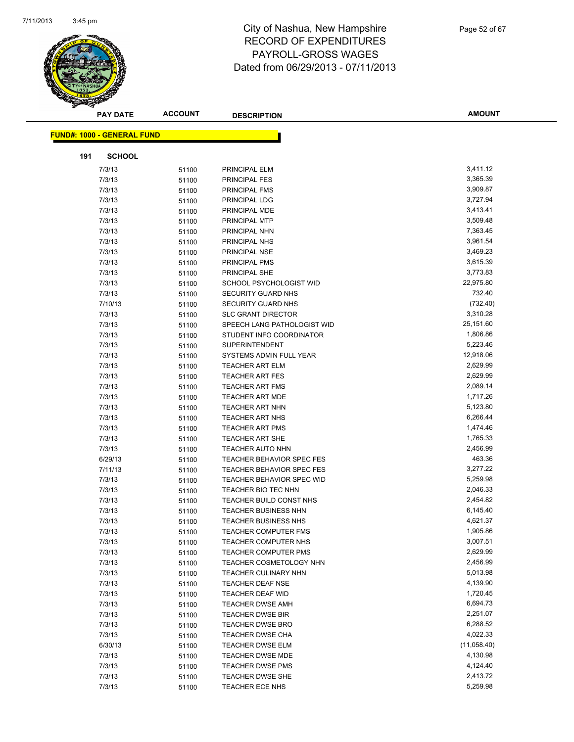

| <b>PAY DATE</b>                   | <b>ACCOUNT</b> | <b>DESCRIPTION</b>             | <b>AMOUNT</b> |
|-----------------------------------|----------------|--------------------------------|---------------|
| <b>FUND#: 1000 - GENERAL FUND</b> |                |                                |               |
|                                   |                |                                |               |
| 191                               | <b>SCHOOL</b>  |                                |               |
| 7/3/13                            | 51100          | PRINCIPAL ELM                  | 3,411.12      |
| 7/3/13                            | 51100          | <b>PRINCIPAL FES</b>           | 3,365.39      |
| 7/3/13                            | 51100          | <b>PRINCIPAL FMS</b>           | 3,909.87      |
| 7/3/13                            | 51100          | PRINCIPAL LDG                  | 3,727.94      |
| 7/3/13                            | 51100          | PRINCIPAL MDE                  | 3,413.41      |
| 7/3/13                            | 51100          | PRINCIPAL MTP                  | 3,509.48      |
| 7/3/13                            | 51100          | PRINCIPAL NHN                  | 7,363.45      |
| 7/3/13                            | 51100          | PRINCIPAL NHS                  | 3,961.54      |
| 7/3/13                            | 51100          | PRINCIPAL NSE                  | 3,469.23      |
| 7/3/13                            | 51100          | PRINCIPAL PMS                  | 3,615.39      |
| 7/3/13                            | 51100          | PRINCIPAL SHE                  | 3,773.83      |
| 7/3/13                            | 51100          | SCHOOL PSYCHOLOGIST WID        | 22,975.80     |
| 7/3/13                            | 51100          | SECURITY GUARD NHS             | 732.40        |
| 7/10/13                           | 51100          | SECURITY GUARD NHS             | (732.40)      |
| 7/3/13                            | 51100          | <b>SLC GRANT DIRECTOR</b>      | 3,310.28      |
| 7/3/13                            | 51100          | SPEECH LANG PATHOLOGIST WID    | 25,151.60     |
| 7/3/13                            | 51100          | STUDENT INFO COORDINATOR       | 1,806.86      |
| 7/3/13                            | 51100          | <b>SUPERINTENDENT</b>          | 5,223.46      |
| 7/3/13                            | 51100          | SYSTEMS ADMIN FULL YEAR        | 12,918.06     |
| 7/3/13                            | 51100          | <b>TEACHER ART ELM</b>         | 2,629.99      |
| 7/3/13                            | 51100          | <b>TEACHER ART FES</b>         | 2,629.99      |
| 7/3/13                            | 51100          | <b>TEACHER ART FMS</b>         | 2,089.14      |
| 7/3/13                            | 51100          | <b>TEACHER ART MDE</b>         | 1,717.26      |
| 7/3/13                            | 51100          | <b>TEACHER ART NHN</b>         | 5,123.80      |
| 7/3/13                            | 51100          | <b>TEACHER ART NHS</b>         | 6,266.44      |
| 7/3/13                            | 51100          | <b>TEACHER ART PMS</b>         | 1,474.46      |
| 7/3/13                            | 51100          | <b>TEACHER ART SHE</b>         | 1,765.33      |
| 7/3/13                            | 51100          | <b>TEACHER AUTO NHN</b>        | 2,456.99      |
| 6/29/13                           | 51100          | TEACHER BEHAVIOR SPEC FES      | 463.36        |
| 7/11/13                           | 51100          | TEACHER BEHAVIOR SPEC FES      | 3,277.22      |
| 7/3/13                            | 51100          | TEACHER BEHAVIOR SPEC WID      | 5,259.98      |
| 7/3/13                            | 51100          | TEACHER BIO TEC NHN            | 2,046.33      |
| 7/3/13                            | 51100          | TEACHER BUILD CONST NHS        | 2,454.82      |
| 7/3/13                            | 51100          | <b>TEACHER BUSINESS NHN</b>    | 6,145.40      |
| 7/3/13                            | 51100          | <b>TEACHER BUSINESS NHS</b>    | 4,621.37      |
| 7/3/13                            | 51100          | TEACHER COMPUTER FMS           | 1,905.86      |
| 7/3/13                            | 51100          | TEACHER COMPUTER NHS           | 3,007.51      |
| 7/3/13                            | 51100          | <b>TEACHER COMPUTER PMS</b>    | 2,629.99      |
| 7/3/13                            | 51100          | <b>TEACHER COSMETOLOGY NHN</b> | 2,456.99      |
| 7/3/13                            | 51100          | <b>TEACHER CULINARY NHN</b>    | 5,013.98      |
| 7/3/13                            | 51100          | <b>TEACHER DEAF NSE</b>        | 4,139.90      |
| 7/3/13                            | 51100          | <b>TEACHER DEAF WID</b>        | 1,720.45      |
| 7/3/13                            | 51100          | <b>TEACHER DWSE AMH</b>        | 6,694.73      |
| 7/3/13                            | 51100          | <b>TEACHER DWSE BIR</b>        | 2,251.07      |
| 7/3/13                            | 51100          | <b>TEACHER DWSE BRO</b>        | 6,288.52      |
| 7/3/13                            | 51100          | TEACHER DWSE CHA               | 4,022.33      |
| 6/30/13                           | 51100          | <b>TEACHER DWSE ELM</b>        | (11,058.40)   |
| 7/3/13                            | 51100          | TEACHER DWSE MDE               | 4,130.98      |
| 7/3/13                            | 51100          | <b>TEACHER DWSE PMS</b>        | 4,124.40      |
| 7/3/13                            | 51100          | TEACHER DWSE SHE               | 2,413.72      |
| 7/3/13                            | 51100          | TEACHER ECE NHS                | 5,259.98      |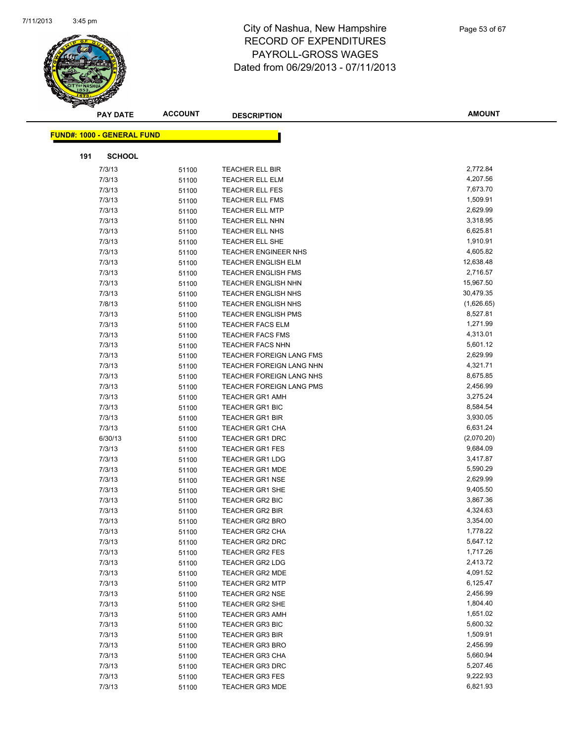

|     | <b>PAY DATE</b>                   | <b>ACCOUNT</b> | <b>DESCRIPTION</b>         | <b>AMOUNT</b> |
|-----|-----------------------------------|----------------|----------------------------|---------------|
|     |                                   |                |                            |               |
|     | <b>FUND#: 1000 - GENERAL FUND</b> |                |                            |               |
| 191 | <b>SCHOOL</b>                     |                |                            |               |
|     | 7/3/13                            | 51100          | <b>TEACHER ELL BIR</b>     | 2,772.84      |
|     | 7/3/13                            | 51100          | <b>TEACHER ELL ELM</b>     | 4,207.56      |
|     | 7/3/13                            | 51100          | <b>TEACHER ELL FES</b>     | 7,673.70      |
|     | 7/3/13                            | 51100          | <b>TEACHER ELL FMS</b>     | 1,509.91      |
|     | 7/3/13                            | 51100          | <b>TEACHER ELL MTP</b>     | 2,629.99      |
|     | 7/3/13                            | 51100          | <b>TEACHER ELL NHN</b>     | 3,318.95      |
|     | 7/3/13                            | 51100          | TEACHER ELL NHS            | 6,625.81      |
|     | 7/3/13                            | 51100          | TEACHER ELL SHE            | 1,910.91      |
|     | 7/3/13                            | 51100          | TEACHER ENGINEER NHS       | 4,605.82      |
|     | 7/3/13                            | 51100          | <b>TEACHER ENGLISH ELM</b> | 12,638.48     |
|     | 7/3/13                            | 51100          | <b>TEACHER ENGLISH FMS</b> | 2,716.57      |
|     | 7/3/13                            | 51100          | <b>TEACHER ENGLISH NHN</b> | 15,967.50     |
|     | 7/3/13                            | 51100          | <b>TEACHER ENGLISH NHS</b> | 30,479.35     |
|     | 7/8/13                            | 51100          | <b>TEACHER ENGLISH NHS</b> | (1,626.65)    |
|     | 7/3/13                            | 51100          | <b>TEACHER ENGLISH PMS</b> | 8,527.81      |
|     | 7/3/13                            | 51100          | TEACHER FACS ELM           | 1,271.99      |
|     | 7/3/13                            | 51100          | <b>TEACHER FACS FMS</b>    | 4,313.01      |
|     | 7/3/13                            | 51100          | <b>TEACHER FACS NHN</b>    | 5,601.12      |
|     | 7/3/13                            | 51100          | TEACHER FOREIGN LANG FMS   | 2,629.99      |
|     | 7/3/13                            | 51100          | TEACHER FOREIGN LANG NHN   | 4,321.71      |
|     | 7/3/13                            | 51100          | TEACHER FOREIGN LANG NHS   | 8,675.85      |
|     | 7/3/13                            | 51100          | TEACHER FOREIGN LANG PMS   | 2,456.99      |
|     | 7/3/13                            | 51100          | <b>TEACHER GR1 AMH</b>     | 3,275.24      |
|     | 7/3/13                            | 51100          | <b>TEACHER GR1 BIC</b>     | 8,584.54      |
|     | 7/3/13                            | 51100          | <b>TEACHER GR1 BIR</b>     | 3,930.05      |
|     | 7/3/13                            | 51100          | <b>TEACHER GR1 CHA</b>     | 6,631.24      |
|     | 6/30/13                           | 51100          | <b>TEACHER GR1 DRC</b>     | (2,070.20)    |
|     | 7/3/13                            | 51100          | <b>TEACHER GR1 FES</b>     | 9,684.09      |
|     | 7/3/13                            | 51100          | <b>TEACHER GR1 LDG</b>     | 3,417.87      |
|     | 7/3/13                            | 51100          | <b>TEACHER GR1 MDE</b>     | 5,590.29      |
|     | 7/3/13                            | 51100          | <b>TEACHER GR1 NSE</b>     | 2,629.99      |
|     | 7/3/13                            | 51100          | <b>TEACHER GR1 SHE</b>     | 9,405.50      |
|     | 7/3/13                            | 51100          | <b>TEACHER GR2 BIC</b>     | 3,867.36      |
|     | 7/3/13                            | 51100          | <b>TEACHER GR2 BIR</b>     | 4,324.63      |
|     | 7/3/13                            | 51100          | <b>TEACHER GR2 BRO</b>     | 3,354.00      |
|     | 7/3/13                            | 51100          | TEACHER GR2 CHA            | 1,778.22      |
|     | 7/3/13                            | 51100          | <b>TEACHER GR2 DRC</b>     | 5,647.12      |
|     | 7/3/13                            | 51100          | <b>TEACHER GR2 FES</b>     | 1,717.26      |
|     | 7/3/13                            | 51100          | <b>TEACHER GR2 LDG</b>     | 2,413.72      |
|     | 7/3/13                            | 51100          | <b>TEACHER GR2 MDE</b>     | 4,091.52      |
|     | 7/3/13                            | 51100          | <b>TEACHER GR2 MTP</b>     | 6,125.47      |
|     | 7/3/13                            | 51100          | <b>TEACHER GR2 NSE</b>     | 2,456.99      |
|     | 7/3/13                            | 51100          | TEACHER GR2 SHE            | 1,804.40      |
|     | 7/3/13                            | 51100          | <b>TEACHER GR3 AMH</b>     | 1,651.02      |
|     | 7/3/13                            | 51100          | <b>TEACHER GR3 BIC</b>     | 5,600.32      |
|     | 7/3/13                            | 51100          | <b>TEACHER GR3 BIR</b>     | 1,509.91      |
|     | 7/3/13                            | 51100          | <b>TEACHER GR3 BRO</b>     | 2,456.99      |
|     | 7/3/13                            | 51100          | <b>TEACHER GR3 CHA</b>     | 5,660.94      |
|     | 7/3/13                            | 51100          | <b>TEACHER GR3 DRC</b>     | 5,207.46      |
|     | 7/3/13                            | 51100          | <b>TEACHER GR3 FES</b>     | 9,222.93      |
|     | 7/3/13                            | 51100          | <b>TEACHER GR3 MDE</b>     | 6,821.93      |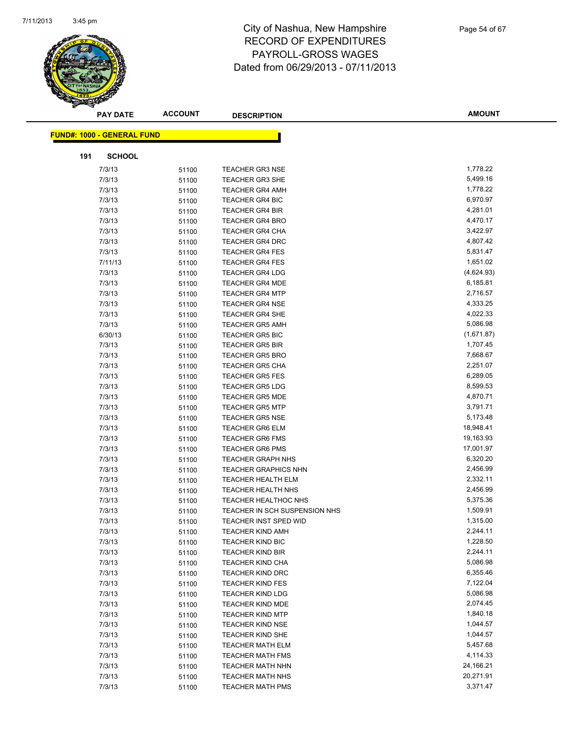

|     | <b>PAY DATE</b>                   | <b>ACCOUNT</b> | <b>DESCRIPTION</b>                               | <b>AMOUNT</b>        |
|-----|-----------------------------------|----------------|--------------------------------------------------|----------------------|
|     | <b>FUND#: 1000 - GENERAL FUND</b> |                |                                                  |                      |
| 191 | <b>SCHOOL</b>                     |                |                                                  |                      |
|     |                                   |                |                                                  |                      |
|     | 7/3/13                            | 51100          | <b>TEACHER GR3 NSE</b>                           | 1,778.22             |
|     | 7/3/13                            | 51100          | <b>TEACHER GR3 SHE</b>                           | 5,499.16             |
|     | 7/3/13                            | 51100          | <b>TEACHER GR4 AMH</b>                           | 1,778.22             |
|     | 7/3/13                            | 51100          | <b>TEACHER GR4 BIC</b>                           | 6,970.97             |
|     | 7/3/13                            | 51100          | TEACHER GR4 BIR                                  | 4,281.01             |
|     | 7/3/13                            | 51100          | <b>TEACHER GR4 BRO</b>                           | 4,470.17             |
|     | 7/3/13                            | 51100          | <b>TEACHER GR4 CHA</b>                           | 3,422.97<br>4,807.42 |
|     | 7/3/13                            | 51100          | <b>TEACHER GR4 DRC</b>                           | 5,831.47             |
|     | 7/3/13<br>7/11/13                 | 51100          | <b>TEACHER GR4 FES</b>                           | 1,651.02             |
|     | 7/3/13                            | 51100          | <b>TEACHER GR4 FES</b><br><b>TEACHER GR4 LDG</b> | (4,624.93)           |
|     | 7/3/13                            | 51100          | <b>TEACHER GR4 MDE</b>                           | 6,185.81             |
|     | 7/3/13                            | 51100<br>51100 | <b>TEACHER GR4 MTP</b>                           | 2,716.57             |
|     | 7/3/13                            | 51100          | <b>TEACHER GR4 NSE</b>                           | 4,333.25             |
|     | 7/3/13                            | 51100          | <b>TEACHER GR4 SHE</b>                           | 4,022.33             |
|     | 7/3/13                            | 51100          | <b>TEACHER GR5 AMH</b>                           | 5,086.98             |
|     | 6/30/13                           | 51100          | <b>TEACHER GR5 BIC</b>                           | (1,671.87)           |
|     | 7/3/13                            | 51100          | <b>TEACHER GR5 BIR</b>                           | 1,707.45             |
|     | 7/3/13                            | 51100          | <b>TEACHER GR5 BRO</b>                           | 7,668.67             |
|     | 7/3/13                            | 51100          | <b>TEACHER GR5 CHA</b>                           | 2,251.07             |
|     | 7/3/13                            | 51100          | <b>TEACHER GR5 FES</b>                           | 6,289.05             |
|     | 7/3/13                            | 51100          | <b>TEACHER GR5 LDG</b>                           | 8,599.53             |
|     | 7/3/13                            | 51100          | <b>TEACHER GR5 MDE</b>                           | 4,870.71             |
|     | 7/3/13                            | 51100          | <b>TEACHER GR5 MTP</b>                           | 3,791.71             |
|     | 7/3/13                            | 51100          | <b>TEACHER GR5 NSE</b>                           | 5,173.48             |
|     | 7/3/13                            | 51100          | <b>TEACHER GR6 ELM</b>                           | 18,948.41            |
|     | 7/3/13                            | 51100          | <b>TEACHER GR6 FMS</b>                           | 19,163.93            |
|     | 7/3/13                            | 51100          | <b>TEACHER GR6 PMS</b>                           | 17,001.97            |
|     | 7/3/13                            | 51100          | <b>TEACHER GRAPH NHS</b>                         | 6,320.20             |
|     | 7/3/13                            | 51100          | <b>TEACHER GRAPHICS NHN</b>                      | 2,456.99             |
|     | 7/3/13                            | 51100          | <b>TEACHER HEALTH ELM</b>                        | 2,332.11             |
|     | 7/3/13                            | 51100          | <b>TEACHER HEALTH NHS</b>                        | 2,456.99             |
|     | 7/3/13                            | 51100          | TEACHER HEALTHOC NHS                             | 5,375.36             |
|     | 7/3/13                            | 51100          | TEACHER IN SCH SUSPENSION NHS                    | 1,509.91             |
|     | 7/3/13                            | 51100          | TEACHER INST SPED WID                            | 1,315.00             |
|     | 7/3/13                            | 51100          | <b>TEACHER KIND AMH</b>                          | 2,244.11             |
|     | 7/3/13                            | 51100          | <b>TEACHER KIND BIC</b>                          | 1,228.50             |
|     | 7/3/13                            | 51100          | <b>TEACHER KIND BIR</b>                          | 2,244.11             |
|     | 7/3/13                            | 51100          | <b>TEACHER KIND CHA</b>                          | 5,086.98             |
|     | 7/3/13                            | 51100          | <b>TEACHER KIND DRC</b>                          | 6,355.46             |
|     | 7/3/13                            | 51100          | <b>TEACHER KIND FES</b>                          | 7,122.04             |
|     | 7/3/13                            | 51100          | <b>TEACHER KIND LDG</b>                          | 5,086.98             |
|     | 7/3/13                            | 51100          | <b>TEACHER KIND MDE</b>                          | 2,074.45             |
|     | 7/3/13                            | 51100          | <b>TEACHER KIND MTP</b>                          | 1,840.18             |
|     | 7/3/13                            | 51100          | <b>TEACHER KIND NSE</b>                          | 1,044.57             |
|     | 7/3/13                            | 51100          | <b>TEACHER KIND SHE</b>                          | 1,044.57             |
|     | 7/3/13                            | 51100          | <b>TEACHER MATH ELM</b>                          | 5,457.68             |
|     | 7/3/13                            | 51100          | <b>TEACHER MATH FMS</b>                          | 4,114.33             |
|     | 7/3/13                            | 51100          | <b>TEACHER MATH NHN</b>                          | 24,166.21            |
|     | 7/3/13                            | 51100          | <b>TEACHER MATH NHS</b>                          | 20,271.91            |
|     | 7/3/13                            | 51100          | <b>TEACHER MATH PMS</b>                          | 3,371.47             |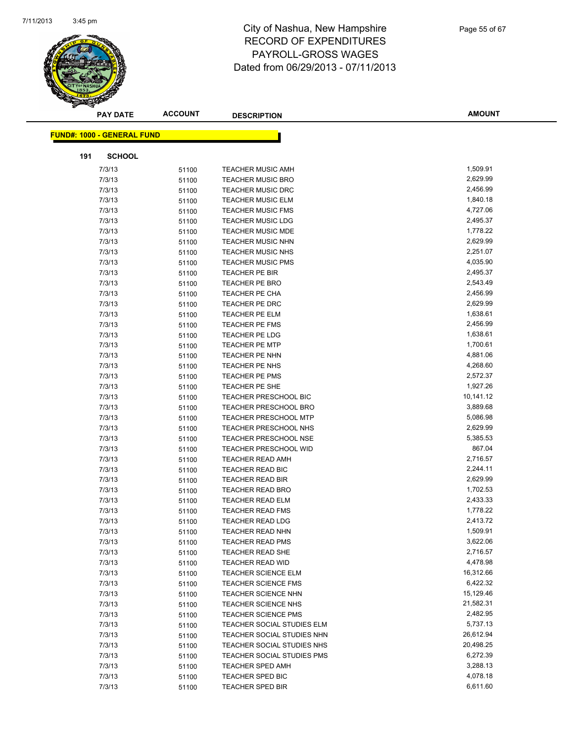

|     | <b>PAY DATE</b>                   | <b>ACCOUNT</b> | <b>DESCRIPTION</b>                | <b>AMOUNT</b> |
|-----|-----------------------------------|----------------|-----------------------------------|---------------|
|     | <b>FUND#: 1000 - GENERAL FUND</b> |                |                                   |               |
|     |                                   |                |                                   |               |
| 191 | <b>SCHOOL</b>                     |                |                                   |               |
|     | 7/3/13                            | 51100          | <b>TEACHER MUSIC AMH</b>          | 1,509.91      |
|     | 7/3/13                            | 51100          | <b>TEACHER MUSIC BRO</b>          | 2,629.99      |
|     | 7/3/13                            | 51100          | <b>TEACHER MUSIC DRC</b>          | 2,456.99      |
|     | 7/3/13                            | 51100          | <b>TEACHER MUSIC ELM</b>          | 1,840.18      |
|     | 7/3/13                            | 51100          | <b>TEACHER MUSIC FMS</b>          | 4,727.06      |
|     | 7/3/13                            | 51100          | <b>TEACHER MUSIC LDG</b>          | 2,495.37      |
|     | 7/3/13                            | 51100          | <b>TEACHER MUSIC MDE</b>          | 1,778.22      |
|     | 7/3/13                            | 51100          | <b>TEACHER MUSIC NHN</b>          | 2,629.99      |
|     | 7/3/13                            | 51100          | <b>TEACHER MUSIC NHS</b>          | 2,251.07      |
|     | 7/3/13                            | 51100          | <b>TEACHER MUSIC PMS</b>          | 4,035.90      |
|     | 7/3/13                            | 51100          | TEACHER PE BIR                    | 2,495.37      |
|     | 7/3/13                            | 51100          | <b>TEACHER PE BRO</b>             | 2,543.49      |
|     | 7/3/13                            | 51100          | <b>TEACHER PE CHA</b>             | 2,456.99      |
|     | 7/3/13                            | 51100          | <b>TEACHER PE DRC</b>             | 2,629.99      |
|     | 7/3/13                            | 51100          | TEACHER PE ELM                    | 1,638.61      |
|     | 7/3/13                            | 51100          | <b>TEACHER PE FMS</b>             | 2,456.99      |
|     | 7/3/13                            | 51100          | TEACHER PE LDG                    | 1,638.61      |
|     | 7/3/13                            | 51100          | <b>TEACHER PE MTP</b>             | 1,700.61      |
|     | 7/3/13                            | 51100          | <b>TEACHER PE NHN</b>             | 4,881.06      |
|     | 7/3/13                            | 51100          | TEACHER PE NHS                    | 4,268.60      |
|     | 7/3/13                            | 51100          | <b>TEACHER PE PMS</b>             | 2,572.37      |
|     | 7/3/13                            | 51100          | TEACHER PE SHE                    | 1,927.26      |
|     | 7/3/13                            | 51100          | TEACHER PRESCHOOL BIC             | 10,141.12     |
|     | 7/3/13                            | 51100          | <b>TEACHER PRESCHOOL BRO</b>      | 3,889.68      |
|     | 7/3/13                            | 51100          | TEACHER PRESCHOOL MTP             | 5,086.98      |
|     | 7/3/13                            | 51100          | <b>TEACHER PRESCHOOL NHS</b>      | 2,629.99      |
|     | 7/3/13                            | 51100          | <b>TEACHER PRESCHOOL NSE</b>      | 5,385.53      |
|     | 7/3/13                            | 51100          | <b>TEACHER PRESCHOOL WID</b>      | 867.04        |
|     | 7/3/13                            | 51100          | <b>TEACHER READ AMH</b>           | 2,716.57      |
|     | 7/3/13                            | 51100          | <b>TEACHER READ BIC</b>           | 2,244.11      |
|     | 7/3/13                            | 51100          | <b>TEACHER READ BIR</b>           | 2,629.99      |
|     | 7/3/13                            | 51100          | <b>TEACHER READ BRO</b>           | 1,702.53      |
|     | 7/3/13                            | 51100          | <b>TEACHER READ ELM</b>           | 2,433.33      |
|     | 7/3/13                            | 51100          | <b>TEACHER READ FMS</b>           | 1,778.22      |
|     | 7/3/13                            | 51100          | <b>TEACHER READ LDG</b>           | 2,413.72      |
|     | 7/3/13                            | 51100          | TEACHER READ NHN                  | 1,509.91      |
|     | 7/3/13                            | 51100          | <b>TEACHER READ PMS</b>           | 3,622.06      |
|     | 7/3/13                            | 51100          | TEACHER READ SHE                  | 2,716.57      |
|     | 7/3/13                            | 51100          | TEACHER READ WID                  | 4,478.98      |
|     | 7/3/13                            | 51100          | <b>TEACHER SCIENCE ELM</b>        | 16,312.66     |
|     | 7/3/13                            | 51100          | <b>TEACHER SCIENCE FMS</b>        | 6,422.32      |
|     | 7/3/13                            | 51100          | <b>TEACHER SCIENCE NHN</b>        | 15,129.46     |
|     | 7/3/13                            | 51100          | TEACHER SCIENCE NHS               | 21,582.31     |
|     | 7/3/13                            | 51100          | <b>TEACHER SCIENCE PMS</b>        | 2,482.95      |
|     | 7/3/13                            | 51100          | TEACHER SOCIAL STUDIES ELM        | 5,737.13      |
|     | 7/3/13                            | 51100          | <b>TEACHER SOCIAL STUDIES NHN</b> | 26,612.94     |
|     | 7/3/13                            | 51100          | TEACHER SOCIAL STUDIES NHS        | 20,498.25     |
|     | 7/3/13                            | 51100          | TEACHER SOCIAL STUDIES PMS        | 6,272.39      |
|     | 7/3/13                            | 51100          | <b>TEACHER SPED AMH</b>           | 3,288.13      |
|     | 7/3/13                            | 51100          | <b>TEACHER SPED BIC</b>           | 4,078.18      |
|     | 7/3/13                            | 51100          | <b>TEACHER SPED BIR</b>           | 6,611.60      |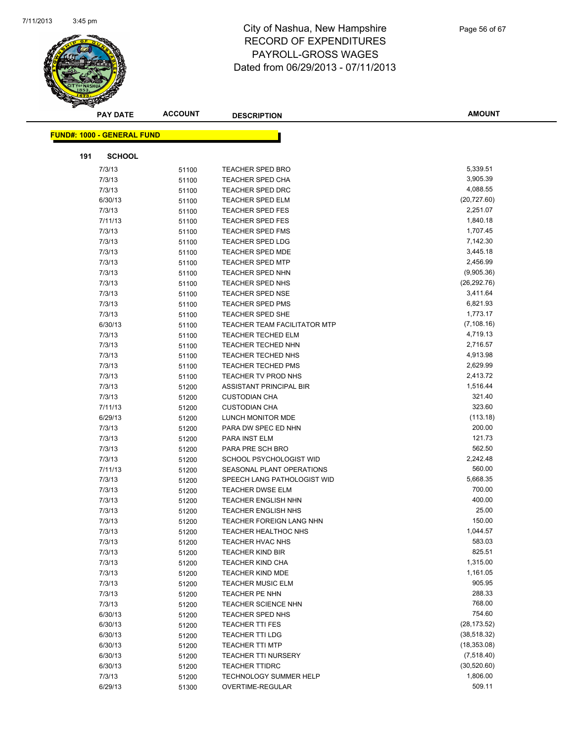

| <b>PAY DATE</b>                   | <b>ACCOUNT</b> | <b>DESCRIPTION</b>                  | <b>AMOUNT</b> |
|-----------------------------------|----------------|-------------------------------------|---------------|
| <b>FUND#: 1000 - GENERAL FUND</b> |                |                                     |               |
|                                   |                |                                     |               |
| 191<br><b>SCHOOL</b>              |                |                                     |               |
| 7/3/13                            | 51100          | <b>TEACHER SPED BRO</b>             | 5,339.51      |
| 7/3/13                            | 51100          | <b>TEACHER SPED CHA</b>             | 3,905.39      |
| 7/3/13                            | 51100          | <b>TEACHER SPED DRC</b>             | 4,088.55      |
| 6/30/13                           | 51100          | <b>TEACHER SPED ELM</b>             | (20, 727.60)  |
| 7/3/13                            | 51100          | <b>TEACHER SPED FES</b>             | 2,251.07      |
| 7/11/13                           | 51100          | <b>TEACHER SPED FES</b>             | 1,840.18      |
| 7/3/13                            | 51100          | <b>TEACHER SPED FMS</b>             | 1,707.45      |
| 7/3/13                            | 51100          | <b>TEACHER SPED LDG</b>             | 7,142.30      |
| 7/3/13                            | 51100          | <b>TEACHER SPED MDE</b>             | 3,445.18      |
| 7/3/13                            | 51100          | <b>TEACHER SPED MTP</b>             | 2,456.99      |
| 7/3/13                            | 51100          | <b>TEACHER SPED NHN</b>             | (9,905.36)    |
| 7/3/13                            | 51100          | <b>TEACHER SPED NHS</b>             | (26, 292.76)  |
| 7/3/13                            | 51100          | <b>TEACHER SPED NSE</b>             | 3,411.64      |
| 7/3/13                            | 51100          | <b>TEACHER SPED PMS</b>             | 6,821.93      |
| 7/3/13                            | 51100          | <b>TEACHER SPED SHE</b>             | 1,773.17      |
| 6/30/13                           | 51100          | <b>TEACHER TEAM FACILITATOR MTP</b> | (7, 108.16)   |
| 7/3/13                            | 51100          | <b>TEACHER TECHED ELM</b>           | 4,719.13      |
| 7/3/13                            | 51100          | <b>TEACHER TECHED NHN</b>           | 2,716.57      |
| 7/3/13                            | 51100          | TEACHER TECHED NHS                  | 4,913.98      |
| 7/3/13                            | 51100          | <b>TEACHER TECHED PMS</b>           | 2,629.99      |
| 7/3/13                            | 51100          | TEACHER TV PROD NHS                 | 2,413.72      |
| 7/3/13                            | 51200          | ASSISTANT PRINCIPAL BIR             | 1,516.44      |
| 7/3/13                            | 51200          | <b>CUSTODIAN CHA</b>                | 321.40        |
| 7/11/13                           | 51200          | <b>CUSTODIAN CHA</b>                | 323.60        |
| 6/29/13                           | 51200          | LUNCH MONITOR MDE                   | (113.18)      |
| 7/3/13                            | 51200          | PARA DW SPEC ED NHN                 | 200.00        |
| 7/3/13                            | 51200          | PARA INST ELM                       | 121.73        |
| 7/3/13                            | 51200          | PARA PRE SCH BRO                    | 562.50        |
| 7/3/13                            | 51200          | SCHOOL PSYCHOLOGIST WID             | 2,242.48      |
| 7/11/13                           | 51200          | SEASONAL PLANT OPERATIONS           | 560.00        |
| 7/3/13                            | 51200          | SPEECH LANG PATHOLOGIST WID         | 5,668.35      |
| 7/3/13                            | 51200          | TEACHER DWSE ELM                    | 700.00        |
| 7/3/13                            | 51200          | <b>TEACHER ENGLISH NHN</b>          | 400.00        |
| 7/3/13                            | 51200          | <b>TEACHER ENGLISH NHS</b>          | 25.00         |
| 7/3/13                            | 51200          | TEACHER FOREIGN LANG NHN            | 150.00        |
| 7/3/13                            | 51200          | TEACHER HEALTHOC NHS                | 1,044.57      |
| 7/3/13                            | 51200          | TEACHER HVAC NHS                    | 583.03        |
| 7/3/13                            | 51200          | <b>TEACHER KIND BIR</b>             | 825.51        |
| 7/3/13                            | 51200          | <b>TEACHER KIND CHA</b>             | 1,315.00      |
| 7/3/13                            | 51200          | TEACHER KIND MDE                    | 1,161.05      |
| 7/3/13                            | 51200          | <b>TEACHER MUSIC ELM</b>            | 905.95        |
| 7/3/13                            | 51200          | TEACHER PE NHN                      | 288.33        |
| 7/3/13                            | 51200          | <b>TEACHER SCIENCE NHN</b>          | 768.00        |
| 6/30/13                           | 51200          | TEACHER SPED NHS                    | 754.60        |
| 6/30/13                           | 51200          | TEACHER TTI FES                     | (28, 173.52)  |
| 6/30/13                           | 51200          | <b>TEACHER TTI LDG</b>              | (38, 518.32)  |
| 6/30/13                           | 51200          | <b>TEACHER TTI MTP</b>              | (18, 353.08)  |
| 6/30/13                           | 51200          | TEACHER TTI NURSERY                 | (7,518.40)    |
| 6/30/13                           | 51200          | <b>TEACHER TTIDRC</b>               | (30, 520.60)  |
| 7/3/13                            | 51200          | <b>TECHNOLOGY SUMMER HELP</b>       | 1,806.00      |
| 6/29/13                           | 51300          | OVERTIME-REGULAR                    | 509.11        |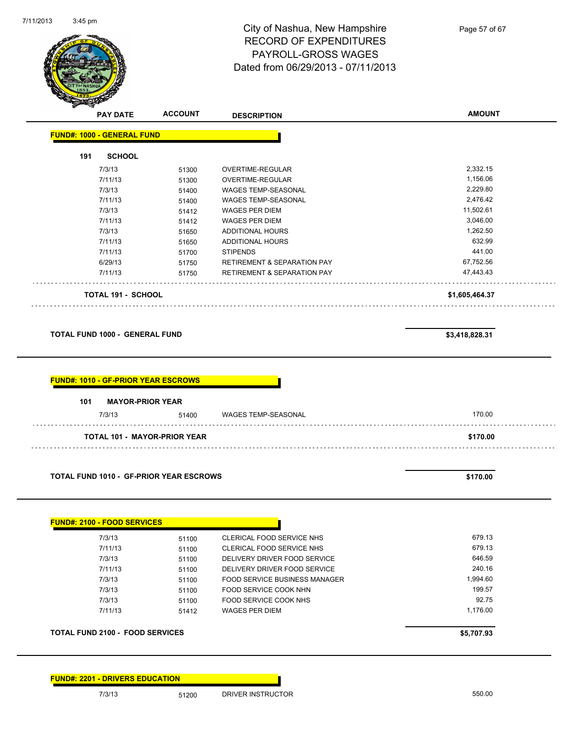

| <b>PAY DATE</b>                            | <b>ACCOUNT</b>                      | <b>DESCRIPTION</b>                     | <b>AMOUNT</b>  |
|--------------------------------------------|-------------------------------------|----------------------------------------|----------------|
| <b>FUND#: 1000 - GENERAL FUND</b>          |                                     |                                        |                |
| <b>SCHOOL</b><br>191                       |                                     |                                        |                |
| 7/3/13                                     | 51300                               | OVERTIME-REGULAR                       | 2,332.15       |
| 7/11/13                                    | 51300                               | OVERTIME-REGULAR                       | 1,156.06       |
| 7/3/13                                     | 51400                               | WAGES TEMP-SEASONAL                    | 2,229.80       |
| 7/11/13                                    | 51400                               | WAGES TEMP-SEASONAL                    | 2,476.42       |
| 7/3/13                                     | 51412                               | WAGES PER DIEM                         | 11,502.61      |
| 7/11/13                                    | 51412                               | WAGES PER DIEM                         | 3,046.00       |
| 7/3/13                                     | 51650                               | <b>ADDITIONAL HOURS</b>                | 1,262.50       |
| 7/11/13                                    | 51650                               | <b>ADDITIONAL HOURS</b>                | 632.99         |
| 7/11/13                                    | 51700                               | <b>STIPENDS</b>                        | 441.00         |
| 6/29/13                                    | 51750                               | RETIREMENT & SEPARATION PAY            | 67,752.56      |
| 7/11/13                                    | 51750                               | <b>RETIREMENT &amp; SEPARATION PAY</b> | 47,443.43      |
| TOTAL 191 - SCHOOL                         |                                     |                                        | \$1,605,464.37 |
| <b>TOTAL FUND 1000 - GENERAL FUND</b>      |                                     |                                        | \$3,418,828.31 |
| <b>FUND#: 1010 - GF-PRIOR YEAR ESCROWS</b> |                                     |                                        |                |
| 101                                        | <b>MAYOR-PRIOR YEAR</b>             |                                        |                |
| 7/3/13                                     | 51400                               | WAGES TEMP-SEASONAL                    | 170.00         |
|                                            | <b>TOTAL 101 - MAYOR-PRIOR YEAR</b> |                                        | \$170.00       |
|                                            |                                     |                                        |                |

| 7/3/13  | 51100 | CLERICAL FOOD SERVICE NHS     | 679.13   |
|---------|-------|-------------------------------|----------|
| 7/11/13 | 51100 | CLERICAL FOOD SERVICE NHS     | 679.13   |
| 7/3/13  | 51100 | DELIVERY DRIVER FOOD SERVICE  | 646.59   |
| 7/11/13 | 51100 | DELIVERY DRIVER FOOD SERVICE  | 240.16   |
| 7/3/13  | 51100 | FOOD SERVICE BUSINESS MANAGER | 1.994.60 |
| 7/3/13  | 51100 | FOOD SERVICE COOK NHN         | 199.57   |
| 7/3/13  | 51100 | FOOD SERVICE COOK NHS         | 92.75    |
| 7/11/13 | 51412 | WAGES PER DIEM                | 1,176.00 |

**FUND#: 2201 - DRIVERS EDUCATION**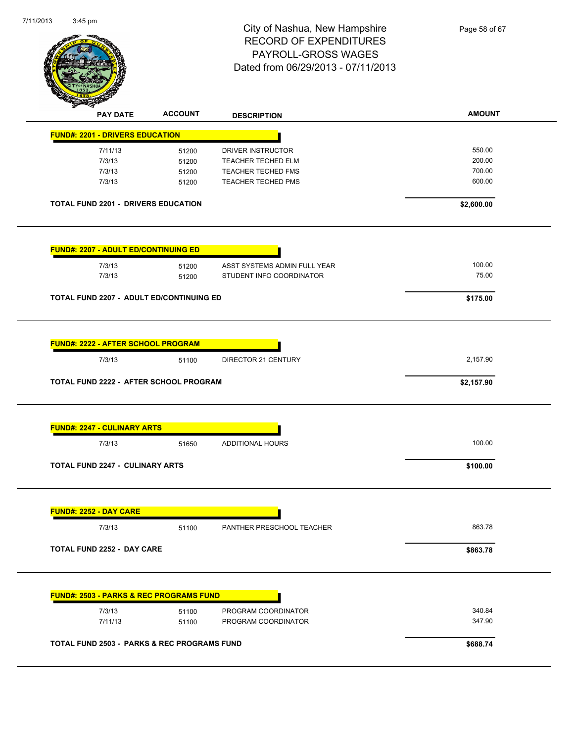

| <b>FUND#: 2201 - DRIVERS EDUCATION</b>                                                                        |                |                              |                        |
|---------------------------------------------------------------------------------------------------------------|----------------|------------------------------|------------------------|
|                                                                                                               |                |                              |                        |
| 7/11/13                                                                                                       | 51200          | DRIVER INSTRUCTOR            | 550.00                 |
| 7/3/13                                                                                                        | 51200          | TEACHER TECHED ELM           | 200.00                 |
| 7/3/13                                                                                                        | 51200          | TEACHER TECHED FMS           | 700.00                 |
| 7/3/13                                                                                                        | 51200          | TEACHER TECHED PMS           | 600.00                 |
| <b>TOTAL FUND 2201 - DRIVERS EDUCATION</b>                                                                    |                |                              | \$2,600.00             |
| <b>FUND#: 2207 - ADULT ED/CONTINUING ED</b>                                                                   |                |                              |                        |
| 7/3/13                                                                                                        | 51200          | ASST SYSTEMS ADMIN FULL YEAR | 100.00                 |
| 7/3/13                                                                                                        | 51200          | STUDENT INFO COORDINATOR     | 75.00                  |
|                                                                                                               |                |                              |                        |
| TOTAL FUND 2207 - ADULT ED/CONTINUING ED                                                                      |                |                              | \$175.00               |
| 7/3/13<br>TOTAL FUND 2222 - AFTER SCHOOL PROGRAM                                                              | 51100          | DIRECTOR 21 CENTURY          | 2,157.90<br>\$2,157.90 |
|                                                                                                               |                |                              |                        |
|                                                                                                               |                |                              |                        |
| 7/3/13                                                                                                        | 51650          | <b>ADDITIONAL HOURS</b>      | 100.00                 |
|                                                                                                               |                |                              | \$100.00               |
| <b>FUND#: 2247 - CULINARY ARTS</b><br><b>TOTAL FUND 2247 - CULINARY ARTS</b><br><b>FUND#: 2252 - DAY CARE</b> |                |                              |                        |
| 7/3/13                                                                                                        | 51100          | PAN I HER PRESCHOOL TEACHER  | 863.78                 |
|                                                                                                               |                |                              |                        |
|                                                                                                               |                |                              | \$863.78               |
|                                                                                                               |                |                              |                        |
| <b>TOTAL FUND 2252 - DAY CARE</b><br><b>FUND#: 2503 - PARKS &amp; REC PROGRAMS FUND</b>                       |                | PROGRAM COORDINATOR          | 340.84                 |
| 7/3/13<br>7/11/13                                                                                             | 51100<br>51100 | PROGRAM COORDINATOR          | 347.90                 |
| <b>TOTAL FUND 2503 - PARKS &amp; REC PROGRAMS FUND</b>                                                        |                |                              | \$688.74               |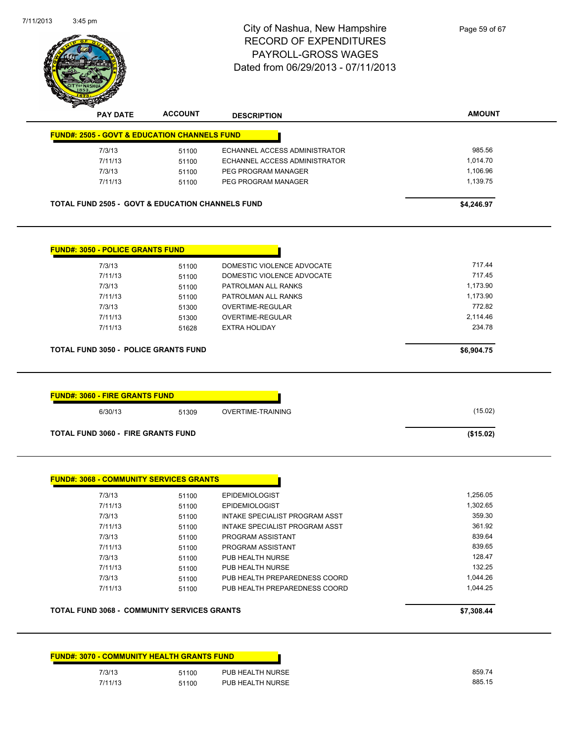

| <b>PAY DATE</b>                         | <b>ACCOUNT</b>                                              | <b>DESCRIPTION</b>            | <b>AMOUNT</b> |
|-----------------------------------------|-------------------------------------------------------------|-------------------------------|---------------|
|                                         | <b>FUND#: 2505 - GOVT &amp; EDUCATION CHANNELS FUND</b>     |                               |               |
| 7/3/13                                  | 51100                                                       | ECHANNEL ACCESS ADMINISTRATOR | 985.56        |
| 7/11/13                                 | 51100                                                       | ECHANNEL ACCESS ADMINISTRATOR | 1,014.70      |
| 7/3/13                                  | 51100                                                       | PEG PROGRAM MANAGER           | 1,106.96      |
| 7/11/13                                 | 51100                                                       | PEG PROGRAM MANAGER           | 1,139.75      |
|                                         | <b>TOTAL FUND 2505 - GOVT &amp; EDUCATION CHANNELS FUND</b> |                               | \$4,246.97    |
|                                         |                                                             |                               |               |
| <b>FUND#: 3050 - POLICE GRANTS FUND</b> |                                                             |                               |               |
| 7/3/13                                  | 51100                                                       | DOMESTIC VIOLENCE ADVOCATE    | 717.44        |
| 7/11/13                                 | 51100                                                       | DOMESTIC VIOLENCE ADVOCATE    | 717.45        |
| 7/3/13                                  | 51100                                                       | PATROLMAN ALL RANKS           | 1,173.90      |
| 7/11/13                                 | 51100                                                       | PATROLMAN ALL RANKS           | 1,173.90      |
| 7/3/13                                  | 51300                                                       | <b>OVERTIME-REGULAR</b>       | 772.82        |
| 7/11/13                                 | 51300                                                       | <b>OVERTIME-REGULAR</b>       | 2,114.46      |
| 7/11/13                                 | 51628                                                       | <b>EXTRA HOLIDAY</b>          | 234.78        |
|                                         | <b>TOTAL FUND 3050 - POLICE GRANTS FUND</b>                 |                               | \$6,904.75    |
|                                         |                                                             |                               |               |
| <b>FUND#: 3060 - FIRE GRANTS FUND</b>   |                                                             |                               |               |
| 6/30/13                                 | 51309                                                       | <b>OVERTIME-TRAINING</b>      | (15.02)       |

| 1,256.05 | <b>EPIDEMIOLOGIST</b>          | 51100 | 7/3/13  |
|----------|--------------------------------|-------|---------|
| 1,302.65 | <b>EPIDEMIOLOGIST</b>          | 51100 | 7/11/13 |
| 359.30   | INTAKE SPECIALIST PROGRAM ASST | 51100 | 7/3/13  |
| 361.92   | INTAKE SPECIALIST PROGRAM ASST | 51100 | 7/11/13 |
| 839.64   | PROGRAM ASSISTANT              | 51100 | 7/3/13  |
| 839.65   | PROGRAM ASSISTANT              | 51100 | 7/11/13 |
| 128.47   | PUB HEALTH NURSE               | 51100 | 7/3/13  |
| 132.25   | PUB HEALTH NURSE               | 51100 | 7/11/13 |
| 1.044.26 | PUB HEALTH PREPAREDNESS COORD  | 51100 | 7/3/13  |
| 1.044.25 | PUB HEALTH PREPAREDNESS COORD  | 51100 | 7/11/13 |

| <b>TOTAL FUND 3068 - COMMUNITY SERVICES GRANTS</b> | \$7,308,44 |
|----------------------------------------------------|------------|
|----------------------------------------------------|------------|

|         | <b>FUND#: 3070 - COMMUNITY HEALTH GRANTS FUND</b> |                  |
|---------|---------------------------------------------------|------------------|
| 7/3/13  | 51100                                             | PUB HEALTH NURSE |
| 7/11/13 | 51100                                             | PUB HEALTH NURSE |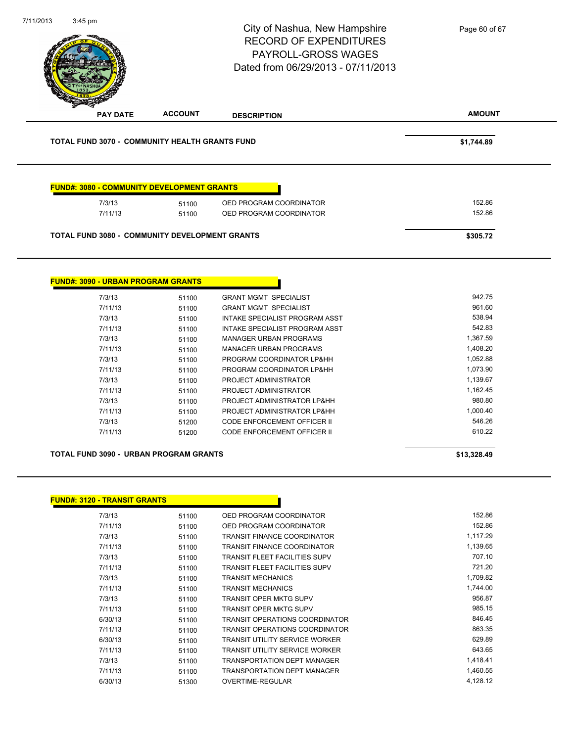|                                                       |                | City of Nashua, New Hampshire<br><b>RECORD OF EXPENDITURES</b><br>PAYROLL-GROSS WAGES<br>Dated from 06/29/2013 - 07/11/2013 | Page 60 of 67    |
|-------------------------------------------------------|----------------|-----------------------------------------------------------------------------------------------------------------------------|------------------|
| <b>PAY DATE</b>                                       | <b>ACCOUNT</b> | <b>DESCRIPTION</b>                                                                                                          | <b>AMOUNT</b>    |
| TOTAL FUND 3070 - COMMUNITY HEALTH GRANTS FUND        |                |                                                                                                                             | \$1,744.89       |
| <b>FUND#: 3080 - COMMUNITY DEVELOPMENT GRANTS</b>     |                |                                                                                                                             |                  |
| 7/3/13<br>7/11/13                                     | 51100<br>51100 | OED PROGRAM COORDINATOR<br>OED PROGRAM COORDINATOR                                                                          | 152.86<br>152.86 |
|                                                       |                |                                                                                                                             |                  |
| <b>TOTAL FUND 3080 - COMMUNITY DEVELOPMENT GRANTS</b> |                |                                                                                                                             | \$305.72         |
| <b>FUND#: 3090 - URBAN PROGRAM GRANTS</b>             |                |                                                                                                                             |                  |
| 7/3/13                                                | 51100          | <b>GRANT MGMT SPECIALIST</b>                                                                                                | 942.75<br>961.60 |
| 7/11/13<br>7/3/13                                     | 51100<br>51100 | <b>GRANT MGMT SPECIALIST</b><br>INTAKE SPECIALIST PROGRAM ASST                                                              | 538.94           |
| 7/11/13                                               | 51100          | INTAKE SPECIALIST PROGRAM ASST                                                                                              | 542.83           |
| 7/3/13                                                | 51100          | <b>MANAGER URBAN PROGRAMS</b>                                                                                               | 1,367.59         |
| 7/11/13                                               | 51100          | <b>MANAGER URBAN PROGRAMS</b>                                                                                               | 1,408.20         |
| 7/3/13                                                | 51100          | PROGRAM COORDINATOR LP&HH                                                                                                   | 1,052.88         |
| 7/11/13                                               | 51100          | PROGRAM COORDINATOR LP&HH                                                                                                   | 1,073.90         |
| 7/3/13                                                | 51100          | PROJECT ADMINISTRATOR                                                                                                       | 1,139.67         |
| 7/11/13                                               | 51100          | PROJECT ADMINISTRATOR                                                                                                       | 1,162.45         |
| 7/3/13                                                | 51100          | PROJECT ADMINISTRATOR LP&HH                                                                                                 | 980.80           |
| 7/11/13                                               | 51100          | PROJECT ADMINISTRATOR LP&HH                                                                                                 | 1,000.40         |
| 7/3/13<br>7/11/13                                     | 51200<br>51200 | CODE ENFORCEMENT OFFICER II<br>CODE ENFORCEMENT OFFICER II                                                                  | 546.26<br>610.22 |
|                                                       |                |                                                                                                                             |                  |
| TOTAL FUND 3090 - URBAN PROGRAM GRANTS                |                |                                                                                                                             | \$13,328.49      |
|                                                       |                |                                                                                                                             |                  |
| <b>FUND#: 3120 - TRANSIT GRANTS</b>                   |                |                                                                                                                             |                  |
| 7/3/13                                                | 51100          | OED PROGRAM COORDINATOR                                                                                                     | 152.86<br>152.86 |

| 7/11/13 | 51100 | OED PROGRAM COORDINATOR               | 152.86   |
|---------|-------|---------------------------------------|----------|
| 7/3/13  | 51100 | <b>TRANSIT FINANCE COORDINATOR</b>    | 1,117.29 |
| 7/11/13 | 51100 | <b>TRANSIT FINANCE COORDINATOR</b>    | 1,139.65 |
| 7/3/13  | 51100 | <b>TRANSIT FLEET FACILITIES SUPV</b>  | 707.10   |
| 7/11/13 | 51100 | <b>TRANSIT FLEET FACILITIES SUPV</b>  | 721.20   |
| 7/3/13  | 51100 | <b>TRANSIT MECHANICS</b>              | 1,709.82 |
| 7/11/13 | 51100 | <b>TRANSIT MECHANICS</b>              | 1,744.00 |
| 7/3/13  | 51100 | <b>TRANSIT OPER MKTG SUPV</b>         | 956.87   |
| 7/11/13 | 51100 | <b>TRANSIT OPER MKTG SUPV</b>         | 985.15   |
| 6/30/13 | 51100 | TRANSIT OPERATIONS COORDINATOR        | 846.45   |
| 7/11/13 | 51100 | TRANSIT OPERATIONS COORDINATOR        | 863.35   |
| 6/30/13 | 51100 | <b>TRANSIT UTILITY SERVICE WORKER</b> | 629.89   |
| 7/11/13 | 51100 | <b>TRANSIT UTILITY SERVICE WORKER</b> | 643.65   |
| 7/3/13  | 51100 | <b>TRANSPORTATION DEPT MANAGER</b>    | 1,418.41 |
| 7/11/13 | 51100 | <b>TRANSPORTATION DEPT MANAGER</b>    | 1,460.55 |
| 6/30/13 | 51300 | OVERTIME-REGULAR                      | 4,128.12 |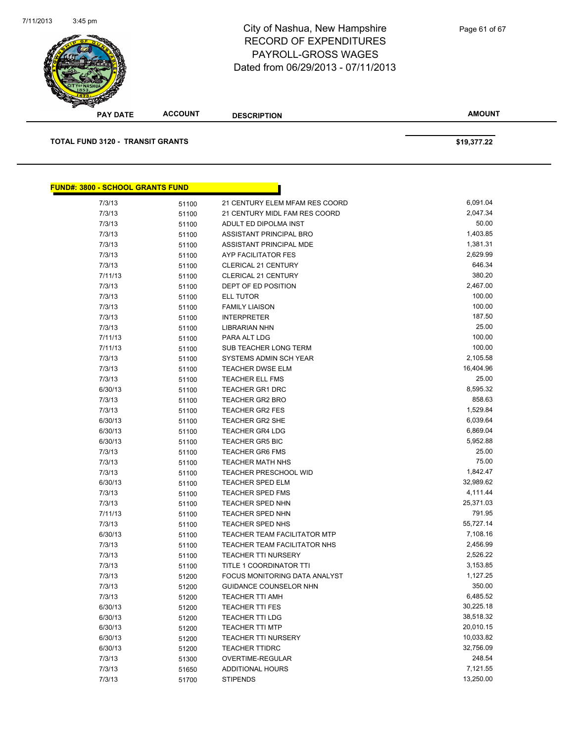| <b>CITYOF NASHU</b>                     |                |                                |               |
|-----------------------------------------|----------------|--------------------------------|---------------|
| <b>PAY DATE</b>                         | <b>ACCOUNT</b> | <b>DESCRIPTION</b>             | <b>AMOUNT</b> |
| <b>TOTAL FUND 3120 - TRANSIT GRANTS</b> |                |                                | \$19,377.22   |
| <b>FUND#: 3800 - SCHOOL GRANTS FUND</b> |                |                                |               |
| 7/3/13                                  | 51100          | 21 CENTURY ELEM MFAM RES COORD | 6,091.04      |
| 7/3/13                                  | 51100          | 21 CENTURY MIDL FAM RES COORD  | 2,047.34      |
| 7/3/13                                  | 51100          | ADULT ED DIPOLMA INST          | 50.00         |
| 7/3/13                                  | 51100          | ASSISTANT PRINCIPAL BRO        | 1,403.85      |
| 7/3/13                                  | 51100          | ASSISTANT PRINCIPAL MDE        | 1,381.31      |
| 7/3/13                                  | 51100          | AYP FACILITATOR FES            | 2,629.99      |
| 7/3/13                                  | 51100          | <b>CLERICAL 21 CENTURY</b>     | 646.34        |
| $714110$                                | 54400          | $C$ LEDICAL OS CENTUDV         | 200.20        |

| 1.011   | <b>UIIUU</b> |                                      |           |
|---------|--------------|--------------------------------------|-----------|
| 7/3/13  | 51100        | ADULT ED DIPOLMA INST                | 50.00     |
| 7/3/13  | 51100        | ASSISTANT PRINCIPAL BRO              | 1,403.85  |
| 7/3/13  | 51100        | ASSISTANT PRINCIPAL MDE              | 1,381.31  |
| 7/3/13  | 51100        | AYP FACILITATOR FES                  | 2,629.99  |
| 7/3/13  | 51100        | CLERICAL 21 CENTURY                  | 646.34    |
| 7/11/13 | 51100        | <b>CLERICAL 21 CENTURY</b>           | 380.20    |
| 7/3/13  | 51100        | DEPT OF ED POSITION                  | 2,467.00  |
| 7/3/13  | 51100        | <b>ELL TUTOR</b>                     | 100.00    |
| 7/3/13  | 51100        | <b>FAMILY LIAISON</b>                | 100.00    |
| 7/3/13  | 51100        | <b>INTERPRETER</b>                   | 187.50    |
| 7/3/13  | 51100        | <b>LIBRARIAN NHN</b>                 | 25.00     |
| 7/11/13 | 51100        | PARA ALT LDG                         | 100.00    |
| 7/11/13 | 51100        | SUB TEACHER LONG TERM                | 100.00    |
| 7/3/13  | 51100        | SYSTEMS ADMIN SCH YEAR               | 2,105.58  |
| 7/3/13  | 51100        | <b>TEACHER DWSE ELM</b>              | 16,404.96 |
| 7/3/13  | 51100        | <b>TEACHER ELL FMS</b>               | 25.00     |
| 6/30/13 | 51100        | <b>TEACHER GR1 DRC</b>               | 8,595.32  |
| 7/3/13  | 51100        | <b>TEACHER GR2 BRO</b>               | 858.63    |
| 7/3/13  | 51100        | <b>TEACHER GR2 FES</b>               | 1,529.84  |
| 6/30/13 | 51100        | <b>TEACHER GR2 SHE</b>               | 6,039.64  |
| 6/30/13 | 51100        | <b>TEACHER GR4 LDG</b>               | 6,869.04  |
| 6/30/13 | 51100        | <b>TEACHER GR5 BIC</b>               | 5,952.88  |
| 7/3/13  | 51100        | <b>TEACHER GR6 FMS</b>               | 25.00     |
| 7/3/13  | 51100        | <b>TEACHER MATH NHS</b>              | 75.00     |
| 7/3/13  | 51100        | <b>TEACHER PRESCHOOL WID</b>         | 1,842.47  |
| 6/30/13 | 51100        | TEACHER SPED ELM                     | 32,989.62 |
| 7/3/13  | 51100        | <b>TEACHER SPED FMS</b>              | 4,111.44  |
| 7/3/13  | 51100        | <b>TEACHER SPED NHN</b>              | 25,371.03 |
| 7/11/13 | 51100        | <b>TEACHER SPED NHN</b>              | 791.95    |
| 7/3/13  | 51100        | <b>TEACHER SPED NHS</b>              | 55,727.14 |
| 6/30/13 | 51100        | <b>TEACHER TEAM FACILITATOR MTP</b>  | 7,108.16  |
| 7/3/13  | 51100        | TEACHER TEAM FACILITATOR NHS         | 2,456.99  |
| 7/3/13  | 51100        | <b>TEACHER TTI NURSERY</b>           | 2,526.22  |
| 7/3/13  | 51100        | TITLE 1 COORDINATOR TTI              | 3,153.85  |
| 7/3/13  | 51200        | <b>FOCUS MONITORING DATA ANALYST</b> | 1,127.25  |
| 7/3/13  | 51200        | <b>GUIDANCE COUNSELOR NHN</b>        | 350.00    |
| 7/3/13  | 51200        | <b>TEACHER TTI AMH</b>               | 6,485.52  |
| 6/30/13 | 51200        | <b>TEACHER TTI FES</b>               | 30,225.18 |
| 6/30/13 | 51200        | <b>TEACHER TTI LDG</b>               | 38,518.32 |
| 6/30/13 | 51200        | <b>TEACHER TTI MTP</b>               | 20,010.15 |
| 6/30/13 | 51200        | <b>TEACHER TTI NURSERY</b>           | 10,033.82 |
| 6/30/13 | 51200        | <b>TEACHER TTIDRC</b>                | 32,756.09 |
| 7/3/13  | 51300        | OVERTIME-REGULAR                     | 248.54    |
| 7/3/13  | 51650        | <b>ADDITIONAL HOURS</b>              | 7,121.55  |
| 7/3/13  | 51700        | <b>STIPENDS</b>                      | 13,250.00 |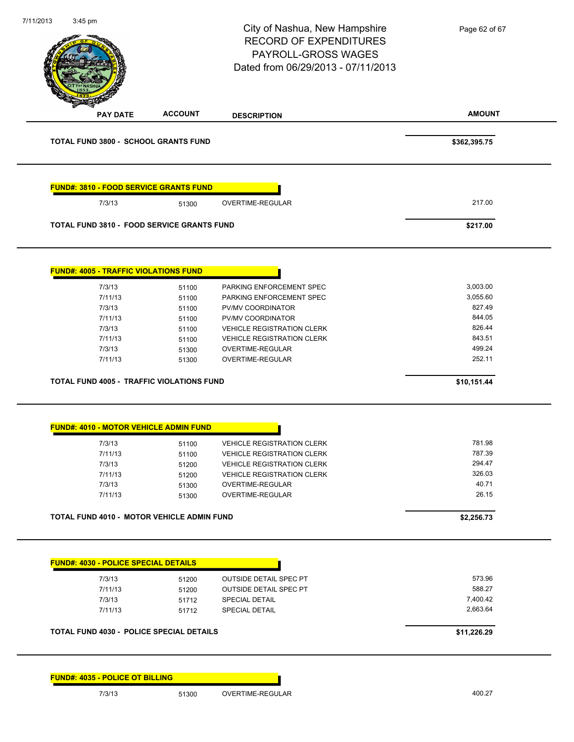| 7/11/2013 | $3:45$ pm                                         |                | City of Nashua, New Hampshire<br><b>RECORD OF EXPENDITURES</b><br>PAYROLL-GROSS WAGES<br>Dated from 06/29/2013 - 07/11/2013 | Page 62 of 67 |
|-----------|---------------------------------------------------|----------------|-----------------------------------------------------------------------------------------------------------------------------|---------------|
|           | <b>PAY DATE</b>                                   | <b>ACCOUNT</b> | <b>DESCRIPTION</b>                                                                                                          | <b>AMOUNT</b> |
|           | <b>TOTAL FUND 3800 - SCHOOL GRANTS FUND</b>       |                |                                                                                                                             | \$362,395.75  |
|           | <b>FUND#: 3810 - FOOD SERVICE GRANTS FUND</b>     |                |                                                                                                                             |               |
|           | 7/3/13                                            | 51300          | OVERTIME-REGULAR                                                                                                            | 217.00        |
|           | <b>TOTAL FUND 3810 - FOOD SERVICE GRANTS FUND</b> |                |                                                                                                                             | \$217.00      |
|           | <b>FUND#: 4005 - TRAFFIC VIOLATIONS FUND</b>      |                |                                                                                                                             |               |
|           | 7/3/13                                            | 51100          | PARKING ENFORCEMENT SPEC                                                                                                    | 3,003.00      |
|           | 7/11/13                                           | 51100          | PARKING ENFORCEMENT SPEC                                                                                                    | 3,055.60      |
|           | 7/3/13                                            | 51100          | PV/MV COORDINATOR                                                                                                           | 827.49        |
|           | 7/11/13                                           | 51100          | PV/MV COORDINATOR                                                                                                           | 844.05        |
|           | 7/3/13                                            | 51100          | <b>VEHICLE REGISTRATION CLERK</b>                                                                                           | 826.44        |
|           | 7/11/13                                           | 51100          | <b>VEHICLE REGISTRATION CLERK</b>                                                                                           | 843.51        |
|           | 7/3/13                                            | 51300          | OVERTIME-REGULAR                                                                                                            | 499.24        |
|           | 7/11/13                                           | 51300          | OVERTIME-REGULAR                                                                                                            | 252.11        |
|           | <b>TOTAL FUND 4005 - TRAFFIC VIOLATIONS FUND</b>  |                |                                                                                                                             | \$10,151.44   |
|           | <b>FUND#: 4010 - MOTOR VEHICLE ADMIN FUND</b>     |                |                                                                                                                             |               |
|           | 7/3/13                                            | 51100          | <b>VEHICLE REGISTRATION CLERK</b>                                                                                           | 781.98        |
|           | 7/11/13                                           | 51100          | <b>VEHICLE REGISTRATION CLERK</b>                                                                                           | 787.39        |
|           | 7/3/13                                            | 51200          | <b>VEHICLE REGISTRATION CLERK</b>                                                                                           | 294.47        |
|           | 7/11/13                                           | 51200          | <b>VEHICLE REGISTRATION CLERK</b>                                                                                           | 326.03        |
|           | 7/3/13                                            | 51300          | OVERTIME-REGULAR                                                                                                            | 40.71         |
|           | 7/11/13                                           | 51300          | OVERTIME-REGULAR                                                                                                            | 26.15         |
|           | TOTAL FUND 4010 - MOTOR VEHICLE ADMIN FUND        |                |                                                                                                                             | \$2,256.73    |
|           |                                                   |                |                                                                                                                             |               |
|           | <b>FUND#: 4030 - POLICE SPECIAL DETAILS</b>       |                |                                                                                                                             |               |
|           | 7/3/13                                            | 51200          | OUTSIDE DETAIL SPEC PT                                                                                                      | 573.96        |
|           | 7/11/13                                           | 51200          | OUTSIDE DETAIL SPEC PT                                                                                                      | 588.27        |
|           | 7/3/13                                            | 51712          | SPECIAL DETAIL                                                                                                              | 7,400.42      |
|           | 7/11/13                                           | 51712          | SPECIAL DETAIL                                                                                                              | 2,663.64      |
|           | TOTAL FUND 4030 - POLICE SPECIAL DETAILS          |                |                                                                                                                             | \$11,226.29   |
|           | <b>FUND#: 4035 - POLICE OT BILLING</b>            |                |                                                                                                                             |               |
|           | 7/3/13                                            | 51300          | OVERTIME-REGULAR                                                                                                            | 400.27        |
|           |                                                   |                |                                                                                                                             |               |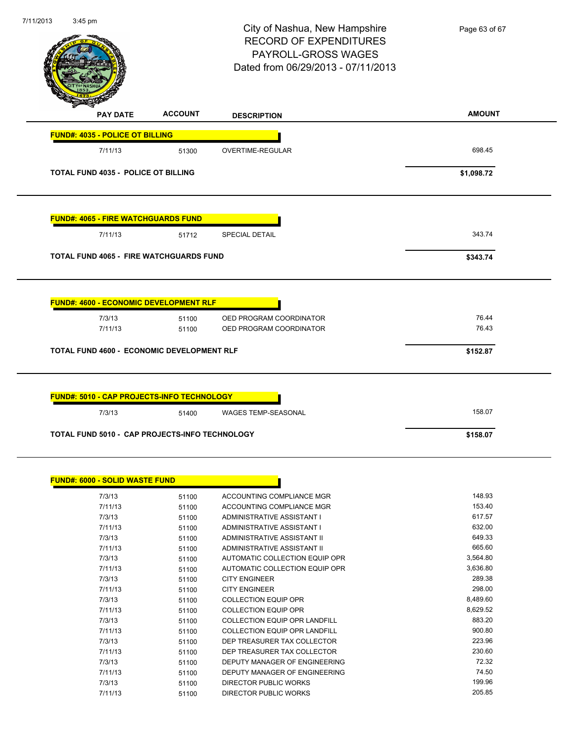| 7/11/2013 | $3:45$ pm                                                          |                | City of Nashua, New Hampshire<br><b>RECORD OF EXPENDITURES</b><br>PAYROLL-GROSS WAGES<br>Dated from 06/29/2013 - 07/11/2013 | Page 63 of 67  |
|-----------|--------------------------------------------------------------------|----------------|-----------------------------------------------------------------------------------------------------------------------------|----------------|
|           | <b>PAY DATE</b>                                                    | <b>ACCOUNT</b> | <b>DESCRIPTION</b>                                                                                                          | <b>AMOUNT</b>  |
|           | <b>FUND#: 4035 - POLICE OT BILLING</b>                             |                |                                                                                                                             |                |
|           | 7/11/13                                                            | 51300          | OVERTIME-REGULAR                                                                                                            | 698.45         |
|           | TOTAL FUND 4035 - POLICE OT BILLING                                |                |                                                                                                                             | \$1,098.72     |
|           | <b>FUND#: 4065 - FIRE WATCHGUARDS FUND</b>                         |                |                                                                                                                             |                |
|           | 7/11/13                                                            | 51712          | <b>SPECIAL DETAIL</b>                                                                                                       | 343.74         |
|           | <b>TOTAL FUND 4065 - FIRE WATCHGUARDS FUND</b>                     |                |                                                                                                                             | \$343.74       |
|           | <b>FUND#: 4600 - ECONOMIC DEVELOPMENT RLF</b><br>7/3/13<br>7/11/13 | 51100<br>51100 | OED PROGRAM COORDINATOR<br>OED PROGRAM COORDINATOR                                                                          | 76.44<br>76.43 |
|           | <b>TOTAL FUND 4600 - ECONOMIC DEVELOPMENT RLF</b>                  |                |                                                                                                                             | \$152.87       |
|           | FUND#: 5010 - CAP PROJECTS-INFO TECHNOLOGY                         |                |                                                                                                                             |                |
|           | 7/3/13                                                             | 51400          | <b>WAGES TEMP-SEASONAL</b>                                                                                                  | 158.07         |
|           | TOTAL FUND 5010 - CAP PROJECTS-INFO TECHNOLOGY                     |                |                                                                                                                             | \$158.07       |
|           | <b>FUND#: 6000 - SOLID WASTE FUND</b>                              |                |                                                                                                                             |                |
|           | 7/3/13                                                             | 51100          | ACCOUNTING COMPLIANCE MGR                                                                                                   | 148.93         |
|           | 7/11/13                                                            | 51100          | ACCOUNTING COMPLIANCE MGR                                                                                                   | 153.40         |
|           | 7/3/13                                                             | 51100          | ADMINISTRATIVE ASSISTANT I                                                                                                  | 617.57         |
|           | 7/11/13                                                            | 51100          | ADMINISTRATIVE ASSISTANT I                                                                                                  | 632.00         |
|           | 7/3/13                                                             | 51100          | ADMINISTRATIVE ASSISTANT II                                                                                                 | 649.33         |
|           | 7/11/13                                                            | 51100          | ADMINISTRATIVE ASSISTANT II                                                                                                 | 665.60         |
|           | 7/3/13                                                             | 51100          | AUTOMATIC COLLECTION EQUIP OPR                                                                                              | 3,564.80       |
|           | 7/11/13                                                            | 51100          | AUTOMATIC COLLECTION EQUIP OPR                                                                                              | 3,636.80       |
|           | 7/3/13                                                             | 51100          | <b>CITY ENGINEER</b>                                                                                                        | 289.38         |
|           | 7/11/13                                                            | 51100          | <b>CITY ENGINEER</b>                                                                                                        | 298.00         |
|           | 7/3/13                                                             | 51100          | COLLECTION FOLIJP OPR                                                                                                       | 848960         |

| 7/3/13  | 51100 | ADMINISTRATIVE ASSISTANT II          | 649.33   |
|---------|-------|--------------------------------------|----------|
| 7/11/13 | 51100 | ADMINISTRATIVE ASSISTANT II          | 665.60   |
| 7/3/13  | 51100 | AUTOMATIC COLLECTION EQUIP OPR       | 3,564.80 |
| 7/11/13 | 51100 | AUTOMATIC COLLECTION EQUIP OPR       | 3,636.80 |
| 7/3/13  | 51100 | <b>CITY ENGINEER</b>                 | 289.38   |
| 7/11/13 | 51100 | <b>CITY ENGINEER</b>                 | 298.00   |
| 7/3/13  | 51100 | <b>COLLECTION EQUIP OPR</b>          | 8,489.60 |
| 7/11/13 | 51100 | <b>COLLECTION EQUIP OPR</b>          | 8,629.52 |
| 7/3/13  | 51100 | <b>COLLECTION EQUIP OPR LANDFILL</b> | 883.20   |
| 7/11/13 | 51100 | <b>COLLECTION EQUIP OPR LANDFILL</b> | 900.80   |
| 7/3/13  | 51100 | DEP TREASURER TAX COLLECTOR          | 223.96   |
| 7/11/13 | 51100 | DEP TREASURER TAX COLLECTOR          | 230.60   |
| 7/3/13  | 51100 | DEPUTY MANAGER OF ENGINEERING        | 72.32    |
| 7/11/13 | 51100 | DEPUTY MANAGER OF ENGINEERING        | 74.50    |
| 7/3/13  | 51100 | DIRECTOR PUBLIC WORKS                | 199.96   |
| 7/11/13 | 51100 | DIRECTOR PUBLIC WORKS                | 205.85   |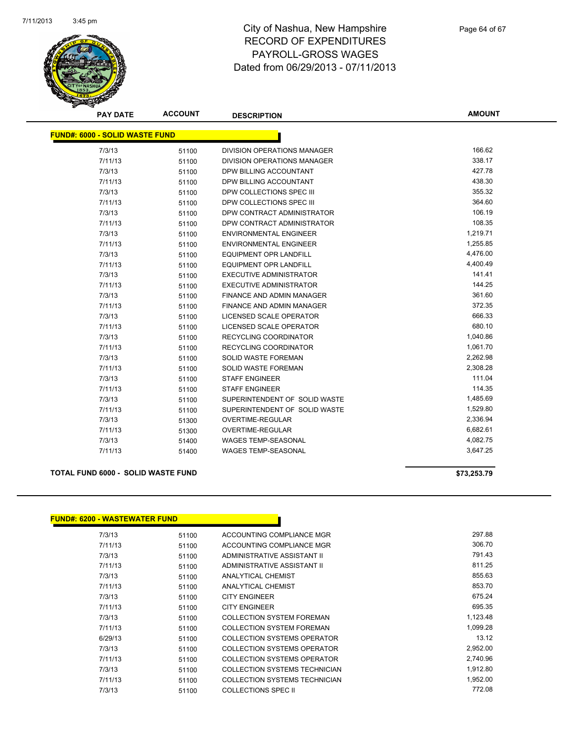

**AMOUNT**

| <b>FUND#: 6000 - SOLID WASTE FUND</b> |       |                                    |          |
|---------------------------------------|-------|------------------------------------|----------|
| 7/3/13                                | 51100 | <b>DIVISION OPERATIONS MANAGER</b> | 166.62   |
| 7/11/13                               | 51100 | DIVISION OPERATIONS MANAGER        | 338.17   |
| 7/3/13                                | 51100 | DPW BILLING ACCOUNTANT             | 427.78   |
| 7/11/13                               | 51100 | DPW BILLING ACCOUNTANT             | 438.30   |
| 7/3/13                                | 51100 | DPW COLLECTIONS SPEC III           | 355.32   |
| 7/11/13                               | 51100 | DPW COLLECTIONS SPEC III           | 364.60   |
| 7/3/13                                | 51100 | DPW CONTRACT ADMINISTRATOR         | 106.19   |
| 7/11/13                               | 51100 | DPW CONTRACT ADMINISTRATOR         | 108.35   |
| 7/3/13                                | 51100 | <b>ENVIRONMENTAL ENGINEER</b>      | 1,219.71 |
| 7/11/13                               | 51100 | <b>ENVIRONMENTAL ENGINEER</b>      | 1,255.85 |
| 7/3/13                                | 51100 | <b>EQUIPMENT OPR LANDFILL</b>      | 4,476.00 |
| 7/11/13                               | 51100 | <b>EQUIPMENT OPR LANDFILL</b>      | 4,400.49 |
| 7/3/13                                | 51100 | <b>EXECUTIVE ADMINISTRATOR</b>     | 141.41   |
| 7/11/13                               | 51100 | <b>EXECUTIVE ADMINISTRATOR</b>     | 144.25   |
| 7/3/13                                | 51100 | <b>FINANCE AND ADMIN MANAGER</b>   | 361.60   |
| 7/11/13                               | 51100 | <b>FINANCE AND ADMIN MANAGER</b>   | 372.35   |
| 7/3/13                                | 51100 | LICENSED SCALE OPERATOR            | 666.33   |
| 7/11/13                               | 51100 | <b>LICENSED SCALE OPERATOR</b>     | 680.10   |
| 7/3/13                                | 51100 | <b>RECYCLING COORDINATOR</b>       | 1,040.86 |
| 7/11/13                               | 51100 | RECYCLING COORDINATOR              | 1,061.70 |
| 7/3/13                                | 51100 | <b>SOLID WASTE FOREMAN</b>         | 2,262.98 |
| 7/11/13                               | 51100 | SOLID WASTE FOREMAN                | 2,308.28 |
| 7/3/13                                | 51100 | <b>STAFF ENGINEER</b>              | 111.04   |
| 7/11/13                               | 51100 | <b>STAFF ENGINEER</b>              | 114.35   |
| 7/3/13                                | 51100 | SUPERINTENDENT OF SOLID WASTE      | 1,485.69 |
| 7/11/13                               | 51100 | SUPERINTENDENT OF SOLID WASTE      | 1,529.80 |
| 7/3/13                                | 51300 | <b>OVERTIME-REGULAR</b>            | 2,336.94 |
| 7/11/13                               | 51300 | <b>OVERTIME-REGULAR</b>            | 6,682.61 |
| 7/3/13                                | 51400 | <b>WAGES TEMP-SEASONAL</b>         | 4,082.75 |
| 7/11/13                               | 51400 | <b>WAGES TEMP-SEASONAL</b>         | 3,647.25 |

#### **TOTAL FUND 6000 - SOLID WASTE FUND \$73,253.79**

#### **FUND#: 6200 - WASTEWATER FUND**

| 7/3/13  | 51100 | ACCOUNTING COMPLIANCE MGR        | 297.88   |
|---------|-------|----------------------------------|----------|
| 7/11/13 | 51100 | ACCOUNTING COMPLIANCE MGR        | 306.70   |
| 7/3/13  | 51100 | ADMINISTRATIVE ASSISTANT II      | 791.43   |
| 7/11/13 | 51100 | ADMINISTRATIVE ASSISTANT II      | 811.25   |
| 7/3/13  | 51100 | <b>ANALYTICAL CHEMIST</b>        | 855.63   |
| 7/11/13 | 51100 | ANALYTICAL CHEMIST               | 853.70   |
| 7/3/13  | 51100 | <b>CITY ENGINEER</b>             | 675.24   |
| 7/11/13 | 51100 | <b>CITY ENGINEER</b>             | 695.35   |
| 7/3/13  | 51100 | <b>COLLECTION SYSTEM FOREMAN</b> | 1,123.48 |
| 7/11/13 | 51100 | <b>COLLECTION SYSTEM FOREMAN</b> | 1,099.28 |
| 6/29/13 | 51100 | COLLECTION SYSTEMS OPERATOR      | 13.12    |
| 7/3/13  | 51100 | COLLECTION SYSTEMS OPERATOR      | 2,952.00 |
| 7/11/13 | 51100 | COLLECTION SYSTEMS OPERATOR      | 2,740.96 |
| 7/3/13  | 51100 | COLLECTION SYSTEMS TECHNICIAN    | 1,912.80 |
| 7/11/13 | 51100 | COLLECTION SYSTEMS TECHNICIAN    | 1,952.00 |
| 7/3/13  | 51100 | <b>COLLECTIONS SPEC II</b>       | 772.08   |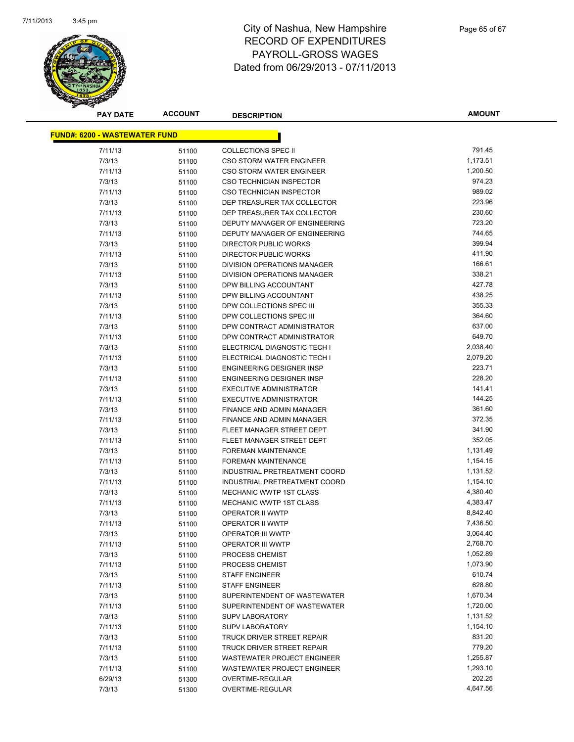

| <b>PAY DATE</b>                      | <b>ACCOUNT</b> | <b>DESCRIPTION</b>               | <b>AMOUNT</b>      |
|--------------------------------------|----------------|----------------------------------|--------------------|
| <b>FUND#: 6200 - WASTEWATER FUND</b> |                |                                  |                    |
| 7/11/13                              |                | <b>COLLECTIONS SPEC II</b>       | 791.45             |
| 7/3/13                               | 51100          | CSO STORM WATER ENGINEER         | 1,173.51           |
| 7/11/13                              | 51100          | <b>CSO STORM WATER ENGINEER</b>  | 1,200.50           |
| 7/3/13                               | 51100<br>51100 | CSO TECHNICIAN INSPECTOR         | 974.23             |
| 7/11/13                              |                | CSO TECHNICIAN INSPECTOR         | 989.02             |
| 7/3/13                               | 51100<br>51100 | DEP TREASURER TAX COLLECTOR      | 223.96             |
| 7/11/13                              |                | DEP TREASURER TAX COLLECTOR      | 230.60             |
| 7/3/13                               | 51100          | DEPUTY MANAGER OF ENGINEERING    | 723.20             |
| 7/11/13                              | 51100          | DEPUTY MANAGER OF ENGINEERING    | 744.65             |
| 7/3/13                               | 51100          | <b>DIRECTOR PUBLIC WORKS</b>     | 399.94             |
| 7/11/13                              | 51100          | DIRECTOR PUBLIC WORKS            | 411.90             |
| 7/3/13                               | 51100          | DIVISION OPERATIONS MANAGER      | 166.61             |
|                                      | 51100          |                                  | 338.21             |
| 7/11/13<br>7/3/13                    | 51100          | DIVISION OPERATIONS MANAGER      | 427.78             |
|                                      | 51100          | DPW BILLING ACCOUNTANT           | 438.25             |
| 7/11/13                              | 51100          | DPW BILLING ACCOUNTANT           | 355.33             |
| 7/3/13                               | 51100          | DPW COLLECTIONS SPEC III         | 364.60             |
| 7/11/13                              | 51100          | DPW COLLECTIONS SPEC III         |                    |
| 7/3/13                               | 51100          | DPW CONTRACT ADMINISTRATOR       | 637.00<br>649.70   |
| 7/11/13                              | 51100          | DPW CONTRACT ADMINISTRATOR       |                    |
| 7/3/13                               | 51100          | ELECTRICAL DIAGNOSTIC TECH I     | 2,038.40           |
| 7/11/13                              | 51100          | ELECTRICAL DIAGNOSTIC TECH I     | 2,079.20<br>223.71 |
| 7/3/13                               | 51100          | <b>ENGINEERING DESIGNER INSP</b> |                    |
| 7/11/13                              | 51100          | ENGINEERING DESIGNER INSP        | 228.20             |
| 7/3/13                               | 51100          | <b>EXECUTIVE ADMINISTRATOR</b>   | 141.41             |
| 7/11/13                              | 51100          | <b>EXECUTIVE ADMINISTRATOR</b>   | 144.25             |
| 7/3/13                               | 51100          | FINANCE AND ADMIN MANAGER        | 361.60             |
| 7/11/13                              | 51100          | FINANCE AND ADMIN MANAGER        | 372.35             |
| 7/3/13                               | 51100          | FLEET MANAGER STREET DEPT        | 341.90             |
| 7/11/13                              | 51100          | FLEET MANAGER STREET DEPT        | 352.05             |
| 7/3/13                               | 51100          | <b>FOREMAN MAINTENANCE</b>       | 1,131.49           |
| 7/11/13                              | 51100          | <b>FOREMAN MAINTENANCE</b>       | 1,154.15           |
| 7/3/13                               | 51100          | INDUSTRIAL PRETREATMENT COORD    | 1,131.52           |
| 7/11/13                              | 51100          | INDUSTRIAL PRETREATMENT COORD    | 1,154.10           |
| 7/3/13                               | 51100          | MECHANIC WWTP 1ST CLASS          | 4,380.40           |
| 7/11/13                              | 51100          | MECHANIC WWTP 1ST CLASS          | 4,383.47           |
| 7/3/13                               | 51100          | OPERATOR II WWTP                 | 8,842.40           |
| 7/11/13                              | 51100          | OPERATOR II WWTP                 | 7,436.50           |
| 7/3/13                               | 51100          | OPERATOR III WWTP                | 3,064.40           |
| 7/11/13                              | 51100          | <b>OPERATOR III WWTP</b>         | 2,768.70           |
| 7/3/13                               | 51100          | PROCESS CHEMIST                  | 1,052.89           |
| 7/11/13                              | 51100          | PROCESS CHEMIST                  | 1,073.90           |
| 7/3/13                               | 51100          | <b>STAFF ENGINEER</b>            | 610.74             |
| 7/11/13                              | 51100          | <b>STAFF ENGINEER</b>            | 628.80             |
| 7/3/13                               | 51100          | SUPERINTENDENT OF WASTEWATER     | 1,670.34           |
| 7/11/13                              | 51100          | SUPERINTENDENT OF WASTEWATER     | 1,720.00           |
| 7/3/13                               | 51100          | <b>SUPV LABORATORY</b>           | 1,131.52           |
| 7/11/13                              | 51100          | <b>SUPV LABORATORY</b>           | 1,154.10           |
| 7/3/13                               | 51100          | TRUCK DRIVER STREET REPAIR       | 831.20             |
| 7/11/13                              | 51100          | TRUCK DRIVER STREET REPAIR       | 779.20             |
| 7/3/13                               | 51100          | WASTEWATER PROJECT ENGINEER      | 1,255.87           |
| 7/11/13                              | 51100          | WASTEWATER PROJECT ENGINEER      | 1,293.10           |
| 6/29/13                              | 51300          | OVERTIME-REGULAR                 | 202.25             |
| 7/3/13                               | 51300          | OVERTIME-REGULAR                 | 4,647.56           |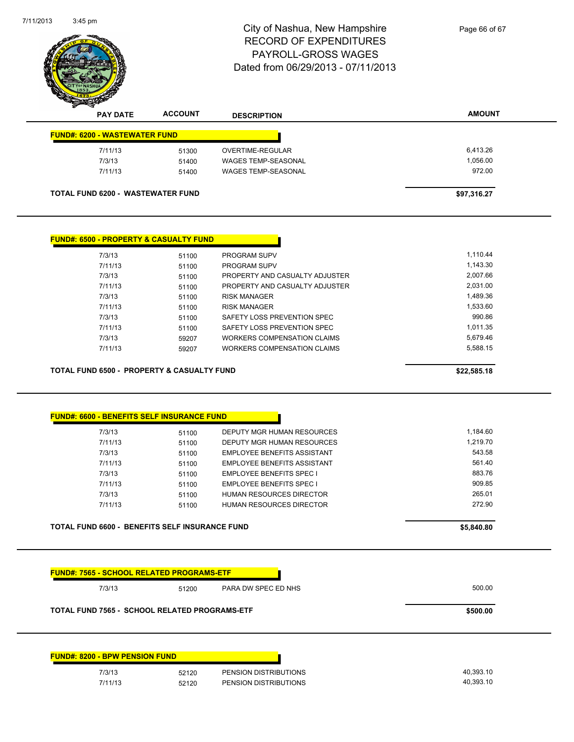| <b>AMOUNT</b><br><b>ACCOUNT</b><br><b>PAY DATE</b><br><b>DESCRIPTION</b><br><b>FUND#: 6200 - WASTEWATER FUND</b><br>7/11/13<br>6,413.26<br>OVERTIME-REGULAR<br>51300<br>7/3/13<br>1,056.00<br><b>WAGES TEMP-SEASONAL</b><br>51400<br>972.00<br>7/11/13<br><b>WAGES TEMP-SEASONAL</b><br>51400<br><b>TOTAL FUND 6200 - WASTEWATER FUND</b><br>\$97,316.27<br><b>FUND#: 6500 - PROPERTY &amp; CASUALTY FUND</b><br>1,110.44<br>7/3/13<br>PROGRAM SUPV<br>51100<br>7/11/13<br>1,143.30<br>PROGRAM SUPV<br>51100<br>2,007.66<br>7/3/13<br>PROPERTY AND CASUALTY ADJUSTER<br>51100<br>2,031.00<br>7/11/13<br>PROPERTY AND CASUALTY ADJUSTER<br>51100<br>1,489.36<br>7/3/13<br>51100<br><b>RISK MANAGER</b><br>1,533.60<br>7/11/13<br><b>RISK MANAGER</b><br>51100<br>990.86<br>7/3/13<br>SAFETY LOSS PREVENTION SPEC<br>51100<br>1,011.35<br>7/11/13<br>SAFETY LOSS PREVENTION SPEC<br>51100<br>7/3/13<br><b>WORKERS COMPENSATION CLAIMS</b><br>5,679.46<br>59207<br>5,588.15<br>7/11/13<br>WORKERS COMPENSATION CLAIMS<br>59207<br><b>TOTAL FUND 6500 - PROPERTY &amp; CASUALTY FUND</b><br>\$22,585.18<br><b>FUND#: 6600 - BENEFITS SELF INSURANCE FUND</b><br>1.184.60<br>7/3/13<br>DEPUTY MGR HUMAN RESOURCES<br>51100<br>1,219.70<br>7/11/13<br>DEPUTY MGR HUMAN RESOURCES<br>51100<br>543.58<br>7/3/13<br>51100<br><b>EMPLOYEE BENEFITS ASSISTANT</b><br>561.40<br>7/11/13<br>51100<br><b>EMPLOYEE BENEFITS ASSISTANT</b><br>883.76<br>7/3/13<br><b>EMPLOYEE BENEFITS SPEC I</b><br>51100<br>909.85<br>7/11/13<br><b>EMPLOYEE BENEFITS SPEC I</b><br>51100<br>265.01<br>7/3/13<br>HUMAN RESOURCES DIRECTOR<br>51100<br>272.90<br>7/11/13<br>HUMAN RESOURCES DIRECTOR<br>51100 | 7/11/2013<br>3:45 pm | City of Nashua, New Hampshire<br><b>RECORD OF EXPENDITURES</b><br><b>PAYROLL-GROSS WAGES</b><br>Dated from 06/29/2013 - 07/11/2013 | Page 66 of 67 |
|--------------------------------------------------------------------------------------------------------------------------------------------------------------------------------------------------------------------------------------------------------------------------------------------------------------------------------------------------------------------------------------------------------------------------------------------------------------------------------------------------------------------------------------------------------------------------------------------------------------------------------------------------------------------------------------------------------------------------------------------------------------------------------------------------------------------------------------------------------------------------------------------------------------------------------------------------------------------------------------------------------------------------------------------------------------------------------------------------------------------------------------------------------------------------------------------------------------------------------------------------------------------------------------------------------------------------------------------------------------------------------------------------------------------------------------------------------------------------------------------------------------------------------------------------------------------------------------------------------------------------------------------------------------------------------|----------------------|------------------------------------------------------------------------------------------------------------------------------------|---------------|
|                                                                                                                                                                                                                                                                                                                                                                                                                                                                                                                                                                                                                                                                                                                                                                                                                                                                                                                                                                                                                                                                                                                                                                                                                                                                                                                                                                                                                                                                                                                                                                                                                                                                                |                      |                                                                                                                                    |               |
|                                                                                                                                                                                                                                                                                                                                                                                                                                                                                                                                                                                                                                                                                                                                                                                                                                                                                                                                                                                                                                                                                                                                                                                                                                                                                                                                                                                                                                                                                                                                                                                                                                                                                |                      |                                                                                                                                    |               |
|                                                                                                                                                                                                                                                                                                                                                                                                                                                                                                                                                                                                                                                                                                                                                                                                                                                                                                                                                                                                                                                                                                                                                                                                                                                                                                                                                                                                                                                                                                                                                                                                                                                                                |                      |                                                                                                                                    |               |
|                                                                                                                                                                                                                                                                                                                                                                                                                                                                                                                                                                                                                                                                                                                                                                                                                                                                                                                                                                                                                                                                                                                                                                                                                                                                                                                                                                                                                                                                                                                                                                                                                                                                                |                      |                                                                                                                                    |               |
|                                                                                                                                                                                                                                                                                                                                                                                                                                                                                                                                                                                                                                                                                                                                                                                                                                                                                                                                                                                                                                                                                                                                                                                                                                                                                                                                                                                                                                                                                                                                                                                                                                                                                |                      |                                                                                                                                    |               |
|                                                                                                                                                                                                                                                                                                                                                                                                                                                                                                                                                                                                                                                                                                                                                                                                                                                                                                                                                                                                                                                                                                                                                                                                                                                                                                                                                                                                                                                                                                                                                                                                                                                                                |                      |                                                                                                                                    |               |
|                                                                                                                                                                                                                                                                                                                                                                                                                                                                                                                                                                                                                                                                                                                                                                                                                                                                                                                                                                                                                                                                                                                                                                                                                                                                                                                                                                                                                                                                                                                                                                                                                                                                                |                      |                                                                                                                                    |               |
|                                                                                                                                                                                                                                                                                                                                                                                                                                                                                                                                                                                                                                                                                                                                                                                                                                                                                                                                                                                                                                                                                                                                                                                                                                                                                                                                                                                                                                                                                                                                                                                                                                                                                |                      |                                                                                                                                    |               |
|                                                                                                                                                                                                                                                                                                                                                                                                                                                                                                                                                                                                                                                                                                                                                                                                                                                                                                                                                                                                                                                                                                                                                                                                                                                                                                                                                                                                                                                                                                                                                                                                                                                                                |                      |                                                                                                                                    |               |
|                                                                                                                                                                                                                                                                                                                                                                                                                                                                                                                                                                                                                                                                                                                                                                                                                                                                                                                                                                                                                                                                                                                                                                                                                                                                                                                                                                                                                                                                                                                                                                                                                                                                                |                      |                                                                                                                                    |               |
|                                                                                                                                                                                                                                                                                                                                                                                                                                                                                                                                                                                                                                                                                                                                                                                                                                                                                                                                                                                                                                                                                                                                                                                                                                                                                                                                                                                                                                                                                                                                                                                                                                                                                |                      |                                                                                                                                    |               |
|                                                                                                                                                                                                                                                                                                                                                                                                                                                                                                                                                                                                                                                                                                                                                                                                                                                                                                                                                                                                                                                                                                                                                                                                                                                                                                                                                                                                                                                                                                                                                                                                                                                                                |                      |                                                                                                                                    |               |
|                                                                                                                                                                                                                                                                                                                                                                                                                                                                                                                                                                                                                                                                                                                                                                                                                                                                                                                                                                                                                                                                                                                                                                                                                                                                                                                                                                                                                                                                                                                                                                                                                                                                                |                      |                                                                                                                                    |               |
|                                                                                                                                                                                                                                                                                                                                                                                                                                                                                                                                                                                                                                                                                                                                                                                                                                                                                                                                                                                                                                                                                                                                                                                                                                                                                                                                                                                                                                                                                                                                                                                                                                                                                |                      |                                                                                                                                    |               |
|                                                                                                                                                                                                                                                                                                                                                                                                                                                                                                                                                                                                                                                                                                                                                                                                                                                                                                                                                                                                                                                                                                                                                                                                                                                                                                                                                                                                                                                                                                                                                                                                                                                                                |                      |                                                                                                                                    |               |
|                                                                                                                                                                                                                                                                                                                                                                                                                                                                                                                                                                                                                                                                                                                                                                                                                                                                                                                                                                                                                                                                                                                                                                                                                                                                                                                                                                                                                                                                                                                                                                                                                                                                                |                      |                                                                                                                                    |               |
|                                                                                                                                                                                                                                                                                                                                                                                                                                                                                                                                                                                                                                                                                                                                                                                                                                                                                                                                                                                                                                                                                                                                                                                                                                                                                                                                                                                                                                                                                                                                                                                                                                                                                |                      |                                                                                                                                    |               |
|                                                                                                                                                                                                                                                                                                                                                                                                                                                                                                                                                                                                                                                                                                                                                                                                                                                                                                                                                                                                                                                                                                                                                                                                                                                                                                                                                                                                                                                                                                                                                                                                                                                                                |                      |                                                                                                                                    |               |
|                                                                                                                                                                                                                                                                                                                                                                                                                                                                                                                                                                                                                                                                                                                                                                                                                                                                                                                                                                                                                                                                                                                                                                                                                                                                                                                                                                                                                                                                                                                                                                                                                                                                                |                      |                                                                                                                                    |               |
|                                                                                                                                                                                                                                                                                                                                                                                                                                                                                                                                                                                                                                                                                                                                                                                                                                                                                                                                                                                                                                                                                                                                                                                                                                                                                                                                                                                                                                                                                                                                                                                                                                                                                |                      |                                                                                                                                    |               |
|                                                                                                                                                                                                                                                                                                                                                                                                                                                                                                                                                                                                                                                                                                                                                                                                                                                                                                                                                                                                                                                                                                                                                                                                                                                                                                                                                                                                                                                                                                                                                                                                                                                                                |                      |                                                                                                                                    |               |
|                                                                                                                                                                                                                                                                                                                                                                                                                                                                                                                                                                                                                                                                                                                                                                                                                                                                                                                                                                                                                                                                                                                                                                                                                                                                                                                                                                                                                                                                                                                                                                                                                                                                                |                      |                                                                                                                                    |               |
|                                                                                                                                                                                                                                                                                                                                                                                                                                                                                                                                                                                                                                                                                                                                                                                                                                                                                                                                                                                                                                                                                                                                                                                                                                                                                                                                                                                                                                                                                                                                                                                                                                                                                |                      |                                                                                                                                    |               |
|                                                                                                                                                                                                                                                                                                                                                                                                                                                                                                                                                                                                                                                                                                                                                                                                                                                                                                                                                                                                                                                                                                                                                                                                                                                                                                                                                                                                                                                                                                                                                                                                                                                                                |                      |                                                                                                                                    |               |
|                                                                                                                                                                                                                                                                                                                                                                                                                                                                                                                                                                                                                                                                                                                                                                                                                                                                                                                                                                                                                                                                                                                                                                                                                                                                                                                                                                                                                                                                                                                                                                                                                                                                                |                      |                                                                                                                                    |               |
|                                                                                                                                                                                                                                                                                                                                                                                                                                                                                                                                                                                                                                                                                                                                                                                                                                                                                                                                                                                                                                                                                                                                                                                                                                                                                                                                                                                                                                                                                                                                                                                                                                                                                |                      |                                                                                                                                    |               |
|                                                                                                                                                                                                                                                                                                                                                                                                                                                                                                                                                                                                                                                                                                                                                                                                                                                                                                                                                                                                                                                                                                                                                                                                                                                                                                                                                                                                                                                                                                                                                                                                                                                                                |                      |                                                                                                                                    |               |
|                                                                                                                                                                                                                                                                                                                                                                                                                                                                                                                                                                                                                                                                                                                                                                                                                                                                                                                                                                                                                                                                                                                                                                                                                                                                                                                                                                                                                                                                                                                                                                                                                                                                                |                      |                                                                                                                                    |               |

| <b>FUND#: 7565 - SCHOOL RELATED PROGRAMS-ETF</b>     |       |                       |           |
|------------------------------------------------------|-------|-----------------------|-----------|
| 7/3/13                                               | 51200 | PARA DW SPEC ED NHS   | 500.00    |
| <b>TOTAL FUND 7565 - SCHOOL RELATED PROGRAMS-ETF</b> |       |                       | \$500.00  |
|                                                      |       |                       |           |
|                                                      |       |                       |           |
| <b>FUND#: 8200 - BPW PENSION FUND</b><br>7/3/13      | 52120 | PENSION DISTRIBUTIONS | 40,393.10 |